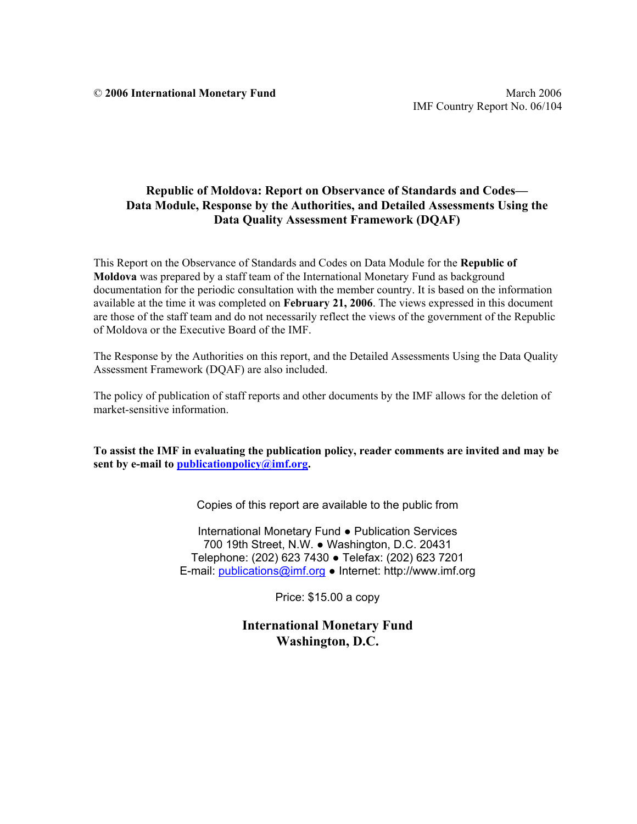## **Republic of Moldova: Report on Observance of Standards and Codes— Data Module, Response by the Authorities, and Detailed Assessments Using the Data Quality Assessment Framework (DQAF)**

This Report on the Observance of Standards and Codes on Data Module for the **Republic of Moldova** was prepared by a staff team of the International Monetary Fund as background documentation for the periodic consultation with the member country. It is based on the information available at the time it was completed on **February 21, 2006**. The views expressed in this document are those of the staff team and do not necessarily reflect the views of the government of the Republic of Moldova or the Executive Board of the IMF.

The Response by the Authorities on this report, and the Detailed Assessments Using the Data Quality Assessment Framework (DQAF) are also included.

The policy of publication of staff reports and other documents by the IMF allows for the deletion of market-sensitive information.

**To assist the IMF in evaluating the publication policy, reader comments are invited and may be sent by e-mail to publicationpolicy@imf.org.** 

Copies of this report are available to the public from

International Monetary Fund ● Publication Services 700 19th Street, N.W. ● Washington, D.C. 20431 Telephone: (202) 623 7430 ● Telefax: (202) 623 7201 E-mail: publications@imf.org ● Internet: http://www.imf.org

Price: \$15.00 a copy

**International Monetary Fund Washington, D.C.**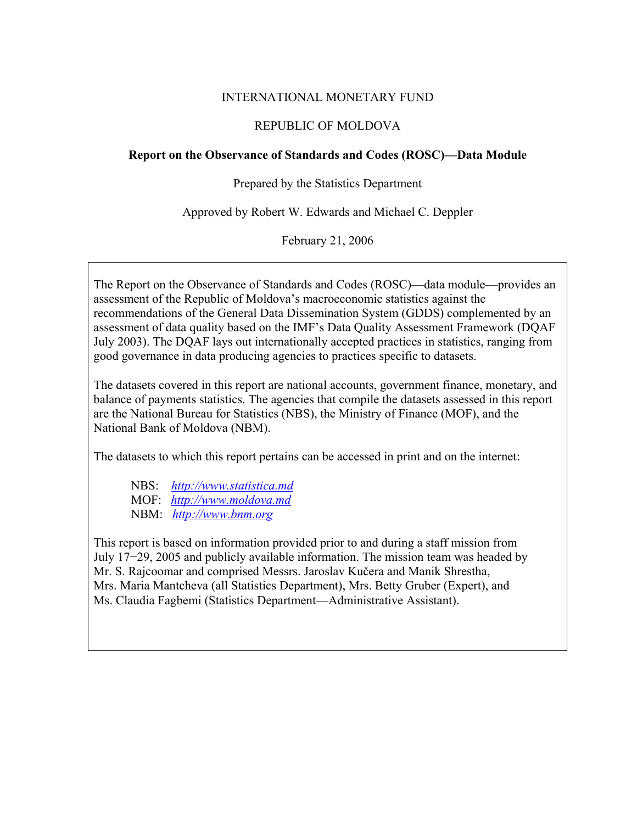### INTERNATIONAL MONETARY FUND

#### REPUBLIC OF MOLDOVA

## **Report on the Observance of Standards and Codes (ROSC)—Data Module**

Prepared by the Statistics Department

Approved by Robert W. Edwards and Michael C. Deppler

February 21, 2006

The Report on the Observance of Standards and Codes (ROSC)—data module—provides an assessment of the Republic of Moldova's macroeconomic statistics against the recommendations of the General Data Dissemination System (GDDS) complemented by an assessment of data quality based on the IMF's Data Quality Assessment Framework (DQAF July 2003). The DQAF lays out internationally accepted practices in statistics, ranging from good governance in data producing agencies to practices specific to datasets.

The datasets covered in this report are national accounts, government finance, monetary, and balance of payments statistics. The agencies that compile the datasets assessed in this report are the National Bureau for Statistics (NBS), the Ministry of Finance (MOF), and the National Bank of Moldova (NBM).

The datasets to which this report pertains can be accessed in print and on the internet:

 NBS: *http://www.statistica.md* MOF: *http://www.moldova.md*  NBM: *http://www.bnm.org*

This report is based on information provided prior to and during a staff mission from July 17−29, 2005 and publicly available information. The mission team was headed by Mr. S. Rajcoomar and comprised Messrs. Jaroslav Kučera and Manik Shrestha, Mrs. Maria Mantcheva (all Statistics Department), Mrs. Betty Gruber (Expert), and Ms. Claudia Fagbemi (Statistics Department—Administrative Assistant).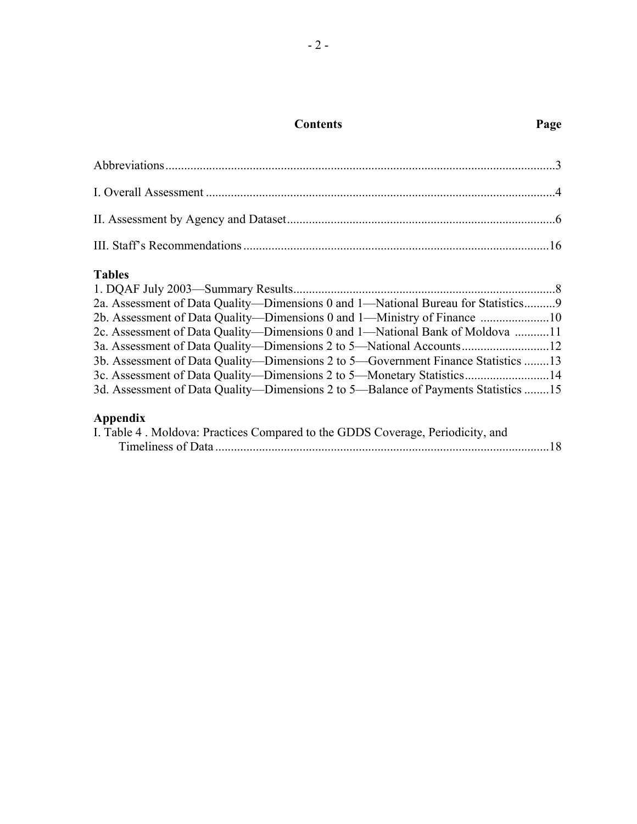# **Contents Page**

## **Tables**

| 2a. Assessment of Data Quality—Dimensions 0 and 1—National Bureau for Statistics9  |  |
|------------------------------------------------------------------------------------|--|
| 2b. Assessment of Data Quality—Dimensions 0 and 1—Ministry of Finance 10           |  |
| 2c. Assessment of Data Quality—Dimensions 0 and 1—National Bank of Moldova 11      |  |
| 3a. Assessment of Data Quality—Dimensions 2 to 5—National Accounts12               |  |
| 3b. Assessment of Data Quality—Dimensions 2 to 5—Government Finance Statistics 13  |  |
| 3c. Assessment of Data Quality—Dimensions 2 to 5—Monetary Statistics14             |  |
| 3d. Assessment of Data Quality—Dimensions 2 to 5—Balance of Payments Statistics 15 |  |
|                                                                                    |  |

# **Appendix**

| I. Table 4. Moldova: Practices Compared to the GDDS Coverage, Periodicity, and |  |
|--------------------------------------------------------------------------------|--|
|                                                                                |  |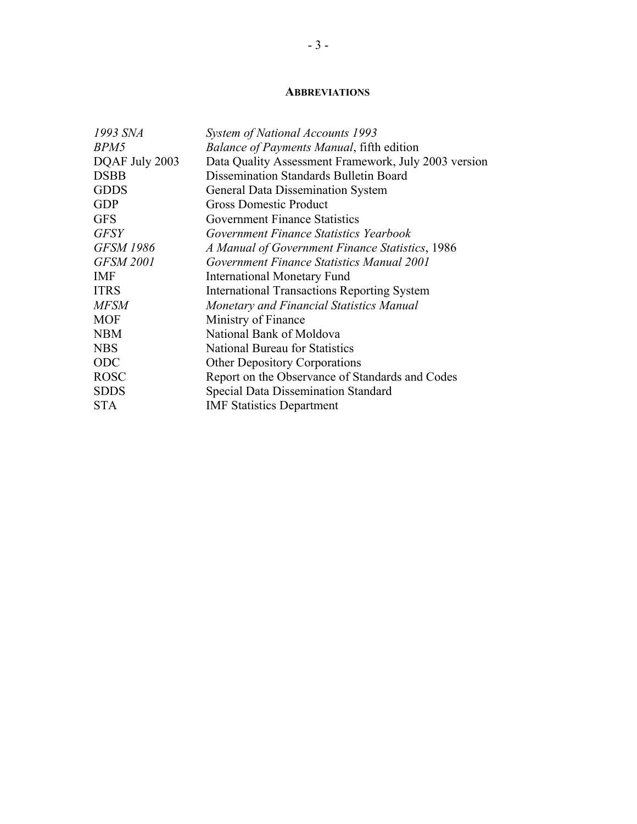#### **ABBREVIATIONS**

| 1993 SNA         | System of National Accounts 1993                     |
|------------------|------------------------------------------------------|
| BPM5             | <b>Balance of Payments Manual, fifth edition</b>     |
| DQAF July 2003   | Data Quality Assessment Framework, July 2003 version |
| <b>DSBB</b>      | Dissemination Standards Bulletin Board               |
| <b>GDDS</b>      | <b>General Data Dissemination System</b>             |
| <b>GDP</b>       | <b>Gross Domestic Product</b>                        |
| <b>GFS</b>       | <b>Government Finance Statistics</b>                 |
| <b>GFSY</b>      | Government Finance Statistics Yearbook               |
| <b>GFSM 1986</b> | A Manual of Government Finance Statistics, 1986      |
| <b>GFSM 2001</b> | Government Finance Statistics Manual 2001            |
| <b>IMF</b>       | <b>International Monetary Fund</b>                   |
| <b>ITRS</b>      | <b>International Transactions Reporting System</b>   |
| <b>MFSM</b>      | Monetary and Financial Statistics Manual             |
| <b>MOF</b>       | Ministry of Finance                                  |
| <b>NBM</b>       | National Bank of Moldova                             |
| <b>NBS</b>       | National Bureau for Statistics                       |
| ODC              | <b>Other Depository Corporations</b>                 |
| <b>ROSC</b>      | Report on the Observance of Standards and Codes      |
| <b>SDDS</b>      | Special Data Dissemination Standard                  |
| <b>STA</b>       | <b>IMF Statistics Department</b>                     |
|                  |                                                      |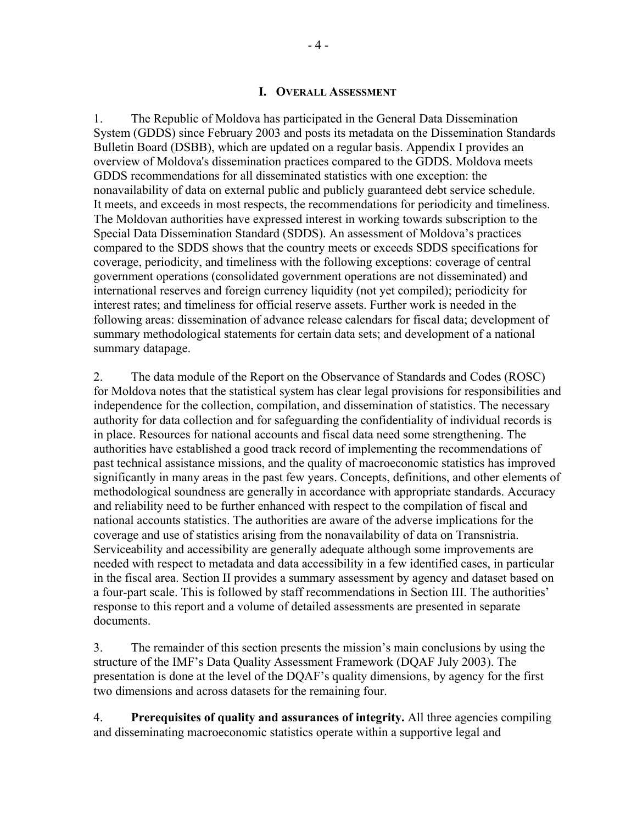#### **I. OVERALL ASSESSMENT**

1. The Republic of Moldova has participated in the General Data Dissemination System (GDDS) since February 2003 and posts its metadata on the Dissemination Standards Bulletin Board (DSBB), which are updated on a regular basis. Appendix I provides an overview of Moldova's dissemination practices compared to the GDDS. Moldova meets GDDS recommendations for all disseminated statistics with one exception: the nonavailability of data on external public and publicly guaranteed debt service schedule. It meets, and exceeds in most respects, the recommendations for periodicity and timeliness. The Moldovan authorities have expressed interest in working towards subscription to the Special Data Dissemination Standard (SDDS). An assessment of Moldova's practices compared to the SDDS shows that the country meets or exceeds SDDS specifications for coverage, periodicity, and timeliness with the following exceptions: coverage of central government operations (consolidated government operations are not disseminated) and international reserves and foreign currency liquidity (not yet compiled); periodicity for interest rates; and timeliness for official reserve assets. Further work is needed in the following areas: dissemination of advance release calendars for fiscal data; development of summary methodological statements for certain data sets; and development of a national summary datapage.

2. The data module of the Report on the Observance of Standards and Codes (ROSC) for Moldova notes that the statistical system has clear legal provisions for responsibilities and independence for the collection, compilation, and dissemination of statistics. The necessary authority for data collection and for safeguarding the confidentiality of individual records is in place. Resources for national accounts and fiscal data need some strengthening. The authorities have established a good track record of implementing the recommendations of past technical assistance missions, and the quality of macroeconomic statistics has improved significantly in many areas in the past few years. Concepts, definitions, and other elements of methodological soundness are generally in accordance with appropriate standards. Accuracy and reliability need to be further enhanced with respect to the compilation of fiscal and national accounts statistics. The authorities are aware of the adverse implications for the coverage and use of statistics arising from the nonavailability of data on Transnistria. Serviceability and accessibility are generally adequate although some improvements are needed with respect to metadata and data accessibility in a few identified cases, in particular in the fiscal area. Section II provides a summary assessment by agency and dataset based on a four-part scale. This is followed by staff recommendations in Section III. The authorities' response to this report and a volume of detailed assessments are presented in separate documents.

3. The remainder of this section presents the mission's main conclusions by using the structure of the IMF's Data Quality Assessment Framework (DQAF July 2003). The presentation is done at the level of the DQAF's quality dimensions, by agency for the first two dimensions and across datasets for the remaining four.

4. **Prerequisites of quality and assurances of integrity.** All three agencies compiling and disseminating macroeconomic statistics operate within a supportive legal and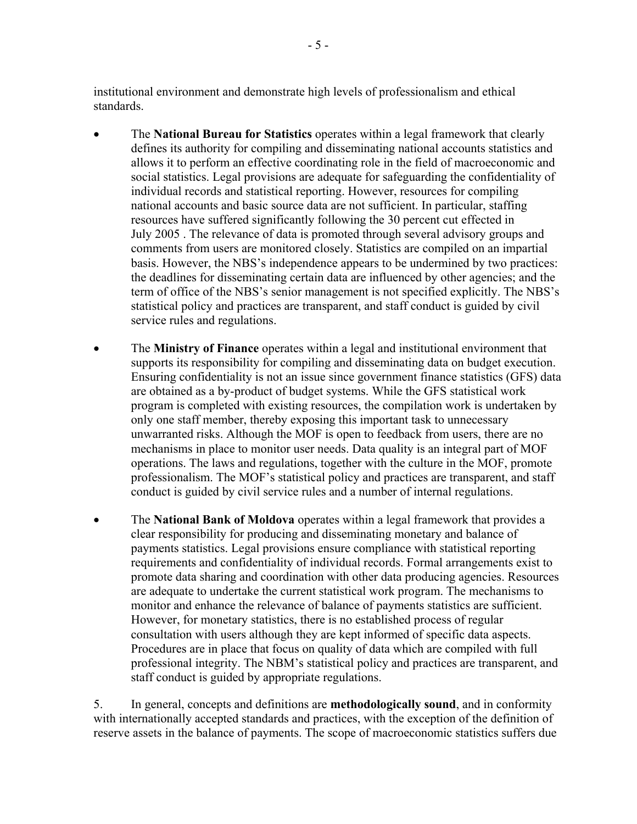institutional environment and demonstrate high levels of professionalism and ethical standards.

- The **National Bureau for Statistics** operates within a legal framework that clearly defines its authority for compiling and disseminating national accounts statistics and allows it to perform an effective coordinating role in the field of macroeconomic and social statistics. Legal provisions are adequate for safeguarding the confidentiality of individual records and statistical reporting. However, resources for compiling national accounts and basic source data are not sufficient. In particular, staffing resources have suffered significantly following the 30 percent cut effected in July 2005 . The relevance of data is promoted through several advisory groups and comments from users are monitored closely. Statistics are compiled on an impartial basis. However, the NBS's independence appears to be undermined by two practices: the deadlines for disseminating certain data are influenced by other agencies; and the term of office of the NBS's senior management is not specified explicitly. The NBS's statistical policy and practices are transparent, and staff conduct is guided by civil service rules and regulations.
- The **Ministry of Finance** operates within a legal and institutional environment that supports its responsibility for compiling and disseminating data on budget execution. Ensuring confidentiality is not an issue since government finance statistics (GFS) data are obtained as a by-product of budget systems. While the GFS statistical work program is completed with existing resources, the compilation work is undertaken by only one staff member, thereby exposing this important task to unnecessary unwarranted risks. Although the MOF is open to feedback from users, there are no mechanisms in place to monitor user needs. Data quality is an integral part of MOF operations. The laws and regulations, together with the culture in the MOF, promote professionalism. The MOF's statistical policy and practices are transparent, and staff conduct is guided by civil service rules and a number of internal regulations.
- The **National Bank of Moldova** operates within a legal framework that provides a clear responsibility for producing and disseminating monetary and balance of payments statistics. Legal provisions ensure compliance with statistical reporting requirements and confidentiality of individual records. Formal arrangements exist to promote data sharing and coordination with other data producing agencies. Resources are adequate to undertake the current statistical work program. The mechanisms to monitor and enhance the relevance of balance of payments statistics are sufficient. However, for monetary statistics, there is no established process of regular consultation with users although they are kept informed of specific data aspects. Procedures are in place that focus on quality of data which are compiled with full professional integrity. The NBM's statistical policy and practices are transparent, and staff conduct is guided by appropriate regulations.

5. In general, concepts and definitions are **methodologically sound**, and in conformity with internationally accepted standards and practices, with the exception of the definition of reserve assets in the balance of payments. The scope of macroeconomic statistics suffers due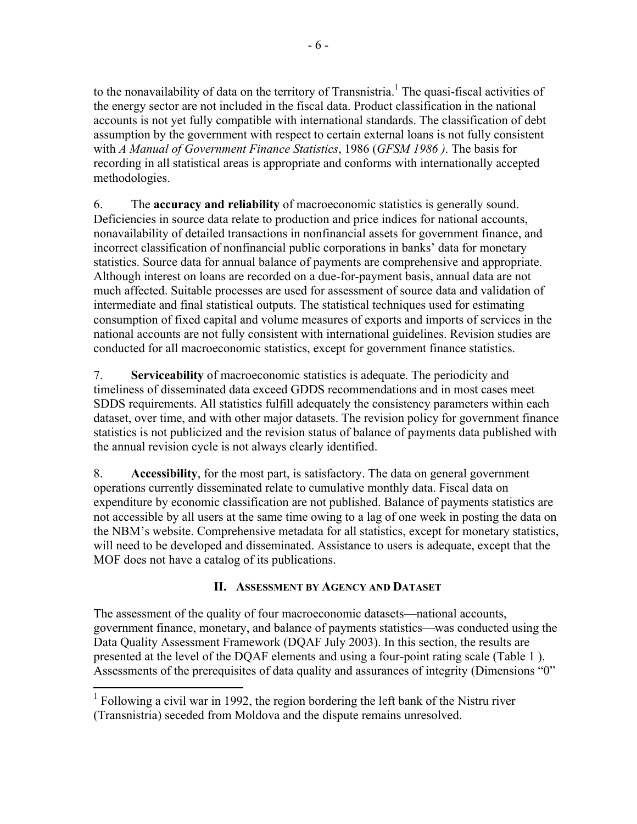to the nonavailability of data on the territory of Transnistria.<sup>1</sup> The quasi-fiscal activities of the energy sector are not included in the fiscal data. Product classification in the national accounts is not yet fully compatible with international standards. The classification of debt assumption by the government with respect to certain external loans is not fully consistent with *A Manual of Government Finance Statistics*, 1986 (*GFSM 1986 )*. The basis for recording in all statistical areas is appropriate and conforms with internationally accepted methodologies.

6. The **accuracy and reliability** of macroeconomic statistics is generally sound. Deficiencies in source data relate to production and price indices for national accounts, nonavailability of detailed transactions in nonfinancial assets for government finance, and incorrect classification of nonfinancial public corporations in banks' data for monetary statistics. Source data for annual balance of payments are comprehensive and appropriate. Although interest on loans are recorded on a due-for-payment basis, annual data are not much affected. Suitable processes are used for assessment of source data and validation of intermediate and final statistical outputs. The statistical techniques used for estimating consumption of fixed capital and volume measures of exports and imports of services in the national accounts are not fully consistent with international guidelines. Revision studies are conducted for all macroeconomic statistics, except for government finance statistics.

7. **Serviceability** of macroeconomic statistics is adequate. The periodicity and timeliness of disseminated data exceed GDDS recommendations and in most cases meet SDDS requirements. All statistics fulfill adequately the consistency parameters within each dataset, over time, and with other major datasets. The revision policy for government finance statistics is not publicized and the revision status of balance of payments data published with the annual revision cycle is not always clearly identified.

8. **Accessibility**, for the most part, is satisfactory. The data on general government operations currently disseminated relate to cumulative monthly data. Fiscal data on expenditure by economic classification are not published. Balance of payments statistics are not accessible by all users at the same time owing to a lag of one week in posting the data on the NBM's website. Comprehensive metadata for all statistics, except for monetary statistics, will need to be developed and disseminated. Assistance to users is adequate, except that the MOF does not have a catalog of its publications.

## **II. ASSESSMENT BY AGENCY AND DATASET**

The assessment of the quality of four macroeconomic datasets—national accounts, government finance, monetary, and balance of payments statistics—was conducted using the Data Quality Assessment Framework (DQAF July 2003). In this section, the results are presented at the level of the DQAF elements and using a four-point rating scale (Table 1 ). Assessments of the prerequisites of data quality and assurances of integrity (Dimensions "0"

 $\overline{a}$ 

 $<sup>1</sup>$  Following a civil war in 1992, the region bordering the left bank of the Nistru river</sup> (Transnistria) seceded from Moldova and the dispute remains unresolved.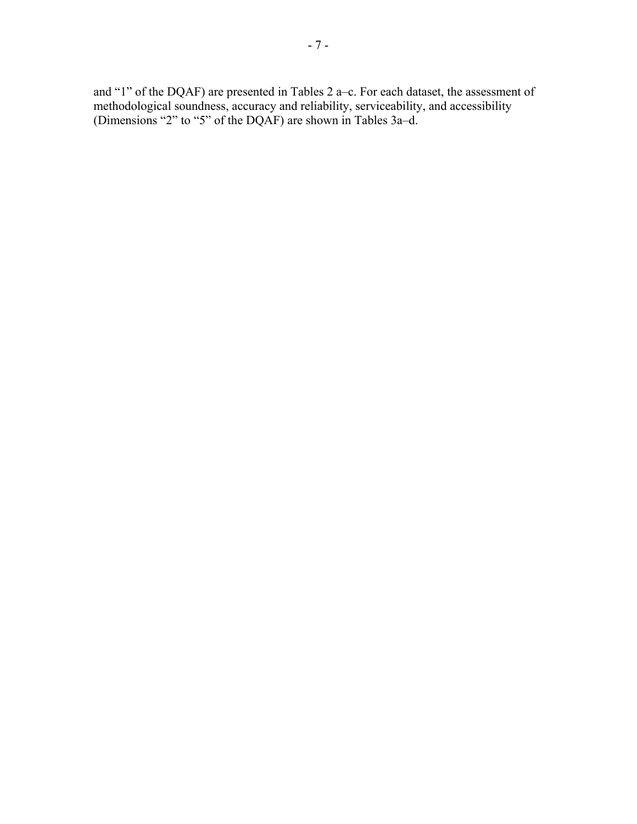and "1" of the DQAF) are presented in Tables 2 a–c. For each dataset, the assessment of methodological soundness, accuracy and reliability, serviceability, and accessibility (Dimensions "2" to "5" of the DQAF) are shown in Tables 3a–d.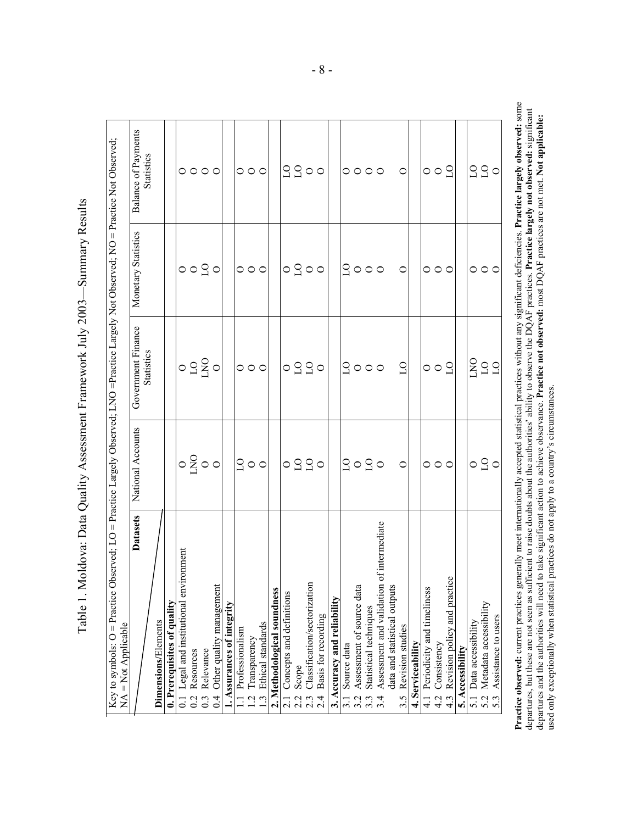| $\text{Let } \text{vol} \neq \text{C}$ . NO = Practice N <sup>-1</sup><br>Not Observed<br>$\frac{1}{2}$<br>rved: LNO =Practice Largely<br>$\cdots$ . The arr $\cdots$<br>e Observed; LO = Practice Largely Opser |        | $\mathbf{B}$ alanga of Daymanta<br>part Finance I Monatary Statistics<br>$\Gamma$ atacche $\Gamma$ Mational Accounts |
|------------------------------------------------------------------------------------------------------------------------------------------------------------------------------------------------------------------|--------|----------------------------------------------------------------------------------------------------------------------|
| Ï<br>I                                                                                                                                                                                                           | ļ<br>I |                                                                                                                      |

| <b>Datasets</b>                                  | National Accounts               | Government Finance      | Monetary Statistics     | Balance of Payments       |
|--------------------------------------------------|---------------------------------|-------------------------|-------------------------|---------------------------|
| Dimensions/Elements                              |                                 | <b>Statistics</b>       |                         | <b>Statistics</b>         |
| 0. Prerequisites of quality                      |                                 |                         |                         |                           |
| 0.1 Legal and institutional environment          |                                 |                         |                         |                           |
| Resources<br>0.2                                 |                                 |                         |                         |                           |
| Relevance<br>$0.\overline{3}$                    | $\circ \frac{8}{4} \circ \circ$ | 0.920                   | $\circ$ $\circ$ $\circ$ | $\circ \circ \circ \circ$ |
| Other quality management<br>0.4                  |                                 |                         |                         |                           |
| . Assurances of integrity                        |                                 |                         |                         |                           |
| Professionalism<br>$\equiv$                      | 900                             | $\circ \circ \circ$     | $\circ \circ \circ$     |                           |
| Transparency<br>$\frac{12}{1}$                   |                                 |                         |                         | $\circ \circ \circ$       |
| Ethical standards<br>1.3                         |                                 |                         |                         |                           |
| 2. Methodological soundness                      |                                 |                         |                         |                           |
| 2.1 Concepts and definitions                     |                                 |                         |                         |                           |
| Scope<br>2.2                                     |                                 |                         |                         |                           |
| Classification/sectorization<br>2.3              | 0220                            | $\circ$ 220             | $\circ$ $\circ$ $\circ$ | 2200                      |
| Basis for recording<br>2.4                       |                                 |                         |                         |                           |
| 3. Accuracy and reliability                      |                                 |                         |                         |                           |
| Source data<br>$\frac{31}{2}$                    |                                 |                         |                         |                           |
| Assessment of source data<br>3.2                 |                                 |                         |                         |                           |
| Statistical techniques                           | 9090                            | 9000                    | 9000                    | $\circ \circ \circ \circ$ |
| Assessment and validation of intermediate<br>3.4 |                                 |                         |                         |                           |
| data and statistical outputs                     |                                 |                         |                         |                           |
| Revision studies<br>3.5                          | $\circ$                         | $\overline{C}$          | $\circ$                 | $\circ$                   |
| 4. Serviceability                                |                                 |                         |                         |                           |
| 4.1 Periodicity and timeliness                   |                                 |                         |                         |                           |
| Consistency<br>4.2                               | $\circ \circ \circ$             | $\circ$ $\circ$ $\circ$ | $\circ \circ \circ$     | $\circ$ $\circ$ $\circ$   |
| Revision policy and practice<br>$4.\overline{3}$ |                                 |                         |                         |                           |
| 5. Accessibility                                 |                                 |                         |                         |                           |
| 5.1 Data accessibility                           |                                 | OCTS                    |                         |                           |
| Metadata accessibility                           | $\circ$ $\beta$ $\circ$         |                         | $\circ \circ \circ$     | 220<br>20                 |
| Assistance to users<br>5.3                       |                                 |                         |                         |                           |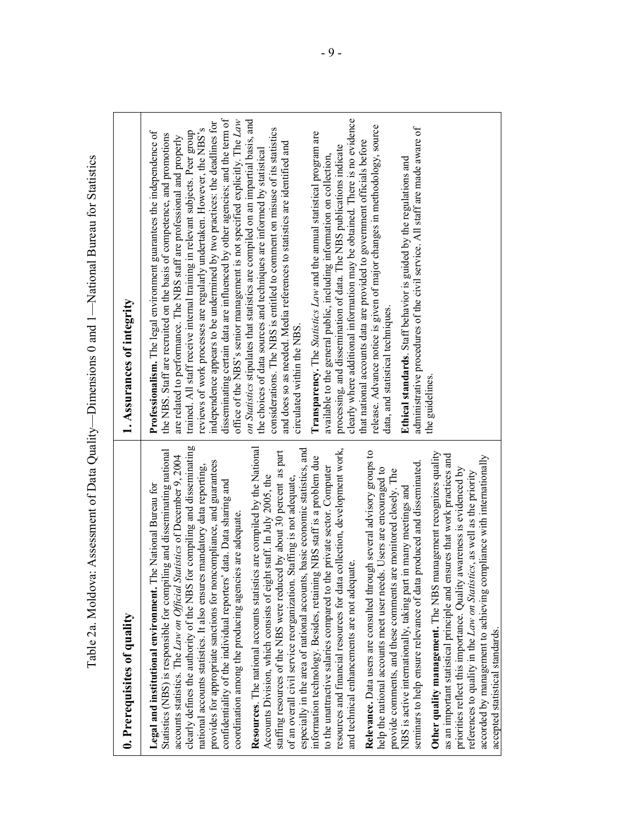| Table 2a. Moldova                                                                                                                                                                                                                                                                                                                                                                                                                                                                                                                                                                                                                                                                                                                                                                                                                                                                                                                                                                                                                                                                                                                                                                                                                                                                                                                                                                                                                                                                                                                                                                                                                                                                                                                                                                                                                                                                                                                                                                                                                          | Assessment of Data Quality—Dimensions 0 and 1—National Bureau for Statistics                                                                                                                                                                                                                                                                                                                                                                                                                                                                                                                                                                                                                                                                                                                                                                                                                                                                                                                                                                                                                                                                                                                                                                                                                                                                                                                                                                                                                                                                                                                                                                                          |
|--------------------------------------------------------------------------------------------------------------------------------------------------------------------------------------------------------------------------------------------------------------------------------------------------------------------------------------------------------------------------------------------------------------------------------------------------------------------------------------------------------------------------------------------------------------------------------------------------------------------------------------------------------------------------------------------------------------------------------------------------------------------------------------------------------------------------------------------------------------------------------------------------------------------------------------------------------------------------------------------------------------------------------------------------------------------------------------------------------------------------------------------------------------------------------------------------------------------------------------------------------------------------------------------------------------------------------------------------------------------------------------------------------------------------------------------------------------------------------------------------------------------------------------------------------------------------------------------------------------------------------------------------------------------------------------------------------------------------------------------------------------------------------------------------------------------------------------------------------------------------------------------------------------------------------------------------------------------------------------------------------------------------------------------|-----------------------------------------------------------------------------------------------------------------------------------------------------------------------------------------------------------------------------------------------------------------------------------------------------------------------------------------------------------------------------------------------------------------------------------------------------------------------------------------------------------------------------------------------------------------------------------------------------------------------------------------------------------------------------------------------------------------------------------------------------------------------------------------------------------------------------------------------------------------------------------------------------------------------------------------------------------------------------------------------------------------------------------------------------------------------------------------------------------------------------------------------------------------------------------------------------------------------------------------------------------------------------------------------------------------------------------------------------------------------------------------------------------------------------------------------------------------------------------------------------------------------------------------------------------------------------------------------------------------------------------------------------------------------|
| 0. Prerequisites of quality                                                                                                                                                                                                                                                                                                                                                                                                                                                                                                                                                                                                                                                                                                                                                                                                                                                                                                                                                                                                                                                                                                                                                                                                                                                                                                                                                                                                                                                                                                                                                                                                                                                                                                                                                                                                                                                                                                                                                                                                                | 1. Assurances of integrity                                                                                                                                                                                                                                                                                                                                                                                                                                                                                                                                                                                                                                                                                                                                                                                                                                                                                                                                                                                                                                                                                                                                                                                                                                                                                                                                                                                                                                                                                                                                                                                                                                            |
| clearly defines the authority of the NBS for compiling and disseminating<br>Resources. The national accounts statistics are compiled by the National<br>basic economic statistics, and<br>resources and financial resources for data collection, development work,<br>Statistics (NBS) is responsible for compiling and disseminating national<br>Relevance. Data users are consulted through several advisory groups to<br>staffing resources of the NBS were reduced by about 30 percent as part<br>Other quality management. The NBS management recognizes quality<br>as an important statistical principle and ensures that work practices and<br>accorded by management to achieving compliance with internationally<br>accounts statistics. The Law on Official Statistics of December 9, 2004<br>information technology. Besides, retaining NBS staff is a problem due<br>provides for appropriate sanctions for noncompliance, and guarantees<br>seminars to help ensure relevance of data produced and disseminated.<br>national accounts statistics. It also ensures mandatory data reporting,<br>to the unattractive salaries compared to the private sector. Computer<br>help the national accounts meet user needs. Users are encouraged to<br>priorities reflect this importance. Quality awareness is evidenced by<br>provide comments, and these comments are monitored closely. The<br>references to quality in the Law on Statistics, as well as the priority<br>Accounts Division, which consists of eight staff. In July 2005, the<br>of an overall civil service reorganization. Staffing is not adequate,<br>data. Data sharing and<br>Legal and institutional environment. The National Bureau for<br>NBS is active internationally, taking part in many meetings and<br>coordination among the producing agencies are adequate.<br>and technical enhancements are not adequate.<br>especially in the area of national accounts,<br>confidentiality of the individual reporters'<br>accepted statistical standards. | disseminating certain data are influenced by other agencies; and the term of<br>clearly where additional information may be obtained. There is no evidence<br>office of the NBS's senior management is not specified explicitly. The Law<br>on Statistics stipulates that statistics are compiled on an impartial basis, and<br>independence appears to be undermined by two practices: the deadlines for<br>release. Advance notice is given of major changes in methodology, source<br>administrative procedures of the civil service. All staff are made aware of<br>reviews of work processes are regularly undertaken. However, the NBS's<br>considerations. The NBS is entitled to comment on misuse of its statistics<br>Professionalism. The legal environment guarantees the independence of<br>trained. All staff receive internal training in relevant subjects. Peer group<br>Transparency. The Statistics Law and the annual statistical program are<br>the NBS. Staff are recruited on the basis of competence, and promotions<br>are related to performance. The NBS staff are professional and properly<br>that national accounts data are provided to government officials before<br>and does so as needed. Media references to statistics are identified and<br>processing, and dissemination of data. The NBS publications indicate<br>the choices of data sources and techniques are informed by statistical<br>available to the general public, including information on collection,<br>Ethical standards. Staff behavior is guided by the regulations and<br>data, and statistical techniques.<br>circulated within the NBS.<br>the guidelines. |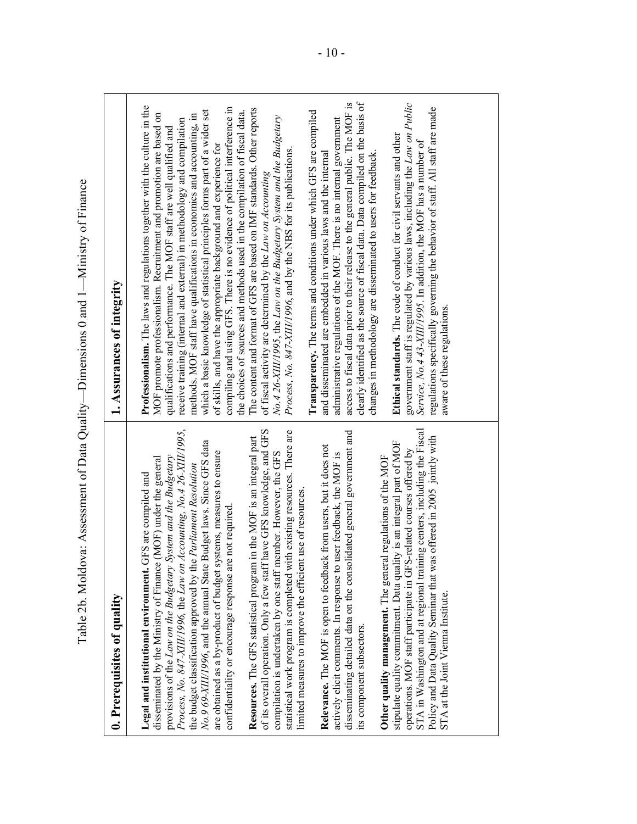|                                                                                                                                                                                                                                                                                                                                                                                                                                                                                                                                                                                                                                                                                                                                                                                                                                                                                                                                                                                                                                                                                                                                                                                                                                            | Table 2b. Moldova: Assessment of Data Quality—Dimensions 0 and 1—Ministry of Finance                                                                                                                                                                                                                                                                                                                                                                                                                                                                                                                                                                                                                                                                                                                                                                                                                                                                                                                                                                                                                                                                                                                                                                                                                                                                                                                                                               |
|--------------------------------------------------------------------------------------------------------------------------------------------------------------------------------------------------------------------------------------------------------------------------------------------------------------------------------------------------------------------------------------------------------------------------------------------------------------------------------------------------------------------------------------------------------------------------------------------------------------------------------------------------------------------------------------------------------------------------------------------------------------------------------------------------------------------------------------------------------------------------------------------------------------------------------------------------------------------------------------------------------------------------------------------------------------------------------------------------------------------------------------------------------------------------------------------------------------------------------------------|----------------------------------------------------------------------------------------------------------------------------------------------------------------------------------------------------------------------------------------------------------------------------------------------------------------------------------------------------------------------------------------------------------------------------------------------------------------------------------------------------------------------------------------------------------------------------------------------------------------------------------------------------------------------------------------------------------------------------------------------------------------------------------------------------------------------------------------------------------------------------------------------------------------------------------------------------------------------------------------------------------------------------------------------------------------------------------------------------------------------------------------------------------------------------------------------------------------------------------------------------------------------------------------------------------------------------------------------------------------------------------------------------------------------------------------------------|
| 0. Prerequisites of quality                                                                                                                                                                                                                                                                                                                                                                                                                                                                                                                                                                                                                                                                                                                                                                                                                                                                                                                                                                                                                                                                                                                                                                                                                | 1. Assurances of integrity                                                                                                                                                                                                                                                                                                                                                                                                                                                                                                                                                                                                                                                                                                                                                                                                                                                                                                                                                                                                                                                                                                                                                                                                                                                                                                                                                                                                                         |
| of its overall operation. Only a few staff have GFS knowledge, and GFS<br>Process, No. 847-XIII/1996, the Law on Accounting, No. 4 26-XIII/1995,<br>statistical work program is completed with existing resources. There are<br>disseminating detailed data on the consolidated general government and<br>in the MOF is an integral part<br>No.9 69-XIII/1996, and the annual State Budget laws. Since GFS data<br>Relevance. The MOF is open to feedback from users, but it does not<br>are obtained as a by-product of budget systems, measures to ensure<br>compilation is undertaken by one staff member. However, the GFS<br>actively elicit comments. In response to user feedback, the MOF is<br>provisions of the Law on the Budgetary System and the Budgetary<br>Other quality management. The general regulations of the MOF<br>disseminated by the Ministry of Finance (MOF) under the general<br>the budget classification approved by the Parliament Resolution<br>Legal and institutional environment. GFS are compiled and<br>limited measures to improve the efficient use of resources.<br>confidentiality or encourage response are not required<br>Resources. The GFS statistical program<br>its component subsectors. | clearly identified as the source of fiscal data. Data compiled on the basis of<br>access to fiscal data prior to their release to the general public. The MOF is<br>Professionalism. The laws and regulations together with the culture in the<br>compiling and using GFS. There is no evidence of political interference in<br>The content and format of GFS are based on IMF standards. Other reports<br>which a basic knowledge of statistical principles forms part of a wider set<br>Transparency. The terms and conditions under which GFS are compiled<br>the choices of sources and methods used in the compilation of fiscal data.<br>MOF promote professionalism. Recruitment and promotion are based on<br>methods. MOF staff have qualifications in economics and accounting, in<br>No.4 26-XIII/1995, the Law on the Budgetary System and the Budgetary<br>administrative regulations of the MOF. There is no internal government<br>receive training (internal and external) in methodology and compilation<br>qualifications and performance. The MOF staff are well qualified and<br>of skills, and have the appropriate background and experience for<br>Process, No. 847-XIII/1996, and by the NBS for its publications.<br>and disseminated are embedded in various laws and the internal<br>changes in methodology are disseminated to users for feedback<br>of fiscal activity are determined by the <i>Law on Accounting</i> |
| STA in Washington and at regional training centers, including the Fiscal<br>Policy and Data Quality Seminar that was offered in 2005 jointly with<br>stipulate quality commitment. Data quality is an integral part of MOF<br>operations. MOF staff participate in GFS-related courses offered by<br>STA at the Joint Vienna Institute.                                                                                                                                                                                                                                                                                                                                                                                                                                                                                                                                                                                                                                                                                                                                                                                                                                                                                                    | government staff is regulated by various laws, including the Law on Public<br>regulations specifically governing the behavior of staff. All staff are made<br>Ethical standards. The code of conduct for civil servants and other<br>Service, No.4 43-XIII/1995. In addition, the MOF has a number of<br>aware of these regulations                                                                                                                                                                                                                                                                                                                                                                                                                                                                                                                                                                                                                                                                                                                                                                                                                                                                                                                                                                                                                                                                                                                |
|                                                                                                                                                                                                                                                                                                                                                                                                                                                                                                                                                                                                                                                                                                                                                                                                                                                                                                                                                                                                                                                                                                                                                                                                                                            |                                                                                                                                                                                                                                                                                                                                                                                                                                                                                                                                                                                                                                                                                                                                                                                                                                                                                                                                                                                                                                                                                                                                                                                                                                                                                                                                                                                                                                                    |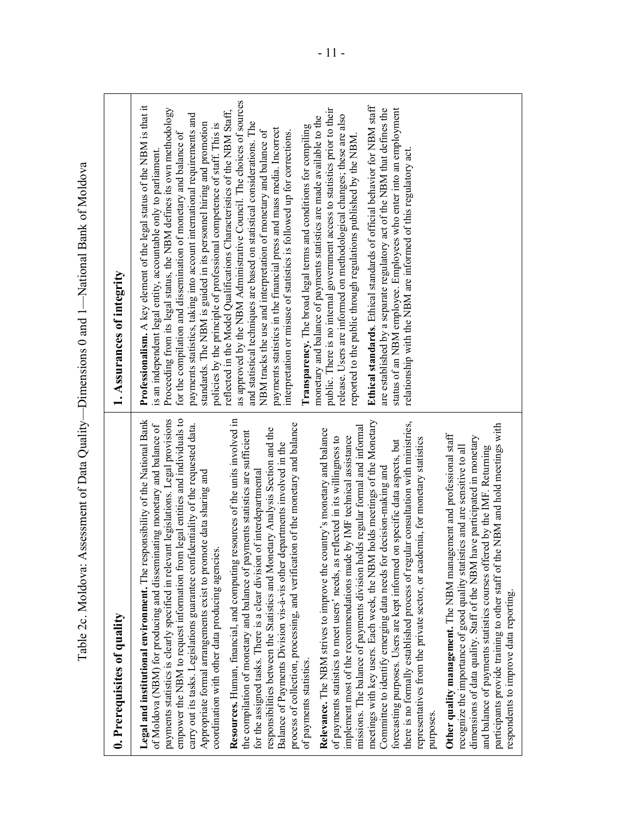| Table 2c. Moldova:<br>0. Prerequisites of quality                                                                                                                                                                                                                                                                                                                                                                                                                                                                                                                                                                                       | Assessment of Data Quality—Dimensions 0 and 1—National Bank of Moldova<br>1. Assurances of integrity                                                                                                                                                                                                                                                                                                                                                                                                                                                                                          |
|-----------------------------------------------------------------------------------------------------------------------------------------------------------------------------------------------------------------------------------------------------------------------------------------------------------------------------------------------------------------------------------------------------------------------------------------------------------------------------------------------------------------------------------------------------------------------------------------------------------------------------------------|-----------------------------------------------------------------------------------------------------------------------------------------------------------------------------------------------------------------------------------------------------------------------------------------------------------------------------------------------------------------------------------------------------------------------------------------------------------------------------------------------------------------------------------------------------------------------------------------------|
|                                                                                                                                                                                                                                                                                                                                                                                                                                                                                                                                                                                                                                         |                                                                                                                                                                                                                                                                                                                                                                                                                                                                                                                                                                                               |
| payments statistics is clearly specified in relevant legislations. Legal provisions<br>empower the NBM to request information from legal entities and individuals to<br>Resources. Human, financial, and computing resources of the units involved in<br><b>Legal and institutional environment.</b> The responsibility of the National Bank<br>of Moldova (NBM) for producing and disseminating monetary and balance of<br>carry out its tasks. Legislations guarantee confidentiality of the requested data.<br>Appropriate formal arrangements exist to promote data sharing and<br>coordination with other data producing agencies. | Professionalism. A key element of the legal status of the NBM is that it<br>Proceeding from its legal status, the NBM defines its own methodology<br>reflected in the Model Qualifications Characteristics of the NBM Staff,<br>payments statistics, taking into account international requirements and<br>standards. The NBM is guided in its personnel hiring and promotion<br>policies by the principle of professional competence of staff. This is<br>for the compilation and dissemination of monetary and balance of<br>is an independent legal entity, accountable only to parliament |
| process of collection, processing, and verification of the monetary and balance<br>responsibilities between the Statistics and Monetary Analysis Section and the<br>the compilation of monetary and balance of payments statistics are sufficient<br>Balance of Payments Division vis-à-vis other departments involved in the<br>for the assigned tasks. There is a clear division of interdepartmental                                                                                                                                                                                                                                 | as approved by the NBM Administrative Council. The choices of sources<br>and statistical techniques are based on statistical considerations. The<br>payments statistics in the financial press and mass media. Incorrect<br>NBM tracks the use and interpretation of monetary and balance of<br>interpretation or misuse of statistics is followed up for corrections.                                                                                                                                                                                                                        |
| missions. The balance of payments division holds regular formal and informal<br>country's monetary and balance<br>implement most of the recommendations made by IMF technical assistance<br>is reflected in its willingness to<br>Relevance. The NBM strives to improve the<br>of payments statistics to meet users' needs, a<br>of payments statistics.                                                                                                                                                                                                                                                                                | public. There is no internal government access to statistics prior to their<br>release. Users are informed on methodological changes; these are also<br>monetary and balance of payments statistics are made available to the<br>Transparency. The broad legal terms and conditions for compiling<br>reported to the public through regulations published by the NBM                                                                                                                                                                                                                          |
| meetings with key users. Each week, the NBM holds meetings of the Monetary<br>gular consultation with ministries,<br>representatives from the private sector, or academia, for monetary statistics<br>forecasting purposes. Users are kept informed on specific data aspects, but<br>Committee to identify emerging data needs for decision-making and<br>there is no formally established process of re<br>purposes                                                                                                                                                                                                                    | Ethical standards. Ethical standards of official behavior for NBM staff<br>status of an NBM employee. Employees who enter into an employment<br>are established by a separate regulatory act of the NBM that defines the<br>relationship with the NBM are informed of this regulatory act                                                                                                                                                                                                                                                                                                     |
| the NBM and hold meetings with<br>Other quality management. The NBM management and professional staff<br>dimensions of data quality. Staff of the NBM have participated in monetary<br>and balance of payments statistics courses offered by the IMF. Returning<br>recognize the importance of good quality statistics and are sensitive to all<br>participants provide training to other staff of<br>respondents to improve data reporting.                                                                                                                                                                                            |                                                                                                                                                                                                                                                                                                                                                                                                                                                                                                                                                                                               |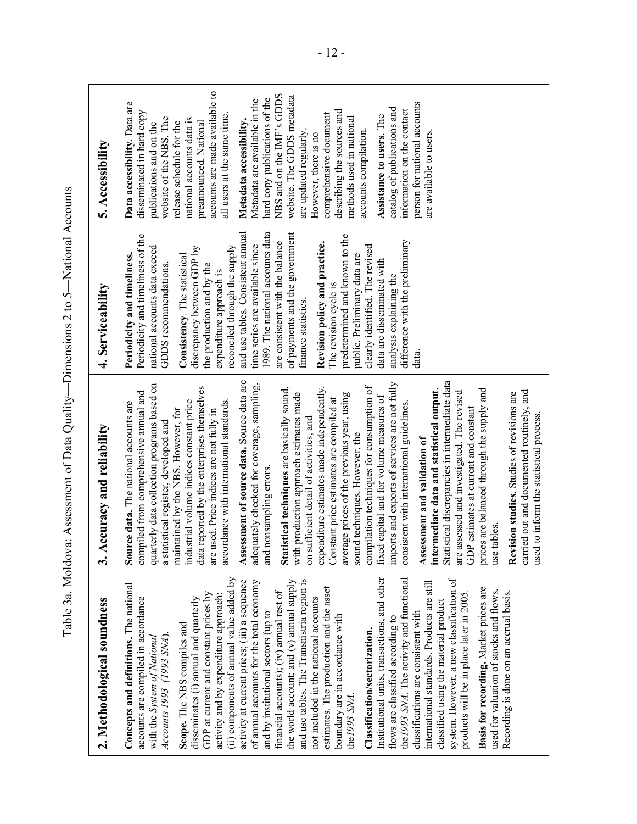| 2. Methodological soundness                                                       | 3. Accuracy and reliability                                                             | 4. Serviceability                                        | 5. Accessibility                                         |
|-----------------------------------------------------------------------------------|-----------------------------------------------------------------------------------------|----------------------------------------------------------|----------------------------------------------------------|
| Concepts and definitions. The national                                            | Source data. The national accounts are                                                  | Periodicity and timeliness.                              | Data accessibility. Data are                             |
| accounts are compiled in accordance                                               | compiled from comprehensive annual and                                                  | Periodicity and timeliness of the                        | disseminated in hard copy                                |
| with the System of National                                                       | quarterly data collection programs based on                                             | national accounts data exceed                            | publications and on the                                  |
| Accounts 1993 (1993 SNA)                                                          | a statistical register, developed and                                                   | GDDS recommendations.                                    | website of the NBS. The                                  |
| Scope. The NBS compiles and                                                       | maintained by the NBS. However, for                                                     | Consistency. The statistical                             | release schedule for the                                 |
| disseminates (i) annual and quarterly                                             | industrial volume indices constant price                                                | discrepancy between GDP by                               | national accounts data is                                |
| GDP at current and constant prices by                                             | data reported by the enterprises themselves<br>are used. Price indices are not fully in | the production and by the                                | accounts are made available to<br>preannounced. National |
| (ii) components of annual value added by<br>activity and by expenditure approach; | accordance with international standards.                                                | reconciled through the supply<br>expenditure approach is | all users at the same time                               |
| activity at current prices; (iii) a sequence                                      | Assessment of source data. Source data are                                              | and use tables. Consistent annual                        | Metadata accessibility.                                  |
| of annual accounts for the total economy                                          | adequately checked for coverage, sampling,                                              | time series are available since                          | Metadata are available in the                            |
| and by institutional sectors (up to                                               | and nonsampling errors                                                                  | 1989. The national accounts data                         | hard copy publications of the                            |
| financial accounts); (iv) annual rest of                                          | Statistical techniques are basically sound,                                             | are consistent with the balance                          | NBS and on the IMF's GDDS                                |
| the world account; and (v) annual supply                                          | with production approach estimates made                                                 | of payments and the government                           | website. The GDDS metadata                               |
| and use tables. The Transnistria region is                                        | on sufficient detail of activities, and                                                 | finance statistics                                       | are updated regularly                                    |
| not included in the national accounts                                             | expenditure estimates made independently.                                               | Revision policy and practice.                            | However, there is no                                     |
| estimates. The production and the asset                                           | Constant price estimates are compiled at                                                | The revision cycle is                                    | comprehensive document                                   |
| boundary are in accordance with                                                   | average prices of the previous year, using                                              | predetermined and known to the                           | describing the sources and                               |
| the 1993 SNA.                                                                     | sound techniques. However, the                                                          | public. Preliminary data are                             | methods used in national                                 |
| Classification/sectorization.                                                     | compilation techniques for consumption of                                               | clearly identified. The revised                          | accounts compilation.                                    |
| Institutional units, transactions, and other                                      | fixed capital and for volume measures of                                                | data are disseminated with                               | Assistance to users. The                                 |
| flows are classified according to                                                 | imports and exports of services are not fully                                           | analysis explaining the                                  | catalog of publications and                              |
| the 1993 SNA. The activity and functional                                         | consistent with international guidelines.                                               | difference with the preliminary                          | information on the contact                               |
| classifications are consistent with                                               | Assessment and validation of                                                            | data.                                                    | person for national accounts                             |
| international standards. Products are still                                       | intermediate data and statistical output.                                               |                                                          | are available to users                                   |
| system. However, a new classification of<br>classified using the material product | Statistical discrepancies in intermediate data                                          |                                                          |                                                          |
| products will be in place later in 2005                                           | are assessed and investigated. The revised                                              |                                                          |                                                          |
|                                                                                   | GDP estimates at current and constant                                                   |                                                          |                                                          |
| Basis for recording. Market prices are<br>used for valuation of stocks and flows. | prices are balanced through the supply and<br>tables<br>use                             |                                                          |                                                          |
| Recording is done on an accrual basis.                                            | Revision studies. Studies of revisions are                                              |                                                          |                                                          |
|                                                                                   | ried out and documented routinely, and<br>$\frac{1}{2}$                                 |                                                          |                                                          |
|                                                                                   | used to inform the statistical process.                                                 |                                                          |                                                          |
|                                                                                   |                                                                                         |                                                          |                                                          |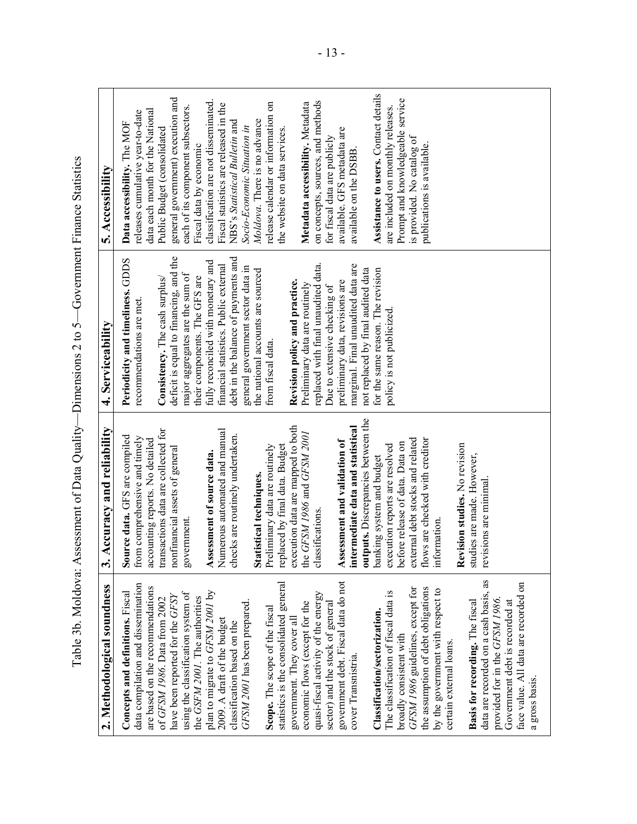Assistance to users. Contact details **Assistance to users.** Contact details general government) execution and classification are not disseminated. Prompt and knowledgeable service Prompt and knowledgeable service on concepts, sources, and methods release calendar or information on **Metadata accessibility.** Metadata Fiscal statistics are released in the each of its component subsectors. are included on monthly releases. are included on monthly releases. data each month for the National releases cumulative year-to-date *Moldova*. There is no advance NBS's *Statistical Bulletin* and **Data accessibility.** The MOF *Socio-Economic Situation in*  Public Budget (consolidated the website on data services. available. GFS metadata are is provided. No catalog of for fiscal data are publicly is provided. No catalog of publications is available. Fiscal data by economic publications is available. available on the DSBB. available on the DSBB. Table 3b. Moldova: Assessment of Data Quality—Dimensions 2 to 5—Government Finance Statistics<br>Concepts and definitions. Fiscal Source data GFS are compiled Periodicity and intelliges. CDDS Data accessibility. The comparis deficit is equal to financing, and the debt in the balance of payments and **Periodicity and timeliness.** GDDS fully reconciled with monetary and replaced with final unaudited data. financial statistics. Public external marginal. Final unaudited data are general government sector data in marginal. Final unaudited data are the national accounts are sourced not replaced by final audited data for the same reason. The revision not replaced by final audited data for the same reason. The revision major aggregates are the sum of **Consistency.** The cash surplus/ their components. The GFS are preliminary data, revisions are **Revision policy and practice.** Preliminary data are routinely Due to extensive checking of recommendations are met. policy is not publicized. policy is not publicized. from fiscal data. outputs. Discrepancies between the **outputs.** Discrepancies between the execution data are mapped to both **intermediate data and statistical**  transactions data are collected for Numerous automated and manual intermediate data and statistical the *GFSM 1986* and *GFSM 2001*  checks are routinely undertaken. **Source data.** GFS are compiled from comprehensive and timely external debt stocks and related flows are checked with creditor accounting reports. No detailed external debt stocks and related **Assessment and validation of**  flows are checked with creditor before release of data. Data on pefore release of data. Data on Revision studies. No revision Preliminary data are routinely replaced by final data. Budget execution reports are resolved **Revision studies.** No revision nonfinancial assets of general execution reports are resolved **Assessment of source data.**  studies are made. However, studies are made. However, banking system and budget banking system and budget **Statistical techniques.**  revisions are minimal. revisions are minimal. classifications. government. information. nformation. data are recorded on a cash basis, as data are recorded on a cash basis, as face value. All data are recorded on face value. All data are recorded on *GFSM 1986* guidelines, except for the assumption of debt obligations by the government with respect to GFSM 1986 guidelines, except for the assumption of debt obligations The classification of fiscal data is by the government with respect to The classification of fiscal data is provided for in the *GFSM 1986*. **Basis for recording.** The fiscal provided for in the GFSM 1986. Basis for recording. The fiscal Government debt is recorded at Government debt is recorded at Classification/sectorization. **Classification/sectorization.** broadly consistent with broadly consistent with certain external loans. certain external loans. cover Transnistria. cover Transnistria. a gross basis. a gross basis.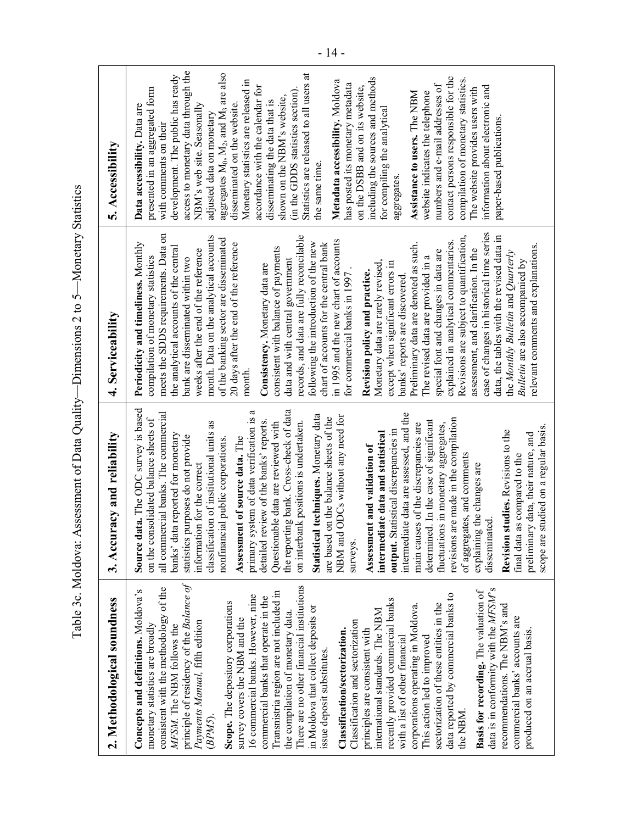| 2. Methodological soundness                                     |                                                                              | Table 3c. Moldova: Assessment of Data Quality—Dimensions 2 to 5—Monetary Statistics    | 5. Accessibility                                                         |
|-----------------------------------------------------------------|------------------------------------------------------------------------------|----------------------------------------------------------------------------------------|--------------------------------------------------------------------------|
|                                                                 | 3. Accuracy and reliability                                                  | 4. Serviceability                                                                      |                                                                          |
| Concepts and definitions. Moldova's                             | Source data. The ODC survey is based                                         | Periodicity and timeliness. Monthly                                                    | Data accessibility. Data are                                             |
| monetary statistics are broadly                                 | on the consolidated balance sheets of                                        | compilation of monetary statistics                                                     | presented in an aggregated form                                          |
| consistent with the methodology of the                          | all commercial banks. The commercial                                         | $\mathbf{g}$<br>meets the SDDS requirements. Data                                      | with comments on their                                                   |
| MFSM. The NBM follows the                                       | banks' data reported for monetary                                            | the analytical accounts of the central                                                 | development. The public has ready                                        |
| principle of residency of the Balance of                        | statistics purposes do not provide                                           | bank are disseminated within two                                                       | access to monetary data through the                                      |
| Payments Manual, fifth edition                                  | information for the correct                                                  | weeks after the end of the reference                                                   | NBM's web site. Seasonally                                               |
| (BPM5)                                                          | classification of institutional units as                                     | month. Data on the analytical accounts                                                 | adjusted data on monetary                                                |
| Scope. The depository corporations                              | nonfinancial public corporations.                                            | of the banking sector are disseminated                                                 | aggregates M <sub>0</sub> , M <sub>2</sub> , and M <sub>3</sub> are also |
| survey covers the NBM and the                                   | Assessment of source data. The                                               | 20 days after the end of the reference                                                 | disseminated on the website                                              |
| 16 commercial banks. However, nine                              | ß<br>primary system of data verification is                                  | month                                                                                  | Monetary statistics are released in                                      |
| commercial banks that operate in the                            | review of the banks' reports.<br>detailed                                    | Consistency. Monetary data are                                                         | accordance with the calendar for                                         |
| Transnistria region are not included in                         | Questionable data are reviewed with                                          | consistent with balance of payments                                                    | disseminating the data that is                                           |
| the compilation of monetary data.                               | the reporting bank. Cross-check of data                                      | data and with central government                                                       | shown on the NBM's website,                                              |
| There are no other financial institutions                       | on interbank positions is undertaken.                                        | records, and data are fully reconcilable                                               | (in the GDDS statistics section)                                         |
| in Moldova that collect deposits or                             | Statistical techniques. Monetary data                                        | following the introduction of the new                                                  | Statistics are released to all users at<br>the same time.                |
| issue deposit substitutes                                       | are based on the balance sheets of the                                       | chart of accounts for the central bank                                                 |                                                                          |
| Classification/sectorization.                                   | NBM and ODCs without any need for                                            | in 1995 and the new chart of accounts                                                  | Metadata accessibility. Moldova                                          |
| Classification and sectorization                                | surveys.                                                                     | for commercial banks in 1997                                                           | has posted its monetary metadata                                         |
| principles are consistent with                                  | Assessment and validation of                                                 | Revision policy and practice.                                                          | on the DSBB and on its website,                                          |
| international standards. The NBM                                | intermediate data and statistical                                            | Monetary data are rarely revised,                                                      | including the sources and methods                                        |
| recently provided commercial banks                              | output. Statistical discrepancies in                                         | except when significant errors in                                                      | for compiling the analytical                                             |
| with a list of other financial                                  | intermediate data are assessed, and the                                      | banks' reports are discovered                                                          | aggregates                                                               |
| corporations operating in Moldova.                              | main causes of the discrepancies are                                         | Preliminary data are denoted as such.                                                  | Assistance to users. The NBM                                             |
| This action led to improved                                     | determined. In the case of significant                                       | The revised data are provided in                                                       | website indicates the telephone                                          |
| sectorization of these entities in the                          | fluctuations in monetary aggregates,                                         | special font and changes in data are                                                   | numbers and e-mail addresses of                                          |
| data reported by commercial banks to                            | revisions are made in the compilation                                        | explained in analytical commentaries.                                                  | contact persons responsible for the                                      |
| the NBM                                                         | of aggregates, and comments                                                  | Revisions are subject to quantification,                                               | compilation of monetary statistics.                                      |
| Basis for recording. The valuation of                           | explaining the changes are                                                   | assessment, and clarification. In the                                                  | The website provides users with                                          |
| data is in conformity with the MFSM's                           | disseminated                                                                 | case of changes in historical time series<br>data, the tables with the revised data in | information about electronic and                                         |
| recommendations. The NBM's and                                  | studies. Revisions to the<br>Revision                                        | the Monthly Bulletin and Quarterly                                                     | paper-based publications.                                                |
| commercial banks' accounts are<br>produced on an accrual basis. | final data as compared to the                                                | Bulletin are also accompanied by                                                       |                                                                          |
|                                                                 | scope are studied on a regular basis.<br>preliminary data, their nature, and | relevant comments and explanations.                                                    |                                                                          |
|                                                                 |                                                                              |                                                                                        |                                                                          |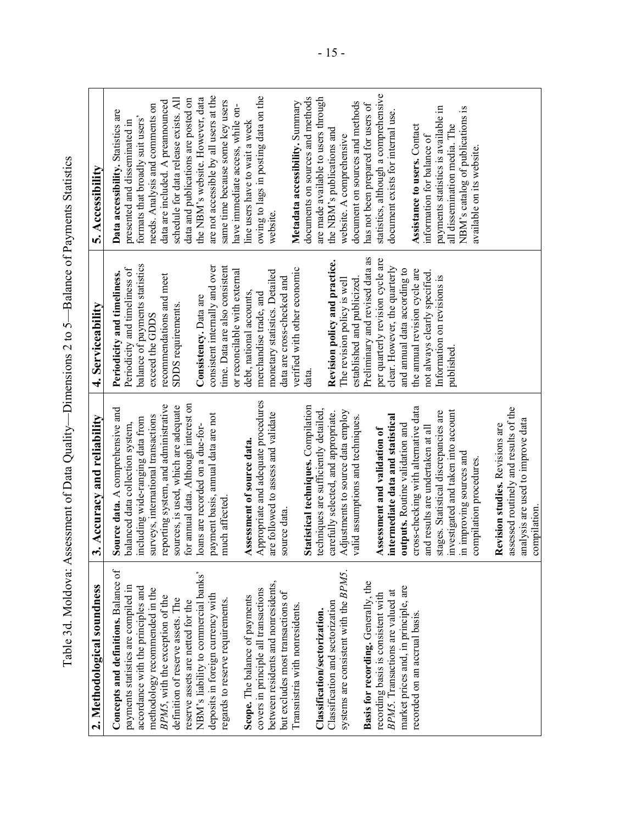| 2. Methodological soundness           | 3. Accuracy and reliability                                                                              | 4. Serviceability                | 5. Accessibility                       |
|---------------------------------------|----------------------------------------------------------------------------------------------------------|----------------------------------|----------------------------------------|
| Concepts and definitions. Balance of  |                                                                                                          | Periodicity and timeliness.      | Data accessibility. Statistics are     |
| payments statistics are compiled in   | <b>Source data.</b> A comprehensive and balanced data collection system,                                 | Periodicity and timeliness of    | presented and disseminated in          |
| accordance with the principles and    | including wide-ranging data from                                                                         | balance of payments statistics   | formats that broadly suit users'       |
| methodology recommended in the        | surveys, international transactions                                                                      | exceed the GDDS                  | needs. Analysis and comments on        |
| BPM5, with the exception of the       | reporting system, and administrative                                                                     | recommendations and meet         | data are included. A preannounced      |
| definition of reserve assets. The     | sources, is used, which are adequate<br>for annual data. Although interest on                            | SDDS requirements                | schedule for data release exists. All  |
| reserve assets are netted for the     |                                                                                                          |                                  | data and publications are posted on    |
| NBM's liability to commercial banks'  | loans are recorded on a due-for-                                                                         | Consistency. Data are            | the NBM's website. However, data       |
| deposits in foreign currency with     | payment basis, annual data are not<br>much affected.                                                     | consistent internally and over   | are not accessible by all users at the |
| regards to reserve requirements.      |                                                                                                          | time. Data are also consistent   | same time because some key users       |
|                                       |                                                                                                          | or reconcilable with external    | have immediate access, while on-       |
| Scope. The balance of payments        | Assessment of source data.                                                                               | debt, national accounts,         | line users have to wait a week         |
| covers in principle all transactions  | Appropriate and adequate procedures                                                                      | merchandise trade, and           | owing to lags in posting data on the   |
| between residents and nonresidents,   | are followed to assess and validate<br>source data.                                                      | monetary statistics. Detailed    | website.                               |
| but excludes most transactions of     |                                                                                                          | data are cross-checked and       |                                        |
| Transnistria with nonresidents.       |                                                                                                          | verified with other economic     | Metadata accessibility. Summary        |
|                                       | Statistical techniques. Compilation                                                                      | data.                            | documents on sources and methods       |
| Classification/sectorization.         | techniques are sufficiently detailed,                                                                    |                                  | are made available to users through    |
| Classification and sectorization      | carefully selected, and appropriate.                                                                     | Revision policy and practice.    | the NBM's publications and             |
| systems are consistent with the BPM5. | Adjustments to source data employ                                                                        | The revision policy is well      | website. A comprehensive               |
|                                       | valid assumptions and techniques                                                                         | established and publicized       | document on sources and methods        |
| Basis for recording. Generally, the   |                                                                                                          | Preliminary and revised data as  | has not been prepared for users of     |
| recording basis is consistent with    |                                                                                                          | per quarterly revision cycle are | statistics, although a comprehensive   |
| BPM5. Transactions are valued at      | Assessment and validation of<br>intermediate data and statistical                                        | clear. However, the quarterly    | document exists for internal use       |
| market prices and, in principle, are  | outputs. Routine validation and                                                                          | and annual data according to     |                                        |
| recorded on an accrual basis.         | cross-checking with alternative data<br>and results are undertaken at all                                | the annual revision cycle are    | Assistance to users. Contact           |
|                                       |                                                                                                          | not always clearly specified.    | information for balance of             |
|                                       |                                                                                                          | Information on revisions is      | payments statistics is available in    |
|                                       | stages. Statistical discrepancies are<br>investigated and taken into account<br>in improving sources and | published                        | all dissemination media. The           |
|                                       |                                                                                                          |                                  | NBM's catalog of publications is       |
|                                       | compilation procedures                                                                                   |                                  | available on its website               |
|                                       |                                                                                                          |                                  |                                        |
|                                       | assessed routinely and results of the<br>Revision studies. Revisions are                                 |                                  |                                        |
|                                       | analysis are used to improve data                                                                        |                                  |                                        |
|                                       | compilation                                                                                              |                                  |                                        |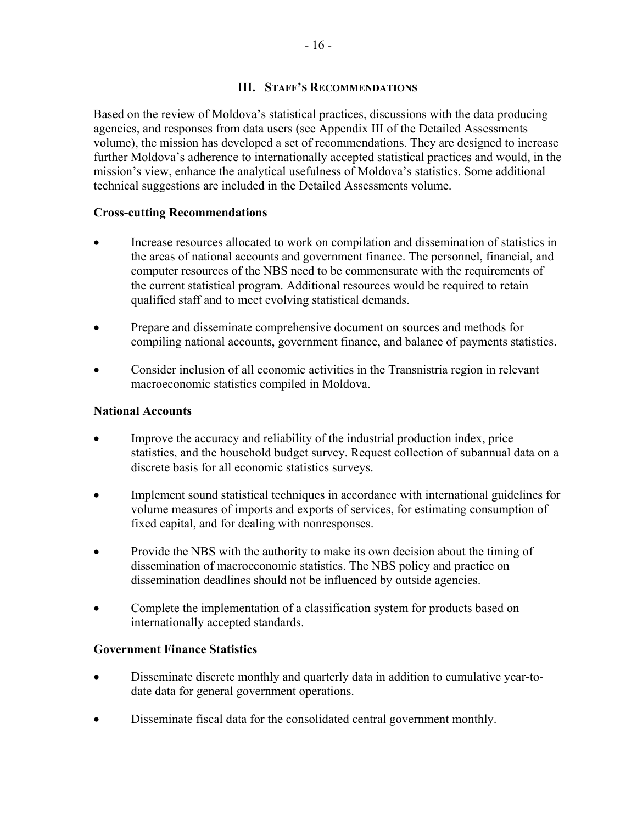## **III. STAFF'S RECOMMENDATIONS**

Based on the review of Moldova's statistical practices, discussions with the data producing agencies, and responses from data users (see Appendix III of the Detailed Assessments volume), the mission has developed a set of recommendations. They are designed to increase further Moldova's adherence to internationally accepted statistical practices and would, in the mission's view, enhance the analytical usefulness of Moldova's statistics. Some additional technical suggestions are included in the Detailed Assessments volume.

## **Cross-cutting Recommendations**

- Increase resources allocated to work on compilation and dissemination of statistics in the areas of national accounts and government finance. The personnel, financial, and computer resources of the NBS need to be commensurate with the requirements of the current statistical program. Additional resources would be required to retain qualified staff and to meet evolving statistical demands.
- Prepare and disseminate comprehensive document on sources and methods for compiling national accounts, government finance, and balance of payments statistics.
- Consider inclusion of all economic activities in the Transnistria region in relevant macroeconomic statistics compiled in Moldova.

## **National Accounts**

- Improve the accuracy and reliability of the industrial production index, price statistics, and the household budget survey. Request collection of subannual data on a discrete basis for all economic statistics surveys.
- Implement sound statistical techniques in accordance with international guidelines for volume measures of imports and exports of services, for estimating consumption of fixed capital, and for dealing with nonresponses.
- Provide the NBS with the authority to make its own decision about the timing of dissemination of macroeconomic statistics. The NBS policy and practice on dissemination deadlines should not be influenced by outside agencies.
- Complete the implementation of a classification system for products based on internationally accepted standards.

#### **Government Finance Statistics**

- Disseminate discrete monthly and quarterly data in addition to cumulative year-todate data for general government operations.
- Disseminate fiscal data for the consolidated central government monthly.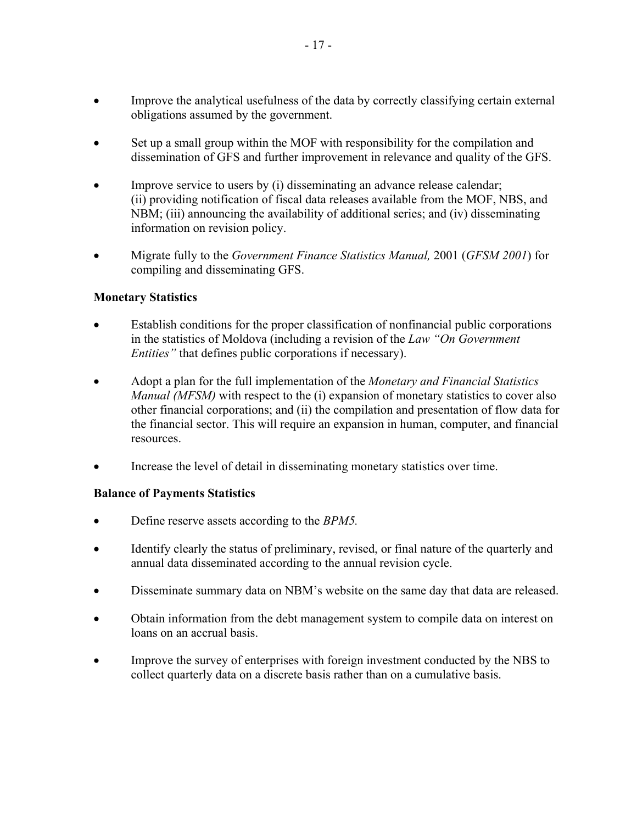- Improve the analytical usefulness of the data by correctly classifying certain external obligations assumed by the government.
- Set up a small group within the MOF with responsibility for the compilation and dissemination of GFS and further improvement in relevance and quality of the GFS.
- Improve service to users by (i) disseminating an advance release calendar; (ii) providing notification of fiscal data releases available from the MOF, NBS, and NBM; (iii) announcing the availability of additional series; and (iv) disseminating information on revision policy.
- Migrate fully to the *Government Finance Statistics Manual,* 2001 (*GFSM 2001*) for compiling and disseminating GFS.

## **Monetary Statistics**

- Establish conditions for the proper classification of nonfinancial public corporations in the statistics of Moldova (including a revision of the *Law "On Government Entities"* that defines public corporations if necessary).
- Adopt a plan for the full implementation of the *Monetary and Financial Statistics Manual (MFSM)* with respect to the (i) expansion of monetary statistics to cover also other financial corporations; and (ii) the compilation and presentation of flow data for the financial sector. This will require an expansion in human, computer, and financial resources.
- Increase the level of detail in disseminating monetary statistics over time.

## **Balance of Payments Statistics**

- Define reserve assets according to the *BPM5.*
- Identify clearly the status of preliminary, revised, or final nature of the quarterly and annual data disseminated according to the annual revision cycle.
- Disseminate summary data on NBM's website on the same day that data are released.
- Obtain information from the debt management system to compile data on interest on loans on an accrual basis.
- Improve the survey of enterprises with foreign investment conducted by the NBS to collect quarterly data on a discrete basis rather than on a cumulative basis.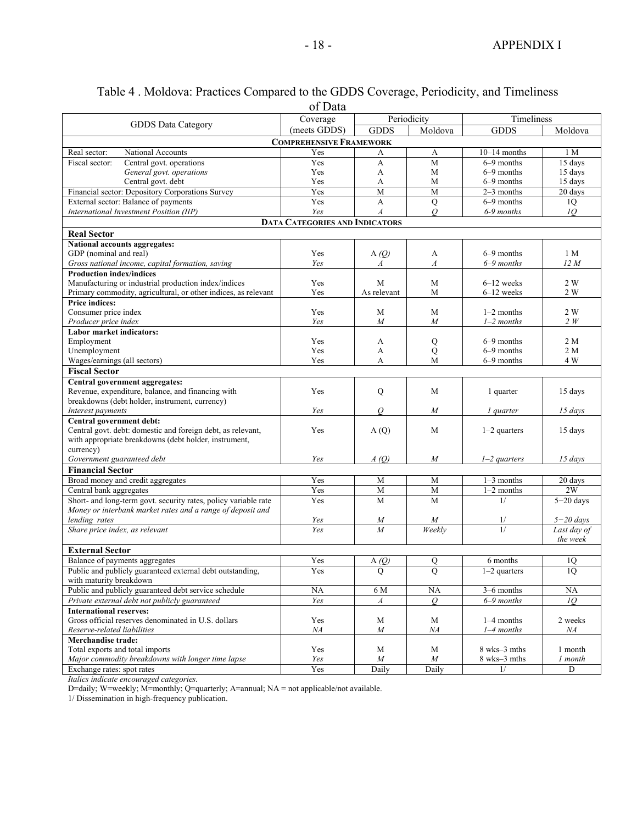|                                                                                      | of Data                               |                  |                  |                              |                 |
|--------------------------------------------------------------------------------------|---------------------------------------|------------------|------------------|------------------------------|-----------------|
|                                                                                      | Periodicity<br>Coverage               |                  | Timeliness       |                              |                 |
| GDDS Data Category                                                                   | (meets GDDS)                          | <b>GDDS</b>      | Moldova          | <b>GDDS</b>                  | Moldova         |
|                                                                                      | <b>COMPREHENSIVE FRAMEWORK</b>        |                  |                  |                              |                 |
| Real sector:<br>National Accounts                                                    | Yes                                   | А                | A                | $10-14$ months               | 1 M             |
| Fiscal sector:<br>Central govt. operations                                           | Yes                                   | A                | M                | 6-9 months                   | 15 days         |
| General govt. operations                                                             | Yes                                   | A                | M                | $6-9$ months                 | 15 days         |
| Central govt. debt                                                                   | Yes                                   | А                | M                | $6-9$ months                 | 15 days         |
| Financial sector: Depository Corporations Survey                                     | Yes                                   | $\overline{M}$   | M                | $2-3$ months                 | 20 days         |
| External sector: Balance of payments                                                 | Yes                                   | A                | Q                | $6-9$ months                 | 1Q              |
| International Investment Position (IIP)                                              | Yes                                   | $\boldsymbol{A}$ | $\overline{O}$   | $6-9$ months                 | 10 <sup>2</sup> |
|                                                                                      | <b>DATA CATEGORIES AND INDICATORS</b> |                  |                  |                              |                 |
| <b>Real Sector</b>                                                                   |                                       |                  |                  |                              |                 |
| National accounts aggregates:                                                        |                                       |                  |                  |                              |                 |
| GDP (nominal and real)                                                               | Yes                                   | A $(Q)$          | A                | $6-9$ months                 | 1 M             |
| Gross national income, capital formation, saving                                     | Yes                                   | A                | $\boldsymbol{A}$ | $6-9$ months                 | 12M             |
| <b>Production index/indices</b>                                                      |                                       |                  |                  |                              |                 |
| Manufacturing or industrial production index/indices                                 | Yes                                   | M                | M                | $6-12$ weeks                 | 2 W             |
| Primary commodity, agricultural, or other indices, as relevant                       | Yes                                   | As relevant      | M                | $6-12$ weeks                 | 2 W             |
| <b>Price indices:</b>                                                                |                                       |                  |                  |                              |                 |
| Consumer price index                                                                 | Yes                                   | M                | M                | $1-2$ months                 | 2 W             |
| Producer price index                                                                 | Yes                                   | $\boldsymbol{M}$ | M                | $1-2$ months                 | 2W              |
| <b>Labor market indicators:</b>                                                      |                                       |                  |                  |                              |                 |
| Employment                                                                           | Yes                                   | A                | Q                | $6-9$ months                 | 2 M             |
| Unemployment<br>Wages/earnings (all sectors)                                         | Yes<br>Yes                            | A<br>А           | Q<br>M           | $6-9$ months<br>$6-9$ months | 2 M<br>4 W      |
| <b>Fiscal Sector</b>                                                                 |                                       |                  |                  |                              |                 |
|                                                                                      |                                       |                  |                  |                              |                 |
| Central government aggregates:<br>Revenue, expenditure, balance, and financing with  | Yes                                   | Q                | M                | 1 quarter                    | 15 days         |
| breakdowns (debt holder, instrument, currency)                                       |                                       |                  |                  |                              |                 |
| Interest payments                                                                    | Yes                                   | O                | $\boldsymbol{M}$ | <i>l</i> quarter             | $15 \, days$    |
| Central government debt:                                                             |                                       |                  |                  |                              |                 |
| Central govt. debt: domestic and foreign debt, as relevant,                          | Yes                                   | A(Q)             | M                | $1-2$ quarters               | 15 days         |
| with appropriate breakdowns (debt holder, instrument,                                |                                       |                  |                  |                              |                 |
| currency)                                                                            |                                       |                  |                  |                              |                 |
| Government guaranteed debt                                                           | Yes                                   | A(0)             | M                | $1-2$ quarters               | $15 \; days$    |
| <b>Financial Sector</b>                                                              |                                       |                  |                  |                              |                 |
| Broad money and credit aggregates                                                    | Yes                                   | M                | M                | $1-3$ months                 | 20 days         |
| Central bank aggregates                                                              | Yes                                   | M                | M                | $1-2$ months                 | 2W              |
| Short- and long-term govt. security rates, policy variable rate                      | Yes                                   | M                | $\overline{M}$   | 1/                           | $5 - 20$ days   |
| Money or interbank market rates and a range of deposit and                           |                                       |                  |                  |                              |                 |
| lending rates                                                                        | Yes                                   | $\boldsymbol{M}$ | M                | 1/<br>1/                     | $5 - 20$ days   |
| Share price index, as relevant                                                       | Yes                                   | $\overline{M}$   | Weekly           |                              | Last day of     |
| <b>External Sector</b>                                                               |                                       |                  |                  |                              | the week        |
| Balance of payments aggregates                                                       | Yes                                   | A(0)             | $\mathbf Q$      | 6 months                     | 1Q              |
|                                                                                      |                                       |                  |                  |                              |                 |
| Public and publicly guaranteed external debt outstanding,<br>with maturity breakdown | Yes                                   | Q                | Q                | $1-2$ quarters               | 1Q              |
| Public and publicly guaranteed debt service schedule                                 | $\rm NA$                              | 6 M              | NA               | 3-6 months                   | NA              |
| Private external debt not publicly guaranteed                                        | Yes                                   | A                | $\overline{O}$   | $6-9$ months                 | 10              |
| <b>International reserves:</b>                                                       |                                       |                  |                  |                              |                 |
| Gross official reserves denominated in U.S. dollars                                  | Yes                                   | M                | M                | $1-4$ months                 | 2 weeks         |
| Reserve-related liabilities                                                          | NA                                    | $\cal M$         | NА               | $1-4$ months                 | NA              |
| Merchandise trade:                                                                   |                                       |                  |                  |                              |                 |
| Total exports and total imports                                                      | Yes                                   | M                | M                | 8 wks-3 mths                 | 1 month         |
| Major commodity breakdowns with longer time lapse                                    | Yes                                   | $\cal M$         | M                | 8 wks-3 mths                 | 1 month         |
| Exchange rates: spot rates                                                           | Yes                                   | Daily            | Daily            | 1/                           | D               |

## Table 4 . Moldova: Practices Compared to the GDDS Coverage, Periodicity, and Timeliness

*Italics indicate encouraged categories.* 

D=daily; W=weekly; M=monthly; Q=quarterly; A=annual; NA = not applicable/not available.

1/ Dissemination in high-frequency publication.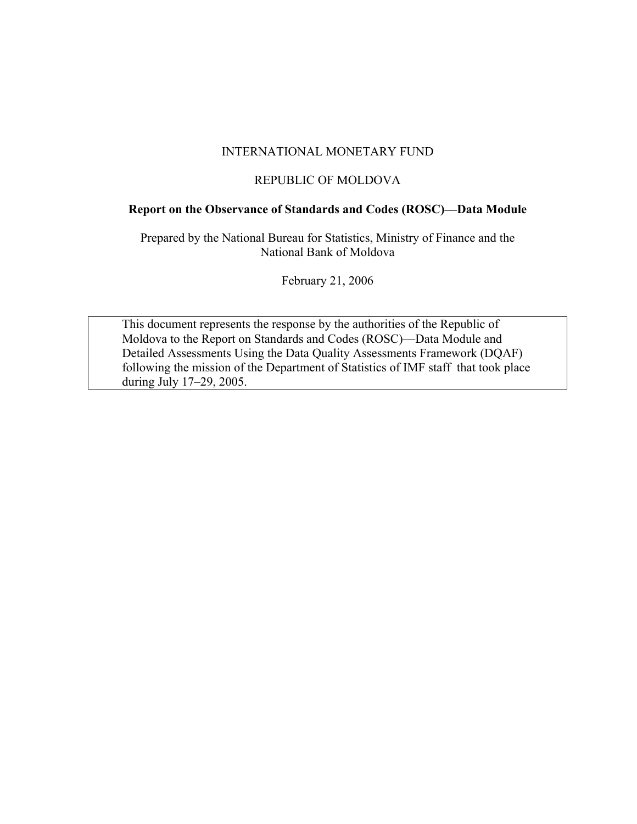#### INTERNATIONAL MONETARY FUND

#### REPUBLIC OF MOLDOVA

## **Report on the Observance of Standards and Codes (ROSC)––Data Module**

Prepared by the National Bureau for Statistics, Ministry of Finance and the National Bank of Moldova

February 21, 2006

This document represents the response by the authorities of the Republic of Moldova to the Report on Standards and Codes (ROSC)––Data Module and Detailed Assessments Using the Data Quality Assessments Framework (DQAF) following the mission of the Department of Statistics of IMF staff that took place during July 17–29, 2005.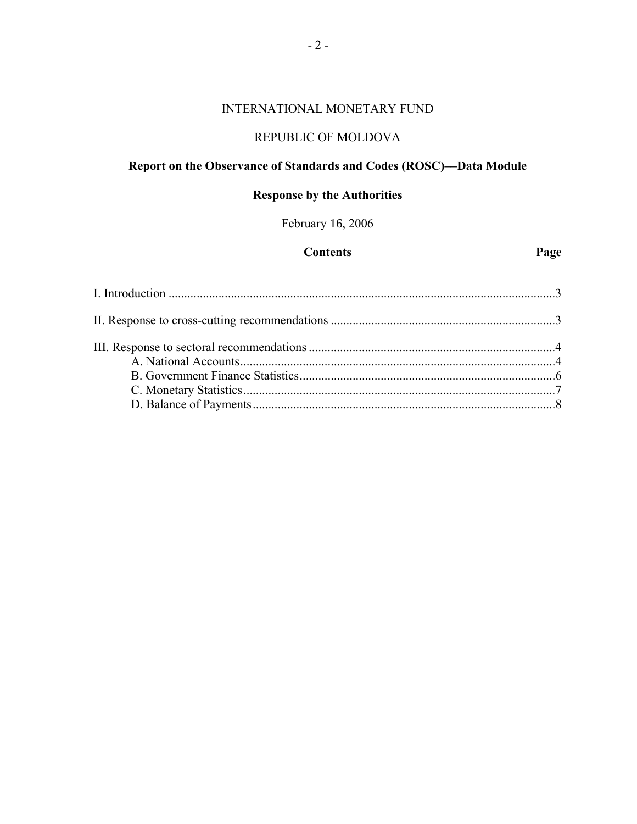## INTERNATIONAL MONETARY FUND

## REPUBLIC OF MOLDOVA

## **Report on the Observance of Standards and Codes (ROSC)––Data Module**

## **Response by the Authorities**

February 16, 2006

#### **Contents Page**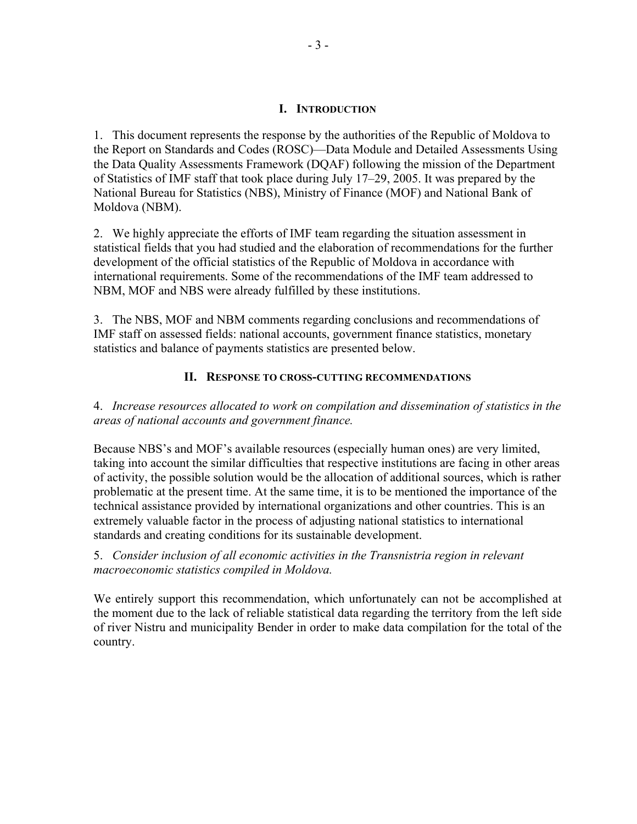#### **I. INTRODUCTION**

1. This document represents the response by the authorities of the Republic of Moldova to the Report on Standards and Codes (ROSC)––Data Module and Detailed Assessments Using the Data Quality Assessments Framework (DQAF) following the mission of the Department of Statistics of IMF staff that took place during July 17–29, 2005. It was prepared by the National Bureau for Statistics (NBS), Ministry of Finance (MOF) and National Bank of Moldova (NBM).

2. We highly appreciate the efforts of IMF team regarding the situation assessment in statistical fields that you had studied and the elaboration of recommendations for the further development of the official statistics of the Republic of Moldova in accordance with international requirements. Some of the recommendations of the IMF team addressed to NBM, MOF and NBS were already fulfilled by these institutions.

3. The NBS, MOF and NBM comments regarding conclusions and recommendations of IMF staff on assessed fields: national accounts, government finance statistics, monetary statistics and balance of payments statistics are presented below.

## **II. RESPONSE TO CROSS-CUTTING RECOMMENDATIONS**

4. *Increase resources allocated to work on compilation and dissemination of statistics in the areas of national accounts and government finance.*

Because NBS's and MOF's available resources (especially human ones) are very limited, taking into account the similar difficulties that respective institutions are facing in other areas of activity, the possible solution would be the allocation of additional sources, which is rather problematic at the present time. At the same time, it is to be mentioned the importance of the technical assistance provided by international organizations and other countries. This is an extremely valuable factor in the process of adjusting national statistics to international standards and creating conditions for its sustainable development.

## 5. *Consider inclusion of all economic activities in the Transnistria region in relevant macroeconomic statistics compiled in Moldova.*

We entirely support this recommendation, which unfortunately can not be accomplished at the moment due to the lack of reliable statistical data regarding the territory from the left side of river Nistru and municipality Bender in order to make data compilation for the total of the country.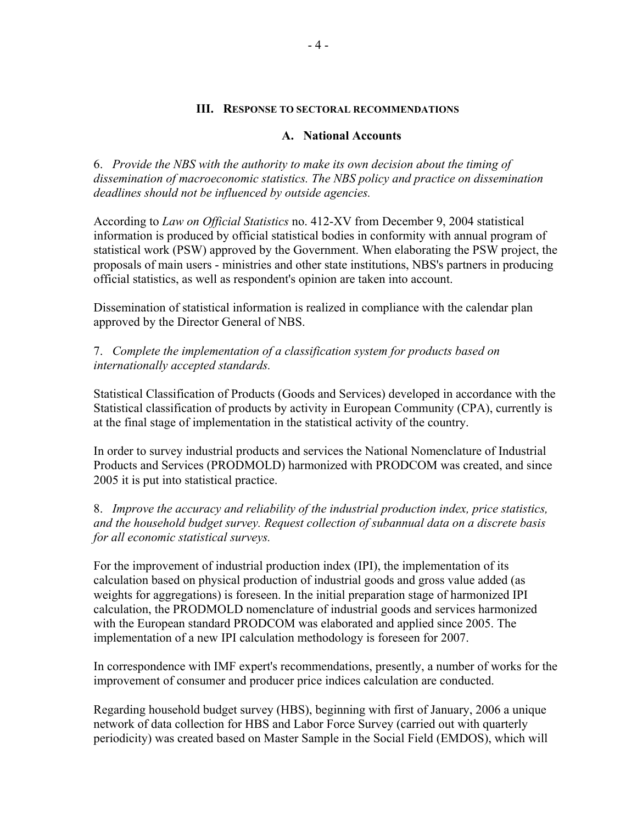#### **III. RESPONSE TO SECTORAL RECOMMENDATIONS**

#### **A. National Accounts**

6. *Provide the NBS with the authority to make its own decision about the timing of dissemination of macroeconomic statistics. The NBS policy and practice on dissemination deadlines should not be influenced by outside agencies.*

According to *Law on Official Statistics* no. 412-XV from December 9, 2004 statistical information is produced by official statistical bodies in conformity with annual program of statistical work (PSW) approved by the Government. When elaborating the PSW project, the proposals of main users - ministries and other state institutions, NBS's partners in producing official statistics, as well as respondent's opinion are taken into account.

Dissemination of statistical information is realized in compliance with the calendar plan approved by the Director General of NBS.

7. *Complete the implementation of a classification system for products based on internationally accepted standards.*

Statistical Classification of Products (Goods and Services) developed in accordance with the Statistical classification of products by activity in European Community (CPA), currently is at the final stage of implementation in the statistical activity of the country.

In order to survey industrial products and services the National Nomenclature of Industrial Products and Services (PRODMOLD) harmonized with PRODCOM was created, and since 2005 it is put into statistical practice.

8. *Improve the accuracy and reliability of the industrial production index, price statistics, and the household budget survey. Request collection of subannual data on a discrete basis for all economic statistical surveys.*

For the improvement of industrial production index (IPI), the implementation of its calculation based on physical production of industrial goods and gross value added (as weights for aggregations) is foreseen. In the initial preparation stage of harmonized IPI calculation, the PRODMOLD nomenclature of industrial goods and services harmonized with the European standard PRODCOM was elaborated and applied since 2005. The implementation of a new IPI calculation methodology is foreseen for 2007.

In correspondence with IMF expert's recommendations, presently, a number of works for the improvement of consumer and producer price indices calculation are conducted.

Regarding household budget survey (HBS), beginning with first of January, 2006 a unique network of data collection for HBS and Labor Force Survey (carried out with quarterly periodicity) was created based on Master Sample in the Social Field (EMDOS), which will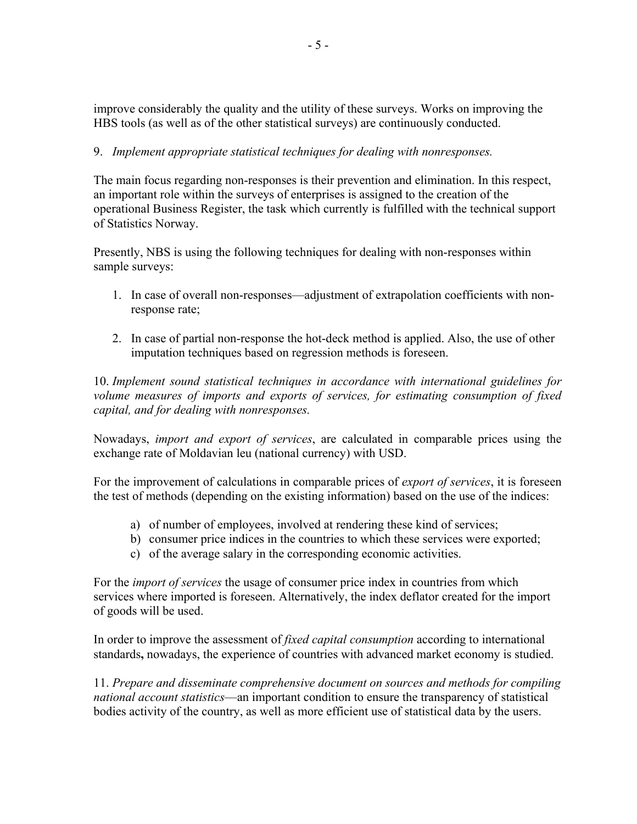improve considerably the quality and the utility of these surveys. Works on improving the HBS tools (as well as of the other statistical surveys) are continuously conducted.

## 9. *Implement appropriate statistical techniques for dealing with nonresponses.*

The main focus regarding non-responses is their prevention and elimination. In this respect, an important role within the surveys of enterprises is assigned to the creation of the operational Business Register, the task which currently is fulfilled with the technical support of Statistics Norway.

Presently, NBS is using the following techniques for dealing with non-responses within sample surveys:

- 1. In case of overall non-responses––adjustment of extrapolation coefficients with nonresponse rate;
- 2. In case of partial non-response the hot-deck method is applied. Also, the use of other imputation techniques based on regression methods is foreseen.

10. *Implement sound statistical techniques in accordance with international guidelines for volume measures of imports and exports of services, for estimating consumption of fixed capital, and for dealing with nonresponses.*

Nowadays, *import and export of services*, are calculated in comparable prices using the exchange rate of Moldavian leu (national currency) with USD.

For the improvement of calculations in comparable prices of *export of services*, it is foreseen the test of methods (depending on the existing information) based on the use of the indices:

- a) of number of employees, involved at rendering these kind of services;
- b) consumer price indices in the countries to which these services were exported;
- c) of the average salary in the corresponding economic activities.

For the *import of services* the usage of consumer price index in countries from which services where imported is foreseen. Alternatively, the index deflator created for the import of goods will be used.

In order to improve the assessment of *fixed capital consumption* according to international standards**,** nowadays, the experience of countries with advanced market economy is studied.

11. *Prepare and disseminate comprehensive document on sources and methods for compiling national account statistics––*an important condition to ensure the transparency of statistical bodies activity of the country, as well as more efficient use of statistical data by the users.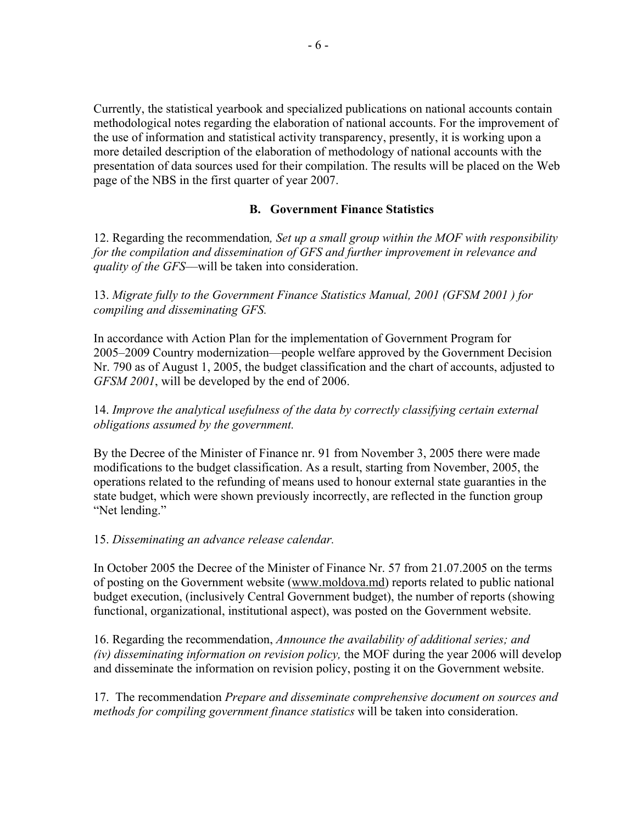Currently, the statistical yearbook and specialized publications on national accounts contain methodological notes regarding the elaboration of national accounts. For the improvement of the use of information and statistical activity transparency, presently, it is working upon a more detailed description of the elaboration of methodology of national accounts with the presentation of data sources used for their compilation. The results will be placed on the Web page of the NBS in the first quarter of year 2007.

## **B. Government Finance Statistics**

12. Regarding the recommendation*, Set up a small group within the MOF with responsibility for the compilation and dissemination of GFS and further improvement in relevance and quality of the GFS––*will be taken into consideration.

13. *Migrate fully to the Government Finance Statistics Manual, 2001 (GFSM 2001 ) for compiling and disseminating GFS.*

In accordance with Action Plan for the implementation of Government Program for 2005–2009 Country modernization––people welfare approved by the Government Decision Nr. 790 as of August 1, 2005, the budget classification and the chart of accounts, adjusted to *GFSM 2001*, will be developed by the end of 2006.

## 14. *Improve the analytical usefulness of the data by correctly classifying certain external obligations assumed by the government.*

By the Decree of the Minister of Finance nr. 91 from November 3, 2005 there were made modifications to the budget classification. As a result, starting from November, 2005, the operations related to the refunding of means used to honour external state guaranties in the state budget, which were shown previously incorrectly, are reflected in the function group "Net lending."

#### 15. *Disseminating an advance release calendar.*

In October 2005 the Decree of the Minister of Finance Nr. 57 from 21.07.2005 on the terms of posting on the Government website (www.moldova.md) reports related to public national budget execution, (inclusively Central Government budget), the number of reports (showing functional, organizational, institutional aspect), was posted on the Government website.

16. Regarding the recommendation, *Announce the availability of additional series; and (iv) disseminating information on revision policy,* the MOF during the year 2006 will develop and disseminate the information on revision policy, posting it on the Government website.

17. The recommendation *Prepare and disseminate comprehensive document on sources and methods for compiling government finance statistics* will be taken into consideration.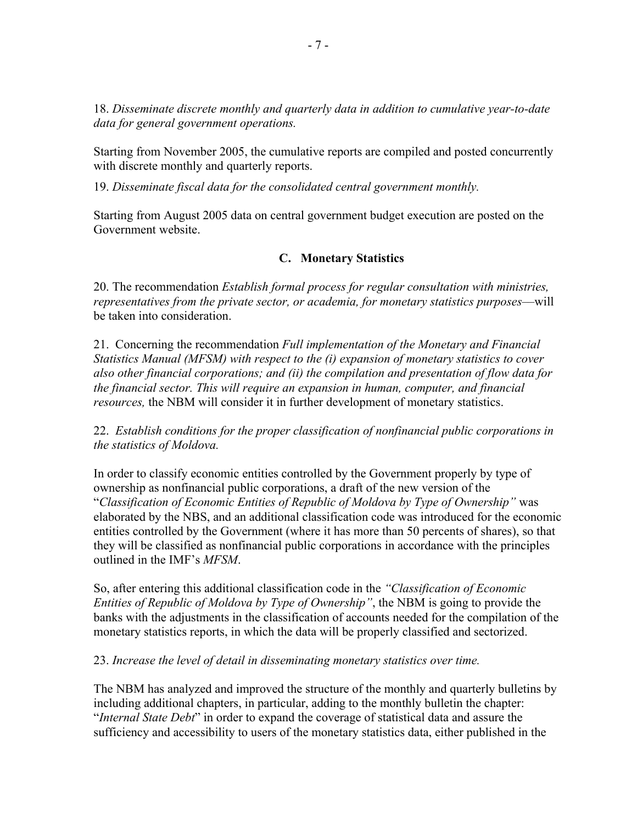18. *Disseminate discrete monthly and quarterly data in addition to cumulative year-to-date data for general government operations.* 

Starting from November 2005, the cumulative reports are compiled and posted concurrently with discrete monthly and quarterly reports.

19. *Disseminate fiscal data for the consolidated central government monthly.*

Starting from August 2005 data on central government budget execution are posted on the Government website.

## **C. Monetary Statistics**

20. The recommendation *Establish formal process for regular consultation with ministries, representatives from the private sector, or academia, for monetary statistics purposes––*will be taken into consideration.

21. Concerning the recommendation *Full implementation of the Monetary and Financial Statistics Manual (MFSM) with respect to the (i) expansion of monetary statistics to cover also other financial corporations; and (ii) the compilation and presentation of flow data for the financial sector. This will require an expansion in human, computer, and financial resources,* the NBM will consider it in further development of monetary statistics.

22. *Establish conditions for the proper classification of nonfinancial public corporations in the statistics of Moldova.*

In order to classify economic entities controlled by the Government properly by type of ownership as nonfinancial public corporations, a draft of the new version of the "*Classification of Economic Entities of Republic of Moldova by Type of Ownership"* was elaborated by the NBS, and an additional classification code was introduced for the economic entities controlled by the Government (where it has more than 50 percents of shares), so that they will be classified as nonfinancial public corporations in accordance with the principles outlined in the IMF's *MFSM*.

So, after entering this additional classification code in the *"Classification of Economic Entities of Republic of Moldova by Type of Ownership"*, the NBM is going to provide the banks with the adjustments in the classification of accounts needed for the compilation of the monetary statistics reports, in which the data will be properly classified and sectorized.

23. *Increase the level of detail in disseminating monetary statistics over time.* 

The NBM has analyzed and improved the structure of the monthly and quarterly bulletins by including additional chapters, in particular, adding to the monthly bulletin the chapter: "*Internal State Debt*" in order to expand the coverage of statistical data and assure the sufficiency and accessibility to users of the monetary statistics data, either published in the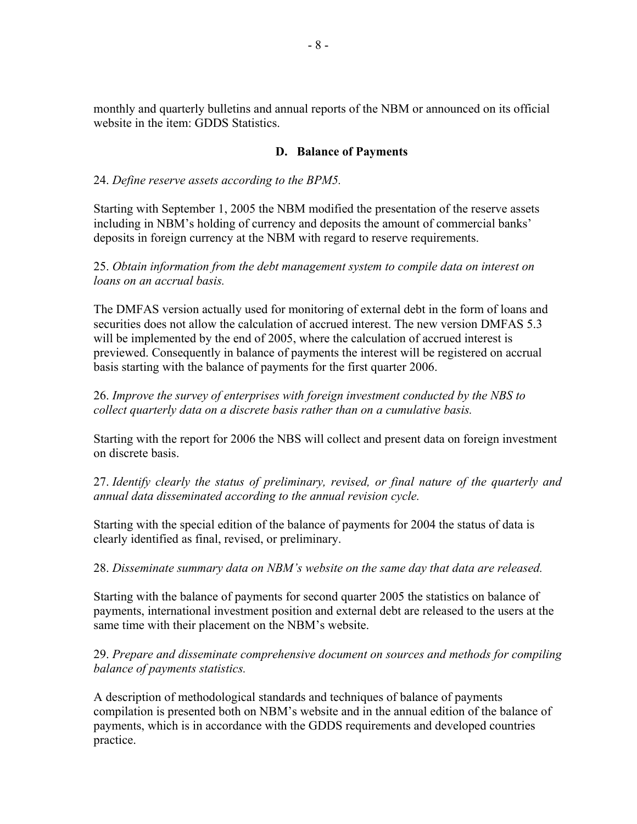monthly and quarterly bulletins and annual reports of the NBM or announced on its official website in the item: GDDS Statistics.

#### **D. Balance of Payments**

## 24. *Define reserve assets according to the BPM5.*

Starting with September 1, 2005 the NBM modified the presentation of the reserve assets including in NBM's holding of currency and deposits the amount of commercial banks' deposits in foreign currency at the NBM with regard to reserve requirements.

25. *Obtain information from the debt management system to compile data on interest on loans on an accrual basis.* 

The DMFAS version actually used for monitoring of external debt in the form of loans and securities does not allow the calculation of accrued interest. The new version DMFAS 5.3 will be implemented by the end of 2005, where the calculation of accrued interest is previewed. Consequently in balance of payments the interest will be registered on accrual basis starting with the balance of payments for the first quarter 2006.

26. *Improve the survey of enterprises with foreign investment conducted by the NBS to collect quarterly data on a discrete basis rather than on a cumulative basis.*

Starting with the report for 2006 the NBS will collect and present data on foreign investment on discrete basis.

27. *Identify clearly the status of preliminary, revised, or final nature of the quarterly and annual data disseminated according to the annual revision cycle.* 

Starting with the special edition of the balance of payments for 2004 the status of data is clearly identified as final, revised, or preliminary.

28. *Disseminate summary data on NBM's website on the same day that data are released.*

Starting with the balance of payments for second quarter 2005 the statistics on balance of payments, international investment position and external debt are released to the users at the same time with their placement on the NBM's website.

29. *Prepare and disseminate comprehensive document on sources and methods for compiling balance of payments statistics.*

A description of methodological standards and techniques of balance of payments compilation is presented both on NBM's website and in the annual edition of the balance of payments, which is in accordance with the GDDS requirements and developed countries practice.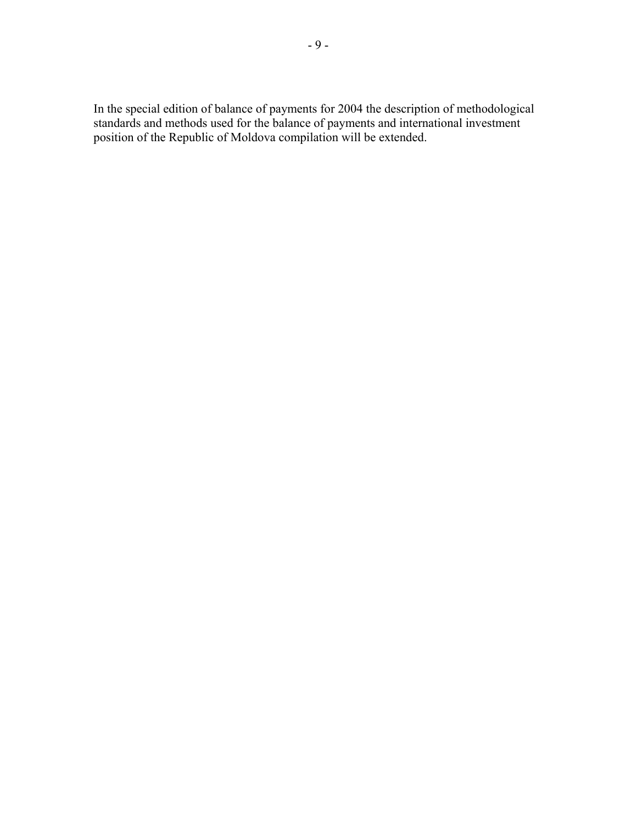In the special edition of balance of payments for 2004 the description of methodological standards and methods used for the balance of payments and international investment position of the Republic of Moldova compilation will be extended.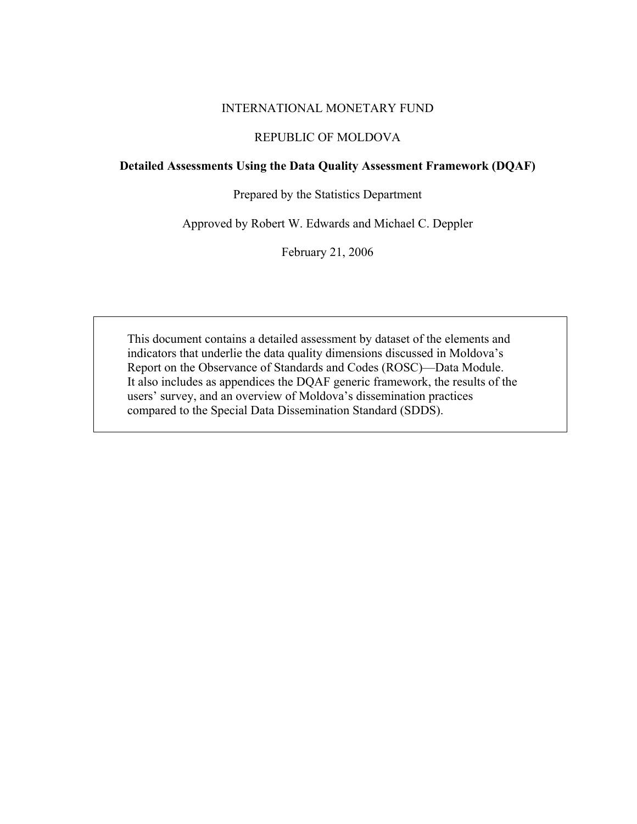#### INTERNATIONAL MONETARY FUND

## REPUBLIC OF MOLDOVA

#### **Detailed Assessments Using the Data Quality Assessment Framework (DQAF)**

#### Prepared by the Statistics Department

Approved by Robert W. Edwards and Michael C. Deppler

February 21, 2006

This document contains a detailed assessment by dataset of the elements and indicators that underlie the data quality dimensions discussed in Moldova's Report on the Observance of Standards and Codes (ROSC)—Data Module. It also includes as appendices the DQAF generic framework, the results of the users' survey, and an overview of Moldova's dissemination practices compared to the Special Data Dissemination Standard (SDDS).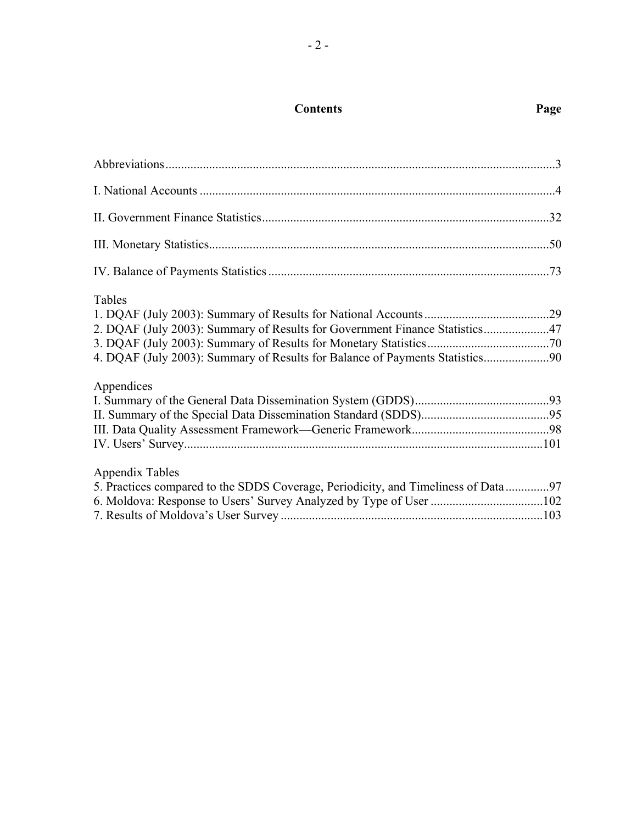| <b>Contents</b> | Page |
|-----------------|------|
|                 |      |

| ۰.<br>I<br>۰, |  |
|---------------|--|
|---------------|--|

| <b>Tables</b><br>2. DQAF (July 2003): Summary of Results for Government Finance Statistics47<br>4. DQAF (July 2003): Summary of Results for Balance of Payments Statistics90 |  |
|------------------------------------------------------------------------------------------------------------------------------------------------------------------------------|--|
| Appendices                                                                                                                                                                   |  |
| <b>Appendix Tables</b><br>5. Practices compared to the SDDS Coverage, Periodicity, and Timeliness of Data 97                                                                 |  |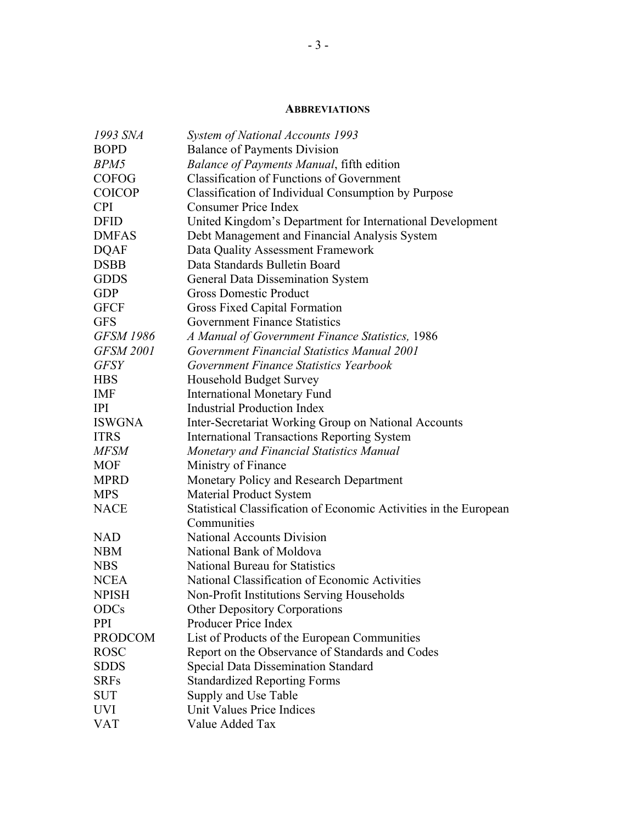#### **ABBREVIATIONS**

| 1993 SNA         | System of National Accounts 1993                                  |
|------------------|-------------------------------------------------------------------|
| <b>BOPD</b>      | <b>Balance of Payments Division</b>                               |
| BPM5             | <b>Balance of Payments Manual, fifth edition</b>                  |
| <b>COFOG</b>     | <b>Classification of Functions of Government</b>                  |
| <b>COICOP</b>    | Classification of Individual Consumption by Purpose               |
| <b>CPI</b>       | <b>Consumer Price Index</b>                                       |
| <b>DFID</b>      | United Kingdom's Department for International Development         |
| <b>DMFAS</b>     | Debt Management and Financial Analysis System                     |
| <b>DQAF</b>      | Data Quality Assessment Framework                                 |
| <b>DSBB</b>      | Data Standards Bulletin Board                                     |
| <b>GDDS</b>      | General Data Dissemination System                                 |
| <b>GDP</b>       | <b>Gross Domestic Product</b>                                     |
| <b>GFCF</b>      | Gross Fixed Capital Formation                                     |
| <b>GFS</b>       | <b>Government Finance Statistics</b>                              |
| <b>GFSM 1986</b> | A Manual of Government Finance Statistics, 1986                   |
| <b>GFSM 2001</b> | Government Financial Statistics Manual 2001                       |
| <b>GFSY</b>      | Government Finance Statistics Yearbook                            |
| <b>HBS</b>       | Household Budget Survey                                           |
| <b>IMF</b>       | <b>International Monetary Fund</b>                                |
| <b>IPI</b>       | <b>Industrial Production Index</b>                                |
| <b>ISWGNA</b>    | Inter-Secretariat Working Group on National Accounts              |
| <b>ITRS</b>      | <b>International Transactions Reporting System</b>                |
| <b>MFSM</b>      | Monetary and Financial Statistics Manual                          |
| <b>MOF</b>       | Ministry of Finance                                               |
| <b>MPRD</b>      | Monetary Policy and Research Department                           |
| <b>MPS</b>       | <b>Material Product System</b>                                    |
| <b>NACE</b>      | Statistical Classification of Economic Activities in the European |
|                  | Communities                                                       |
| <b>NAD</b>       | <b>National Accounts Division</b>                                 |
| <b>NBM</b>       | National Bank of Moldova                                          |
| <b>NBS</b>       | <b>National Bureau for Statistics</b>                             |
| <b>NCEA</b>      | National Classification of Economic Activities                    |
| <b>NPISH</b>     | Non-Profit Institutions Serving Households                        |
| <b>ODCs</b>      | <b>Other Depository Corporations</b>                              |
| <b>PPI</b>       | Producer Price Index                                              |
| <b>PRODCOM</b>   | List of Products of the European Communities                      |
| <b>ROSC</b>      | Report on the Observance of Standards and Codes                   |
| <b>SDDS</b>      | <b>Special Data Dissemination Standard</b>                        |
| <b>SRFs</b>      | <b>Standardized Reporting Forms</b>                               |
| <b>SUT</b>       | Supply and Use Table                                              |
| <b>UVI</b>       | Unit Values Price Indices                                         |
| <b>VAT</b>       | Value Added Tax                                                   |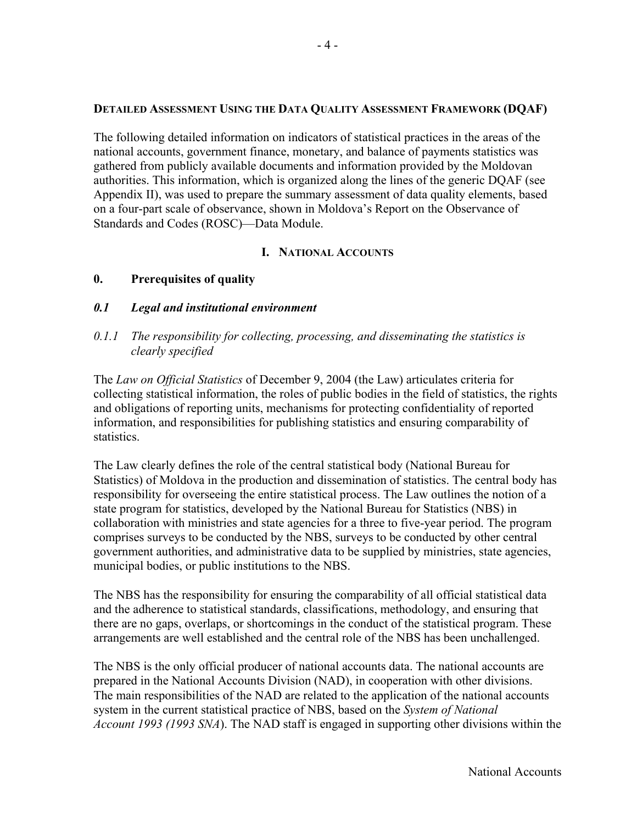#### **DETAILED ASSESSMENT USING THE DATA QUALITY ASSESSMENT FRAMEWORK (DQAF)**

The following detailed information on indicators of statistical practices in the areas of the national accounts, government finance, monetary, and balance of payments statistics was gathered from publicly available documents and information provided by the Moldovan authorities. This information, which is organized along the lines of the generic DQAF (see Appendix II), was used to prepare the summary assessment of data quality elements, based on a four-part scale of observance, shown in Moldova's Report on the Observance of Standards and Codes (ROSC)—Data Module.

## **I. NATIONAL ACCOUNTS**

## **0. Prerequisites of quality**

#### *0.1 Legal and institutional environment*

## *0.1.1 The responsibility for collecting, processing, and disseminating the statistics is clearly specified*

The *Law on Official Statistics* of December 9, 2004 (the Law) articulates criteria for collecting statistical information, the roles of public bodies in the field of statistics, the rights and obligations of reporting units, mechanisms for protecting confidentiality of reported information, and responsibilities for publishing statistics and ensuring comparability of statistics.

The Law clearly defines the role of the central statistical body (National Bureau for Statistics) of Moldova in the production and dissemination of statistics. The central body has responsibility for overseeing the entire statistical process. The Law outlines the notion of a state program for statistics, developed by the National Bureau for Statistics (NBS) in collaboration with ministries and state agencies for a three to five-year period. The program comprises surveys to be conducted by the NBS, surveys to be conducted by other central government authorities, and administrative data to be supplied by ministries, state agencies, municipal bodies, or public institutions to the NBS.

The NBS has the responsibility for ensuring the comparability of all official statistical data and the adherence to statistical standards, classifications, methodology, and ensuring that there are no gaps, overlaps, or shortcomings in the conduct of the statistical program. These arrangements are well established and the central role of the NBS has been unchallenged.

The NBS is the only official producer of national accounts data. The national accounts are prepared in the National Accounts Division (NAD), in cooperation with other divisions. The main responsibilities of the NAD are related to the application of the national accounts system in the current statistical practice of NBS, based on the *System of National Account 1993 (1993 SNA*). The NAD staff is engaged in supporting other divisions within the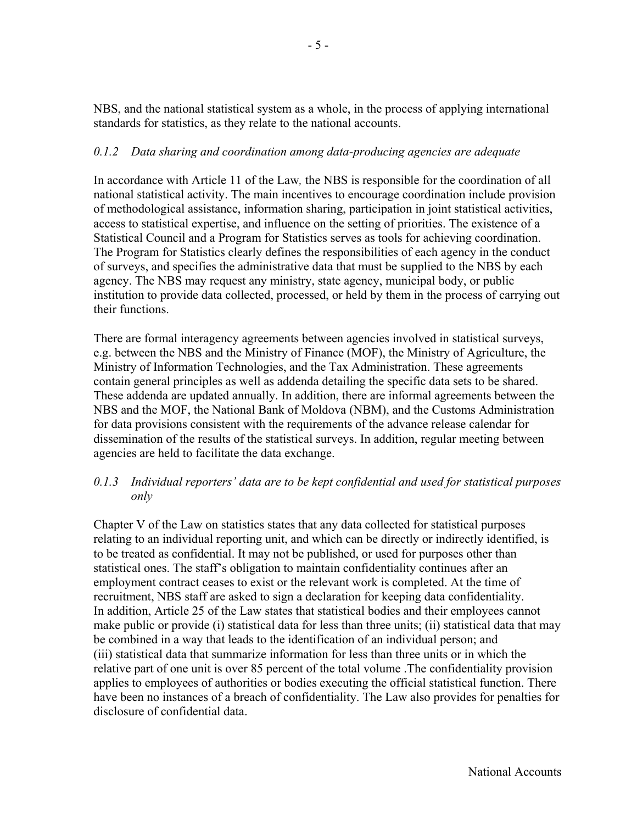NBS, and the national statistical system as a whole, in the process of applying international standards for statistics, as they relate to the national accounts.

## *0.1.2 Data sharing and coordination among data-producing agencies are adequate*

In accordance with Article 11 of the Law*,* the NBS is responsible for the coordination of all national statistical activity. The main incentives to encourage coordination include provision of methodological assistance, information sharing, participation in joint statistical activities, access to statistical expertise, and influence on the setting of priorities. The existence of a Statistical Council and a Program for Statistics serves as tools for achieving coordination. The Program for Statistics clearly defines the responsibilities of each agency in the conduct of surveys, and specifies the administrative data that must be supplied to the NBS by each agency. The NBS may request any ministry, state agency, municipal body, or public institution to provide data collected, processed, or held by them in the process of carrying out their functions.

There are formal interagency agreements between agencies involved in statistical surveys, e.g. between the NBS and the Ministry of Finance (MOF), the Ministry of Agriculture, the Ministry of Information Technologies, and the Tax Administration. These agreements contain general principles as well as addenda detailing the specific data sets to be shared. These addenda are updated annually. In addition, there are informal agreements between the NBS and the MOF, the National Bank of Moldova (NBM), and the Customs Administration for data provisions consistent with the requirements of the advance release calendar for dissemination of the results of the statistical surveys. In addition, regular meeting between agencies are held to facilitate the data exchange.

## *0.1.3 Individual reporters' data are to be kept confidential and used for statistical purposes only*

Chapter V of the Law on statistics states that any data collected for statistical purposes relating to an individual reporting unit, and which can be directly or indirectly identified, is to be treated as confidential. It may not be published, or used for purposes other than statistical ones. The staff's obligation to maintain confidentiality continues after an employment contract ceases to exist or the relevant work is completed. At the time of recruitment, NBS staff are asked to sign a declaration for keeping data confidentiality. In addition, Article 25 of the Law states that statistical bodies and their employees cannot make public or provide (i) statistical data for less than three units; (ii) statistical data that may be combined in a way that leads to the identification of an individual person; and (iii) statistical data that summarize information for less than three units or in which the relative part of one unit is over 85 percent of the total volume .The confidentiality provision applies to employees of authorities or bodies executing the official statistical function. There have been no instances of a breach of confidentiality. The Law also provides for penalties for disclosure of confidential data.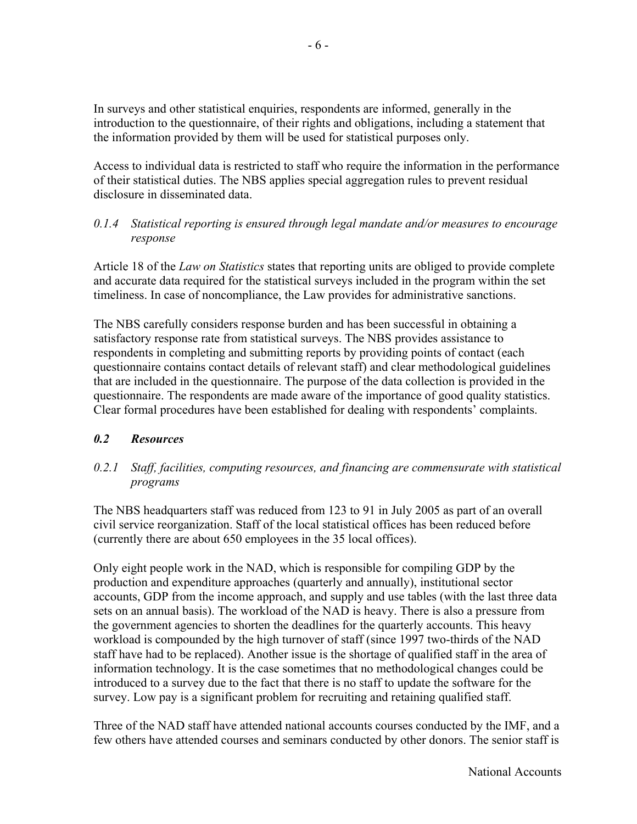In surveys and other statistical enquiries, respondents are informed, generally in the introduction to the questionnaire, of their rights and obligations, including a statement that the information provided by them will be used for statistical purposes only.

Access to individual data is restricted to staff who require the information in the performance of their statistical duties. The NBS applies special aggregation rules to prevent residual disclosure in disseminated data.

## *0.1.4 Statistical reporting is ensured through legal mandate and/or measures to encourage response*

Article 18 of the *Law on Statistics* states that reporting units are obliged to provide complete and accurate data required for the statistical surveys included in the program within the set timeliness. In case of noncompliance, the Law provides for administrative sanctions.

The NBS carefully considers response burden and has been successful in obtaining a satisfactory response rate from statistical surveys. The NBS provides assistance to respondents in completing and submitting reports by providing points of contact (each questionnaire contains contact details of relevant staff) and clear methodological guidelines that are included in the questionnaire. The purpose of the data collection is provided in the questionnaire. The respondents are made aware of the importance of good quality statistics. Clear formal procedures have been established for dealing with respondents' complaints.

## *0.2 Resources*

## *0.2.1 Staff, facilities, computing resources, and financing are commensurate with statistical programs*

The NBS headquarters staff was reduced from 123 to 91 in July 2005 as part of an overall civil service reorganization. Staff of the local statistical offices has been reduced before (currently there are about 650 employees in the 35 local offices).

Only eight people work in the NAD, which is responsible for compiling GDP by the production and expenditure approaches (quarterly and annually), institutional sector accounts, GDP from the income approach, and supply and use tables (with the last three data sets on an annual basis). The workload of the NAD is heavy. There is also a pressure from the government agencies to shorten the deadlines for the quarterly accounts. This heavy workload is compounded by the high turnover of staff (since 1997 two-thirds of the NAD staff have had to be replaced). Another issue is the shortage of qualified staff in the area of information technology. It is the case sometimes that no methodological changes could be introduced to a survey due to the fact that there is no staff to update the software for the survey. Low pay is a significant problem for recruiting and retaining qualified staff.

Three of the NAD staff have attended national accounts courses conducted by the IMF, and a few others have attended courses and seminars conducted by other donors. The senior staff is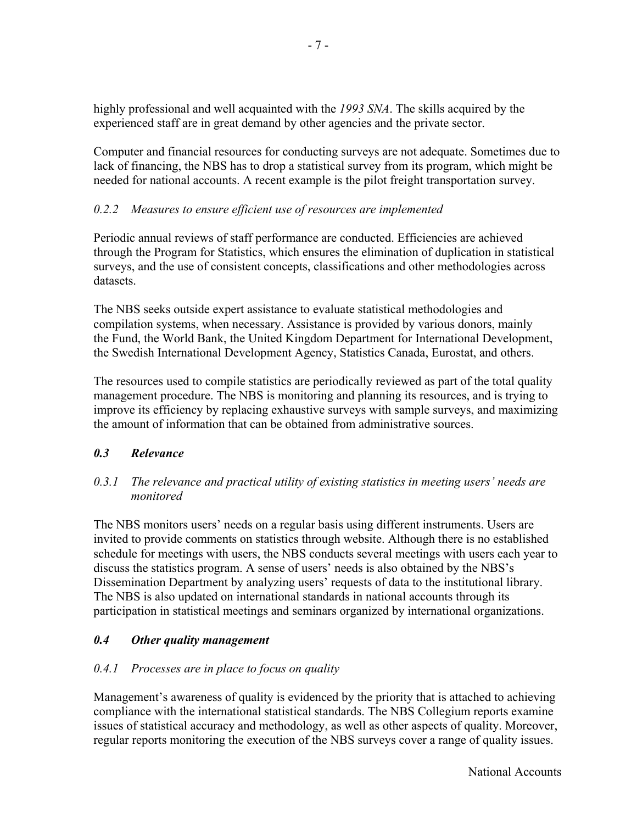highly professional and well acquainted with the *1993 SNA*. The skills acquired by the experienced staff are in great demand by other agencies and the private sector.

Computer and financial resources for conducting surveys are not adequate. Sometimes due to lack of financing, the NBS has to drop a statistical survey from its program, which might be needed for national accounts. A recent example is the pilot freight transportation survey.

## *0.2.2 Measures to ensure efficient use of resources are implemented*

Periodic annual reviews of staff performance are conducted. Efficiencies are achieved through the Program for Statistics, which ensures the elimination of duplication in statistical surveys, and the use of consistent concepts, classifications and other methodologies across datasets.

The NBS seeks outside expert assistance to evaluate statistical methodologies and compilation systems, when necessary. Assistance is provided by various donors, mainly the Fund, the World Bank, the United Kingdom Department for International Development, the Swedish International Development Agency, Statistics Canada, Eurostat, and others.

The resources used to compile statistics are periodically reviewed as part of the total quality management procedure. The NBS is monitoring and planning its resources, and is trying to improve its efficiency by replacing exhaustive surveys with sample surveys, and maximizing the amount of information that can be obtained from administrative sources.

## *0.3 Relevance*

## *0.3.1 The relevance and practical utility of existing statistics in meeting users' needs are monitored*

The NBS monitors users' needs on a regular basis using different instruments. Users are invited to provide comments on statistics through website. Although there is no established schedule for meetings with users, the NBS conducts several meetings with users each year to discuss the statistics program. A sense of users' needs is also obtained by the NBS's Dissemination Department by analyzing users' requests of data to the institutional library. The NBS is also updated on international standards in national accounts through its participation in statistical meetings and seminars organized by international organizations.

## *0.4 Other quality management*

## *0.4.1 Processes are in place to focus on quality*

Management's awareness of quality is evidenced by the priority that is attached to achieving compliance with the international statistical standards. The NBS Collegium reports examine issues of statistical accuracy and methodology, as well as other aspects of quality. Moreover, regular reports monitoring the execution of the NBS surveys cover a range of quality issues.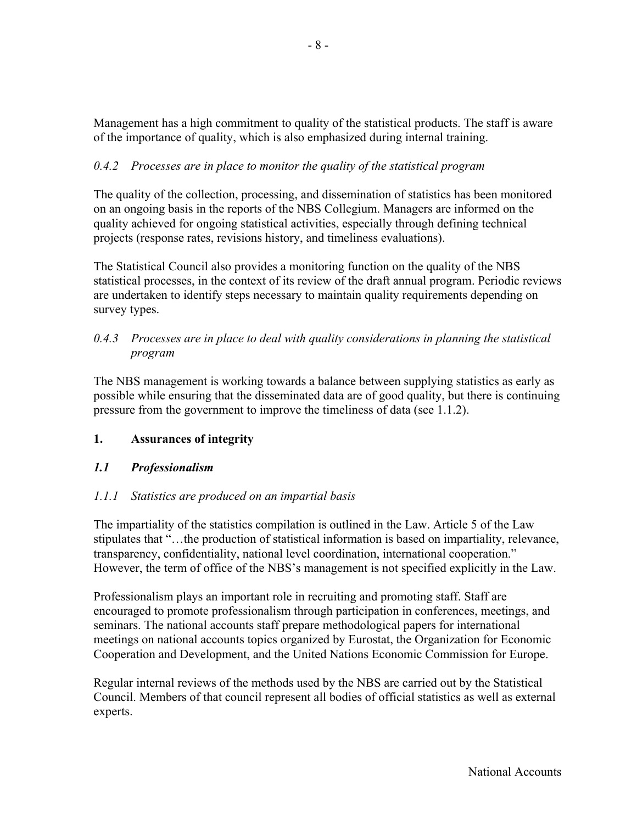Management has a high commitment to quality of the statistical products. The staff is aware of the importance of quality, which is also emphasized during internal training.

# *0.4.2 Processes are in place to monitor the quality of the statistical program*

The quality of the collection, processing, and dissemination of statistics has been monitored on an ongoing basis in the reports of the NBS Collegium. Managers are informed on the quality achieved for ongoing statistical activities, especially through defining technical projects (response rates, revisions history, and timeliness evaluations).

The Statistical Council also provides a monitoring function on the quality of the NBS statistical processes, in the context of its review of the draft annual program. Periodic reviews are undertaken to identify steps necessary to maintain quality requirements depending on survey types.

## *0.4.3 Processes are in place to deal with quality considerations in planning the statistical program*

The NBS management is working towards a balance between supplying statistics as early as possible while ensuring that the disseminated data are of good quality, but there is continuing pressure from the government to improve the timeliness of data (see 1.1.2).

# **1. Assurances of integrity**

# *1.1 Professionalism*

# *1.1.1 Statistics are produced on an impartial basis*

The impartiality of the statistics compilation is outlined in the Law. Article 5 of the Law stipulates that "…the production of statistical information is based on impartiality, relevance, transparency, confidentiality, national level coordination, international cooperation." However, the term of office of the NBS's management is not specified explicitly in the Law.

Professionalism plays an important role in recruiting and promoting staff. Staff are encouraged to promote professionalism through participation in conferences, meetings, and seminars. The national accounts staff prepare methodological papers for international meetings on national accounts topics organized by Eurostat, the Organization for Economic Cooperation and Development, and the United Nations Economic Commission for Europe.

Regular internal reviews of the methods used by the NBS are carried out by the Statistical Council. Members of that council represent all bodies of official statistics as well as external experts.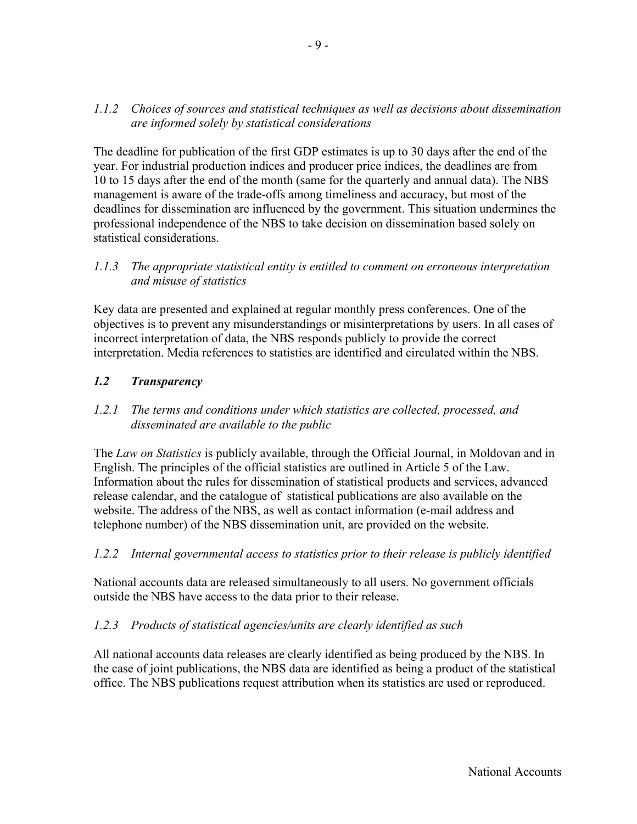### *1.1.2 Choices of sources and statistical techniques as well as decisions about dissemination are informed solely by statistical considerations*

The deadline for publication of the first GDP estimates is up to 30 days after the end of the year. For industrial production indices and producer price indices, the deadlines are from 10 to 15 days after the end of the month (same for the quarterly and annual data). The NBS management is aware of the trade-offs among timeliness and accuracy, but most of the deadlines for dissemination are influenced by the government. This situation undermines the professional independence of the NBS to take decision on dissemination based solely on statistical considerations.

#### *1.1.3 The appropriate statistical entity is entitled to comment on erroneous interpretation and misuse of statistics*

Key data are presented and explained at regular monthly press conferences. One of the objectives is to prevent any misunderstandings or misinterpretations by users. In all cases of incorrect interpretation of data, the NBS responds publicly to provide the correct interpretation. Media references to statistics are identified and circulated within the NBS.

## *1.2 Transparency*

### *1.2.1 The terms and conditions under which statistics are collected, processed, and disseminated are available to the public*

The *Law on Statistics* is publicly available, through the Official Journal, in Moldovan and in English. The principles of the official statistics are outlined in Article 5 of the Law. Information about the rules for dissemination of statistical products and services, advanced release calendar, and the catalogue of statistical publications are also available on the website. The address of the NBS, as well as contact information (e-mail address and telephone number) of the NBS dissemination unit, are provided on the website.

### *1.2.2 Internal governmental access to statistics prior to their release is publicly identified*

National accounts data are released simultaneously to all users. No government officials outside the NBS have access to the data prior to their release.

### *1.2.3 Products of statistical agencies/units are clearly identified as such*

All national accounts data releases are clearly identified as being produced by the NBS. In the case of joint publications, the NBS data are identified as being a product of the statistical office. The NBS publications request attribution when its statistics are used or reproduced.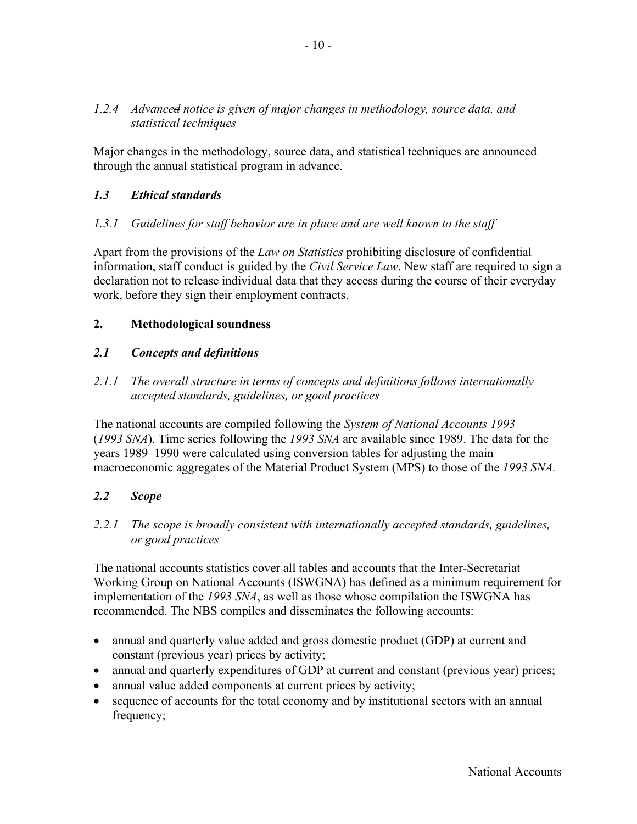### *1.2.4 Advanced notice is given of major changes in methodology, source data, and statistical techniques*

Major changes in the methodology, source data, and statistical techniques are announced through the annual statistical program in advance.

## *1.3 Ethical standards*

#### *1.3.1 Guidelines for staff behavior are in place and are well known to the staff*

Apart from the provisions of the *Law on Statistics* prohibiting disclosure of confidential information, staff conduct is guided by the *Civil Service Law*. New staff are required to sign a declaration not to release individual data that they access during the course of their everyday work, before they sign their employment contracts.

#### **2. Methodological soundness**

#### *2.1 Concepts and definitions*

### *2.1.1 The overall structure in terms of concepts and definitions follows internationally accepted standards, guidelines, or good practices*

The national accounts are compiled following the *System of National Accounts 1993* (*1993 SNA*). Time series following the *1993 SNA* are available since 1989. The data for the years 1989–1990 were calculated using conversion tables for adjusting the main macroeconomic aggregates of the Material Product System (MPS) to those of the *1993 SNA.*

### *2.2 Scope*

#### *2.2.1 The scope is broadly consistent with internationally accepted standards, guidelines, or good practices*

The national accounts statistics cover all tables and accounts that the Inter-Secretariat Working Group on National Accounts (ISWGNA) has defined as a minimum requirement for implementation of the *1993 SNA*, as well as those whose compilation the ISWGNA has recommended. The NBS compiles and disseminates the following accounts:

- annual and quarterly value added and gross domestic product (GDP) at current and constant (previous year) prices by activity;
- annual and quarterly expenditures of GDP at current and constant (previous year) prices;
- annual value added components at current prices by activity;
- sequence of accounts for the total economy and by institutional sectors with an annual frequency;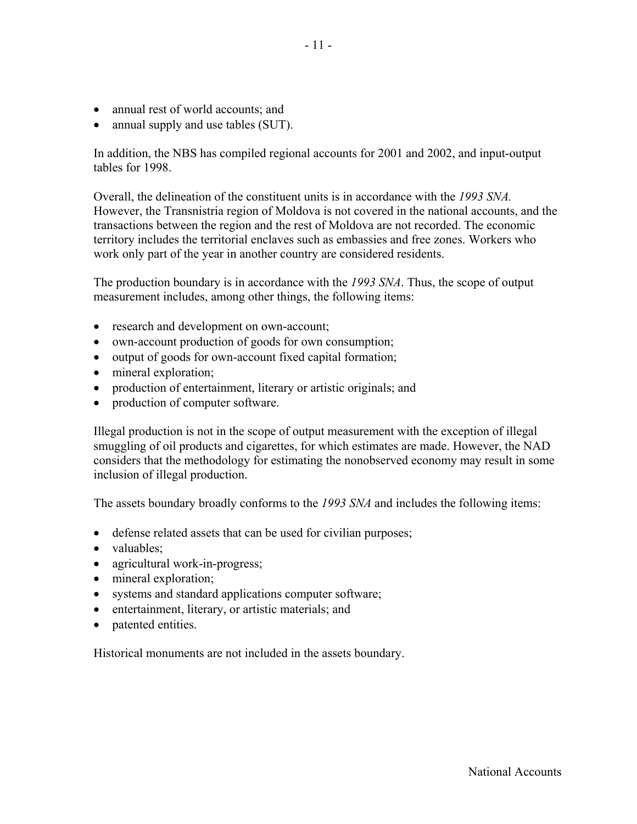- annual rest of world accounts; and
- annual supply and use tables (SUT).

In addition, the NBS has compiled regional accounts for 2001 and 2002, and input-output tables for 1998.

Overall, the delineation of the constituent units is in accordance with the *1993 SNA.* However, the Transnistria region of Moldova is not covered in the national accounts, and the transactions between the region and the rest of Moldova are not recorded. The economic territory includes the territorial enclaves such as embassies and free zones. Workers who work only part of the year in another country are considered residents.

The production boundary is in accordance with the *1993 SNA*. Thus, the scope of output measurement includes, among other things, the following items:

- research and development on own-account;
- own-account production of goods for own consumption;
- output of goods for own-account fixed capital formation;
- mineral exploration;
- production of entertainment, literary or artistic originals; and
- production of computer software.

Illegal production is not in the scope of output measurement with the exception of illegal smuggling of oil products and cigarettes, for which estimates are made. However, the NAD considers that the methodology for estimating the nonobserved economy may result in some inclusion of illegal production.

The assets boundary broadly conforms to the *1993 SNA* and includes the following items:

- defense related assets that can be used for civilian purposes;
- valuables:
- agricultural work-in-progress;
- mineral exploration;
- systems and standard applications computer software;
- entertainment, literary, or artistic materials; and
- patented entities.

Historical monuments are not included in the assets boundary.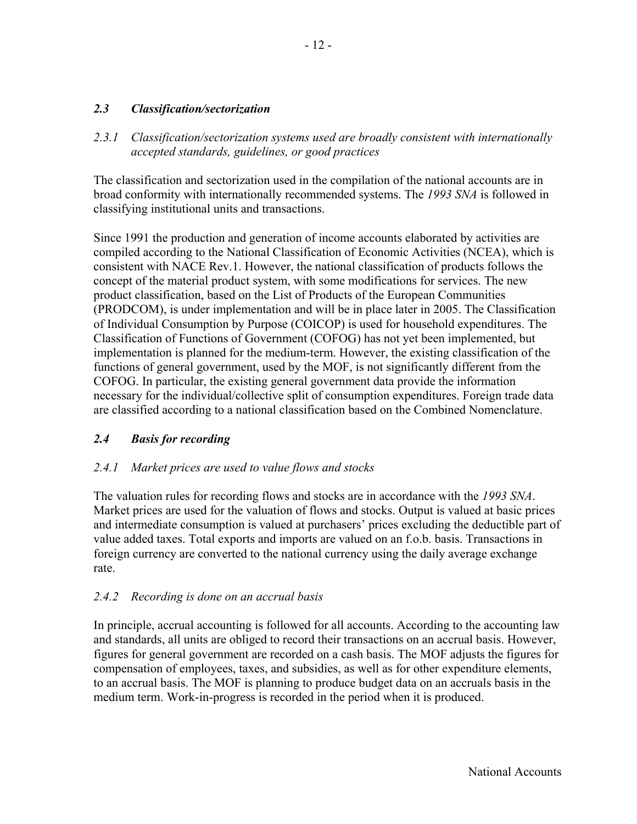#### *2.3 Classification/sectorization*

*2.3.1 Classification/sectorization systems used are broadly consistent with internationally accepted standards, guidelines, or good practices* 

The classification and sectorization used in the compilation of the national accounts are in broad conformity with internationally recommended systems. The *1993 SNA* is followed in classifying institutional units and transactions.

Since 1991 the production and generation of income accounts elaborated by activities are compiled according to the National Classification of Economic Activities (NCEA), which is consistent with NACE Rev.1. However, the national classification of products follows the concept of the material product system, with some modifications for services. The new product classification, based on the List of Products of the European Communities (PRODCOM), is under implementation and will be in place later in 2005. The Classification of Individual Consumption by Purpose (COICOP) is used for household expenditures. The Classification of Functions of Government (COFOG) has not yet been implemented, but implementation is planned for the medium-term. However, the existing classification of the functions of general government, used by the MOF, is not significantly different from the COFOG. In particular, the existing general government data provide the information necessary for the individual/collective split of consumption expenditures. Foreign trade data are classified according to a national classification based on the Combined Nomenclature.

### *2.4 Basis for recording*

#### *2.4.1 Market prices are used to value flows and stocks*

The valuation rules for recording flows and stocks are in accordance with the *1993 SNA*. Market prices are used for the valuation of flows and stocks. Output is valued at basic prices and intermediate consumption is valued at purchasers' prices excluding the deductible part of value added taxes. Total exports and imports are valued on an f.o.b. basis. Transactions in foreign currency are converted to the national currency using the daily average exchange rate.

#### *2.4.2 Recording is done on an accrual basis*

In principle, accrual accounting is followed for all accounts. According to the accounting law and standards, all units are obliged to record their transactions on an accrual basis. However, figures for general government are recorded on a cash basis. The MOF adjusts the figures for compensation of employees, taxes, and subsidies, as well as for other expenditure elements, to an accrual basis. The MOF is planning to produce budget data on an accruals basis in the medium term. Work-in-progress is recorded in the period when it is produced.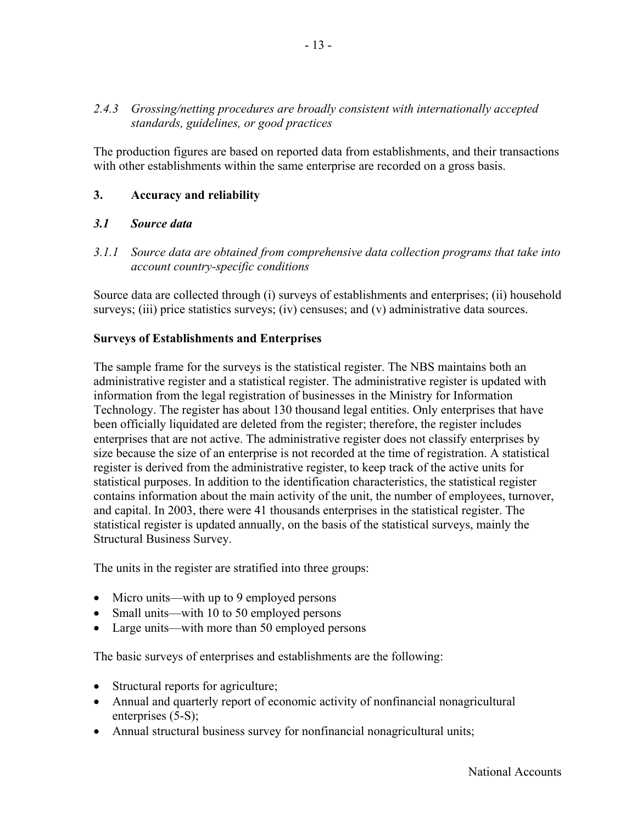### *2.4.3 Grossing/netting procedures are broadly consistent with internationally accepted standards, guidelines, or good practices*

The production figures are based on reported data from establishments, and their transactions with other establishments within the same enterprise are recorded on a gross basis.

## **3. Accuracy and reliability**

#### *3.1 Source data*

*3.1.1 Source data are obtained from comprehensive data collection programs that take into account country-specific conditions* 

Source data are collected through (i) surveys of establishments and enterprises; (ii) household surveys; (iii) price statistics surveys; (iv) censuses; and (v) administrative data sources.

#### **Surveys of Establishments and Enterprises**

The sample frame for the surveys is the statistical register. The NBS maintains both an administrative register and a statistical register. The administrative register is updated with information from the legal registration of businesses in the Ministry for Information Technology. The register has about 130 thousand legal entities. Only enterprises that have been officially liquidated are deleted from the register; therefore, the register includes enterprises that are not active. The administrative register does not classify enterprises by size because the size of an enterprise is not recorded at the time of registration. A statistical register is derived from the administrative register, to keep track of the active units for statistical purposes. In addition to the identification characteristics, the statistical register contains information about the main activity of the unit, the number of employees, turnover, and capital. In 2003, there were 41 thousands enterprises in the statistical register. The statistical register is updated annually, on the basis of the statistical surveys, mainly the Structural Business Survey.

The units in the register are stratified into three groups:

- Micro units—with up to 9 employed persons
- Small units—with 10 to 50 employed persons
- Large units—with more than 50 employed persons

The basic surveys of enterprises and establishments are the following:

- Structural reports for agriculture;
- Annual and quarterly report of economic activity of nonfinancial nonagricultural enterprises (5-S);
- Annual structural business survey for nonfinancial nonagricultural units;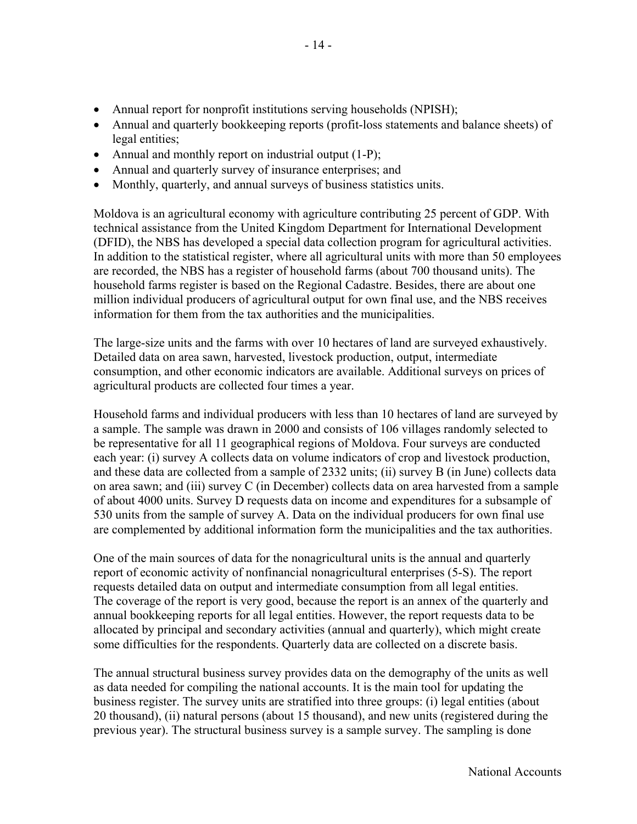- Annual report for nonprofit institutions serving households (NPISH);
- Annual and quarterly bookkeeping reports (profit-loss statements and balance sheets) of legal entities;
- Annual and monthly report on industrial output (1-P);
- Annual and quarterly survey of insurance enterprises; and
- Monthly, quarterly, and annual surveys of business statistics units.

Moldova is an agricultural economy with agriculture contributing 25 percent of GDP. With technical assistance from the United Kingdom Department for International Development (DFID), the NBS has developed a special data collection program for agricultural activities. In addition to the statistical register, where all agricultural units with more than 50 employees are recorded, the NBS has a register of household farms (about 700 thousand units). The household farms register is based on the Regional Cadastre. Besides, there are about one million individual producers of agricultural output for own final use, and the NBS receives information for them from the tax authorities and the municipalities.

The large-size units and the farms with over 10 hectares of land are surveyed exhaustively. Detailed data on area sawn, harvested, livestock production, output, intermediate consumption, and other economic indicators are available. Additional surveys on prices of agricultural products are collected four times a year.

Household farms and individual producers with less than 10 hectares of land are surveyed by a sample. The sample was drawn in 2000 and consists of 106 villages randomly selected to be representative for all 11 geographical regions of Moldova. Four surveys are conducted each year: (i) survey A collects data on volume indicators of crop and livestock production, and these data are collected from a sample of 2332 units; (ii) survey B (in June) collects data on area sawn; and (iii) survey C (in December) collects data on area harvested from a sample of about 4000 units. Survey D requests data on income and expenditures for a subsample of 530 units from the sample of survey A. Data on the individual producers for own final use are complemented by additional information form the municipalities and the tax authorities.

One of the main sources of data for the nonagricultural units is the annual and quarterly report of economic activity of nonfinancial nonagricultural enterprises (5-S). The report requests detailed data on output and intermediate consumption from all legal entities. The coverage of the report is very good, because the report is an annex of the quarterly and annual bookkeeping reports for all legal entities. However, the report requests data to be allocated by principal and secondary activities (annual and quarterly), which might create some difficulties for the respondents. Quarterly data are collected on a discrete basis.

The annual structural business survey provides data on the demography of the units as well as data needed for compiling the national accounts. It is the main tool for updating the business register. The survey units are stratified into three groups: (i) legal entities (about 20 thousand), (ii) natural persons (about 15 thousand), and new units (registered during the previous year). The structural business survey is a sample survey. The sampling is done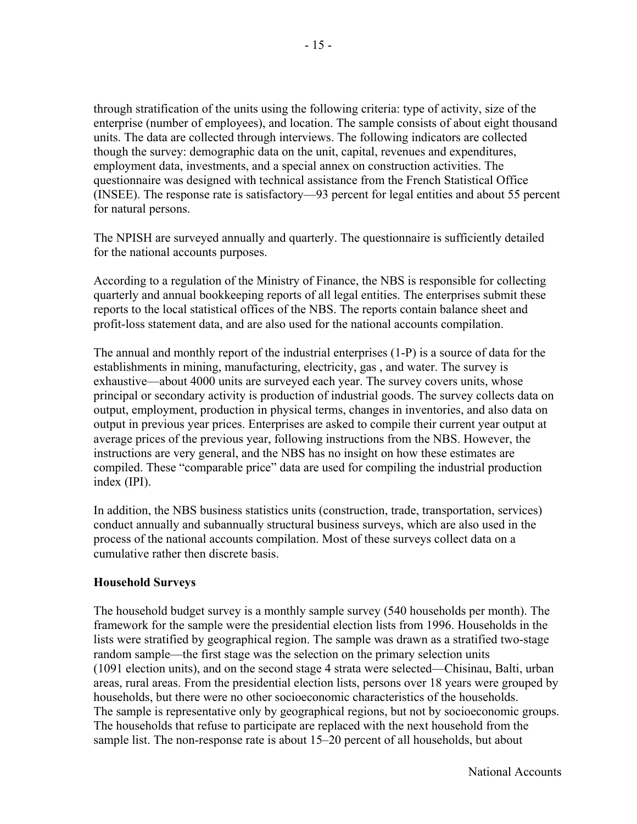through stratification of the units using the following criteria: type of activity, size of the enterprise (number of employees), and location. The sample consists of about eight thousand units. The data are collected through interviews. The following indicators are collected though the survey: demographic data on the unit, capital, revenues and expenditures, employment data, investments, and a special annex on construction activities. The questionnaire was designed with technical assistance from the French Statistical Office (INSEE). The response rate is satisfactory—93 percent for legal entities and about 55 percent for natural persons.

The NPISH are surveyed annually and quarterly. The questionnaire is sufficiently detailed for the national accounts purposes.

According to a regulation of the Ministry of Finance, the NBS is responsible for collecting quarterly and annual bookkeeping reports of all legal entities. The enterprises submit these reports to the local statistical offices of the NBS. The reports contain balance sheet and profit-loss statement data, and are also used for the national accounts compilation.

The annual and monthly report of the industrial enterprises (1-P) is a source of data for the establishments in mining, manufacturing, electricity, gas , and water. The survey is exhaustive—about 4000 units are surveyed each year. The survey covers units, whose principal or secondary activity is production of industrial goods. The survey collects data on output, employment, production in physical terms, changes in inventories, and also data on output in previous year prices. Enterprises are asked to compile their current year output at average prices of the previous year, following instructions from the NBS. However, the instructions are very general, and the NBS has no insight on how these estimates are compiled. These "comparable price" data are used for compiling the industrial production index (IPI).

In addition, the NBS business statistics units (construction, trade, transportation, services) conduct annually and subannually structural business surveys, which are also used in the process of the national accounts compilation. Most of these surveys collect data on a cumulative rather then discrete basis.

#### **Household Surveys**

The household budget survey is a monthly sample survey (540 households per month). The framework for the sample were the presidential election lists from 1996. Households in the lists were stratified by geographical region. The sample was drawn as a stratified two-stage random sample—the first stage was the selection on the primary selection units (1091 election units), and on the second stage 4 strata were selected—Chisinau, Balti, urban areas, rural areas. From the presidential election lists, persons over 18 years were grouped by households, but there were no other socioeconomic characteristics of the households. The sample is representative only by geographical regions, but not by socioeconomic groups. The households that refuse to participate are replaced with the next household from the sample list. The non-response rate is about 15–20 percent of all households, but about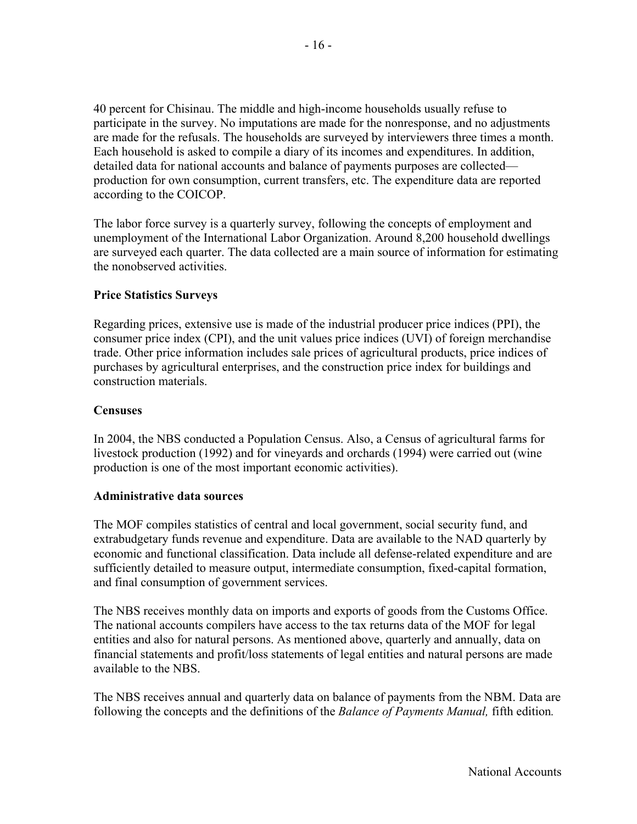40 percent for Chisinau. The middle and high-income households usually refuse to participate in the survey. No imputations are made for the nonresponse, and no adjustments are made for the refusals. The households are surveyed by interviewers three times a month. Each household is asked to compile a diary of its incomes and expenditures. In addition, detailed data for national accounts and balance of payments purposes are collected production for own consumption, current transfers, etc. The expenditure data are reported according to the COICOP.

The labor force survey is a quarterly survey, following the concepts of employment and unemployment of the International Labor Organization. Around 8,200 household dwellings are surveyed each quarter. The data collected are a main source of information for estimating the nonobserved activities.

#### **Price Statistics Surveys**

Regarding prices, extensive use is made of the industrial producer price indices (PPI), the consumer price index (CPI), and the unit values price indices (UVI) of foreign merchandise trade. Other price information includes sale prices of agricultural products, price indices of purchases by agricultural enterprises, and the construction price index for buildings and construction materials.

#### **Censuses**

In 2004, the NBS conducted a Population Census. Also, a Census of agricultural farms for livestock production (1992) and for vineyards and orchards (1994) were carried out (wine production is one of the most important economic activities).

#### **Administrative data sources**

The MOF compiles statistics of central and local government, social security fund, and extrabudgetary funds revenue and expenditure. Data are available to the NAD quarterly by economic and functional classification. Data include all defense-related expenditure and are sufficiently detailed to measure output, intermediate consumption, fixed-capital formation, and final consumption of government services.

The NBS receives monthly data on imports and exports of goods from the Customs Office. The national accounts compilers have access to the tax returns data of the MOF for legal entities and also for natural persons. As mentioned above, quarterly and annually, data on financial statements and profit/loss statements of legal entities and natural persons are made available to the NBS.

The NBS receives annual and quarterly data on balance of payments from the NBM. Data are following the concepts and the definitions of the *Balance of Payments Manual,* fifth edition*.*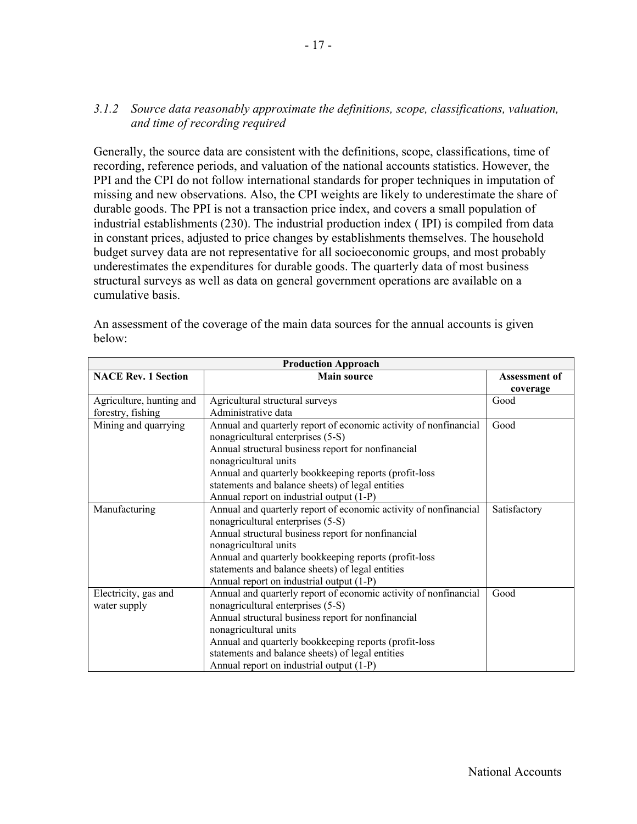#### *3.1.2 Source data reasonably approximate the definitions, scope, classifications, valuation, and time of recording required*

Generally, the source data are consistent with the definitions, scope, classifications, time of recording, reference periods, and valuation of the national accounts statistics. However, the PPI and the CPI do not follow international standards for proper techniques in imputation of missing and new observations. Also, the CPI weights are likely to underestimate the share of durable goods. The PPI is not a transaction price index, and covers a small population of industrial establishments (230). The industrial production index ( IPI) is compiled from data in constant prices, adjusted to price changes by establishments themselves. The household budget survey data are not representative for all socioeconomic groups, and most probably underestimates the expenditures for durable goods. The quarterly data of most business structural surveys as well as data on general government operations are available on a cumulative basis.

|                            | <b>Production Approach</b>                                       |               |
|----------------------------|------------------------------------------------------------------|---------------|
| <b>NACE Rev. 1 Section</b> | <b>Main source</b>                                               | Assessment of |
|                            |                                                                  | coverage      |
| Agriculture, hunting and   | Agricultural structural surveys                                  | Good          |
| forestry, fishing          | Administrative data                                              |               |
| Mining and quarrying       | Annual and quarterly report of economic activity of nonfinancial | Good          |
|                            | nonagricultural enterprises (5-S)                                |               |
|                            | Annual structural business report for nonfinancial               |               |
|                            | nonagricultural units                                            |               |
|                            | Annual and quarterly bookkeeping reports (profit-loss            |               |
|                            | statements and balance sheets) of legal entities                 |               |
|                            | Annual report on industrial output (1-P)                         |               |
| Manufacturing              | Annual and quarterly report of economic activity of nonfinancial | Satisfactory  |
|                            | nonagricultural enterprises (5-S)                                |               |
|                            | Annual structural business report for nonfinancial               |               |
|                            | nonagricultural units                                            |               |
|                            | Annual and quarterly bookkeeping reports (profit-loss            |               |
|                            | statements and balance sheets) of legal entities                 |               |
|                            | Annual report on industrial output (1-P)                         |               |
| Electricity, gas and       | Annual and quarterly report of economic activity of nonfinancial | Good          |
| water supply               | nonagricultural enterprises (5-S)                                |               |
|                            | Annual structural business report for nonfinancial               |               |
|                            | nonagricultural units                                            |               |
|                            | Annual and quarterly bookkeeping reports (profit-loss            |               |
|                            | statements and balance sheets) of legal entities                 |               |
|                            | Annual report on industrial output (1-P)                         |               |

An assessment of the coverage of the main data sources for the annual accounts is given below: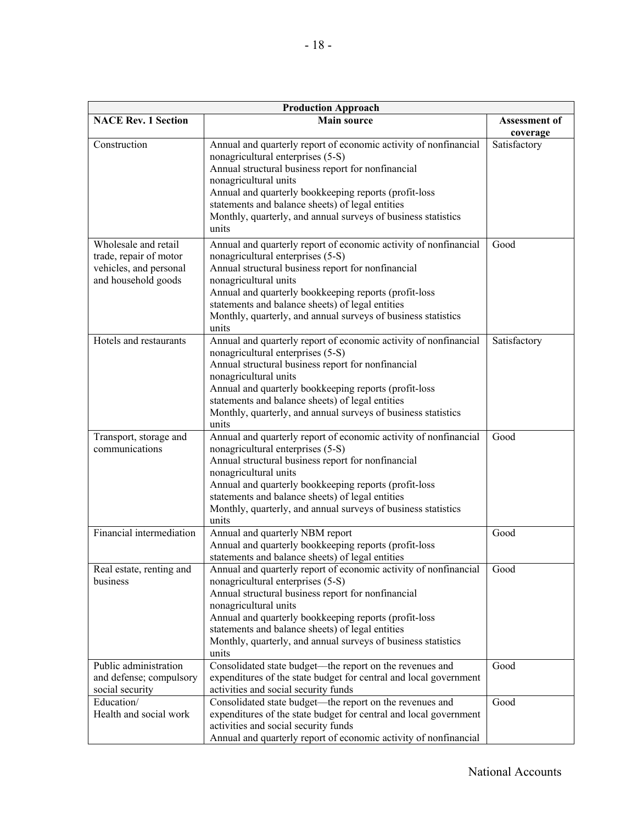|                                                                                                 | <b>Production Approach</b>                                                                                                                                                                                                                                                                                                                                                  |                           |  |  |  |  |  |  |
|-------------------------------------------------------------------------------------------------|-----------------------------------------------------------------------------------------------------------------------------------------------------------------------------------------------------------------------------------------------------------------------------------------------------------------------------------------------------------------------------|---------------------------|--|--|--|--|--|--|
| <b>NACE Rev. 1 Section</b>                                                                      | <b>Main source</b>                                                                                                                                                                                                                                                                                                                                                          | Assessment of<br>coverage |  |  |  |  |  |  |
| Construction                                                                                    | Annual and quarterly report of economic activity of nonfinancial<br>nonagricultural enterprises (5-S)<br>Annual structural business report for nonfinancial<br>nonagricultural units<br>Annual and quarterly bookkeeping reports (profit-loss<br>statements and balance sheets) of legal entities<br>Monthly, quarterly, and annual surveys of business statistics<br>units | Satisfactory              |  |  |  |  |  |  |
| Wholesale and retail<br>trade, repair of motor<br>vehicles, and personal<br>and household goods | Annual and quarterly report of economic activity of nonfinancial<br>nonagricultural enterprises (5-S)<br>Annual structural business report for nonfinancial<br>nonagricultural units<br>Annual and quarterly bookkeeping reports (profit-loss<br>statements and balance sheets) of legal entities<br>Monthly, quarterly, and annual surveys of business statistics<br>units | Good                      |  |  |  |  |  |  |
| Hotels and restaurants                                                                          | Annual and quarterly report of economic activity of nonfinancial<br>nonagricultural enterprises (5-S)<br>Annual structural business report for nonfinancial<br>nonagricultural units<br>Annual and quarterly bookkeeping reports (profit-loss<br>statements and balance sheets) of legal entities<br>Monthly, quarterly, and annual surveys of business statistics<br>units | Satisfactory              |  |  |  |  |  |  |
| Transport, storage and<br>communications                                                        | Annual and quarterly report of economic activity of nonfinancial<br>nonagricultural enterprises (5-S)<br>Annual structural business report for nonfinancial<br>nonagricultural units<br>Annual and quarterly bookkeeping reports (profit-loss<br>statements and balance sheets) of legal entities<br>Monthly, quarterly, and annual surveys of business statistics<br>units | Good                      |  |  |  |  |  |  |
| Financial intermediation                                                                        | Annual and quarterly NBM report<br>Annual and quarterly bookkeeping reports (profit-loss<br>statements and balance sheets) of legal entities                                                                                                                                                                                                                                | Good                      |  |  |  |  |  |  |
| Real estate, renting and<br>business                                                            | Annual and quarterly report of economic activity of nonfinancial<br>nonagricultural enterprises (5-S)<br>Annual structural business report for nonfinancial<br>nonagricultural units<br>Annual and quarterly bookkeeping reports (profit-loss<br>statements and balance sheets) of legal entities<br>Monthly, quarterly, and annual surveys of business statistics<br>units | Good                      |  |  |  |  |  |  |
| Public administration<br>and defense; compulsory<br>social security                             | Consolidated state budget—the report on the revenues and<br>expenditures of the state budget for central and local government<br>activities and social security funds                                                                                                                                                                                                       | Good                      |  |  |  |  |  |  |
| Education/<br>Health and social work                                                            | Consolidated state budget—the report on the revenues and<br>expenditures of the state budget for central and local government<br>activities and social security funds<br>Annual and quarterly report of economic activity of nonfinancial                                                                                                                                   | Good                      |  |  |  |  |  |  |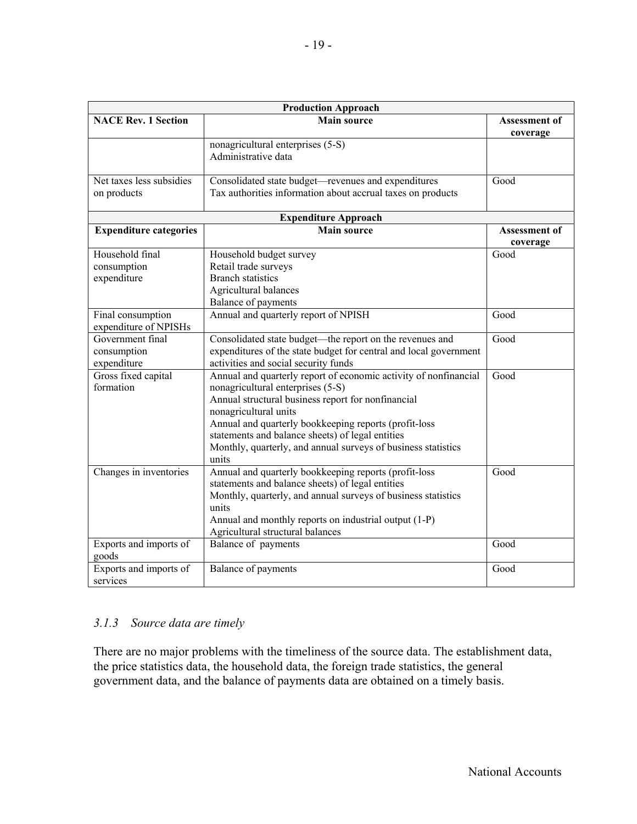| <b>NACE Rev. 1 Section</b>                     | <b>Main source</b>                                                                                                                                                                                                                                                                                                                                                          | <b>Assessment of</b><br>coverage |
|------------------------------------------------|-----------------------------------------------------------------------------------------------------------------------------------------------------------------------------------------------------------------------------------------------------------------------------------------------------------------------------------------------------------------------------|----------------------------------|
|                                                | nonagricultural enterprises (5-S)<br>Administrative data                                                                                                                                                                                                                                                                                                                    |                                  |
| Net taxes less subsidies<br>on products        | Consolidated state budget-revenues and expenditures<br>Tax authorities information about accrual taxes on products                                                                                                                                                                                                                                                          | Good                             |
|                                                | <b>Expenditure Approach</b>                                                                                                                                                                                                                                                                                                                                                 |                                  |
| <b>Expenditure categories</b>                  | <b>Main source</b>                                                                                                                                                                                                                                                                                                                                                          | <b>Assessment of</b><br>coverage |
| Household final<br>consumption<br>expenditure  | Household budget survey<br>Retail trade surveys<br><b>Branch statistics</b><br>Agricultural balances<br>Balance of payments                                                                                                                                                                                                                                                 | Good                             |
| Final consumption<br>expenditure of NPISHs     | Annual and quarterly report of NPISH                                                                                                                                                                                                                                                                                                                                        | Good                             |
| Government final<br>consumption<br>expenditure | Consolidated state budget-the report on the revenues and<br>expenditures of the state budget for central and local government<br>activities and social security funds                                                                                                                                                                                                       | Good                             |
| Gross fixed capital<br>formation               | Annual and quarterly report of economic activity of nonfinancial<br>nonagricultural enterprises (5-S)<br>Annual structural business report for nonfinancial<br>nonagricultural units<br>Annual and quarterly bookkeeping reports (profit-loss<br>statements and balance sheets) of legal entities<br>Monthly, quarterly, and annual surveys of business statistics<br>units | Good                             |
| Changes in inventories                         | Annual and quarterly bookkeeping reports (profit-loss<br>statements and balance sheets) of legal entities<br>Monthly, quarterly, and annual surveys of business statistics<br>units<br>Annual and monthly reports on industrial output (1-P)<br>Agricultural structural balances                                                                                            | Good                             |
| Exports and imports of<br>goods                | Balance of payments                                                                                                                                                                                                                                                                                                                                                         | Good                             |
| Exports and imports of<br>services             | Balance of payments                                                                                                                                                                                                                                                                                                                                                         | Good                             |

### *3.1.3 Source data are timely*

There are no major problems with the timeliness of the source data. The establishment data, the price statistics data, the household data, the foreign trade statistics, the general government data, and the balance of payments data are obtained on a timely basis.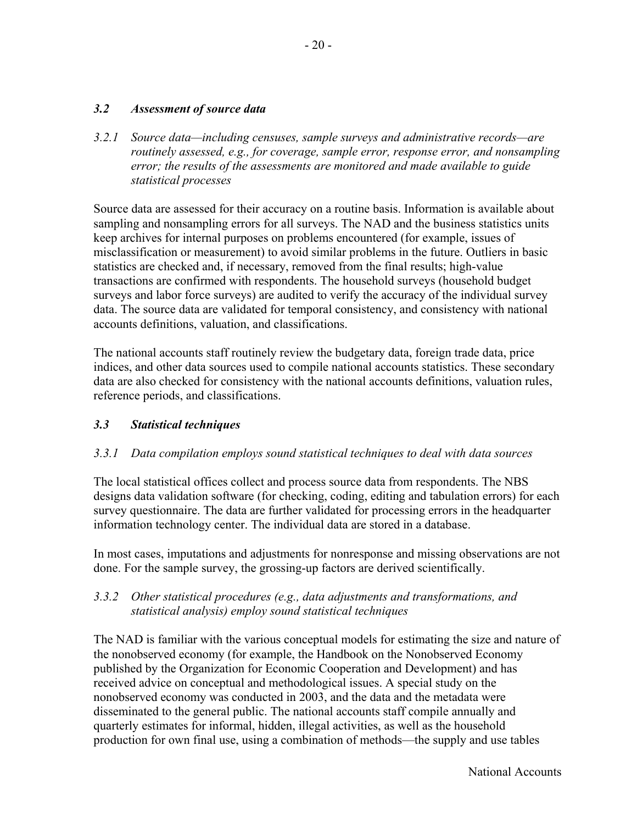### *3.2 Assessment of source data*

*3.2.1 Source data—including censuses, sample surveys and administrative records—are routinely assessed, e.g., for coverage, sample error, response error, and nonsampling error; the results of the assessments are monitored and made available to guide statistical processes*

Source data are assessed for their accuracy on a routine basis. Information is available about sampling and nonsampling errors for all surveys. The NAD and the business statistics units keep archives for internal purposes on problems encountered (for example, issues of misclassification or measurement) to avoid similar problems in the future. Outliers in basic statistics are checked and, if necessary, removed from the final results; high-value transactions are confirmed with respondents. The household surveys (household budget surveys and labor force surveys) are audited to verify the accuracy of the individual survey data. The source data are validated for temporal consistency, and consistency with national accounts definitions, valuation, and classifications.

The national accounts staff routinely review the budgetary data, foreign trade data, price indices, and other data sources used to compile national accounts statistics. These secondary data are also checked for consistency with the national accounts definitions, valuation rules, reference periods, and classifications.

### *3.3 Statistical techniques*

### *3.3.1 Data compilation employs sound statistical techniques to deal with data sources*

The local statistical offices collect and process source data from respondents. The NBS designs data validation software (for checking, coding, editing and tabulation errors) for each survey questionnaire. The data are further validated for processing errors in the headquarter information technology center. The individual data are stored in a database.

In most cases, imputations and adjustments for nonresponse and missing observations are not done. For the sample survey, the grossing-up factors are derived scientifically.

### *3.3.2 Other statistical procedures (e.g., data adjustments and transformations, and statistical analysis) employ sound statistical techniques*

The NAD is familiar with the various conceptual models for estimating the size and nature of the nonobserved economy (for example, the Handbook on the Nonobserved Economy published by the Organization for Economic Cooperation and Development) and has received advice on conceptual and methodological issues. A special study on the nonobserved economy was conducted in 2003, and the data and the metadata were disseminated to the general public. The national accounts staff compile annually and quarterly estimates for informal, hidden, illegal activities, as well as the household production for own final use, using a combination of methods—the supply and use tables

National Accounts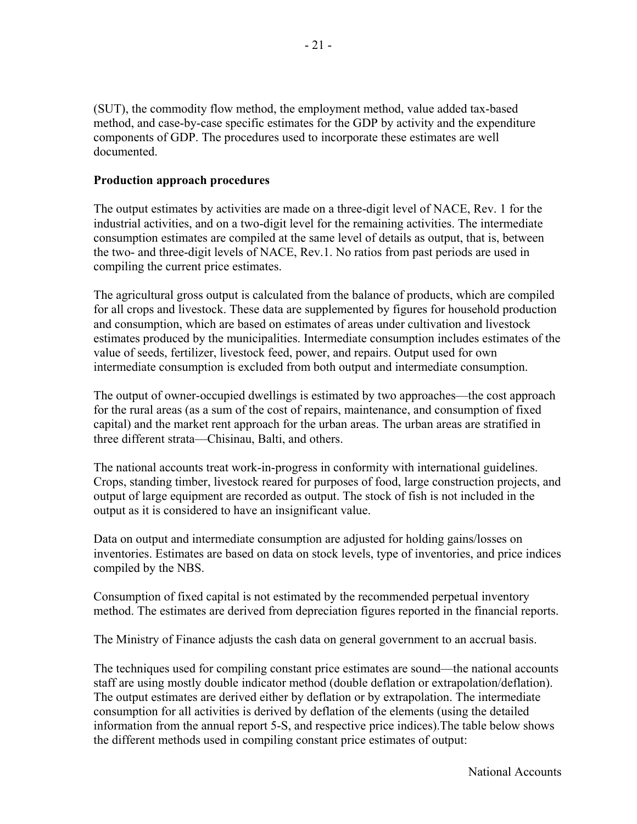(SUT), the commodity flow method, the employment method, value added tax-based method, and case-by-case specific estimates for the GDP by activity and the expenditure components of GDP. The procedures used to incorporate these estimates are well documented.

#### **Production approach procedures**

The output estimates by activities are made on a three-digit level of NACE, Rev. 1 for the industrial activities, and on a two-digit level for the remaining activities. The intermediate consumption estimates are compiled at the same level of details as output, that is, between the two- and three-digit levels of NACE, Rev.1. No ratios from past periods are used in compiling the current price estimates.

The agricultural gross output is calculated from the balance of products, which are compiled for all crops and livestock. These data are supplemented by figures for household production and consumption, which are based on estimates of areas under cultivation and livestock estimates produced by the municipalities. Intermediate consumption includes estimates of the value of seeds, fertilizer, livestock feed, power, and repairs. Output used for own intermediate consumption is excluded from both output and intermediate consumption.

The output of owner-occupied dwellings is estimated by two approaches—the cost approach for the rural areas (as a sum of the cost of repairs, maintenance, and consumption of fixed capital) and the market rent approach for the urban areas. The urban areas are stratified in three different strata—Chisinau, Balti, and others.

The national accounts treat work-in-progress in conformity with international guidelines. Crops, standing timber, livestock reared for purposes of food, large construction projects, and output of large equipment are recorded as output. The stock of fish is not included in the output as it is considered to have an insignificant value.

Data on output and intermediate consumption are adjusted for holding gains/losses on inventories. Estimates are based on data on stock levels, type of inventories, and price indices compiled by the NBS.

Consumption of fixed capital is not estimated by the recommended perpetual inventory method. The estimates are derived from depreciation figures reported in the financial reports.

The Ministry of Finance adjusts the cash data on general government to an accrual basis.

The techniques used for compiling constant price estimates are sound—the national accounts staff are using mostly double indicator method (double deflation or extrapolation/deflation). The output estimates are derived either by deflation or by extrapolation. The intermediate consumption for all activities is derived by deflation of the elements (using the detailed information from the annual report 5-S, and respective price indices).The table below shows the different methods used in compiling constant price estimates of output: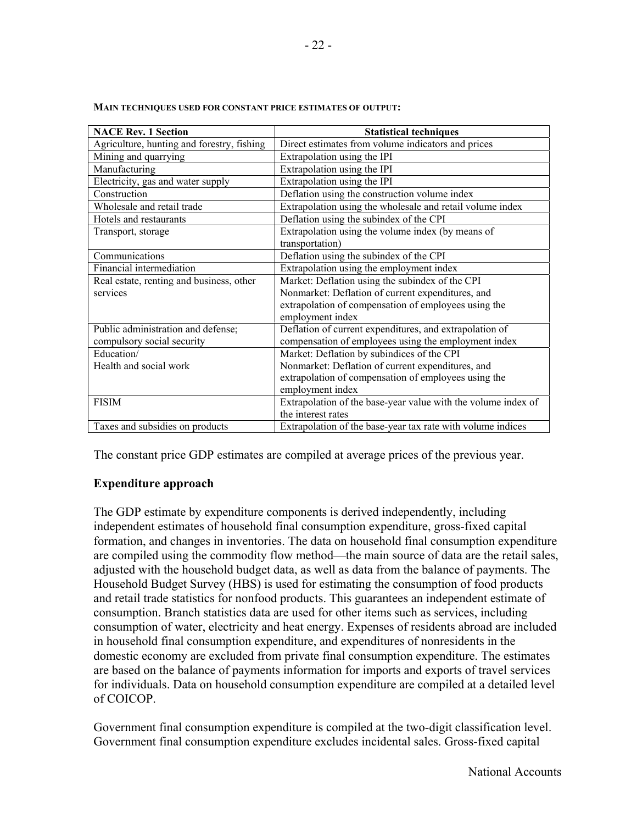| <b>NACE Rev. 1 Section</b>                 | <b>Statistical techniques</b>                                 |
|--------------------------------------------|---------------------------------------------------------------|
| Agriculture, hunting and forestry, fishing | Direct estimates from volume indicators and prices            |
| Mining and quarrying                       | Extrapolation using the IPI                                   |
| Manufacturing                              | Extrapolation using the IPI                                   |
| Electricity, gas and water supply          | Extrapolation using the IPI                                   |
| Construction                               | Deflation using the construction volume index                 |
| Wholesale and retail trade                 | Extrapolation using the wholesale and retail volume index     |
| Hotels and restaurants                     | Deflation using the subindex of the CPI                       |
| Transport, storage                         | Extrapolation using the volume index (by means of             |
|                                            | transportation)                                               |
| Communications                             | Deflation using the subindex of the CPI                       |
| Financial intermediation                   | Extrapolation using the employment index                      |
| Real estate, renting and business, other   | Market: Deflation using the subindex of the CPI               |
| services                                   | Nonmarket: Deflation of current expenditures, and             |
|                                            | extrapolation of compensation of employees using the          |
|                                            | employment index                                              |
| Public administration and defense;         | Deflation of current expenditures, and extrapolation of       |
| compulsory social security                 | compensation of employees using the employment index          |
| Education/                                 | Market: Deflation by subindices of the CPI                    |
| Health and social work                     | Nonmarket: Deflation of current expenditures, and             |
|                                            | extrapolation of compensation of employees using the          |
|                                            | employment index                                              |
| <b>FISIM</b>                               | Extrapolation of the base-year value with the volume index of |
|                                            | the interest rates                                            |
| Taxes and subsidies on products            | Extrapolation of the base-year tax rate with volume indices   |

**MAIN TECHNIQUES USED FOR CONSTANT PRICE ESTIMATES OF OUTPUT:** 

The constant price GDP estimates are compiled at average prices of the previous year.

#### **Expenditure approach**

The GDP estimate by expenditure components is derived independently, including independent estimates of household final consumption expenditure, gross-fixed capital formation, and changes in inventories. The data on household final consumption expenditure are compiled using the commodity flow method—the main source of data are the retail sales, adjusted with the household budget data, as well as data from the balance of payments. The Household Budget Survey (HBS) is used for estimating the consumption of food products and retail trade statistics for nonfood products. This guarantees an independent estimate of consumption. Branch statistics data are used for other items such as services, including consumption of water, electricity and heat energy. Expenses of residents abroad are included in household final consumption expenditure, and expenditures of nonresidents in the domestic economy are excluded from private final consumption expenditure. The estimates are based on the balance of payments information for imports and exports of travel services for individuals. Data on household consumption expenditure are compiled at a detailed level of COICOP.

Government final consumption expenditure is compiled at the two-digit classification level. Government final consumption expenditure excludes incidental sales. Gross-fixed capital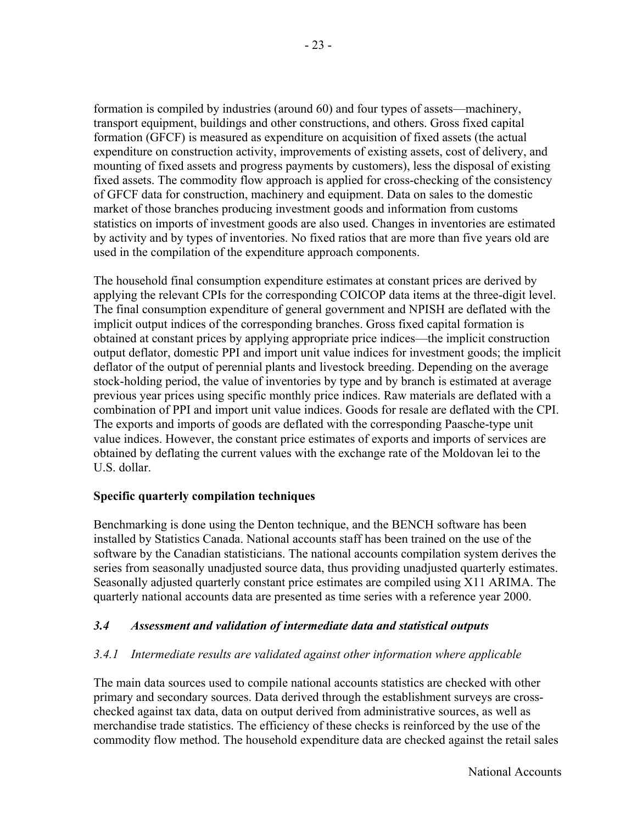formation is compiled by industries (around 60) and four types of assets—machinery, transport equipment, buildings and other constructions, and others. Gross fixed capital formation (GFCF) is measured as expenditure on acquisition of fixed assets (the actual expenditure on construction activity, improvements of existing assets, cost of delivery, and mounting of fixed assets and progress payments by customers), less the disposal of existing fixed assets. The commodity flow approach is applied for cross-checking of the consistency of GFCF data for construction, machinery and equipment. Data on sales to the domestic market of those branches producing investment goods and information from customs statistics on imports of investment goods are also used. Changes in inventories are estimated by activity and by types of inventories. No fixed ratios that are more than five years old are used in the compilation of the expenditure approach components.

The household final consumption expenditure estimates at constant prices are derived by applying the relevant CPIs for the corresponding COICOP data items at the three-digit level. The final consumption expenditure of general government and NPISH are deflated with the implicit output indices of the corresponding branches. Gross fixed capital formation is obtained at constant prices by applying appropriate price indices—the implicit construction output deflator, domestic PPI and import unit value indices for investment goods; the implicit deflator of the output of perennial plants and livestock breeding. Depending on the average stock-holding period, the value of inventories by type and by branch is estimated at average previous year prices using specific monthly price indices. Raw materials are deflated with a combination of PPI and import unit value indices. Goods for resale are deflated with the CPI. The exports and imports of goods are deflated with the corresponding Paasche-type unit value indices. However, the constant price estimates of exports and imports of services are obtained by deflating the current values with the exchange rate of the Moldovan lei to the U.S. dollar.

#### **Specific quarterly compilation techniques**

Benchmarking is done using the Denton technique, and the BENCH software has been installed by Statistics Canada. National accounts staff has been trained on the use of the software by the Canadian statisticians. The national accounts compilation system derives the series from seasonally unadjusted source data, thus providing unadjusted quarterly estimates. Seasonally adjusted quarterly constant price estimates are compiled using X11 ARIMA. The quarterly national accounts data are presented as time series with a reference year 2000.

#### *3.4 Assessment and validation of intermediate data and statistical outputs*

### *3.4.1 Intermediate results are validated against other information where applicable*

The main data sources used to compile national accounts statistics are checked with other primary and secondary sources. Data derived through the establishment surveys are crosschecked against tax data, data on output derived from administrative sources, as well as merchandise trade statistics. The efficiency of these checks is reinforced by the use of the commodity flow method. The household expenditure data are checked against the retail sales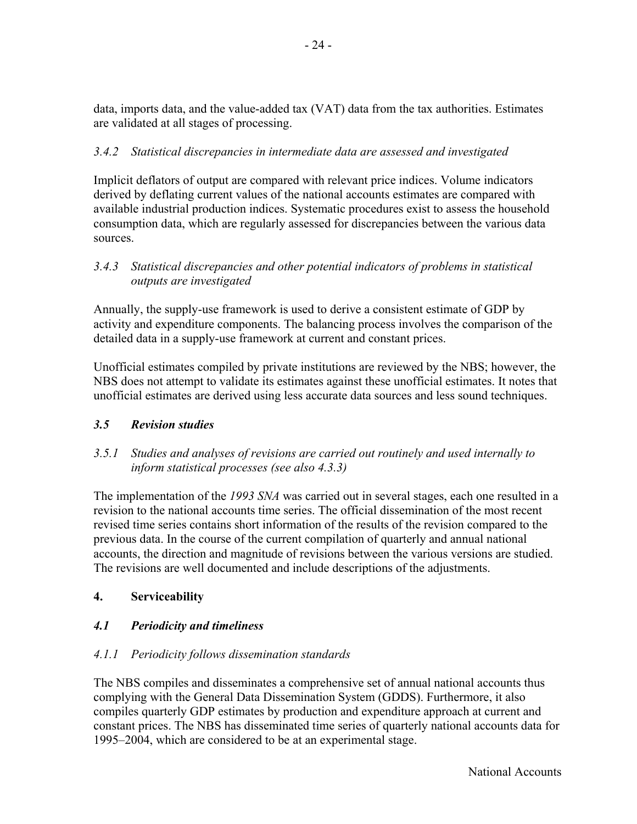data, imports data, and the value-added tax (VAT) data from the tax authorities. Estimates are validated at all stages of processing.

# *3.4.2 Statistical discrepancies in intermediate data are assessed and investigated*

Implicit deflators of output are compared with relevant price indices. Volume indicators derived by deflating current values of the national accounts estimates are compared with available industrial production indices. Systematic procedures exist to assess the household consumption data, which are regularly assessed for discrepancies between the various data sources.

## *3.4.3 Statistical discrepancies and other potential indicators of problems in statistical outputs are investigated*

Annually, the supply-use framework is used to derive a consistent estimate of GDP by activity and expenditure components. The balancing process involves the comparison of the detailed data in a supply-use framework at current and constant prices.

Unofficial estimates compiled by private institutions are reviewed by the NBS; however, the NBS does not attempt to validate its estimates against these unofficial estimates. It notes that unofficial estimates are derived using less accurate data sources and less sound techniques.

### *3.5 Revision studies*

*3.5.1 Studies and analyses of revisions are carried out routinely and used internally to inform statistical processes (see also 4.3.3)* 

The implementation of the *1993 SNA* was carried out in several stages, each one resulted in a revision to the national accounts time series. The official dissemination of the most recent revised time series contains short information of the results of the revision compared to the previous data. In the course of the current compilation of quarterly and annual national accounts, the direction and magnitude of revisions between the various versions are studied. The revisions are well documented and include descriptions of the adjustments.

# **4. Serviceability**

# *4.1 Periodicity and timeliness*

# *4.1.1 Periodicity follows dissemination standards*

The NBS compiles and disseminates a comprehensive set of annual national accounts thus complying with the General Data Dissemination System (GDDS). Furthermore, it also compiles quarterly GDP estimates by production and expenditure approach at current and constant prices. The NBS has disseminated time series of quarterly national accounts data for 1995–2004, which are considered to be at an experimental stage.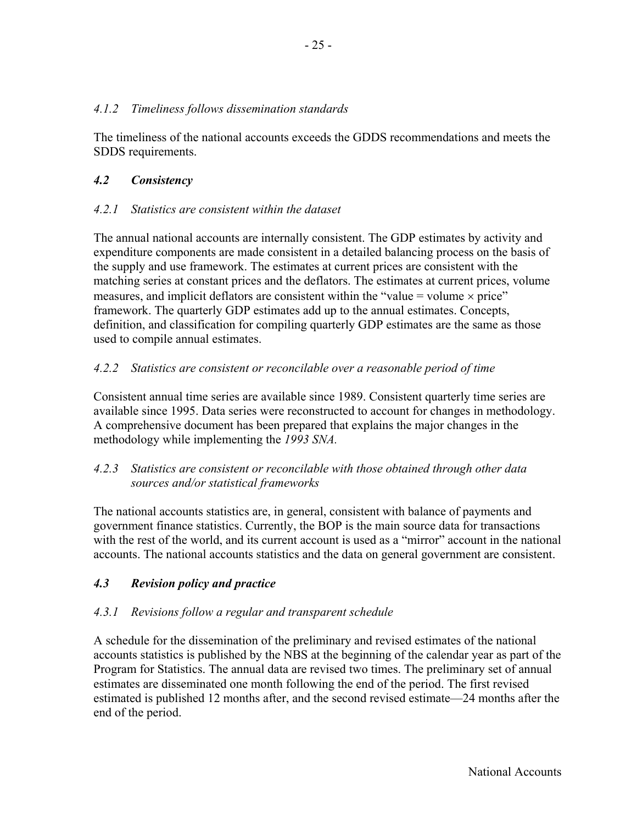### *4.1.2 Timeliness follows dissemination standards*

The timeliness of the national accounts exceeds the GDDS recommendations and meets the SDDS requirements.

## *4.2 Consistency*

## *4.2.1 Statistics are consistent within the dataset*

The annual national accounts are internally consistent. The GDP estimates by activity and expenditure components are made consistent in a detailed balancing process on the basis of the supply and use framework. The estimates at current prices are consistent with the matching series at constant prices and the deflators. The estimates at current prices, volume measures, and implicit deflators are consistent within the "value = volume  $\times$  price" framework. The quarterly GDP estimates add up to the annual estimates. Concepts, definition, and classification for compiling quarterly GDP estimates are the same as those used to compile annual estimates.

## *4.2.2 Statistics are consistent or reconcilable over a reasonable period of time*

Consistent annual time series are available since 1989. Consistent quarterly time series are available since 1995. Data series were reconstructed to account for changes in methodology. A comprehensive document has been prepared that explains the major changes in the methodology while implementing the *1993 SNA.*

### *4.2.3 Statistics are consistent or reconcilable with those obtained through other data sources and/or statistical frameworks*

The national accounts statistics are, in general, consistent with balance of payments and government finance statistics. Currently, the BOP is the main source data for transactions with the rest of the world, and its current account is used as a "mirror" account in the national accounts. The national accounts statistics and the data on general government are consistent.

# *4.3 Revision policy and practice*

# *4.3.1 Revisions follow a regular and transparent schedule*

A schedule for the dissemination of the preliminary and revised estimates of the national accounts statistics is published by the NBS at the beginning of the calendar year as part of the Program for Statistics. The annual data are revised two times. The preliminary set of annual estimates are disseminated one month following the end of the period. The first revised estimated is published 12 months after, and the second revised estimate—24 months after the end of the period.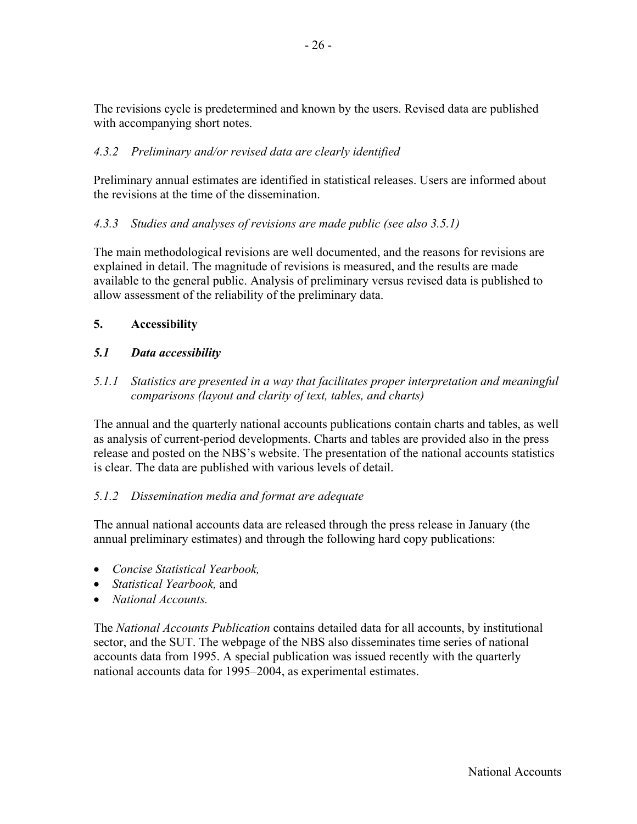The revisions cycle is predetermined and known by the users. Revised data are published with accompanying short notes.

# *4.3.2 Preliminary and/or revised data are clearly identified*

Preliminary annual estimates are identified in statistical releases. Users are informed about the revisions at the time of the dissemination.

# *4.3.3 Studies and analyses of revisions are made public (see also 3.5.1)*

The main methodological revisions are well documented, and the reasons for revisions are explained in detail. The magnitude of revisions is measured, and the results are made available to the general public. Analysis of preliminary versus revised data is published to allow assessment of the reliability of the preliminary data.

## **5. Accessibility**

## *5.1 Data accessibility*

*5.1.1 Statistics are presented in a way that facilitates proper interpretation and meaningful comparisons (layout and clarity of text, tables, and charts)* 

The annual and the quarterly national accounts publications contain charts and tables, as well as analysis of current-period developments. Charts and tables are provided also in the press release and posted on the NBS's website. The presentation of the national accounts statistics is clear. The data are published with various levels of detail.

### *5.1.2 Dissemination media and format are adequate*

The annual national accounts data are released through the press release in January (the annual preliminary estimates) and through the following hard copy publications:

- *Concise Statistical Yearbook,*
- *Statistical Yearbook,* and
- *National Accounts.*

The *National Accounts Publication* contains detailed data for all accounts, by institutional sector, and the SUT. The webpage of the NBS also disseminates time series of national accounts data from 1995. A special publication was issued recently with the quarterly national accounts data for 1995–2004, as experimental estimates.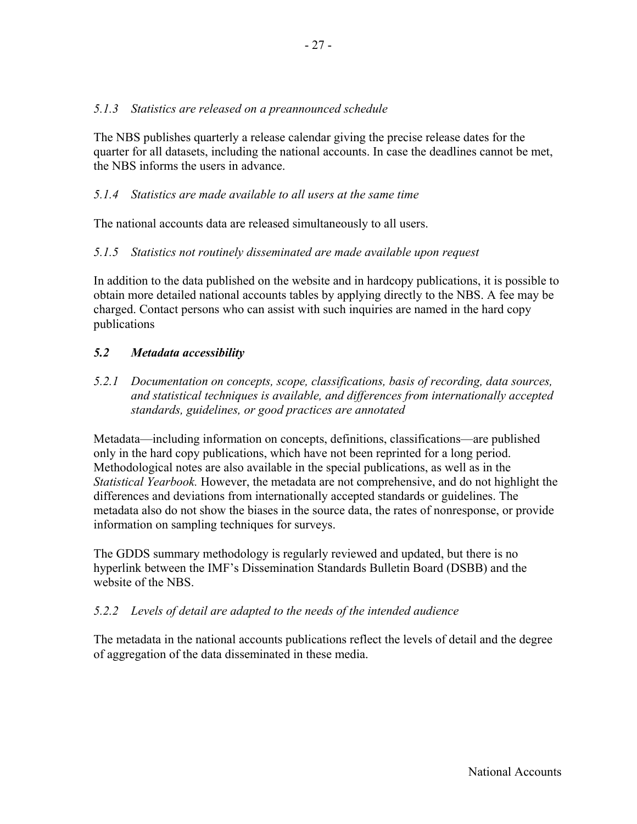### *5.1.3 Statistics are released on a preannounced schedule*

The NBS publishes quarterly a release calendar giving the precise release dates for the quarter for all datasets, including the national accounts. In case the deadlines cannot be met, the NBS informs the users in advance.

### *5.1.4 Statistics are made available to all users at the same time*

The national accounts data are released simultaneously to all users.

### *5.1.5 Statistics not routinely disseminated are made available upon request*

In addition to the data published on the website and in hardcopy publications, it is possible to obtain more detailed national accounts tables by applying directly to the NBS. A fee may be charged. Contact persons who can assist with such inquiries are named in the hard copy publications

### *5.2 Metadata accessibility*

*5.2.1 Documentation on concepts, scope, classifications, basis of recording, data sources, and statistical techniques is available, and differences from internationally accepted standards, guidelines, or good practices are annotated* 

Metadata—including information on concepts, definitions, classifications—are published only in the hard copy publications, which have not been reprinted for a long period. Methodological notes are also available in the special publications, as well as in the *Statistical Yearbook.* However, the metadata are not comprehensive, and do not highlight the differences and deviations from internationally accepted standards or guidelines. The metadata also do not show the biases in the source data, the rates of nonresponse, or provide information on sampling techniques for surveys.

The GDDS summary methodology is regularly reviewed and updated, but there is no hyperlink between the IMF's Dissemination Standards Bulletin Board (DSBB) and the website of the NBS.

### *5.2.2 Levels of detail are adapted to the needs of the intended audience*

The metadata in the national accounts publications reflect the levels of detail and the degree of aggregation of the data disseminated in these media.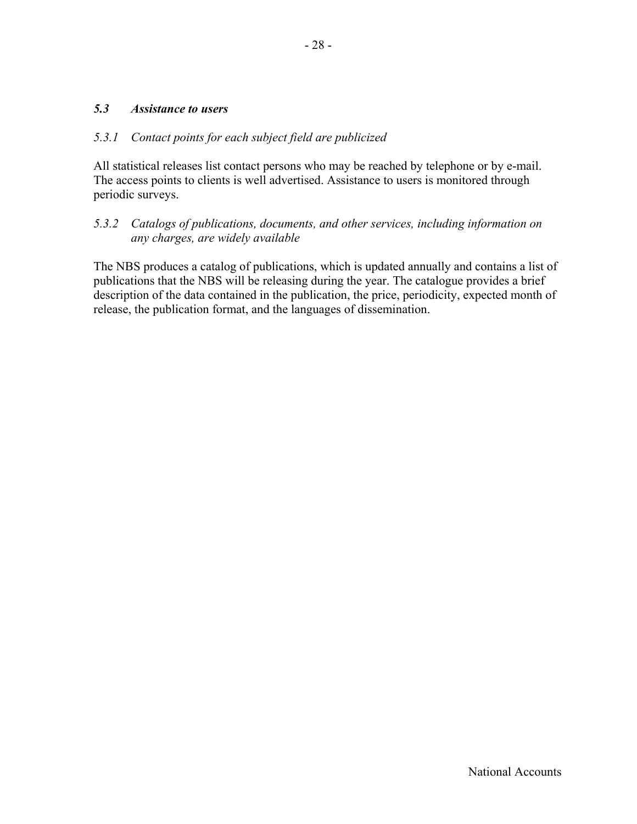#### *5.3 Assistance to users*

#### *5.3.1 Contact points for each subject field are publicized*

All statistical releases list contact persons who may be reached by telephone or by e-mail. The access points to clients is well advertised. Assistance to users is monitored through periodic surveys.

#### *5.3.2 Catalogs of publications, documents, and other services, including information on any charges, are widely available*

The NBS produces a catalog of publications, which is updated annually and contains a list of publications that the NBS will be releasing during the year. The catalogue provides a brief description of the data contained in the publication, the price, periodicity, expected month of release, the publication format, and the languages of dissemination.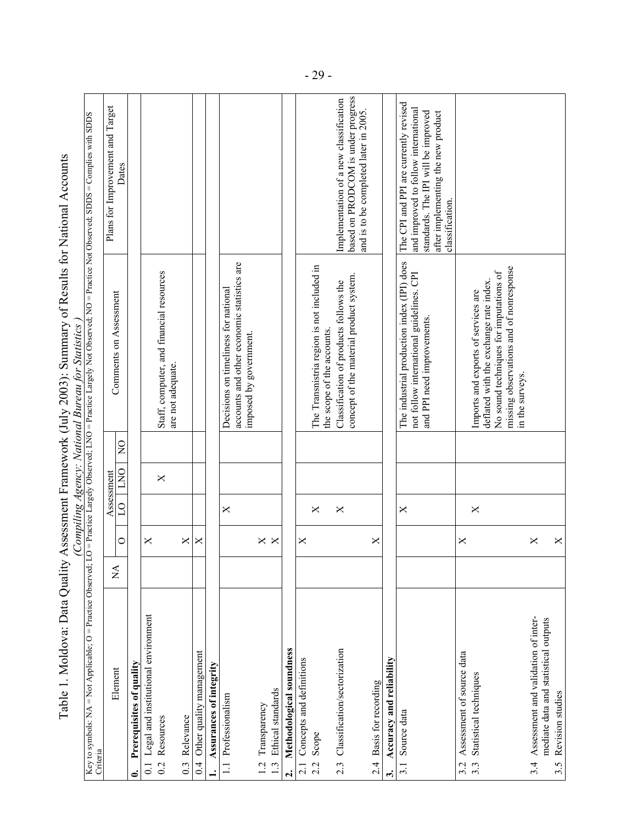|                                                                                                                                                                                                    |                               |                   |            |                              | (Compiling Agency: National Bureau for Statistics                                                                    |                                                                                                                                                                               |
|----------------------------------------------------------------------------------------------------------------------------------------------------------------------------------------------------|-------------------------------|-------------------|------------|------------------------------|----------------------------------------------------------------------------------------------------------------------|-------------------------------------------------------------------------------------------------------------------------------------------------------------------------------|
| Key to symbols: NA = Not Applicable; O = Practice Observed; LO = Practice Largely Observed; LNO = Practice Largely Not Observed; NO = Practice Not Observed; SDDS = Complies with SDDS<br>Criteria |                               |                   |            |                              |                                                                                                                      |                                                                                                                                                                               |
|                                                                                                                                                                                                    |                               |                   | Assessment |                              |                                                                                                                      | Plans for Improvement and Target                                                                                                                                              |
| Element                                                                                                                                                                                            | $\rm \stackrel{\Delta}{\geq}$ | $\circ$           | $\Omega$   | $\overline{Q}$<br><b>DNO</b> | Comments on Assessment                                                                                               | Dates                                                                                                                                                                         |
| Prerequisites of quality<br>5                                                                                                                                                                      |                               |                   |            |                              |                                                                                                                      |                                                                                                                                                                               |
| Legal and institutional environment<br>$\overline{0}$                                                                                                                                              |                               | ×                 |            |                              |                                                                                                                      |                                                                                                                                                                               |
| Resources<br>$\overline{0.2}$                                                                                                                                                                      |                               |                   |            | $\boldsymbol{\times}$        | Staff, computer, and financial resources<br>are not adequate.                                                        |                                                                                                                                                                               |
| Relevance<br>$0.\overline{3}$                                                                                                                                                                      |                               | ×                 |            |                              |                                                                                                                      |                                                                                                                                                                               |
| Other quality management<br>0.4                                                                                                                                                                    |                               | ×                 |            |                              |                                                                                                                      |                                                                                                                                                                               |
| Assurances of integrity                                                                                                                                                                            |                               |                   |            |                              |                                                                                                                      |                                                                                                                                                                               |
| Professionalism<br>$\equiv$                                                                                                                                                                        |                               |                   | ×          |                              | accounts and other economic statistics are<br>Decisions on timeliness for national<br>imposed by government.         |                                                                                                                                                                               |
| Transparency<br>1.2                                                                                                                                                                                |                               |                   |            |                              |                                                                                                                      |                                                                                                                                                                               |
| Ethical standards<br>$\frac{3}{2}$                                                                                                                                                                 |                               | $\times$ $\times$ |            |                              |                                                                                                                      |                                                                                                                                                                               |
| Methodological soundness<br>$\mathbf{a}$                                                                                                                                                           |                               |                   |            |                              |                                                                                                                      |                                                                                                                                                                               |
| Concepts and definitions<br>2.1                                                                                                                                                                    |                               | $\times$          |            |                              |                                                                                                                      |                                                                                                                                                                               |
| Scope<br>2.2                                                                                                                                                                                       |                               |                   | ×          |                              | The Transnistria region is not included in<br>the scope of the accounts.                                             |                                                                                                                                                                               |
| Classification/sectorization<br>2.3                                                                                                                                                                |                               |                   | X          |                              | Classification of products follows the                                                                               | Implementation of a new classification                                                                                                                                        |
|                                                                                                                                                                                                    |                               |                   |            |                              | concept of the material product system.                                                                              | based on PRODCOM is under progress<br>and is to be completed later in 2005.                                                                                                   |
| Basis for recording<br>24                                                                                                                                                                          |                               | ×                 |            |                              |                                                                                                                      |                                                                                                                                                                               |
| Accuracy and reliability<br>$\ddot{ }$                                                                                                                                                             |                               |                   |            |                              |                                                                                                                      |                                                                                                                                                                               |
| Source data<br>3.1                                                                                                                                                                                 |                               |                   | ×          |                              | The industrial production index (IPI) does<br>not follow international guidelines. CPI<br>and PPI need improvements. | The CPI and PPI are currently revised<br>and improved to follow international<br>after implementing the new product<br>standards. The IPI will be improved<br>classification. |
| Assessment of source data                                                                                                                                                                          |                               | ×                 |            |                              |                                                                                                                      |                                                                                                                                                                               |
| Statistical techniques<br>3.3                                                                                                                                                                      |                               |                   | ×          |                              | deflated with the exchange rate index.<br>Imports and exports of services are                                        |                                                                                                                                                                               |
|                                                                                                                                                                                                    |                               |                   |            |                              | missing observations and of nonresponse<br>No sound techniques for imputations of<br>in the surveys.                 |                                                                                                                                                                               |
| Assessment and validation of inter-<br>3.4                                                                                                                                                         |                               | ×                 |            |                              |                                                                                                                      |                                                                                                                                                                               |
| mediate data and statistical outputs                                                                                                                                                               |                               |                   |            |                              |                                                                                                                      |                                                                                                                                                                               |
| Revision studies<br>3.5                                                                                                                                                                            |                               | ×                 |            |                              |                                                                                                                      |                                                                                                                                                                               |

Table 1. Moldova: Data Quality Assessment Framework (July 2003): Summary of Results for National Accounts Table 1. Moldova: Data Quality Assessment Framework (July 2003): Summary of Results for National Accounts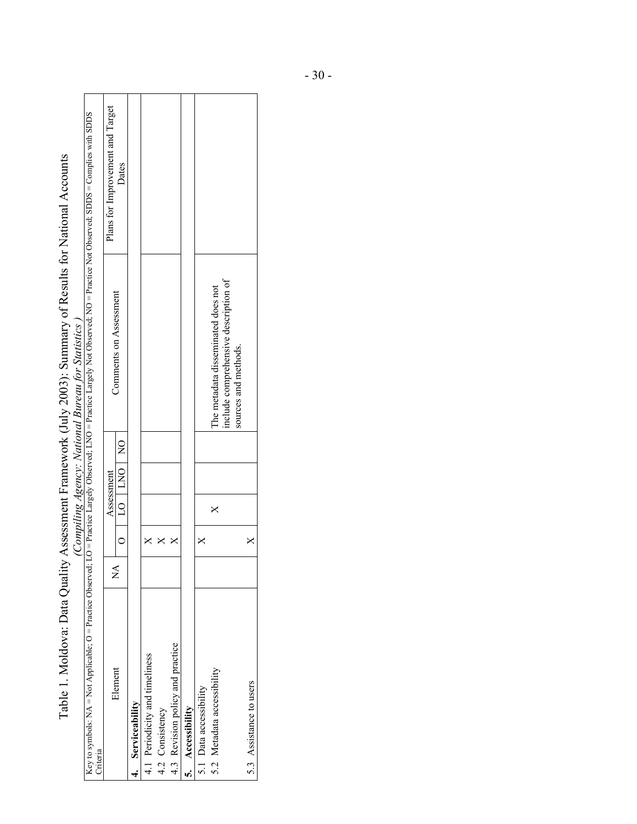| Key to symbols: NA = Not Applicable; O = Practice Observed; LO = Practice Largely Observed; LNO = Practice Largely Not Observed; NO = Practice Not Observed; SDDS = Complies with SDDS<br>Table 1. Moldova: Data Quality Assessment Framework (July 2003): Summary of Results for National Accounts | Plans for Improvement and Target | Dates      |                                |                                |                 |                                  |                  |                        |                            |                                    |                                                              |  |
|-----------------------------------------------------------------------------------------------------------------------------------------------------------------------------------------------------------------------------------------------------------------------------------------------------|----------------------------------|------------|--------------------------------|--------------------------------|-----------------|----------------------------------|------------------|------------------------|----------------------------|------------------------------------|--------------------------------------------------------------|--|
| (Compiling Agency: National Bureau for Statistics)                                                                                                                                                                                                                                                  |                                  |            | Comments on Assessment         |                                |                 |                                  |                  |                        |                            | The metadata disseminated does not | include comprehensive description of<br>sources and methods. |  |
|                                                                                                                                                                                                                                                                                                     |                                  |            |                                |                                |                 |                                  |                  |                        |                            |                                    |                                                              |  |
|                                                                                                                                                                                                                                                                                                     |                                  | Assessment | DO   DO   DO                   |                                |                 |                                  |                  |                        |                            | ×                                  |                                                              |  |
|                                                                                                                                                                                                                                                                                                     |                                  |            |                                |                                |                 |                                  |                  |                        |                            |                                    |                                                              |  |
|                                                                                                                                                                                                                                                                                                     |                                  |            | $\mathop{\mathsf{Z}}\nolimits$ |                                |                 |                                  |                  |                        |                            |                                    |                                                              |  |
| Criteria                                                                                                                                                                                                                                                                                            |                                  | Element    | 4. Serviceability              | 4.1 Periodicity and timeliness | 4.2 Consistency | 4.3 Revision policy and practice | 5. Accessibility | 5.1 Data accessibility | 5.2 Metadata accessibility |                                    | 5.3 Assistance to users                                      |  |

r

- 30 -

 $\overline{\phantom{0}}$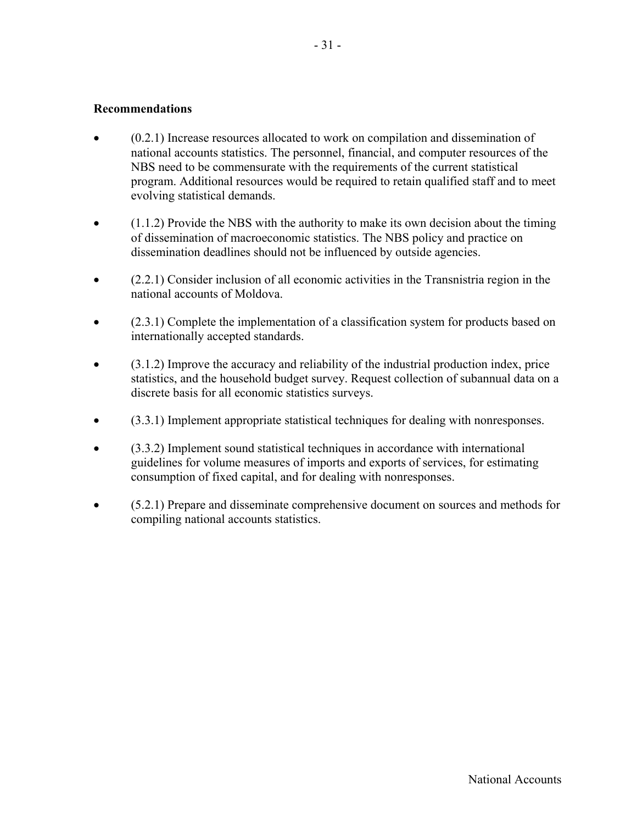#### **Recommendations**

- (0.2.1) Increase resources allocated to work on compilation and dissemination of national accounts statistics. The personnel, financial, and computer resources of the NBS need to be commensurate with the requirements of the current statistical program. Additional resources would be required to retain qualified staff and to meet evolving statistical demands.
- $(1.1.2)$  Provide the NBS with the authority to make its own decision about the timing of dissemination of macroeconomic statistics. The NBS policy and practice on dissemination deadlines should not be influenced by outside agencies.
- (2.2.1) Consider inclusion of all economic activities in the Transnistria region in the national accounts of Moldova.
- $(2.3.1)$  Complete the implementation of a classification system for products based on internationally accepted standards.
- (3.1.2) Improve the accuracy and reliability of the industrial production index, price statistics, and the household budget survey. Request collection of subannual data on a discrete basis for all economic statistics surveys.
- (3.3.1) Implement appropriate statistical techniques for dealing with nonresponses.
- (3.3.2) Implement sound statistical techniques in accordance with international guidelines for volume measures of imports and exports of services, for estimating consumption of fixed capital, and for dealing with nonresponses.
- (5.2.1) Prepare and disseminate comprehensive document on sources and methods for compiling national accounts statistics.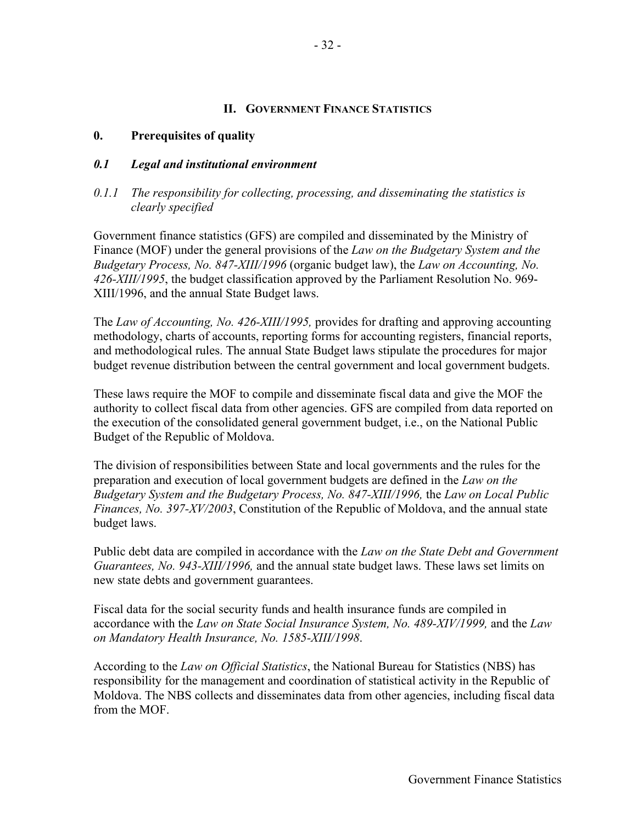#### **II. GOVERNMENT FINANCE STATISTICS**

#### **0. Prerequisites of quality**

#### *0.1 Legal and institutional environment*

#### *0.1.1 The responsibility for collecting, processing, and disseminating the statistics is clearly specified*

Government finance statistics (GFS) are compiled and disseminated by the Ministry of Finance (MOF) under the general provisions of the *Law on the Budgetary System and the Budgetary Process, No. 847-XIII/1996* (organic budget law), the *Law on Accounting, No. 426-XIII/1995*, the budget classification approved by the Parliament Resolution No. 969- XIII/1996, and the annual State Budget laws.

The *Law of Accounting, No. 426-XIII/1995,* provides for drafting and approving accounting methodology, charts of accounts, reporting forms for accounting registers, financial reports, and methodological rules. The annual State Budget laws stipulate the procedures for major budget revenue distribution between the central government and local government budgets.

These laws require the MOF to compile and disseminate fiscal data and give the MOF the authority to collect fiscal data from other agencies. GFS are compiled from data reported on the execution of the consolidated general government budget, i.e., on the National Public Budget of the Republic of Moldova.

The division of responsibilities between State and local governments and the rules for the preparation and execution of local government budgets are defined in the *Law on the Budgetary System and the Budgetary Process, No. 847-XIII/1996,* the *Law on Local Public Finances, No. 397-XV/2003*, Constitution of the Republic of Moldova, and the annual state budget laws.

Public debt data are compiled in accordance with the *Law on the State Debt and Government Guarantees, No. 943-XIII/1996,* and the annual state budget laws. These laws set limits on new state debts and government guarantees.

Fiscal data for the social security funds and health insurance funds are compiled in accordance with the *Law on State Social Insurance System, No. 489-XIV/1999,* and the *Law on Mandatory Health Insurance, No. 1585-XIII/1998*.

According to the *Law on Official Statistics*, the National Bureau for Statistics (NBS) has responsibility for the management and coordination of statistical activity in the Republic of Moldova. The NBS collects and disseminates data from other agencies, including fiscal data from the MOF.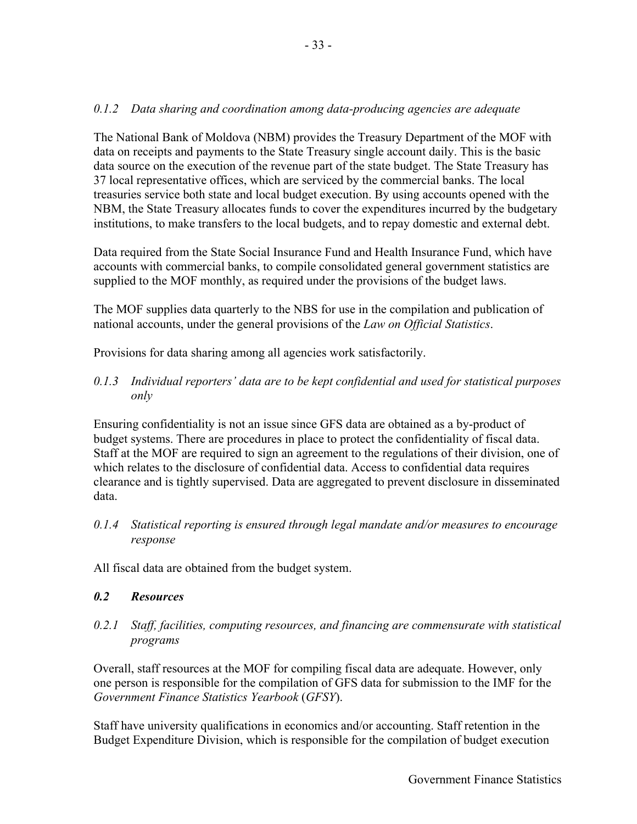### *0.1.2 Data sharing and coordination among data-producing agencies are adequate*

The National Bank of Moldova (NBM) provides the Treasury Department of the MOF with data on receipts and payments to the State Treasury single account daily. This is the basic data source on the execution of the revenue part of the state budget. The State Treasury has 37 local representative offices, which are serviced by the commercial banks. The local treasuries service both state and local budget execution. By using accounts opened with the NBM, the State Treasury allocates funds to cover the expenditures incurred by the budgetary institutions, to make transfers to the local budgets, and to repay domestic and external debt.

Data required from the State Social Insurance Fund and Health Insurance Fund, which have accounts with commercial banks, to compile consolidated general government statistics are supplied to the MOF monthly, as required under the provisions of the budget laws.

The MOF supplies data quarterly to the NBS for use in the compilation and publication of national accounts, under the general provisions of the *Law on Official Statistics*.

Provisions for data sharing among all agencies work satisfactorily.

#### *0.1.3 Individual reporters' data are to be kept confidential and used for statistical purposes only*

Ensuring confidentiality is not an issue since GFS data are obtained as a by-product of budget systems. There are procedures in place to protect the confidentiality of fiscal data. Staff at the MOF are required to sign an agreement to the regulations of their division, one of which relates to the disclosure of confidential data. Access to confidential data requires clearance and is tightly supervised. Data are aggregated to prevent disclosure in disseminated data.

*0.1.4 Statistical reporting is ensured through legal mandate and/or measures to encourage response* 

All fiscal data are obtained from the budget system.

### *0.2 Resources*

*0.2.1 Staff, facilities, computing resources, and financing are commensurate with statistical programs* 

Overall, staff resources at the MOF for compiling fiscal data are adequate. However, only one person is responsible for the compilation of GFS data for submission to the IMF for the *Government Finance Statistics Yearbook* (*GFSY*).

Staff have university qualifications in economics and/or accounting. Staff retention in the Budget Expenditure Division, which is responsible for the compilation of budget execution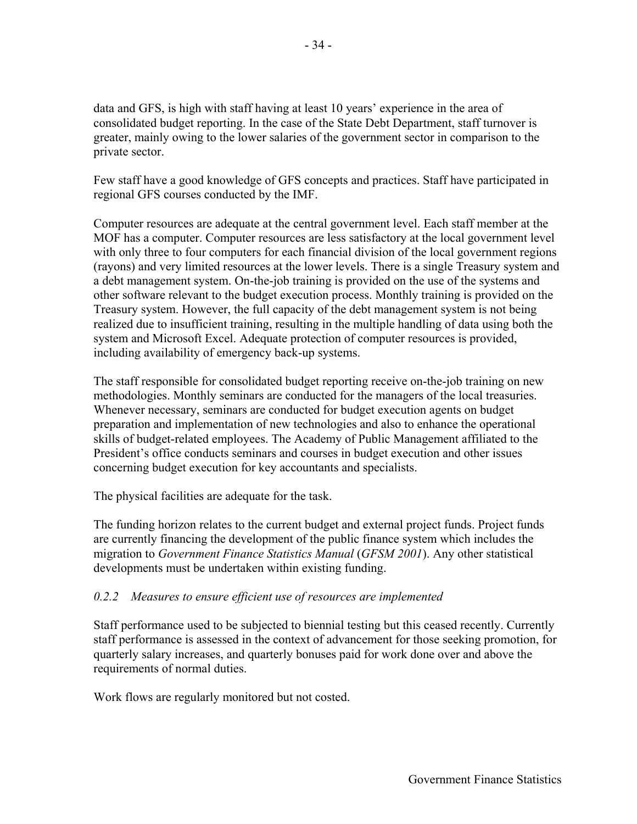data and GFS, is high with staff having at least 10 years' experience in the area of consolidated budget reporting. In the case of the State Debt Department, staff turnover is greater, mainly owing to the lower salaries of the government sector in comparison to the private sector.

Few staff have a good knowledge of GFS concepts and practices. Staff have participated in regional GFS courses conducted by the IMF.

Computer resources are adequate at the central government level. Each staff member at the MOF has a computer. Computer resources are less satisfactory at the local government level with only three to four computers for each financial division of the local government regions (rayons) and very limited resources at the lower levels. There is a single Treasury system and a debt management system. On-the-job training is provided on the use of the systems and other software relevant to the budget execution process. Monthly training is provided on the Treasury system. However, the full capacity of the debt management system is not being realized due to insufficient training, resulting in the multiple handling of data using both the system and Microsoft Excel. Adequate protection of computer resources is provided, including availability of emergency back-up systems.

The staff responsible for consolidated budget reporting receive on-the-job training on new methodologies. Monthly seminars are conducted for the managers of the local treasuries. Whenever necessary, seminars are conducted for budget execution agents on budget preparation and implementation of new technologies and also to enhance the operational skills of budget-related employees. The Academy of Public Management affiliated to the President's office conducts seminars and courses in budget execution and other issues concerning budget execution for key accountants and specialists.

The physical facilities are adequate for the task.

The funding horizon relates to the current budget and external project funds. Project funds are currently financing the development of the public finance system which includes the migration to *Government Finance Statistics Manual* (*GFSM 2001*). Any other statistical developments must be undertaken within existing funding.

### *0.2.2 Measures to ensure efficient use of resources are implemented*

Staff performance used to be subjected to biennial testing but this ceased recently. Currently staff performance is assessed in the context of advancement for those seeking promotion, for quarterly salary increases, and quarterly bonuses paid for work done over and above the requirements of normal duties.

Work flows are regularly monitored but not costed.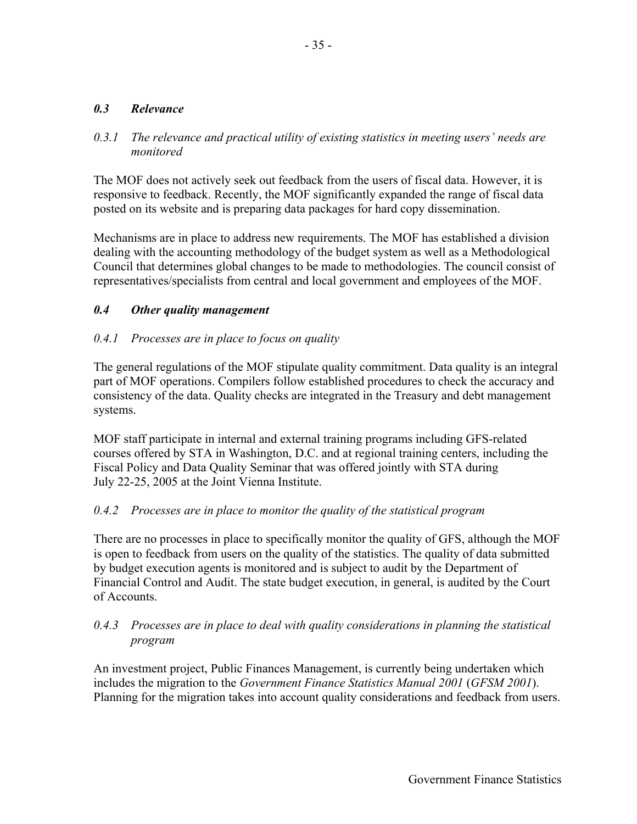#### *0.3 Relevance*

#### *0.3.1 The relevance and practical utility of existing statistics in meeting users' needs are monitored*

The MOF does not actively seek out feedback from the users of fiscal data. However, it is responsive to feedback. Recently, the MOF significantly expanded the range of fiscal data posted on its website and is preparing data packages for hard copy dissemination.

Mechanisms are in place to address new requirements. The MOF has established a division dealing with the accounting methodology of the budget system as well as a Methodological Council that determines global changes to be made to methodologies. The council consist of representatives/specialists from central and local government and employees of the MOF.

#### *0.4 Other quality management*

#### *0.4.1 Processes are in place to focus on quality*

The general regulations of the MOF stipulate quality commitment. Data quality is an integral part of MOF operations. Compilers follow established procedures to check the accuracy and consistency of the data. Quality checks are integrated in the Treasury and debt management systems.

MOF staff participate in internal and external training programs including GFS-related courses offered by STA in Washington, D.C. and at regional training centers, including the Fiscal Policy and Data Quality Seminar that was offered jointly with STA during July 22-25, 2005 at the Joint Vienna Institute.

#### *0.4.2 Processes are in place to monitor the quality of the statistical program*

There are no processes in place to specifically monitor the quality of GFS, although the MOF is open to feedback from users on the quality of the statistics. The quality of data submitted by budget execution agents is monitored and is subject to audit by the Department of Financial Control and Audit. The state budget execution, in general, is audited by the Court of Accounts.

#### *0.4.3 Processes are in place to deal with quality considerations in planning the statistical program*

An investment project, Public Finances Management, is currently being undertaken which includes the migration to the *Government Finance Statistics Manual 2001* (*GFSM 2001*). Planning for the migration takes into account quality considerations and feedback from users.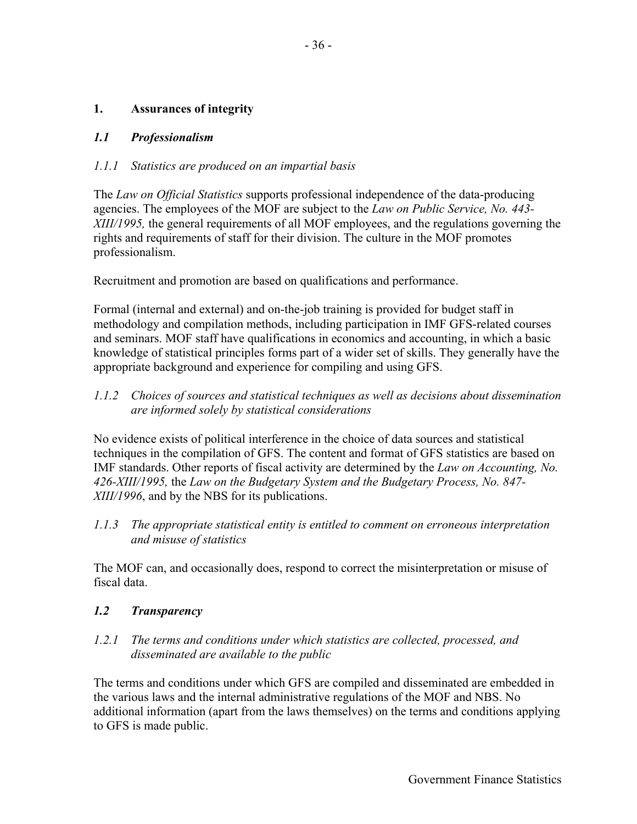### **1. Assurances of integrity**

#### *1.1 Professionalism*

#### *1.1.1 Statistics are produced on an impartial basis*

The *Law on Official Statistics* supports professional independence of the data-producing agencies. The employees of the MOF are subject to the *Law on Public Service, No. 443- XIII/1995,* the general requirements of all MOF employees, and the regulations governing the rights and requirements of staff for their division. The culture in the MOF promotes professionalism.

Recruitment and promotion are based on qualifications and performance.

Formal (internal and external) and on-the-job training is provided for budget staff in methodology and compilation methods, including participation in IMF GFS-related courses and seminars. MOF staff have qualifications in economics and accounting, in which a basic knowledge of statistical principles forms part of a wider set of skills. They generally have the appropriate background and experience for compiling and using GFS.

*1.1.2 Choices of sources and statistical techniques as well as decisions about dissemination are informed solely by statistical considerations* 

No evidence exists of political interference in the choice of data sources and statistical techniques in the compilation of GFS. The content and format of GFS statistics are based on IMF standards. Other reports of fiscal activity are determined by the *Law on Accounting, No. 426-XIII/1995,* the *Law on the Budgetary System and the Budgetary Process, No. 847- XIII/1996*, and by the NBS for its publications.

*1.1.3 The appropriate statistical entity is entitled to comment on erroneous interpretation and misuse of statistics* 

The MOF can, and occasionally does, respond to correct the misinterpretation or misuse of fiscal data.

#### *1.2 Transparency*

*1.2.1 The terms and conditions under which statistics are collected, processed, and disseminated are available to the public* 

The terms and conditions under which GFS are compiled and disseminated are embedded in the various laws and the internal administrative regulations of the MOF and NBS. No additional information (apart from the laws themselves) on the terms and conditions applying to GFS is made public.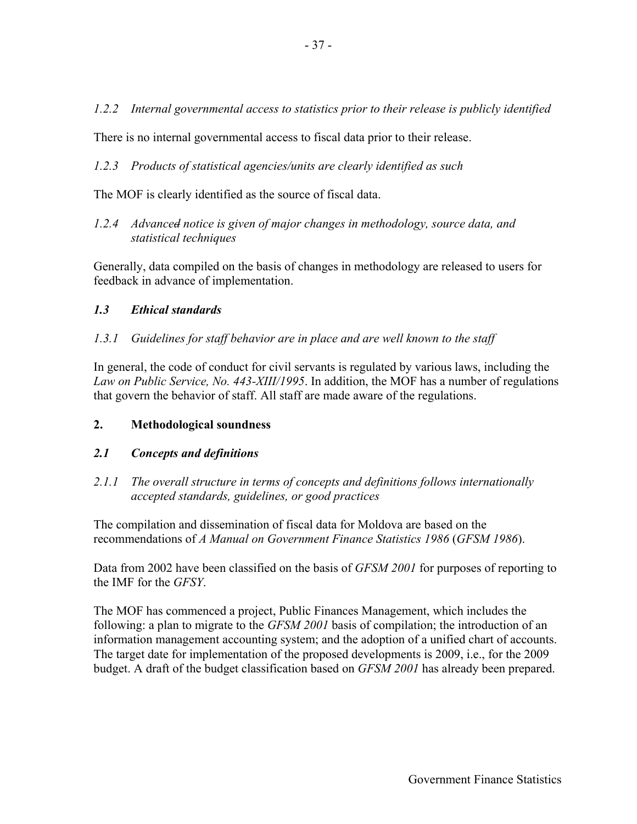*1.2.2 Internal governmental access to statistics prior to their release is publicly identified* 

There is no internal governmental access to fiscal data prior to their release.

*1.2.3 Products of statistical agencies/units are clearly identified as such* 

The MOF is clearly identified as the source of fiscal data.

*1.2.4 Advanced notice is given of major changes in methodology, source data, and statistical techniques* 

Generally, data compiled on the basis of changes in methodology are released to users for feedback in advance of implementation.

## *1.3 Ethical standards*

### *1.3.1 Guidelines for staff behavior are in place and are well known to the staff*

In general, the code of conduct for civil servants is regulated by various laws, including the *Law on Public Service, No. 443-XIII/1995*. In addition, the MOF has a number of regulations that govern the behavior of staff. All staff are made aware of the regulations.

### **2. Methodological soundness**

### *2.1 Concepts and definitions*

*2.1.1 The overall structure in terms of concepts and definitions follows internationally accepted standards, guidelines, or good practices* 

The compilation and dissemination of fiscal data for Moldova are based on the recommendations of *A Manual on Government Finance Statistics 1986* (*GFSM 1986*).

Data from 2002 have been classified on the basis of *GFSM 2001* for purposes of reporting to the IMF for the *GFSY*.

The MOF has commenced a project, Public Finances Management, which includes the following: a plan to migrate to the *GFSM 2001* basis of compilation; the introduction of an information management accounting system; and the adoption of a unified chart of accounts. The target date for implementation of the proposed developments is 2009, i.e., for the 2009 budget. A draft of the budget classification based on *GFSM 2001* has already been prepared.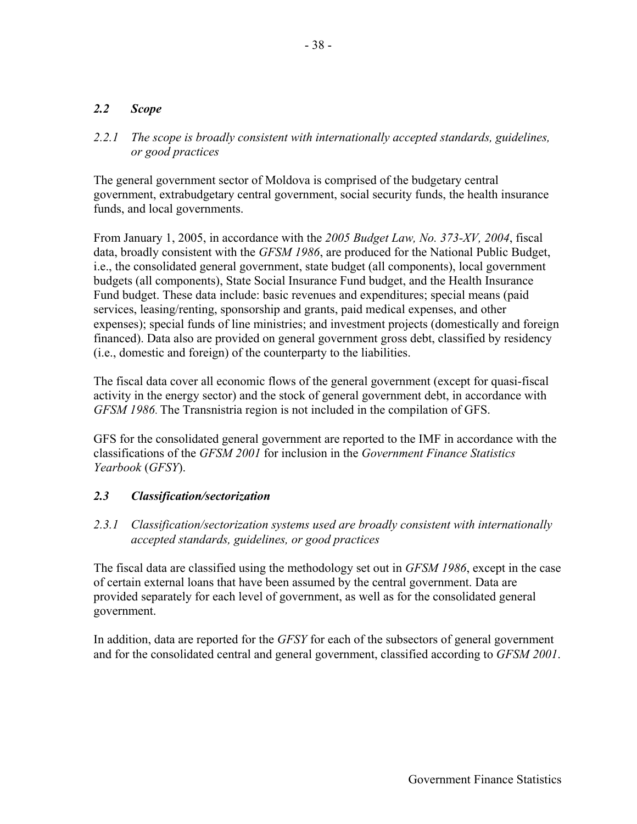### *2.2 Scope*

### *2.2.1 The scope is broadly consistent with internationally accepted standards, guidelines, or good practices*

The general government sector of Moldova is comprised of the budgetary central government, extrabudgetary central government, social security funds, the health insurance funds, and local governments.

From January 1, 2005, in accordance with the *2005 Budget Law, No. 373-XV, 2004*, fiscal data, broadly consistent with the *GFSM 1986*, are produced for the National Public Budget, i.e., the consolidated general government, state budget (all components), local government budgets (all components), State Social Insurance Fund budget, and the Health Insurance Fund budget. These data include: basic revenues and expenditures; special means (paid services, leasing/renting, sponsorship and grants, paid medical expenses, and other expenses); special funds of line ministries; and investment projects (domestically and foreign financed). Data also are provided on general government gross debt, classified by residency (i.e., domestic and foreign) of the counterparty to the liabilities.

The fiscal data cover all economic flows of the general government (except for quasi-fiscal activity in the energy sector) and the stock of general government debt, in accordance with *GFSM 1986*. The Transnistria region is not included in the compilation of GFS.

GFS for the consolidated general government are reported to the IMF in accordance with the classifications of the *GFSM 2001* for inclusion in the *Government Finance Statistics Yearbook* (*GFSY*).

### *2.3 Classification/sectorization*

### *2.3.1 Classification/sectorization systems used are broadly consistent with internationally accepted standards, guidelines, or good practices*

The fiscal data are classified using the methodology set out in *GFSM 1986*, except in the case of certain external loans that have been assumed by the central government. Data are provided separately for each level of government, as well as for the consolidated general government.

In addition, data are reported for the *GFSY* for each of the subsectors of general government and for the consolidated central and general government, classified according to *GFSM 2001*.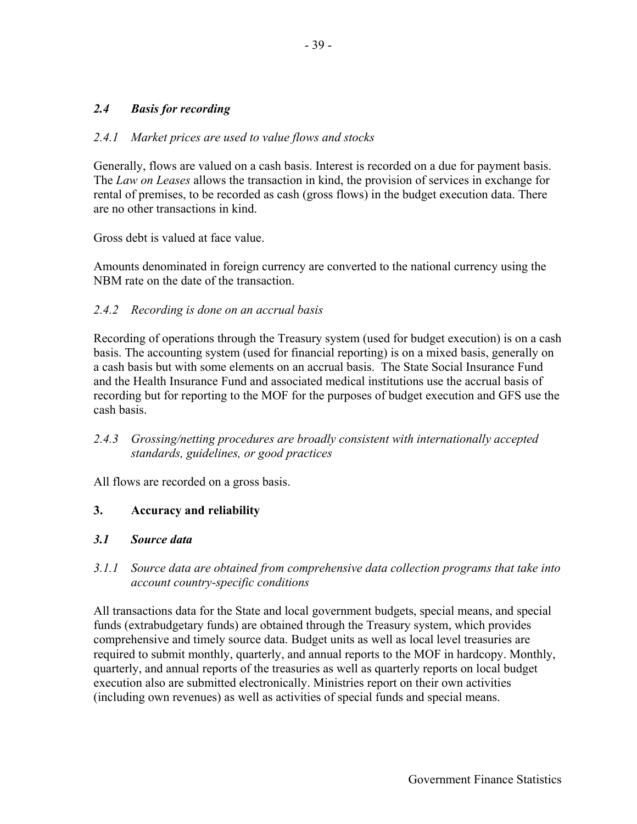### *2.4 Basis for recording*

#### *2.4.1 Market prices are used to value flows and stocks*

Generally, flows are valued on a cash basis. Interest is recorded on a due for payment basis. The *Law on Leases* allows the transaction in kind, the provision of services in exchange for rental of premises, to be recorded as cash (gross flows) in the budget execution data. There are no other transactions in kind.

Gross debt is valued at face value.

Amounts denominated in foreign currency are converted to the national currency using the NBM rate on the date of the transaction.

#### *2.4.2 Recording is done on an accrual basis*

Recording of operations through the Treasury system (used for budget execution) is on a cash basis. The accounting system (used for financial reporting) is on a mixed basis, generally on a cash basis but with some elements on an accrual basis. The State Social Insurance Fund and the Health Insurance Fund and associated medical institutions use the accrual basis of recording but for reporting to the MOF for the purposes of budget execution and GFS use the cash basis.

### *2.4.3 Grossing/netting procedures are broadly consistent with internationally accepted standards, guidelines, or good practices*

All flows are recorded on a gross basis.

#### **3. Accuracy and reliability**

#### *3.1 Source data*

### *3.1.1 Source data are obtained from comprehensive data collection programs that take into account country-specific conditions*

All transactions data for the State and local government budgets, special means, and special funds (extrabudgetary funds) are obtained through the Treasury system, which provides comprehensive and timely source data. Budget units as well as local level treasuries are required to submit monthly, quarterly, and annual reports to the MOF in hardcopy. Monthly, quarterly, and annual reports of the treasuries as well as quarterly reports on local budget execution also are submitted electronically. Ministries report on their own activities (including own revenues) as well as activities of special funds and special means.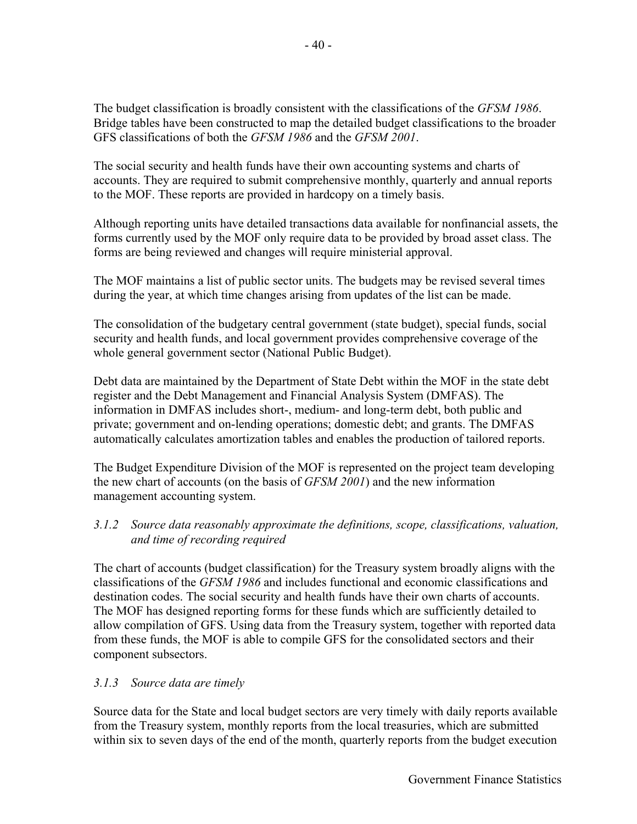The budget classification is broadly consistent with the classifications of the *GFSM 1986*. Bridge tables have been constructed to map the detailed budget classifications to the broader GFS classifications of both the *GFSM 1986* and the *GFSM 2001*.

The social security and health funds have their own accounting systems and charts of accounts. They are required to submit comprehensive monthly, quarterly and annual reports to the MOF. These reports are provided in hardcopy on a timely basis.

Although reporting units have detailed transactions data available for nonfinancial assets, the forms currently used by the MOF only require data to be provided by broad asset class. The forms are being reviewed and changes will require ministerial approval.

The MOF maintains a list of public sector units. The budgets may be revised several times during the year, at which time changes arising from updates of the list can be made.

The consolidation of the budgetary central government (state budget), special funds, social security and health funds, and local government provides comprehensive coverage of the whole general government sector (National Public Budget).

Debt data are maintained by the Department of State Debt within the MOF in the state debt register and the Debt Management and Financial Analysis System (DMFAS). The information in DMFAS includes short-, medium- and long-term debt, both public and private; government and on-lending operations; domestic debt; and grants. The DMFAS automatically calculates amortization tables and enables the production of tailored reports.

The Budget Expenditure Division of the MOF is represented on the project team developing the new chart of accounts (on the basis of *GFSM 2001*) and the new information management accounting system.

### *3.1.2 Source data reasonably approximate the definitions, scope, classifications, valuation, and time of recording required*

The chart of accounts (budget classification) for the Treasury system broadly aligns with the classifications of the *GFSM 1986* and includes functional and economic classifications and destination codes. The social security and health funds have their own charts of accounts. The MOF has designed reporting forms for these funds which are sufficiently detailed to allow compilation of GFS. Using data from the Treasury system, together with reported data from these funds, the MOF is able to compile GFS for the consolidated sectors and their component subsectors.

# *3.1.3 Source data are timely*

Source data for the State and local budget sectors are very timely with daily reports available from the Treasury system, monthly reports from the local treasuries, which are submitted within six to seven days of the end of the month, quarterly reports from the budget execution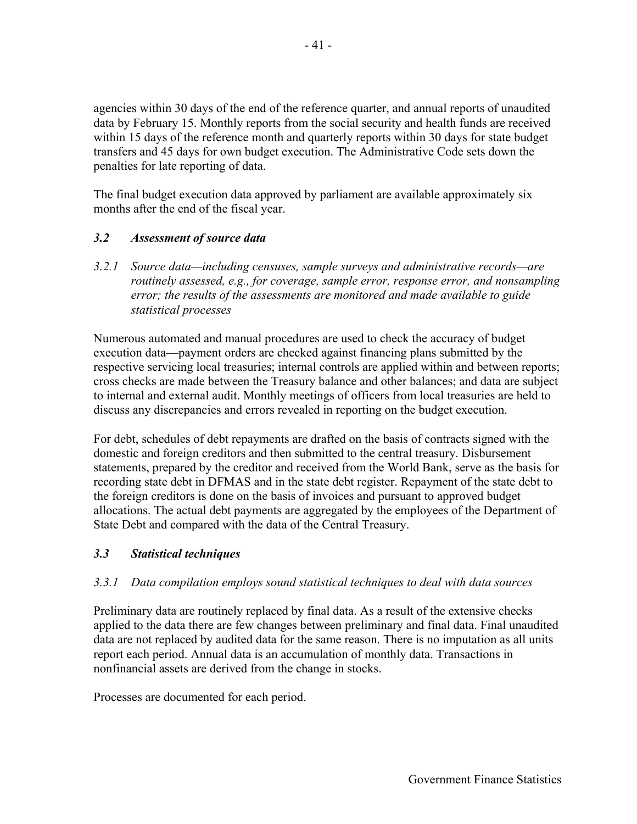agencies within 30 days of the end of the reference quarter, and annual reports of unaudited data by February 15. Monthly reports from the social security and health funds are received within 15 days of the reference month and quarterly reports within 30 days for state budget transfers and 45 days for own budget execution. The Administrative Code sets down the penalties for late reporting of data.

The final budget execution data approved by parliament are available approximately six months after the end of the fiscal year.

### *3.2 Assessment of source data*

*3.2.1 Source data—including censuses, sample surveys and administrative records—are routinely assessed, e.g., for coverage, sample error, response error, and nonsampling error; the results of the assessments are monitored and made available to guide statistical processes*

Numerous automated and manual procedures are used to check the accuracy of budget execution data—payment orders are checked against financing plans submitted by the respective servicing local treasuries; internal controls are applied within and between reports; cross checks are made between the Treasury balance and other balances; and data are subject to internal and external audit. Monthly meetings of officers from local treasuries are held to discuss any discrepancies and errors revealed in reporting on the budget execution.

For debt, schedules of debt repayments are drafted on the basis of contracts signed with the domestic and foreign creditors and then submitted to the central treasury. Disbursement statements, prepared by the creditor and received from the World Bank, serve as the basis for recording state debt in DFMAS and in the state debt register. Repayment of the state debt to the foreign creditors is done on the basis of invoices and pursuant to approved budget allocations. The actual debt payments are aggregated by the employees of the Department of State Debt and compared with the data of the Central Treasury.

#### *3.3 Statistical techniques*

#### *3.3.1 Data compilation employs sound statistical techniques to deal with data sources*

Preliminary data are routinely replaced by final data. As a result of the extensive checks applied to the data there are few changes between preliminary and final data. Final unaudited data are not replaced by audited data for the same reason. There is no imputation as all units report each period. Annual data is an accumulation of monthly data. Transactions in nonfinancial assets are derived from the change in stocks.

Processes are documented for each period.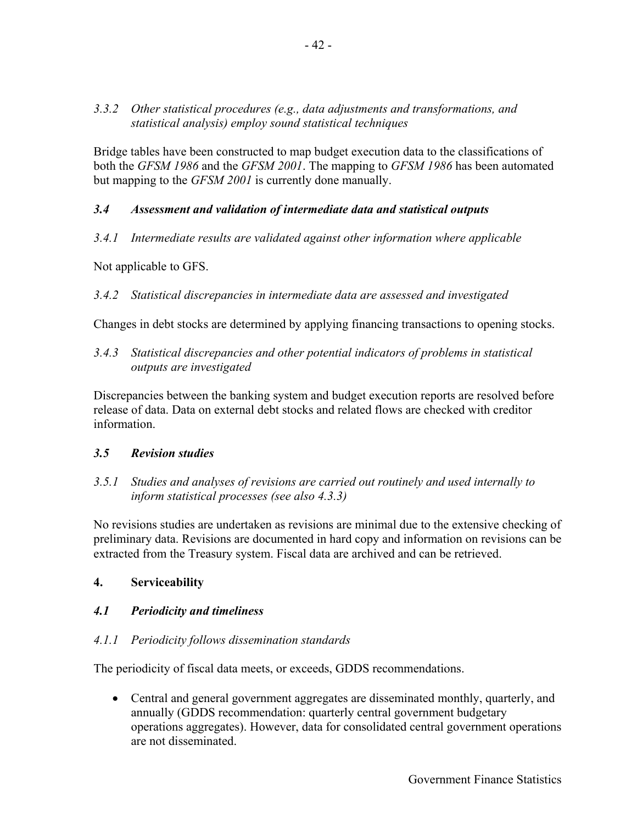### *3.3.2 Other statistical procedures (e.g., data adjustments and transformations, and statistical analysis) employ sound statistical techniques*

Bridge tables have been constructed to map budget execution data to the classifications of both the *GFSM 1986* and the *GFSM 2001*. The mapping to *GFSM 1986* has been automated but mapping to the *GFSM 2001* is currently done manually.

## *3.4 Assessment and validation of intermediate data and statistical outputs*

*3.4.1 Intermediate results are validated against other information where applicable* 

Not applicable to GFS.

## *3.4.2 Statistical discrepancies in intermediate data are assessed and investigated*

Changes in debt stocks are determined by applying financing transactions to opening stocks.

*3.4.3 Statistical discrepancies and other potential indicators of problems in statistical outputs are investigated* 

Discrepancies between the banking system and budget execution reports are resolved before release of data. Data on external debt stocks and related flows are checked with creditor information.

### *3.5 Revision studies*

*3.5.1 Studies and analyses of revisions are carried out routinely and used internally to inform statistical processes (see also 4.3.3)* 

No revisions studies are undertaken as revisions are minimal due to the extensive checking of preliminary data. Revisions are documented in hard copy and information on revisions can be extracted from the Treasury system. Fiscal data are archived and can be retrieved.

### **4. Serviceability**

# *4.1 Periodicity and timeliness*

### *4.1.1 Periodicity follows dissemination standards*

The periodicity of fiscal data meets, or exceeds, GDDS recommendations.

• Central and general government aggregates are disseminated monthly, quarterly, and annually (GDDS recommendation: quarterly central government budgetary operations aggregates). However, data for consolidated central government operations are not disseminated.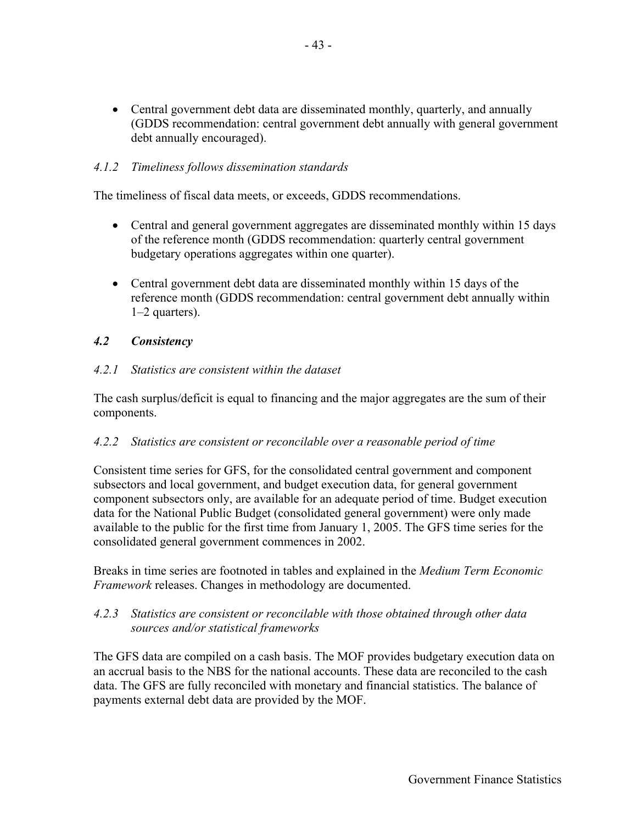• Central government debt data are disseminated monthly, quarterly, and annually (GDDS recommendation: central government debt annually with general government debt annually encouraged).

#### *4.1.2 Timeliness follows dissemination standards*

The timeliness of fiscal data meets, or exceeds, GDDS recommendations.

- Central and general government aggregates are disseminated monthly within 15 days of the reference month (GDDS recommendation: quarterly central government budgetary operations aggregates within one quarter).
- Central government debt data are disseminated monthly within 15 days of the reference month (GDDS recommendation: central government debt annually within 1–2 quarters).

#### *4.2 Consistency*

#### *4.2.1 Statistics are consistent within the dataset*

The cash surplus/deficit is equal to financing and the major aggregates are the sum of their components.

#### *4.2.2 Statistics are consistent or reconcilable over a reasonable period of time*

Consistent time series for GFS, for the consolidated central government and component subsectors and local government, and budget execution data, for general government component subsectors only, are available for an adequate period of time. Budget execution data for the National Public Budget (consolidated general government) were only made available to the public for the first time from January 1, 2005. The GFS time series for the consolidated general government commences in 2002.

Breaks in time series are footnoted in tables and explained in the *Medium Term Economic Framework* releases. Changes in methodology are documented.

#### *4.2.3 Statistics are consistent or reconcilable with those obtained through other data sources and/or statistical frameworks*

The GFS data are compiled on a cash basis. The MOF provides budgetary execution data on an accrual basis to the NBS for the national accounts. These data are reconciled to the cash data. The GFS are fully reconciled with monetary and financial statistics. The balance of payments external debt data are provided by the MOF.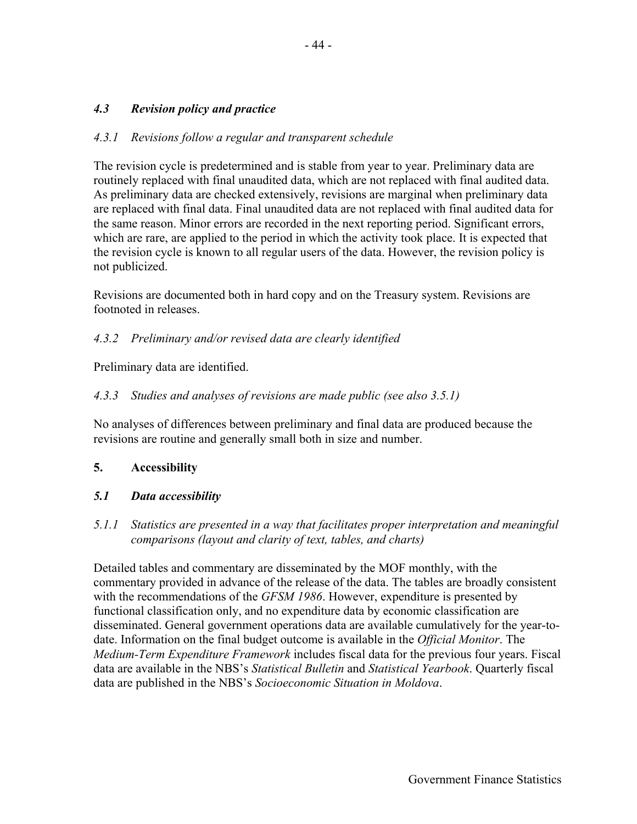# *4.3 Revision policy and practice*

### *4.3.1 Revisions follow a regular and transparent schedule*

The revision cycle is predetermined and is stable from year to year. Preliminary data are routinely replaced with final unaudited data, which are not replaced with final audited data. As preliminary data are checked extensively, revisions are marginal when preliminary data are replaced with final data. Final unaudited data are not replaced with final audited data for the same reason. Minor errors are recorded in the next reporting period. Significant errors, which are rare, are applied to the period in which the activity took place. It is expected that the revision cycle is known to all regular users of the data. However, the revision policy is not publicized.

Revisions are documented both in hard copy and on the Treasury system. Revisions are footnoted in releases.

#### *4.3.2 Preliminary and/or revised data are clearly identified*

Preliminary data are identified.

### *4.3.3 Studies and analyses of revisions are made public (see also 3.5.1)*

No analyses of differences between preliminary and final data are produced because the revisions are routine and generally small both in size and number.

#### **5. Accessibility**

#### *5.1 Data accessibility*

*5.1.1 Statistics are presented in a way that facilitates proper interpretation and meaningful comparisons (layout and clarity of text, tables, and charts)* 

Detailed tables and commentary are disseminated by the MOF monthly, with the commentary provided in advance of the release of the data. The tables are broadly consistent with the recommendations of the *GFSM 1986*. However, expenditure is presented by functional classification only, and no expenditure data by economic classification are disseminated. General government operations data are available cumulatively for the year-todate. Information on the final budget outcome is available in the *Official Monitor*. The *Medium-Term Expenditure Framework* includes fiscal data for the previous four years. Fiscal data are available in the NBS's *Statistical Bulletin* and *Statistical Yearbook*. Quarterly fiscal data are published in the NBS's *Socioeconomic Situation in Moldova*.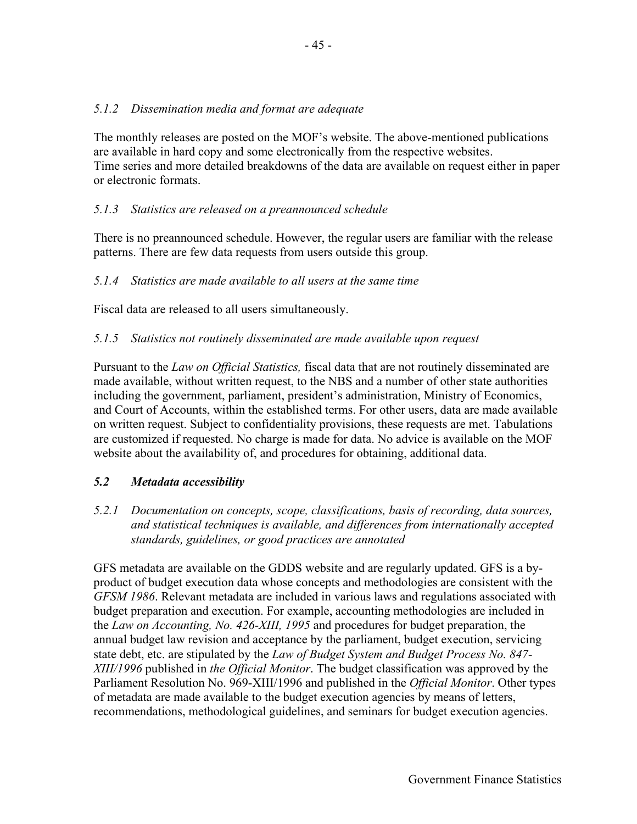## *5.1.2 Dissemination media and format are adequate*

The monthly releases are posted on the MOF's website. The above-mentioned publications are available in hard copy and some electronically from the respective websites. Time series and more detailed breakdowns of the data are available on request either in paper or electronic formats.

# *5.1.3 Statistics are released on a preannounced schedule*

There is no preannounced schedule. However, the regular users are familiar with the release patterns. There are few data requests from users outside this group.

## *5.1.4 Statistics are made available to all users at the same time*

Fiscal data are released to all users simultaneously.

### *5.1.5 Statistics not routinely disseminated are made available upon request*

Pursuant to the *Law on Official Statistics,* fiscal data that are not routinely disseminated are made available, without written request, to the NBS and a number of other state authorities including the government, parliament, president's administration, Ministry of Economics, and Court of Accounts, within the established terms. For other users, data are made available on written request. Subject to confidentiality provisions, these requests are met. Tabulations are customized if requested. No charge is made for data. No advice is available on the MOF website about the availability of, and procedures for obtaining, additional data.

## *5.2 Metadata accessibility*

*5.2.1 Documentation on concepts, scope, classifications, basis of recording, data sources, and statistical techniques is available, and differences from internationally accepted standards, guidelines, or good practices are annotated* 

GFS metadata are available on the GDDS website and are regularly updated. GFS is a byproduct of budget execution data whose concepts and methodologies are consistent with the *GFSM 1986*. Relevant metadata are included in various laws and regulations associated with budget preparation and execution. For example, accounting methodologies are included in the *Law on Accounting, No. 426-XIII, 1995* and procedures for budget preparation, the annual budget law revision and acceptance by the parliament, budget execution, servicing state debt, etc. are stipulated by the *Law of Budget System and Budget Process No. 847- XIII/1996* published in *the Official Monitor*. The budget classification was approved by the Parliament Resolution No. 969-XIII/1996 and published in the *Official Monitor*. Other types of metadata are made available to the budget execution agencies by means of letters, recommendations, methodological guidelines, and seminars for budget execution agencies.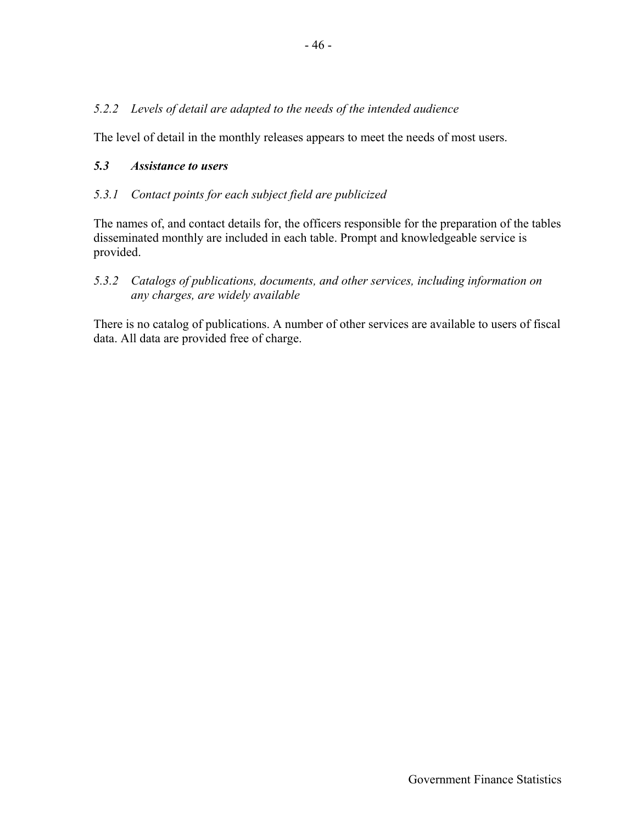## *5.2.2 Levels of detail are adapted to the needs of the intended audience*

The level of detail in the monthly releases appears to meet the needs of most users.

### *5.3 Assistance to users*

### *5.3.1 Contact points for each subject field are publicized*

The names of, and contact details for, the officers responsible for the preparation of the tables disseminated monthly are included in each table. Prompt and knowledgeable service is provided.

## *5.3.2 Catalogs of publications, documents, and other services, including information on any charges, are widely available*

There is no catalog of publications. A number of other services are available to users of fiscal data. All data are provided free of charge.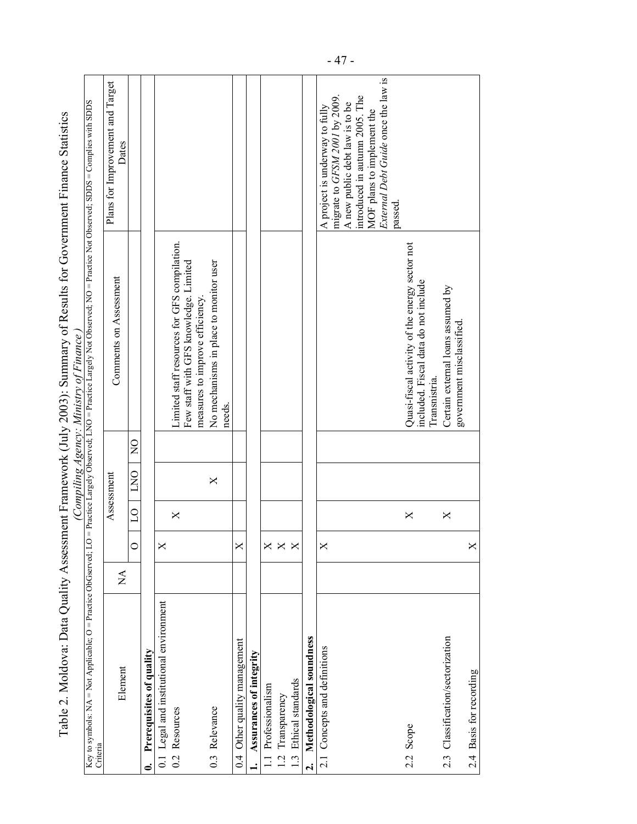|                                                                              |                                |                            |                |            |               | Table 2. Moldova: Data Quality Assessment Framework (July 2003): Summary of Results for Government Finance Statistics<br>(Compiling Agency: Ministry of Finance, |                                                                                                     |
|------------------------------------------------------------------------------|--------------------------------|----------------------------|----------------|------------|---------------|------------------------------------------------------------------------------------------------------------------------------------------------------------------|-----------------------------------------------------------------------------------------------------|
| Key to symbols: $NA = Not Applicable; O = Practice Observed; LC$<br>Criteria |                                |                            |                |            |               | 7 = Practice Largely Observed; LNO = Practice Largely Not Observed; NO = Practice Not Observed; SDDS = Complies with SDDS                                        |                                                                                                     |
| Element                                                                      | $\mathop{\mathsf{Z}}\nolimits$ |                            |                | Assessment |               | Comments on Assessment                                                                                                                                           | Plans for Improvement and Target<br>Dates                                                           |
|                                                                              |                                | $\circ$                    | $\overline{C}$ | DNO        | $\frac{0}{2}$ |                                                                                                                                                                  |                                                                                                     |
| Prerequisites of quality<br>6                                                |                                |                            |                |            |               |                                                                                                                                                                  |                                                                                                     |
| 0.1 Legal and institutional environment                                      |                                | $\times$                   |                |            |               |                                                                                                                                                                  |                                                                                                     |
| 0.2 Resources                                                                |                                |                            | X              |            |               | Limited staff resources for GFS compilation.<br>Few staff with GFS knowledge. Limited                                                                            |                                                                                                     |
|                                                                              |                                |                            |                |            |               | measures to improve efficiency.                                                                                                                                  |                                                                                                     |
| 0.3 Relevance                                                                |                                |                            |                | X          |               | No mechanisms in place to monitor user<br>needs.                                                                                                                 |                                                                                                     |
| 0.4 Other quality management                                                 |                                | X                          |                |            |               |                                                                                                                                                                  |                                                                                                     |
| Assurances of integrity                                                      |                                |                            |                |            |               |                                                                                                                                                                  |                                                                                                     |
| 1.1 Professionalism                                                          |                                |                            |                |            |               |                                                                                                                                                                  |                                                                                                     |
| 1.2 Transparency                                                             |                                | $\times$ $\times$ $\times$ |                |            |               |                                                                                                                                                                  |                                                                                                     |
| 1.3 Ethical standards                                                        |                                |                            |                |            |               |                                                                                                                                                                  |                                                                                                     |
| Methodological soundness<br>$\mathbf{a}$                                     |                                |                            |                |            |               |                                                                                                                                                                  |                                                                                                     |
| 2.1 Concepts and definitions                                                 |                                | X                          |                |            |               |                                                                                                                                                                  | migrate to GFSM 2001 by 2009.<br>A new public debt law is to be<br>A project is underway to fully   |
|                                                                              |                                |                            |                |            |               |                                                                                                                                                                  | External Debt Guide once the law is<br>introduced in autumn 2005. The<br>MOF plans to implement the |
|                                                                              |                                |                            |                |            |               |                                                                                                                                                                  | passed.                                                                                             |
| 2.2 Scope                                                                    |                                |                            | $\times$       |            |               | Quasi-fiscal activity of the energy sector not<br>included. Fiscal data do not include                                                                           |                                                                                                     |
|                                                                              |                                |                            |                |            |               | Transnistria                                                                                                                                                     |                                                                                                     |
| 2.3 Classification/sectorization                                             |                                |                            | X              |            |               | Certain external loans assumed by                                                                                                                                |                                                                                                     |
| 2.4 Basis for recording                                                      |                                | $\mathsf{X}$               |                |            |               | government misclassified.                                                                                                                                        |                                                                                                     |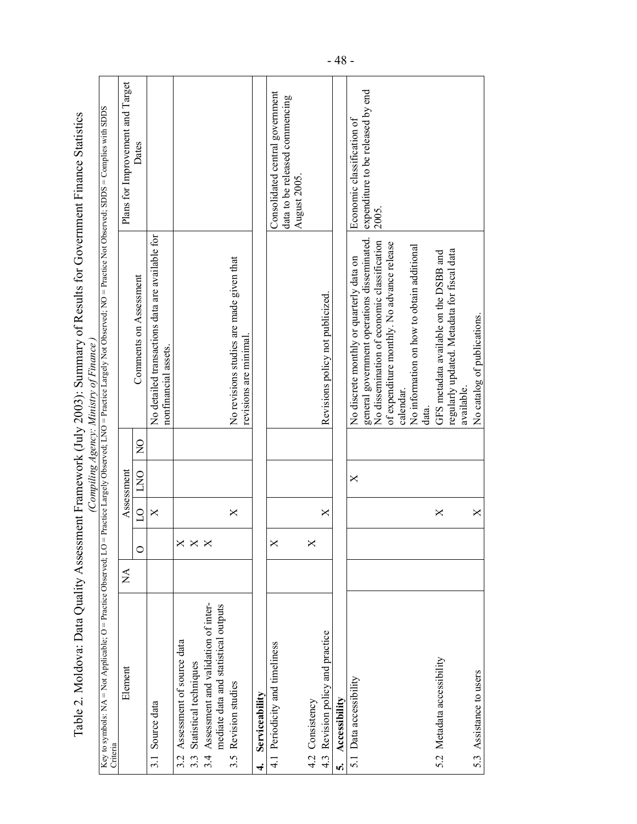|                                                                                    |                           |         |                |            |                | Table 2. Moldova: Data Quality Assessment Framework (July 2003): Summary of Results for Government Finance Statistics<br>Compiling Agency: Ministry of Finance, |                                                                   |
|------------------------------------------------------------------------------------|---------------------------|---------|----------------|------------|----------------|-----------------------------------------------------------------------------------------------------------------------------------------------------------------|-------------------------------------------------------------------|
| Key to symbols: $NA = Not Apple$ ; $O = Practice Observed$ ; $LO$<br>Criteria      |                           |         |                |            |                | = Practice Largely Observed; LNO = Practice Largely Not Observed; NO = Practice Not Observed; SDDS = Complies with SDDS                                         |                                                                   |
| Element                                                                            | $\mathop{\rm M}\nolimits$ |         |                | Assessment |                |                                                                                                                                                                 | Plans for Improvement and Target                                  |
|                                                                                    |                           | $\circ$ | $\overline{C}$ | <b>DND</b> | $\overline{Q}$ | Comments on Assessment                                                                                                                                          | Dates                                                             |
| Source data<br>3.1                                                                 |                           |         | ×              |            |                | No detailed transactions data are available for<br>nonfinancial assets.                                                                                         |                                                                   |
| Assessment of source data<br>3.2                                                   |                           |         |                |            |                |                                                                                                                                                                 |                                                                   |
| Statistical techniques<br>3.3                                                      |                           |         |                |            |                |                                                                                                                                                                 |                                                                   |
| Assessment and validation of inter-<br>mediate data and statistical outputs<br>3.4 |                           |         |                |            |                |                                                                                                                                                                 |                                                                   |
| Revision studies<br>3.5                                                            |                           |         | $\times$       |            |                | No revisions studies are made given that                                                                                                                        |                                                                   |
|                                                                                    |                           |         |                |            |                | revisions are minimal                                                                                                                                           |                                                                   |
| Serviceability<br>4.                                                               |                           |         |                |            |                |                                                                                                                                                                 |                                                                   |
| 4.1 Periodicity and timeliness                                                     |                           |         |                |            |                |                                                                                                                                                                 | Consolidated central government<br>data to be released commencing |
|                                                                                    |                           |         |                |            |                |                                                                                                                                                                 | August 2005.                                                      |
| 4.2 Consistency                                                                    |                           |         |                |            |                |                                                                                                                                                                 |                                                                   |
| Revision policy and practice<br>4.3                                                |                           |         | X              |            |                | Revisions policy not publicized.                                                                                                                                |                                                                   |
| Accessibility<br>n,                                                                |                           |         |                |            |                |                                                                                                                                                                 |                                                                   |
| 5.1 Data accessibility                                                             |                           |         |                | ×          |                | No discrete monthly or quarterly data on                                                                                                                        | Economic classification of                                        |
|                                                                                    |                           |         |                |            |                | general government operations disseminated.                                                                                                                     | expenditure to be released by end                                 |
|                                                                                    |                           |         |                |            |                | No dissemination of economic classification                                                                                                                     | 2005.                                                             |
|                                                                                    |                           |         |                |            |                | of expenditure monthly. No advance release                                                                                                                      |                                                                   |
|                                                                                    |                           |         |                |            |                | calendar                                                                                                                                                        |                                                                   |
|                                                                                    |                           |         |                |            |                | No information on how to obtain additional                                                                                                                      |                                                                   |
|                                                                                    |                           |         |                |            |                | data.                                                                                                                                                           |                                                                   |
| 5.2 Metadata accessibility                                                         |                           |         | X              |            |                | GFS metadata available on the DSBB and                                                                                                                          |                                                                   |
|                                                                                    |                           |         |                |            |                | regularly updated. Metadata for fiscal data                                                                                                                     |                                                                   |
|                                                                                    |                           |         |                |            |                | available.                                                                                                                                                      |                                                                   |
| 5.3 Assistance to users                                                            |                           |         | $\times$       |            |                | No catalog of publications.                                                                                                                                     |                                                                   |

- 48 -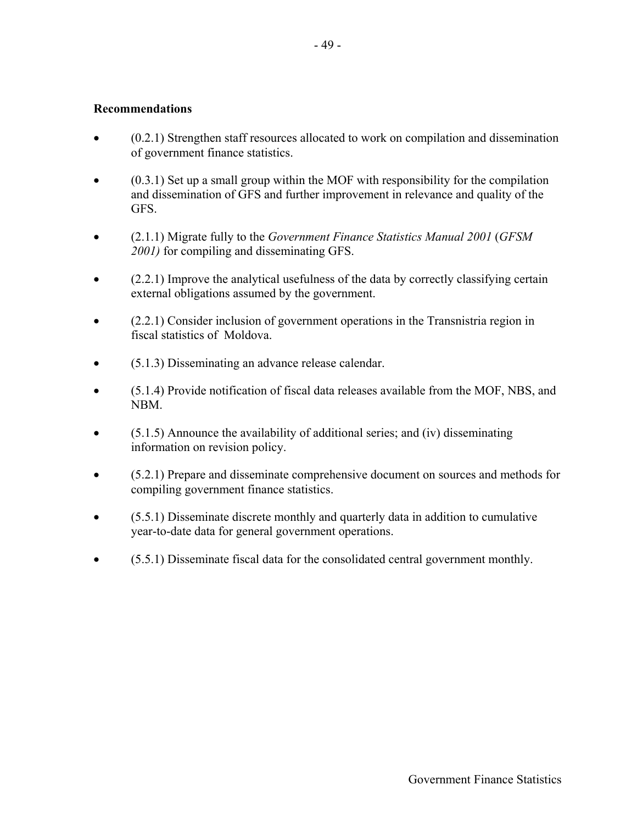### **Recommendations**

- (0.2.1) Strengthen staff resources allocated to work on compilation and dissemination of government finance statistics.
- $\bullet$  (0.3.1) Set up a small group within the MOF with responsibility for the compilation and dissemination of GFS and further improvement in relevance and quality of the GFS.
- (2.1.1) Migrate fully to the *Government Finance Statistics Manual 2001* (*GFSM 2001)* for compiling and disseminating GFS.
- (2.2.1) Improve the analytical usefulness of the data by correctly classifying certain external obligations assumed by the government.
- (2.2.1) Consider inclusion of government operations in the Transnistria region in fiscal statistics of Moldova.
- (5.1.3) Disseminating an advance release calendar.
- (5.1.4) Provide notification of fiscal data releases available from the MOF, NBS, and NBM.
- (5.1.5) Announce the availability of additional series; and (iv) disseminating information on revision policy.
- (5.2.1) Prepare and disseminate comprehensive document on sources and methods for compiling government finance statistics.
- (5.5.1) Disseminate discrete monthly and quarterly data in addition to cumulative year-to-date data for general government operations.
- (5.5.1) Disseminate fiscal data for the consolidated central government monthly.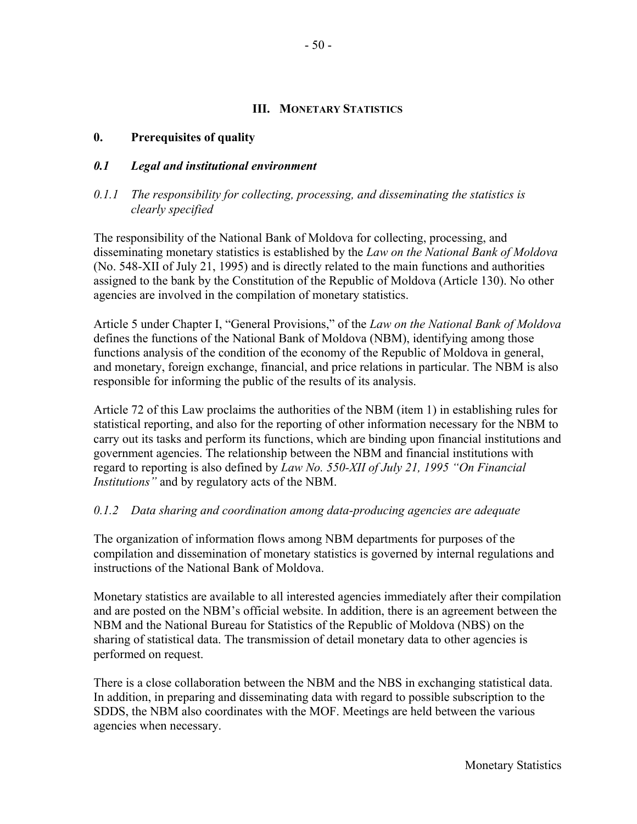#### **III. MONETARY STATISTICS**

## **0. Prerequisites of quality**

### *0.1 Legal and institutional environment*

### *0.1.1 The responsibility for collecting, processing, and disseminating the statistics is clearly specified*

The responsibility of the National Bank of Moldova for collecting, processing, and disseminating monetary statistics is established by the *Law on the National Bank of Moldova* (No. 548-XII of July 21, 1995) and is directly related to the main functions and authorities assigned to the bank by the Constitution of the Republic of Moldova (Article 130). No other agencies are involved in the compilation of monetary statistics.

Article 5 under Chapter I, "General Provisions," of the *Law on the National Bank of Moldova* defines the functions of the National Bank of Moldova (NBM), identifying among those functions analysis of the condition of the economy of the Republic of Moldova in general, and monetary, foreign exchange, financial, and price relations in particular. The NBM is also responsible for informing the public of the results of its analysis.

Article 72 of this Law proclaims the authorities of the NBM (item 1) in establishing rules for statistical reporting, and also for the reporting of other information necessary for the NBM to carry out its tasks and perform its functions, which are binding upon financial institutions and government agencies. The relationship between the NBM and financial institutions with regard to reporting is also defined by *Law No. 550-XII of July 21, 1995 "On Financial Institutions"* and by regulatory acts of the NBM.

## *0.1.2 Data sharing and coordination among data-producing agencies are adequate*

The organization of information flows among NBM departments for purposes of the compilation and dissemination of monetary statistics is governed by internal regulations and instructions of the National Bank of Moldova.

Monetary statistics are available to all interested agencies immediately after their compilation and are posted on the NBM's official website. In addition, there is an agreement between the NBM and the National Bureau for Statistics of the Republic of Moldova (NBS) on the sharing of statistical data. The transmission of detail monetary data to other agencies is performed on request.

There is a close collaboration between the NBM and the NBS in exchanging statistical data. In addition, in preparing and disseminating data with regard to possible subscription to the SDDS, the NBM also coordinates with the MOF. Meetings are held between the various agencies when necessary.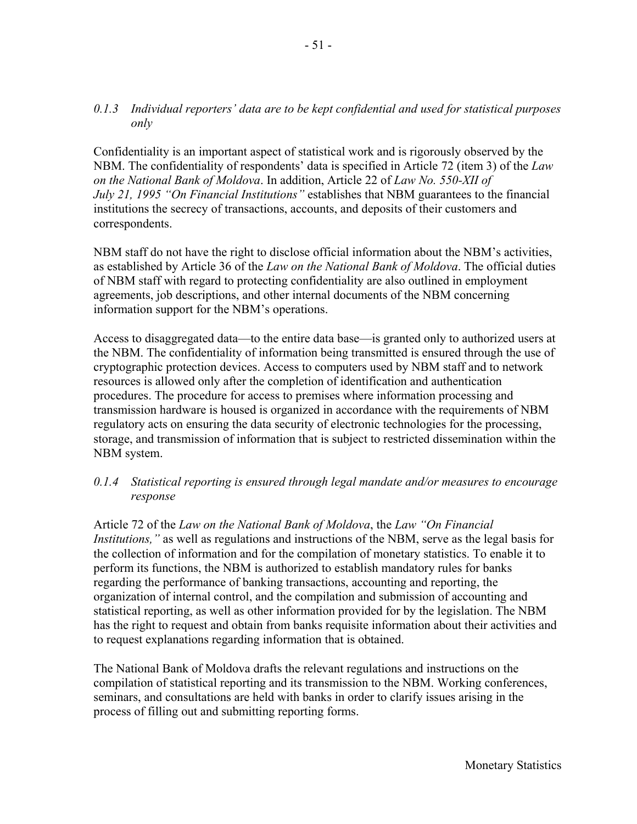### *0.1.3 Individual reporters' data are to be kept confidential and used for statistical purposes only*

Confidentiality is an important aspect of statistical work and is rigorously observed by the NBM. The confidentiality of respondents' data is specified in Article 72 (item 3) of the *Law on the National Bank of Moldova*. In addition, Article 22 of *Law No. 550-XII of July 21, 1995 "On Financial Institutions"* establishes that NBM guarantees to the financial institutions the secrecy of transactions, accounts, and deposits of their customers and correspondents.

NBM staff do not have the right to disclose official information about the NBM's activities, as established by Article 36 of the *Law on the National Bank of Moldova*. The official duties of NBM staff with regard to protecting confidentiality are also outlined in employment agreements, job descriptions, and other internal documents of the NBM concerning information support for the NBM's operations.

Access to disaggregated data—to the entire data base—is granted only to authorized users at the NBM. The confidentiality of information being transmitted is ensured through the use of cryptographic protection devices. Access to computers used by NBM staff and to network resources is allowed only after the completion of identification and authentication procedures. The procedure for access to premises where information processing and transmission hardware is housed is organized in accordance with the requirements of NBM regulatory acts on ensuring the data security of electronic technologies for the processing, storage, and transmission of information that is subject to restricted dissemination within the NBM system.

### *0.1.4 Statistical reporting is ensured through legal mandate and/or measures to encourage response*

Article 72 of the *Law on the National Bank of Moldova*, the *Law "On Financial Institutions,"* as well as regulations and instructions of the NBM, serve as the legal basis for the collection of information and for the compilation of monetary statistics. To enable it to perform its functions, the NBM is authorized to establish mandatory rules for banks regarding the performance of banking transactions, accounting and reporting, the organization of internal control, and the compilation and submission of accounting and statistical reporting, as well as other information provided for by the legislation. The NBM has the right to request and obtain from banks requisite information about their activities and to request explanations regarding information that is obtained.

The National Bank of Moldova drafts the relevant regulations and instructions on the compilation of statistical reporting and its transmission to the NBM. Working conferences, seminars, and consultations are held with banks in order to clarify issues arising in the process of filling out and submitting reporting forms.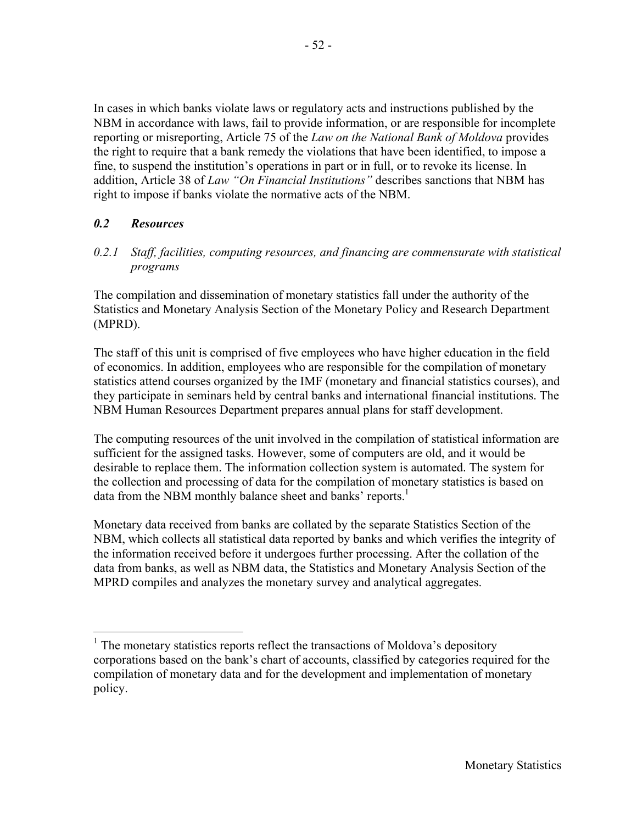In cases in which banks violate laws or regulatory acts and instructions published by the NBM in accordance with laws, fail to provide information, or are responsible for incomplete reporting or misreporting, Article 75 of the *Law on the National Bank of Moldova* provides the right to require that a bank remedy the violations that have been identified, to impose a fine, to suspend the institution's operations in part or in full, or to revoke its license. In addition, Article 38 of *Law "On Financial Institutions"* describes sanctions that NBM has right to impose if banks violate the normative acts of the NBM.

## *0.2 Resources*

*0.2.1 Staff, facilities, computing resources, and financing are commensurate with statistical programs* 

The compilation and dissemination of monetary statistics fall under the authority of the Statistics and Monetary Analysis Section of the Monetary Policy and Research Department (MPRD).

The staff of this unit is comprised of five employees who have higher education in the field of economics. In addition, employees who are responsible for the compilation of monetary statistics attend courses organized by the IMF (monetary and financial statistics courses), and they participate in seminars held by central banks and international financial institutions. The NBM Human Resources Department prepares annual plans for staff development.

The computing resources of the unit involved in the compilation of statistical information are sufficient for the assigned tasks. However, some of computers are old, and it would be desirable to replace them. The information collection system is automated. The system for the collection and processing of data for the compilation of monetary statistics is based on data from the NBM monthly balance sheet and banks' reports.<sup>1</sup>

Monetary data received from banks are collated by the separate Statistics Section of the NBM, which collects all statistical data reported by banks and which verifies the integrity of the information received before it undergoes further processing. After the collation of the data from banks, as well as NBM data, the Statistics and Monetary Analysis Section of the MPRD compiles and analyzes the monetary survey and analytical aggregates.

<sup>&</sup>lt;sup>1</sup> The monetary statistics reports reflect the transactions of Moldova's depository corporations based on the bank's chart of accounts, classified by categories required for the compilation of monetary data and for the development and implementation of monetary policy.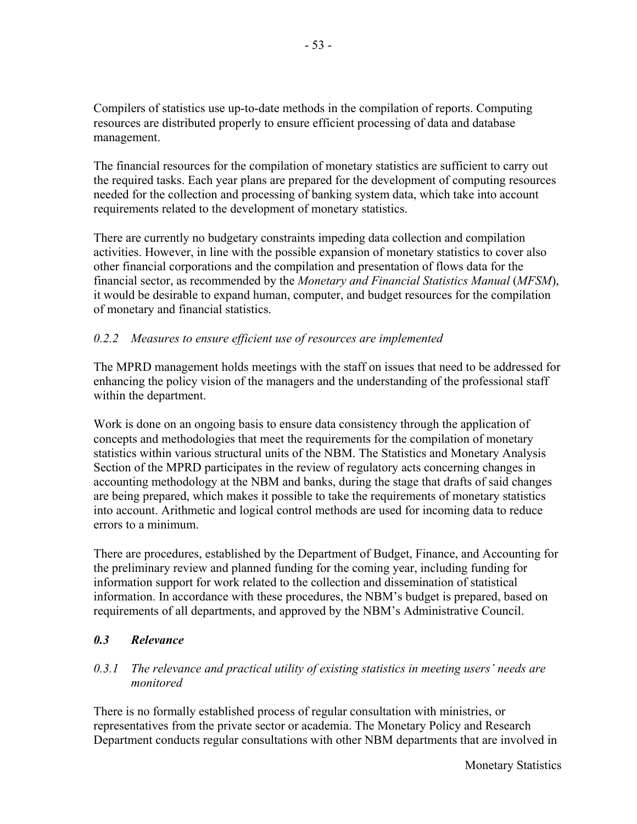Compilers of statistics use up-to-date methods in the compilation of reports. Computing resources are distributed properly to ensure efficient processing of data and database management.

The financial resources for the compilation of monetary statistics are sufficient to carry out the required tasks. Each year plans are prepared for the development of computing resources needed for the collection and processing of banking system data, which take into account requirements related to the development of monetary statistics.

There are currently no budgetary constraints impeding data collection and compilation activities. However, in line with the possible expansion of monetary statistics to cover also other financial corporations and the compilation and presentation of flows data for the financial sector, as recommended by the *Monetary and Financial Statistics Manual* (*MFSM*), it would be desirable to expand human, computer, and budget resources for the compilation of monetary and financial statistics.

# *0.2.2 Measures to ensure efficient use of resources are implemented*

The MPRD management holds meetings with the staff on issues that need to be addressed for enhancing the policy vision of the managers and the understanding of the professional staff within the department.

Work is done on an ongoing basis to ensure data consistency through the application of concepts and methodologies that meet the requirements for the compilation of monetary statistics within various structural units of the NBM. The Statistics and Monetary Analysis Section of the MPRD participates in the review of regulatory acts concerning changes in accounting methodology at the NBM and banks, during the stage that drafts of said changes are being prepared, which makes it possible to take the requirements of monetary statistics into account. Arithmetic and logical control methods are used for incoming data to reduce errors to a minimum.

There are procedures, established by the Department of Budget, Finance, and Accounting for the preliminary review and planned funding for the coming year, including funding for information support for work related to the collection and dissemination of statistical information. In accordance with these procedures, the NBM's budget is prepared, based on requirements of all departments, and approved by the NBM's Administrative Council.

## *0.3 Relevance*

## *0.3.1 The relevance and practical utility of existing statistics in meeting users' needs are monitored*

There is no formally established process of regular consultation with ministries, or representatives from the private sector or academia. The Monetary Policy and Research Department conducts regular consultations with other NBM departments that are involved in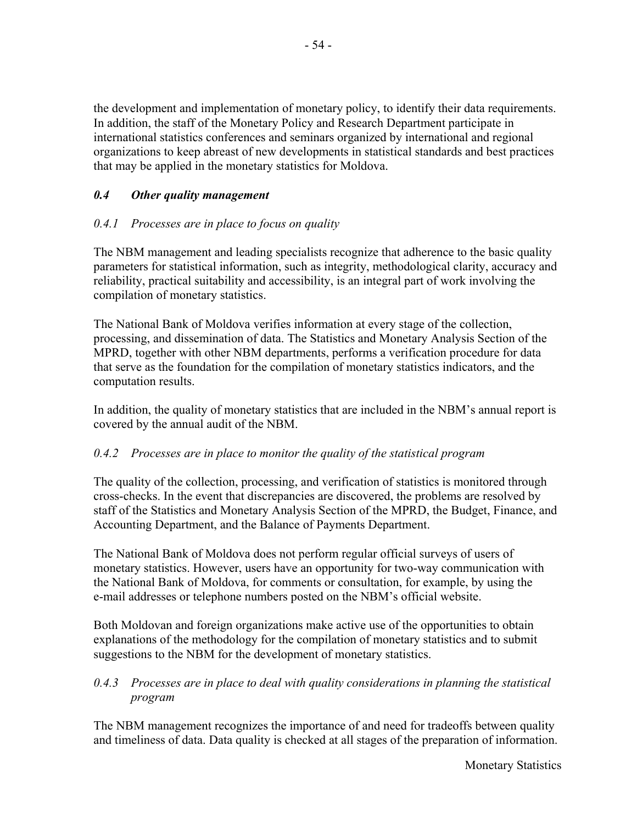the development and implementation of monetary policy, to identify their data requirements. In addition, the staff of the Monetary Policy and Research Department participate in international statistics conferences and seminars organized by international and regional organizations to keep abreast of new developments in statistical standards and best practices that may be applied in the monetary statistics for Moldova.

# *0.4 Other quality management*

## *0.4.1 Processes are in place to focus on quality*

The NBM management and leading specialists recognize that adherence to the basic quality parameters for statistical information, such as integrity, methodological clarity, accuracy and reliability, practical suitability and accessibility, is an integral part of work involving the compilation of monetary statistics.

The National Bank of Moldova verifies information at every stage of the collection, processing, and dissemination of data. The Statistics and Monetary Analysis Section of the MPRD, together with other NBM departments, performs a verification procedure for data that serve as the foundation for the compilation of monetary statistics indicators, and the computation results.

In addition, the quality of monetary statistics that are included in the NBM's annual report is covered by the annual audit of the NBM.

## *0.4.2 Processes are in place to monitor the quality of the statistical program*

The quality of the collection, processing, and verification of statistics is monitored through cross-checks. In the event that discrepancies are discovered, the problems are resolved by staff of the Statistics and Monetary Analysis Section of the MPRD, the Budget, Finance, and Accounting Department, and the Balance of Payments Department.

The National Bank of Moldova does not perform regular official surveys of users of monetary statistics. However, users have an opportunity for two-way communication with the National Bank of Moldova, for comments or consultation, for example, by using the e-mail addresses or telephone numbers posted on the NBM's official website.

Both Moldovan and foreign organizations make active use of the opportunities to obtain explanations of the methodology for the compilation of monetary statistics and to submit suggestions to the NBM for the development of monetary statistics.

## *0.4.3 Processes are in place to deal with quality considerations in planning the statistical program*

The NBM management recognizes the importance of and need for tradeoffs between quality and timeliness of data. Data quality is checked at all stages of the preparation of information.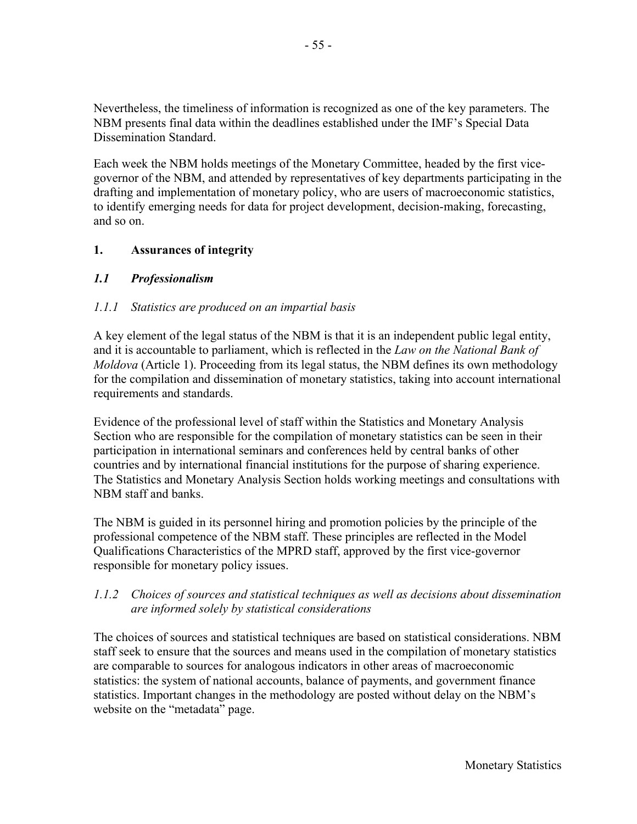Nevertheless, the timeliness of information is recognized as one of the key parameters. The NBM presents final data within the deadlines established under the IMF's Special Data Dissemination Standard.

Each week the NBM holds meetings of the Monetary Committee, headed by the first vicegovernor of the NBM, and attended by representatives of key departments participating in the drafting and implementation of monetary policy, who are users of macroeconomic statistics, to identify emerging needs for data for project development, decision-making, forecasting, and so on.

# **1. Assurances of integrity**

# *1.1 Professionalism*

## *1.1.1 Statistics are produced on an impartial basis*

A key element of the legal status of the NBM is that it is an independent public legal entity, and it is accountable to parliament, which is reflected in the *Law on the National Bank of Moldova* (Article 1). Proceeding from its legal status, the NBM defines its own methodology for the compilation and dissemination of monetary statistics, taking into account international requirements and standards.

Evidence of the professional level of staff within the Statistics and Monetary Analysis Section who are responsible for the compilation of monetary statistics can be seen in their participation in international seminars and conferences held by central banks of other countries and by international financial institutions for the purpose of sharing experience. The Statistics and Monetary Analysis Section holds working meetings and consultations with NBM staff and banks.

The NBM is guided in its personnel hiring and promotion policies by the principle of the professional competence of the NBM staff. These principles are reflected in the Model Qualifications Characteristics of the MPRD staff, approved by the first vice-governor responsible for monetary policy issues.

## *1.1.2 Choices of sources and statistical techniques as well as decisions about dissemination are informed solely by statistical considerations*

The choices of sources and statistical techniques are based on statistical considerations. NBM staff seek to ensure that the sources and means used in the compilation of monetary statistics are comparable to sources for analogous indicators in other areas of macroeconomic statistics: the system of national accounts, balance of payments, and government finance statistics. Important changes in the methodology are posted without delay on the NBM's website on the "metadata" page.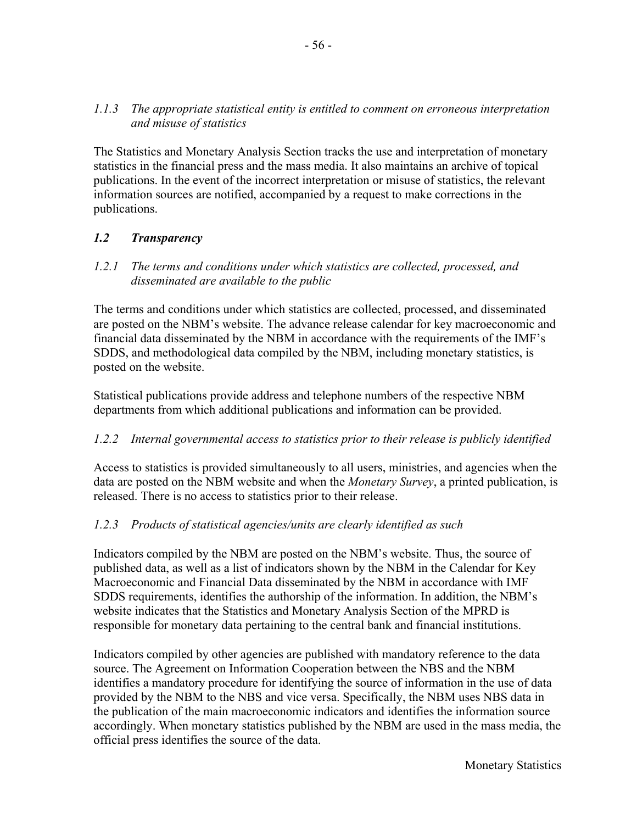## *1.1.3 The appropriate statistical entity is entitled to comment on erroneous interpretation and misuse of statistics*

The Statistics and Monetary Analysis Section tracks the use and interpretation of monetary statistics in the financial press and the mass media. It also maintains an archive of topical publications. In the event of the incorrect interpretation or misuse of statistics, the relevant information sources are notified, accompanied by a request to make corrections in the publications.

# *1.2 Transparency*

## *1.2.1 The terms and conditions under which statistics are collected, processed, and disseminated are available to the public*

The terms and conditions under which statistics are collected, processed, and disseminated are posted on the NBM's website. The advance release calendar for key macroeconomic and financial data disseminated by the NBM in accordance with the requirements of the IMF's SDDS, and methodological data compiled by the NBM, including monetary statistics, is posted on the website.

Statistical publications provide address and telephone numbers of the respective NBM departments from which additional publications and information can be provided.

# *1.2.2 Internal governmental access to statistics prior to their release is publicly identified*

Access to statistics is provided simultaneously to all users, ministries, and agencies when the data are posted on the NBM website and when the *Monetary Survey*, a printed publication, is released. There is no access to statistics prior to their release.

## *1.2.3 Products of statistical agencies/units are clearly identified as such*

Indicators compiled by the NBM are posted on the NBM's website. Thus, the source of published data, as well as a list of indicators shown by the NBM in the Calendar for Key Macroeconomic and Financial Data disseminated by the NBM in accordance with IMF SDDS requirements, identifies the authorship of the information. In addition, the NBM's website indicates that the Statistics and Monetary Analysis Section of the MPRD is responsible for monetary data pertaining to the central bank and financial institutions.

Indicators compiled by other agencies are published with mandatory reference to the data source. The Agreement on Information Cooperation between the NBS and the NBM identifies a mandatory procedure for identifying the source of information in the use of data provided by the NBM to the NBS and vice versa. Specifically, the NBM uses NBS data in the publication of the main macroeconomic indicators and identifies the information source accordingly. When monetary statistics published by the NBM are used in the mass media, the official press identifies the source of the data.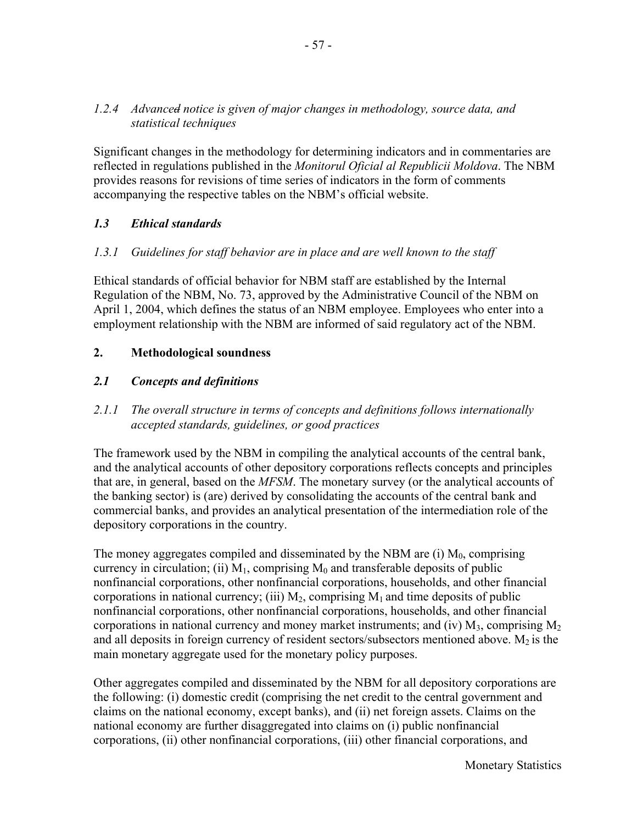## *1.2.4 Advanced notice is given of major changes in methodology, source data, and statistical techniques*

Significant changes in the methodology for determining indicators and in commentaries are reflected in regulations published in the *Monitorul Oficial al Republicii Moldova*. The NBM provides reasons for revisions of time series of indicators in the form of comments accompanying the respective tables on the NBM's official website.

## *1.3 Ethical standards*

## *1.3.1 Guidelines for staff behavior are in place and are well known to the staff*

Ethical standards of official behavior for NBM staff are established by the Internal Regulation of the NBM, No. 73, approved by the Administrative Council of the NBM on April 1, 2004, which defines the status of an NBM employee. Employees who enter into a employment relationship with the NBM are informed of said regulatory act of the NBM.

### **2. Methodological soundness**

### *2.1 Concepts and definitions*

## *2.1.1 The overall structure in terms of concepts and definitions follows internationally accepted standards, guidelines, or good practices*

The framework used by the NBM in compiling the analytical accounts of the central bank, and the analytical accounts of other depository corporations reflects concepts and principles that are, in general, based on the *MFSM*. The monetary survey (or the analytical accounts of the banking sector) is (are) derived by consolidating the accounts of the central bank and commercial banks, and provides an analytical presentation of the intermediation role of the depository corporations in the country.

The money aggregates compiled and disseminated by the NBM are  $(i)$   $M_0$ , comprising currency in circulation; (ii)  $M_1$ , comprising  $M_0$  and transferable deposits of public nonfinancial corporations, other nonfinancial corporations, households, and other financial corporations in national currency; (iii)  $M_2$ , comprising  $M_1$  and time deposits of public nonfinancial corporations, other nonfinancial corporations, households, and other financial corporations in national currency and money market instruments; and (iv)  $M_3$ , comprising  $M_2$ and all deposits in foreign currency of resident sectors/subsectors mentioned above.  $M_2$  is the main monetary aggregate used for the monetary policy purposes.

Other aggregates compiled and disseminated by the NBM for all depository corporations are the following: (i) domestic credit (comprising the net credit to the central government and claims on the national economy, except banks), and (ii) net foreign assets. Claims on the national economy are further disaggregated into claims on (i) public nonfinancial corporations, (ii) other nonfinancial corporations, (iii) other financial corporations, and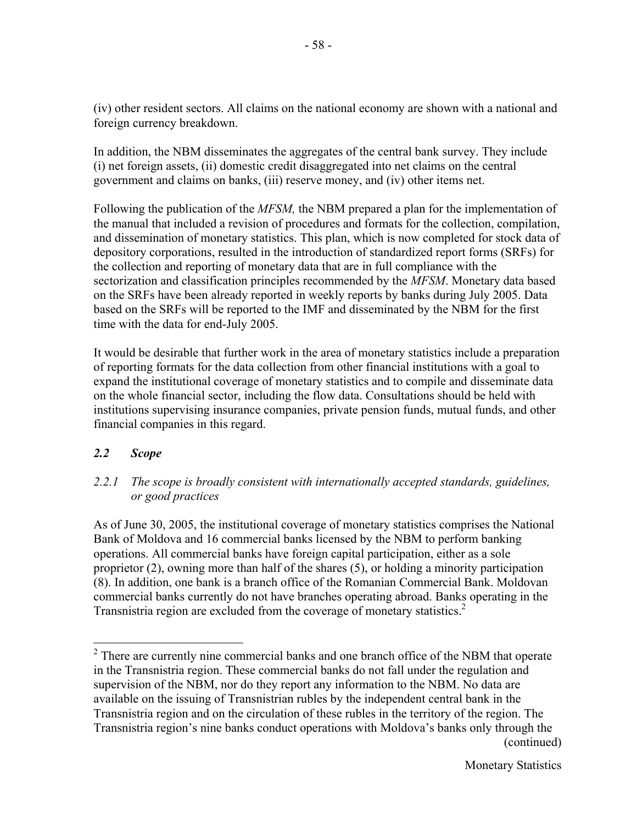(iv) other resident sectors. All claims on the national economy are shown with a national and foreign currency breakdown.

In addition, the NBM disseminates the aggregates of the central bank survey. They include (i) net foreign assets, (ii) domestic credit disaggregated into net claims on the central government and claims on banks, (iii) reserve money, and (iv) other items net.

Following the publication of the *MFSM,* the NBM prepared a plan for the implementation of the manual that included a revision of procedures and formats for the collection, compilation, and dissemination of monetary statistics. This plan, which is now completed for stock data of depository corporations, resulted in the introduction of standardized report forms (SRFs) for the collection and reporting of monetary data that are in full compliance with the sectorization and classification principles recommended by the *MFSM*. Monetary data based on the SRFs have been already reported in weekly reports by banks during July 2005. Data based on the SRFs will be reported to the IMF and disseminated by the NBM for the first time with the data for end-July 2005.

It would be desirable that further work in the area of monetary statistics include a preparation of reporting formats for the data collection from other financial institutions with a goal to expand the institutional coverage of monetary statistics and to compile and disseminate data on the whole financial sector, including the flow data. Consultations should be held with institutions supervising insurance companies, private pension funds, mutual funds, and other financial companies in this regard.

# *2.2 Scope*

1

## *2.2.1 The scope is broadly consistent with internationally accepted standards, guidelines, or good practices*

As of June 30, 2005, the institutional coverage of monetary statistics comprises the National Bank of Moldova and 16 commercial banks licensed by the NBM to perform banking operations. All commercial banks have foreign capital participation, either as a sole proprietor (2), owning more than half of the shares (5), or holding a minority participation (8). In addition, one bank is a branch office of the Romanian Commercial Bank. Moldovan commercial banks currently do not have branches operating abroad. Banks operating in the Transnistria region are excluded from the coverage of monetary statistics.<sup>2</sup>

 $2$  There are currently nine commercial banks and one branch office of the NBM that operate in the Transnistria region. These commercial banks do not fall under the regulation and supervision of the NBM, nor do they report any information to the NBM. No data are available on the issuing of Transnistrian rubles by the independent central bank in the Transnistria region and on the circulation of these rubles in the territory of the region. The Transnistria region's nine banks conduct operations with Moldova's banks only through the (continued)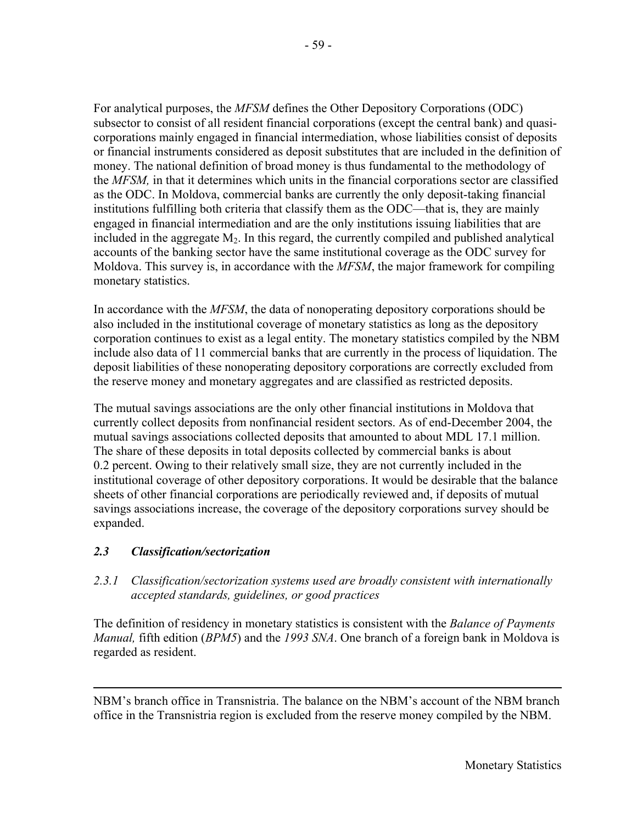For analytical purposes, the *MFSM* defines the Other Depository Corporations (ODC) subsector to consist of all resident financial corporations (except the central bank) and quasicorporations mainly engaged in financial intermediation, whose liabilities consist of deposits or financial instruments considered as deposit substitutes that are included in the definition of money. The national definition of broad money is thus fundamental to the methodology of the *MFSM,* in that it determines which units in the financial corporations sector are classified as the ODC. In Moldova, commercial banks are currently the only deposit-taking financial institutions fulfilling both criteria that classify them as the ODC—that is, they are mainly engaged in financial intermediation and are the only institutions issuing liabilities that are included in the aggregate  $M<sub>2</sub>$ . In this regard, the currently compiled and published analytical accounts of the banking sector have the same institutional coverage as the ODC survey for Moldova. This survey is, in accordance with the *MFSM*, the major framework for compiling monetary statistics.

In accordance with the *MFSM*, the data of nonoperating depository corporations should be also included in the institutional coverage of monetary statistics as long as the depository corporation continues to exist as a legal entity. The monetary statistics compiled by the NBM include also data of 11 commercial banks that are currently in the process of liquidation. The deposit liabilities of these nonoperating depository corporations are correctly excluded from the reserve money and monetary aggregates and are classified as restricted deposits.

The mutual savings associations are the only other financial institutions in Moldova that currently collect deposits from nonfinancial resident sectors. As of end-December 2004, the mutual savings associations collected deposits that amounted to about MDL 17.1 million. The share of these deposits in total deposits collected by commercial banks is about 0.2 percent. Owing to their relatively small size, they are not currently included in the institutional coverage of other depository corporations. It would be desirable that the balance sheets of other financial corporations are periodically reviewed and, if deposits of mutual savings associations increase, the coverage of the depository corporations survey should be expanded.

# *2.3 Classification/sectorization*

 $\overline{a}$ 

# *2.3.1 Classification/sectorization systems used are broadly consistent with internationally accepted standards, guidelines, or good practices*

The definition of residency in monetary statistics is consistent with the *Balance of Payments Manual,* fifth edition (*BPM5*) and the *1993 SNA*. One branch of a foreign bank in Moldova is regarded as resident.

NBM's branch office in Transnistria. The balance on the NBM's account of the NBM branch office in the Transnistria region is excluded from the reserve money compiled by the NBM.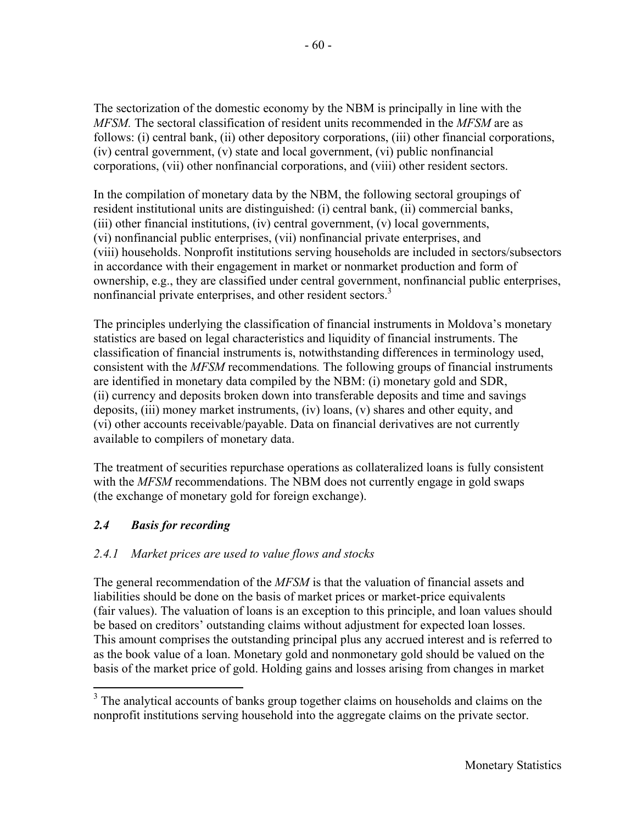The sectorization of the domestic economy by the NBM is principally in line with the *MFSM.* The sectoral classification of resident units recommended in the *MFSM* are as follows: (i) central bank, (ii) other depository corporations, (iii) other financial corporations, (iv) central government, (v) state and local government, (vi) public nonfinancial corporations, (vii) other nonfinancial corporations, and (viii) other resident sectors.

In the compilation of monetary data by the NBM, the following sectoral groupings of resident institutional units are distinguished: (i) central bank, (ii) commercial banks, (iii) other financial institutions, (iv) central government, (v) local governments, (vi) nonfinancial public enterprises, (vii) nonfinancial private enterprises, and (viii) households. Nonprofit institutions serving households are included in sectors/subsectors in accordance with their engagement in market or nonmarket production and form of ownership, e.g., they are classified under central government, nonfinancial public enterprises, nonfinancial private enterprises, and other resident sectors.<sup>3</sup>

The principles underlying the classification of financial instruments in Moldova's monetary statistics are based on legal characteristics and liquidity of financial instruments. The classification of financial instruments is, notwithstanding differences in terminology used, consistent with the *MFSM* recommendations*.* The following groups of financial instruments are identified in monetary data compiled by the NBM: (i) monetary gold and SDR, (ii) currency and deposits broken down into transferable deposits and time and savings deposits, (iii) money market instruments, (iv) loans, (v) shares and other equity, and (vi) other accounts receivable/payable. Data on financial derivatives are not currently available to compilers of monetary data.

The treatment of securities repurchase operations as collateralized loans is fully consistent with the *MFSM* recommendations. The NBM does not currently engage in gold swaps (the exchange of monetary gold for foreign exchange).

# *2.4 Basis for recording*

 $\overline{a}$ 

# *2.4.1 Market prices are used to value flows and stocks*

The general recommendation of the *MFSM* is that the valuation of financial assets and liabilities should be done on the basis of market prices or market-price equivalents (fair values). The valuation of loans is an exception to this principle, and loan values should be based on creditors' outstanding claims without adjustment for expected loan losses. This amount comprises the outstanding principal plus any accrued interest and is referred to as the book value of a loan. Monetary gold and nonmonetary gold should be valued on the basis of the market price of gold. Holding gains and losses arising from changes in market

<sup>&</sup>lt;sup>3</sup> The analytical accounts of banks group together claims on households and claims on the nonprofit institutions serving household into the aggregate claims on the private sector.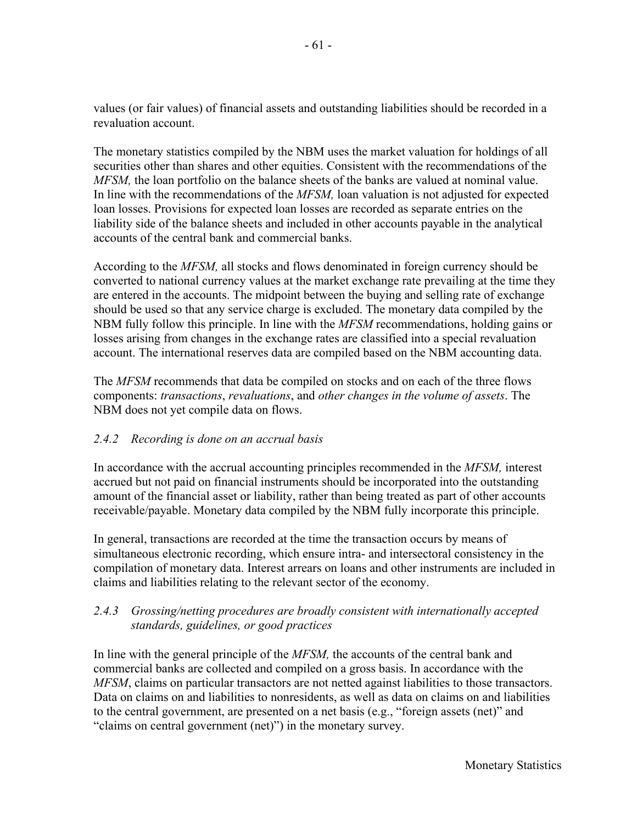values (or fair values) of financial assets and outstanding liabilities should be recorded in a revaluation account.

The monetary statistics compiled by the NBM uses the market valuation for holdings of all securities other than shares and other equities. Consistent with the recommendations of the *MFSM*, the loan portfolio on the balance sheets of the banks are valued at nominal value. In line with the recommendations of the *MFSM,* loan valuation is not adjusted for expected loan losses. Provisions for expected loan losses are recorded as separate entries on the liability side of the balance sheets and included in other accounts payable in the analytical accounts of the central bank and commercial banks.

According to the *MFSM,* all stocks and flows denominated in foreign currency should be converted to national currency values at the market exchange rate prevailing at the time they are entered in the accounts. The midpoint between the buying and selling rate of exchange should be used so that any service charge is excluded. The monetary data compiled by the NBM fully follow this principle. In line with the *MFSM* recommendations, holding gains or losses arising from changes in the exchange rates are classified into a special revaluation account. The international reserves data are compiled based on the NBM accounting data.

The *MFSM* recommends that data be compiled on stocks and on each of the three flows components: *transactions*, *revaluations*, and *other changes in the volume of assets*. The NBM does not yet compile data on flows.

## *2.4.2 Recording is done on an accrual basis*

In accordance with the accrual accounting principles recommended in the *MFSM,* interest accrued but not paid on financial instruments should be incorporated into the outstanding amount of the financial asset or liability, rather than being treated as part of other accounts receivable/payable. Monetary data compiled by the NBM fully incorporate this principle.

In general, transactions are recorded at the time the transaction occurs by means of simultaneous electronic recording, which ensure intra- and intersectoral consistency in the compilation of monetary data. Interest arrears on loans and other instruments are included in claims and liabilities relating to the relevant sector of the economy.

# *2.4.3 Grossing/netting procedures are broadly consistent with internationally accepted standards, guidelines, or good practices*

In line with the general principle of the *MFSM,* the accounts of the central bank and commercial banks are collected and compiled on a gross basis. In accordance with the *MFSM*, claims on particular transactors are not netted against liabilities to those transactors. Data on claims on and liabilities to nonresidents, as well as data on claims on and liabilities to the central government, are presented on a net basis (e.g., "foreign assets (net)" and "claims on central government (net)") in the monetary survey.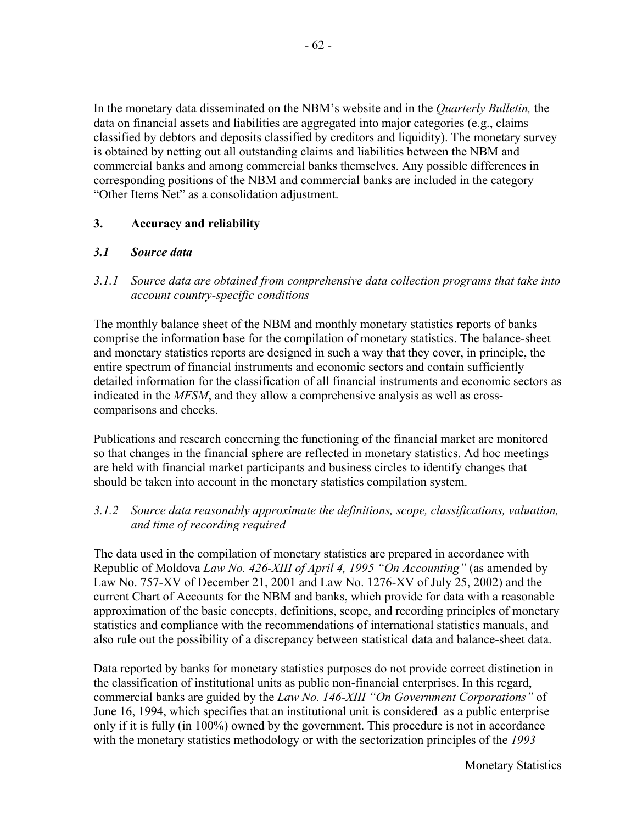In the monetary data disseminated on the NBM's website and in the *Quarterly Bulletin,* the data on financial assets and liabilities are aggregated into major categories (e.g., claims classified by debtors and deposits classified by creditors and liquidity). The monetary survey is obtained by netting out all outstanding claims and liabilities between the NBM and commercial banks and among commercial banks themselves. Any possible differences in corresponding positions of the NBM and commercial banks are included in the category "Other Items Net" as a consolidation adjustment.

## **3. Accuracy and reliability**

#### *3.1 Source data*

*3.1.1 Source data are obtained from comprehensive data collection programs that take into account country-specific conditions* 

The monthly balance sheet of the NBM and monthly monetary statistics reports of banks comprise the information base for the compilation of monetary statistics. The balance-sheet and monetary statistics reports are designed in such a way that they cover, in principle, the entire spectrum of financial instruments and economic sectors and contain sufficiently detailed information for the classification of all financial instruments and economic sectors as indicated in the *MFSM*, and they allow a comprehensive analysis as well as crosscomparisons and checks.

Publications and research concerning the functioning of the financial market are monitored so that changes in the financial sphere are reflected in monetary statistics. Ad hoc meetings are held with financial market participants and business circles to identify changes that should be taken into account in the monetary statistics compilation system.

#### *3.1.2 Source data reasonably approximate the definitions, scope, classifications, valuation, and time of recording required*

The data used in the compilation of monetary statistics are prepared in accordance with Republic of Moldova *Law No. 426-XIII of April 4, 1995 "On Accounting"* (as amended by Law No. 757-XV of December 21, 2001 and Law No. 1276-XV of July 25, 2002) and the current Chart of Accounts for the NBM and banks, which provide for data with a reasonable approximation of the basic concepts, definitions, scope, and recording principles of monetary statistics and compliance with the recommendations of international statistics manuals, and also rule out the possibility of a discrepancy between statistical data and balance-sheet data.

Data reported by banks for monetary statistics purposes do not provide correct distinction in the classification of institutional units as public non-financial enterprises. In this regard, commercial banks are guided by the *Law No. 146-XIII "On Government Corporations"* of June 16, 1994, which specifies that an institutional unit is considered as a public enterprise only if it is fully (in 100%) owned by the government. This procedure is not in accordance with the monetary statistics methodology or with the sectorization principles of the *1993*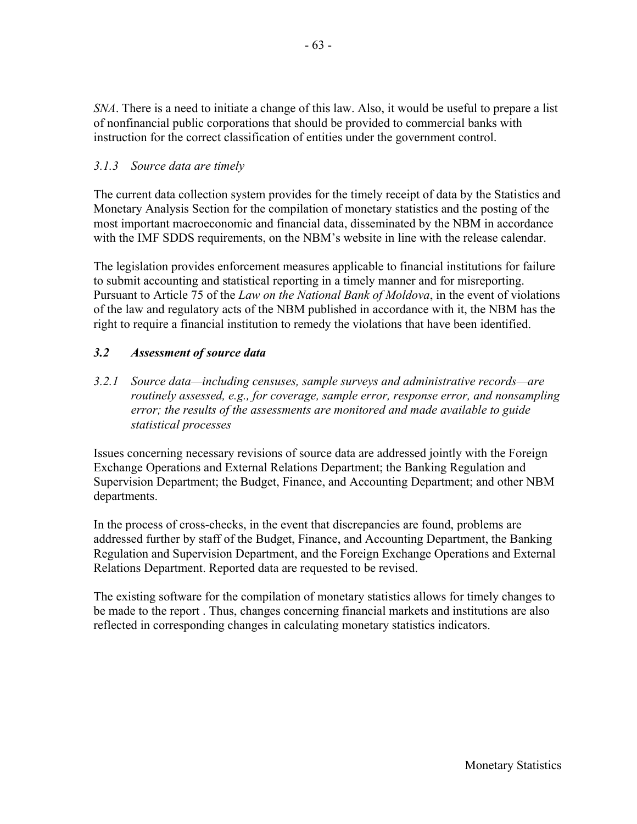*SNA*. There is a need to initiate a change of this law. Also, it would be useful to prepare a list of nonfinancial public corporations that should be provided to commercial banks with instruction for the correct classification of entities under the government control.

## *3.1.3 Source data are timely*

The current data collection system provides for the timely receipt of data by the Statistics and Monetary Analysis Section for the compilation of monetary statistics and the posting of the most important macroeconomic and financial data, disseminated by the NBM in accordance with the IMF SDDS requirements, on the NBM's website in line with the release calendar.

The legislation provides enforcement measures applicable to financial institutions for failure to submit accounting and statistical reporting in a timely manner and for misreporting. Pursuant to Article 75 of the *Law on the National Bank of Moldova*, in the event of violations of the law and regulatory acts of the NBM published in accordance with it, the NBM has the right to require a financial institution to remedy the violations that have been identified.

## *3.2 Assessment of source data*

*3.2.1 Source data—including censuses, sample surveys and administrative records—are routinely assessed, e.g., for coverage, sample error, response error, and nonsampling error; the results of the assessments are monitored and made available to guide statistical processes*

Issues concerning necessary revisions of source data are addressed jointly with the Foreign Exchange Operations and External Relations Department; the Banking Regulation and Supervision Department; the Budget, Finance, and Accounting Department; and other NBM departments.

In the process of cross-checks, in the event that discrepancies are found, problems are addressed further by staff of the Budget, Finance, and Accounting Department, the Banking Regulation and Supervision Department, and the Foreign Exchange Operations and External Relations Department. Reported data are requested to be revised.

The existing software for the compilation of monetary statistics allows for timely changes to be made to the report . Thus, changes concerning financial markets and institutions are also reflected in corresponding changes in calculating monetary statistics indicators.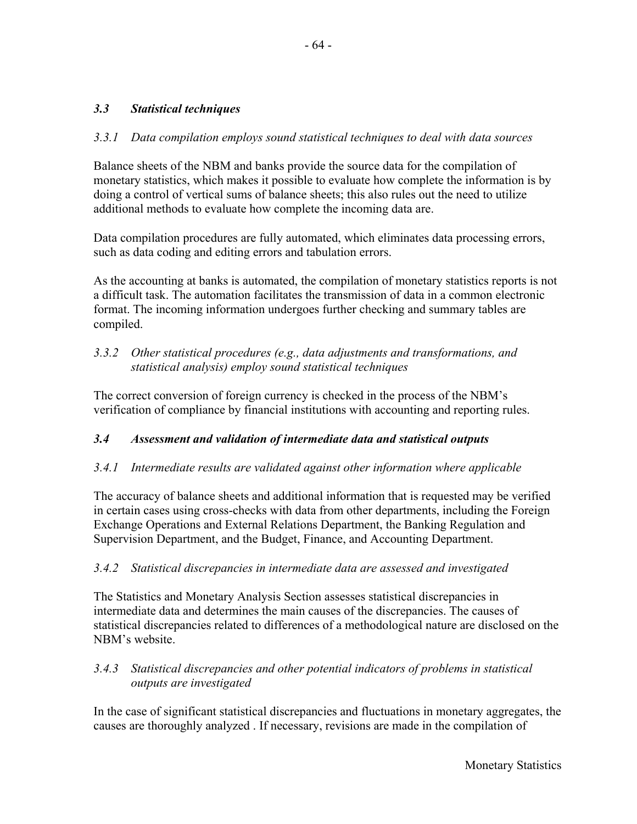## *3.3 Statistical techniques*

### *3.3.1 Data compilation employs sound statistical techniques to deal with data sources*

Balance sheets of the NBM and banks provide the source data for the compilation of monetary statistics, which makes it possible to evaluate how complete the information is by doing a control of vertical sums of balance sheets; this also rules out the need to utilize additional methods to evaluate how complete the incoming data are.

Data compilation procedures are fully automated, which eliminates data processing errors, such as data coding and editing errors and tabulation errors.

As the accounting at banks is automated, the compilation of monetary statistics reports is not a difficult task. The automation facilitates the transmission of data in a common electronic format. The incoming information undergoes further checking and summary tables are compiled.

## *3.3.2 Other statistical procedures (e.g., data adjustments and transformations, and statistical analysis) employ sound statistical techniques*

The correct conversion of foreign currency is checked in the process of the NBM's verification of compliance by financial institutions with accounting and reporting rules.

#### *3.4 Assessment and validation of intermediate data and statistical outputs*

#### *3.4.1 Intermediate results are validated against other information where applicable*

The accuracy of balance sheets and additional information that is requested may be verified in certain cases using cross-checks with data from other departments, including the Foreign Exchange Operations and External Relations Department, the Banking Regulation and Supervision Department, and the Budget, Finance, and Accounting Department.

#### *3.4.2 Statistical discrepancies in intermediate data are assessed and investigated*

The Statistics and Monetary Analysis Section assesses statistical discrepancies in intermediate data and determines the main causes of the discrepancies. The causes of statistical discrepancies related to differences of a methodological nature are disclosed on the NBM's website.

### *3.4.3 Statistical discrepancies and other potential indicators of problems in statistical outputs are investigated*

In the case of significant statistical discrepancies and fluctuations in monetary aggregates, the causes are thoroughly analyzed . If necessary, revisions are made in the compilation of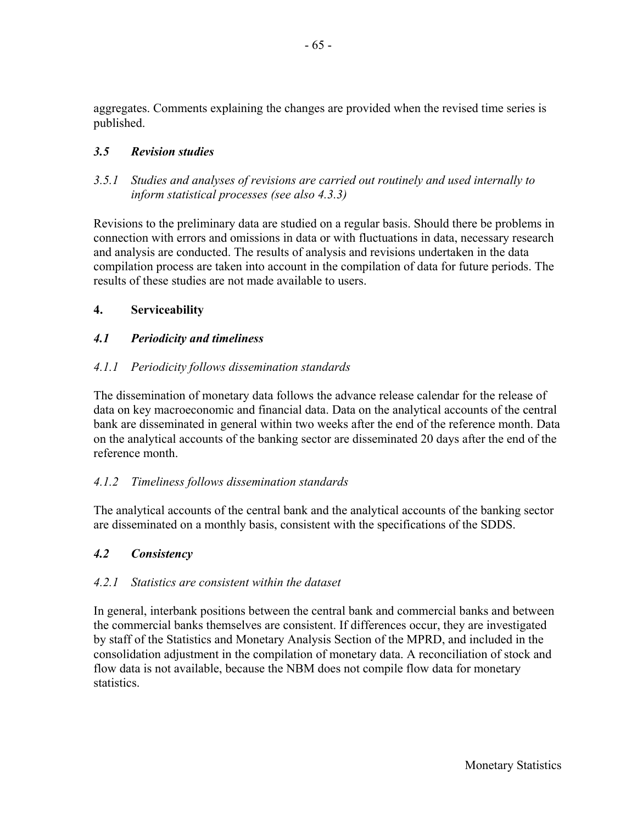aggregates. Comments explaining the changes are provided when the revised time series is published.

## *3.5 Revision studies*

*3.5.1 Studies and analyses of revisions are carried out routinely and used internally to inform statistical processes (see also 4.3.3)* 

Revisions to the preliminary data are studied on a regular basis. Should there be problems in connection with errors and omissions in data or with fluctuations in data, necessary research and analysis are conducted. The results of analysis and revisions undertaken in the data compilation process are taken into account in the compilation of data for future periods. The results of these studies are not made available to users.

### **4. Serviceability**

### *4.1 Periodicity and timeliness*

### *4.1.1 Periodicity follows dissemination standards*

The dissemination of monetary data follows the advance release calendar for the release of data on key macroeconomic and financial data. Data on the analytical accounts of the central bank are disseminated in general within two weeks after the end of the reference month. Data on the analytical accounts of the banking sector are disseminated 20 days after the end of the reference month.

#### *4.1.2 Timeliness follows dissemination standards*

The analytical accounts of the central bank and the analytical accounts of the banking sector are disseminated on a monthly basis, consistent with the specifications of the SDDS.

#### *4.2 Consistency*

#### *4.2.1 Statistics are consistent within the dataset*

In general, interbank positions between the central bank and commercial banks and between the commercial banks themselves are consistent. If differences occur, they are investigated by staff of the Statistics and Monetary Analysis Section of the MPRD, and included in the consolidation adjustment in the compilation of monetary data. A reconciliation of stock and flow data is not available, because the NBM does not compile flow data for monetary statistics.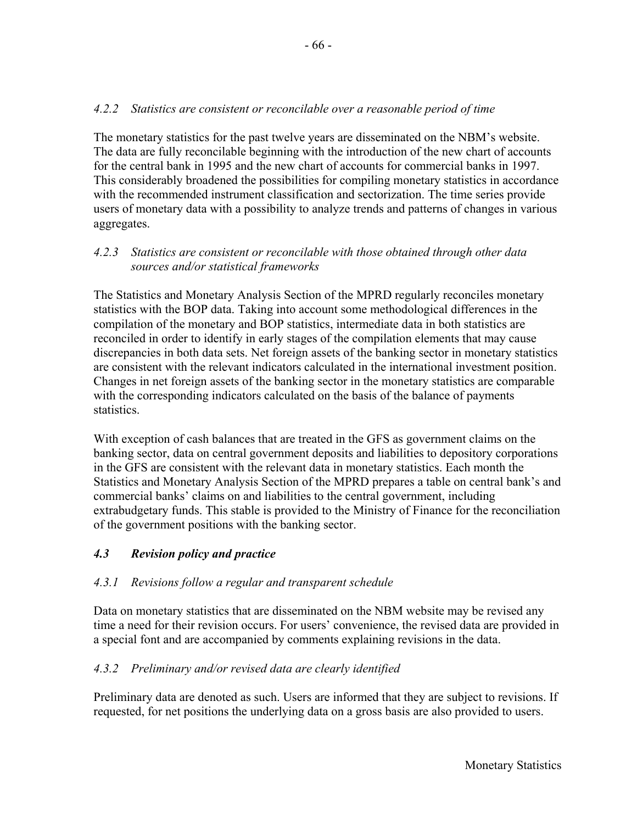# *4.2.2 Statistics are consistent or reconcilable over a reasonable period of time*

The monetary statistics for the past twelve years are disseminated on the NBM's website. The data are fully reconcilable beginning with the introduction of the new chart of accounts for the central bank in 1995 and the new chart of accounts for commercial banks in 1997. This considerably broadened the possibilities for compiling monetary statistics in accordance with the recommended instrument classification and sectorization. The time series provide users of monetary data with a possibility to analyze trends and patterns of changes in various aggregates.

## *4.2.3 Statistics are consistent or reconcilable with those obtained through other data sources and/or statistical frameworks*

The Statistics and Monetary Analysis Section of the MPRD regularly reconciles monetary statistics with the BOP data. Taking into account some methodological differences in the compilation of the monetary and BOP statistics, intermediate data in both statistics are reconciled in order to identify in early stages of the compilation elements that may cause discrepancies in both data sets. Net foreign assets of the banking sector in monetary statistics are consistent with the relevant indicators calculated in the international investment position. Changes in net foreign assets of the banking sector in the monetary statistics are comparable with the corresponding indicators calculated on the basis of the balance of payments statistics.

With exception of cash balances that are treated in the GFS as government claims on the banking sector, data on central government deposits and liabilities to depository corporations in the GFS are consistent with the relevant data in monetary statistics. Each month the Statistics and Monetary Analysis Section of the MPRD prepares a table on central bank's and commercial banks' claims on and liabilities to the central government, including extrabudgetary funds. This stable is provided to the Ministry of Finance for the reconciliation of the government positions with the banking sector.

## *4.3 Revision policy and practice*

## *4.3.1 Revisions follow a regular and transparent schedule*

Data on monetary statistics that are disseminated on the NBM website may be revised any time a need for their revision occurs. For users' convenience, the revised data are provided in a special font and are accompanied by comments explaining revisions in the data.

## *4.3.2 Preliminary and/or revised data are clearly identified*

Preliminary data are denoted as such. Users are informed that they are subject to revisions. If requested, for net positions the underlying data on a gross basis are also provided to users.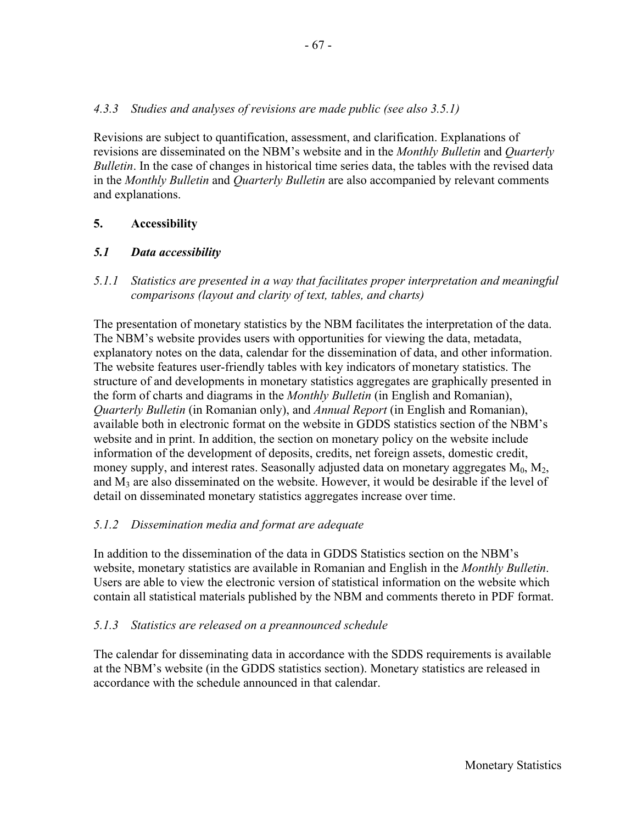## *4.3.3 Studies and analyses of revisions are made public (see also 3.5.1)*

Revisions are subject to quantification, assessment, and clarification. Explanations of revisions are disseminated on the NBM's website and in the *Monthly Bulletin* and *Quarterly Bulletin*. In the case of changes in historical time series data, the tables with the revised data in the *Monthly Bulletin* and *Quarterly Bulletin* are also accompanied by relevant comments and explanations.

### **5. Accessibility**

#### *5.1 Data accessibility*

*5.1.1 Statistics are presented in a way that facilitates proper interpretation and meaningful comparisons (layout and clarity of text, tables, and charts)* 

The presentation of monetary statistics by the NBM facilitates the interpretation of the data. The NBM's website provides users with opportunities for viewing the data, metadata, explanatory notes on the data, calendar for the dissemination of data, and other information. The website features user-friendly tables with key indicators of monetary statistics. The structure of and developments in monetary statistics aggregates are graphically presented in the form of charts and diagrams in the *Monthly Bulletin* (in English and Romanian), *Quarterly Bulletin* (in Romanian only), and *Annual Report* (in English and Romanian), available both in electronic format on the website in GDDS statistics section of the NBM's website and in print. In addition, the section on monetary policy on the website include information of the development of deposits, credits, net foreign assets, domestic credit, money supply, and interest rates. Seasonally adjusted data on monetary aggregates  $M_0$ ,  $M_2$ , and  $M_3$  are also disseminated on the website. However, it would be desirable if the level of detail on disseminated monetary statistics aggregates increase over time.

#### *5.1.2 Dissemination media and format are adequate*

In addition to the dissemination of the data in GDDS Statistics section on the NBM's website, monetary statistics are available in Romanian and English in the *Monthly Bulletin*. Users are able to view the electronic version of statistical information on the website which contain all statistical materials published by the NBM and comments thereto in PDF format.

#### *5.1.3 Statistics are released on a preannounced schedule*

The calendar for disseminating data in accordance with the SDDS requirements is available at the NBM's website (in the GDDS statistics section). Monetary statistics are released in accordance with the schedule announced in that calendar.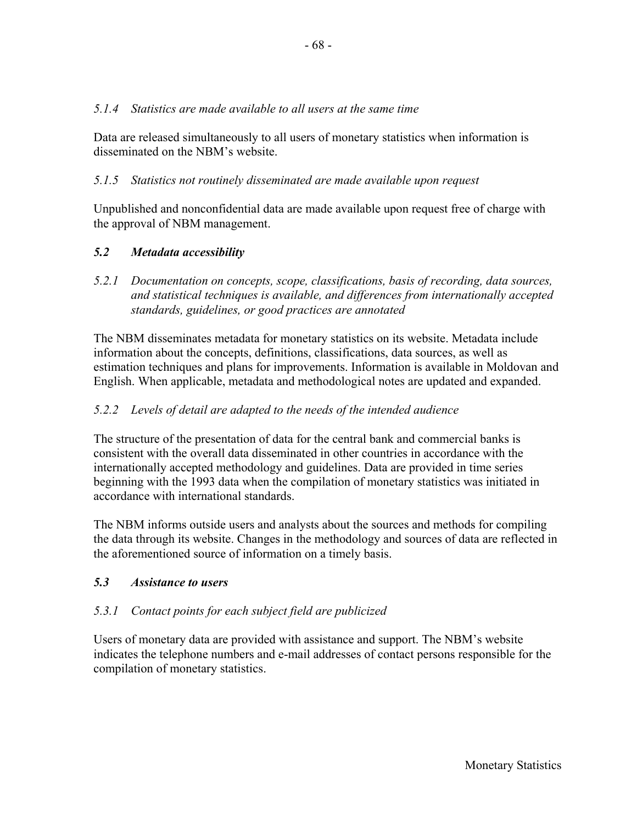### *5.1.4 Statistics are made available to all users at the same time*

Data are released simultaneously to all users of monetary statistics when information is disseminated on the NBM's website.

## *5.1.5 Statistics not routinely disseminated are made available upon request*

Unpublished and nonconfidential data are made available upon request free of charge with the approval of NBM management.

## *5.2 Metadata accessibility*

*5.2.1 Documentation on concepts, scope, classifications, basis of recording, data sources, and statistical techniques is available, and differences from internationally accepted standards, guidelines, or good practices are annotated* 

The NBM disseminates metadata for monetary statistics on its website. Metadata include information about the concepts, definitions, classifications, data sources, as well as estimation techniques and plans for improvements. Information is available in Moldovan and English. When applicable, metadata and methodological notes are updated and expanded.

### *5.2.2 Levels of detail are adapted to the needs of the intended audience*

The structure of the presentation of data for the central bank and commercial banks is consistent with the overall data disseminated in other countries in accordance with the internationally accepted methodology and guidelines. Data are provided in time series beginning with the 1993 data when the compilation of monetary statistics was initiated in accordance with international standards.

The NBM informs outside users and analysts about the sources and methods for compiling the data through its website. Changes in the methodology and sources of data are reflected in the aforementioned source of information on a timely basis.

## *5.3 Assistance to users*

## *5.3.1 Contact points for each subject field are publicized*

Users of monetary data are provided with assistance and support. The NBM's website indicates the telephone numbers and e-mail addresses of contact persons responsible for the compilation of monetary statistics.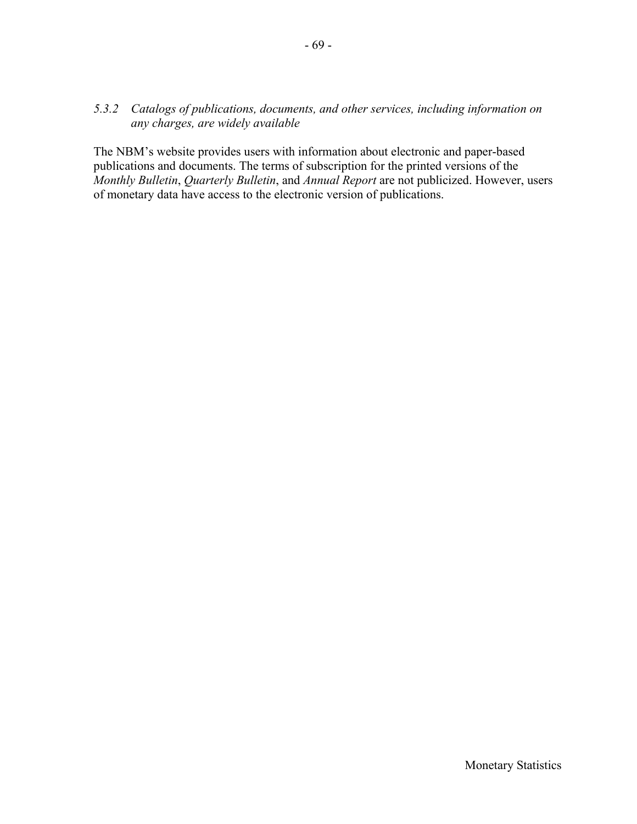#### *5.3.2 Catalogs of publications, documents, and other services, including information on any charges, are widely available*

The NBM's website provides users with information about electronic and paper-based publications and documents. The terms of subscription for the printed versions of the *Monthly Bulletin*, *Quarterly Bulletin*, and *Annual Report* are not publicized. However, users of monetary data have access to the electronic version of publications.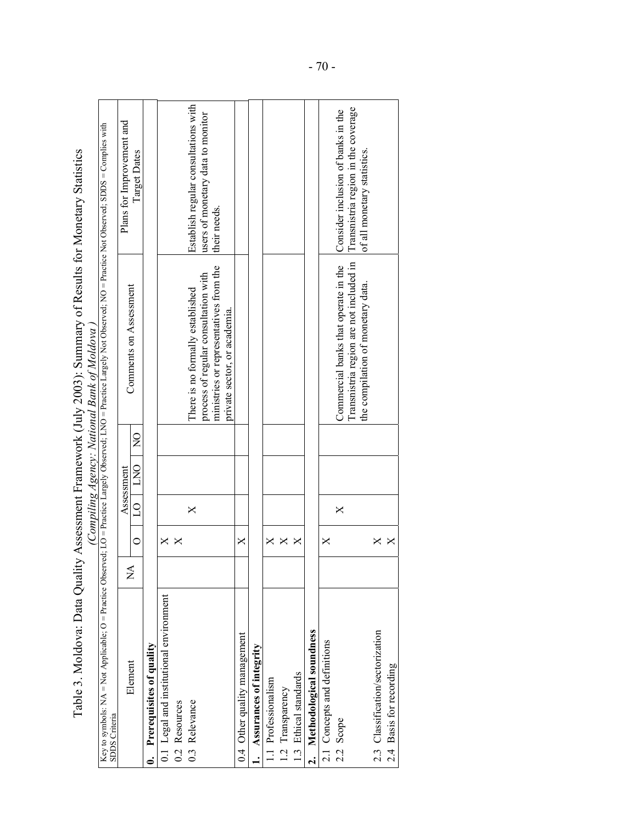| $\sim$ $\sim$ $\sim$                                                                                                                                                                                                 |                                                    |
|----------------------------------------------------------------------------------------------------------------------------------------------------------------------------------------------------------------------|----------------------------------------------------|
| INV 2003 Nummary of Results for Monatary Statistics<br>$\frac{1}{2}$ and $\frac{1}{2}$ and $\frac{1}{2}$ and $\frac{1}{2}$ and $\frac{1}{2}$ and $\frac{1}{2}$ and $\frac{1}{2}$ and $\frac{1}{2}$ and $\frac{1}{2}$ |                                                    |
|                                                                                                                                                                                                                      |                                                    |
|                                                                                                                                                                                                                      |                                                    |
| C rece - L'                                                                                                                                                                                                          |                                                    |
|                                                                                                                                                                                                                      |                                                    |
| Data Quality Assessment Framework                                                                                                                                                                                    | $\mu$ omniting from $\mu$ . Notional Rank of $\mu$ |
|                                                                                                                                                                                                                      |                                                    |
|                                                                                                                                                                                                                      |                                                    |
| $\sim$ $\sim$ $\sim$ $\sim$ $\sim$                                                                                                                                                                                   |                                                    |
| $\frac{1}{2}$                                                                                                                                                                                                        |                                                    |

|                                                                                                                                                                                            |                           |          |          |                |                | Table 3. Moldova: Data Quality Assessment Framework (July 2003): Summary of Results for Monetary Statistics<br>(Compiling Agency: National Bank of Moldova |                                                                           |  |
|--------------------------------------------------------------------------------------------------------------------------------------------------------------------------------------------|---------------------------|----------|----------|----------------|----------------|------------------------------------------------------------------------------------------------------------------------------------------------------------|---------------------------------------------------------------------------|--|
| Key to symbols: NA = Not Applicable; O = Practice Observed; LO = Practice Largely Observed; LNO = Practice Not Observed; DO = Practice Not Observed; SDDS = Complies with<br>SDDS Criteria |                           |          |          |                |                |                                                                                                                                                            |                                                                           |  |
|                                                                                                                                                                                            | $\mathbb{X}^{\mathsf{A}}$ |          |          | Assessment     |                |                                                                                                                                                            | Plans for Improvement and                                                 |  |
| Element                                                                                                                                                                                    |                           | $\circ$  | $\Omega$ | $\overline{C}$ | $\overline{S}$ | Comments on Assessment                                                                                                                                     | Target Dates                                                              |  |
| Prerequisites of quality                                                                                                                                                                   |                           |          |          |                |                |                                                                                                                                                            |                                                                           |  |
| 0.1 Legal and institutional environment                                                                                                                                                    |                           | ×        |          |                |                |                                                                                                                                                            |                                                                           |  |
| 0.2 Resources                                                                                                                                                                              |                           |          |          |                |                |                                                                                                                                                            |                                                                           |  |
| 0.3 Relevance                                                                                                                                                                              |                           |          | $\times$ |                |                | There is no formally established                                                                                                                           | Establish regular consultations with                                      |  |
|                                                                                                                                                                                            |                           |          |          |                |                | process of regular consultation with                                                                                                                       | users of monetary data to monitor                                         |  |
|                                                                                                                                                                                            |                           |          |          |                |                | ministries or representatives from the<br>private sector, or academia.                                                                                     | their needs.                                                              |  |
| 0.4 Other quality management                                                                                                                                                               |                           | X        |          |                |                |                                                                                                                                                            |                                                                           |  |
| Assurances of integrity                                                                                                                                                                    |                           |          |          |                |                |                                                                                                                                                            |                                                                           |  |
| 1.1 Professionalism                                                                                                                                                                        |                           | ×        |          |                |                |                                                                                                                                                            |                                                                           |  |
| 1.2 Transparency                                                                                                                                                                           |                           | $\times$ |          |                |                |                                                                                                                                                            |                                                                           |  |
| 1.3 Ethical standards                                                                                                                                                                      |                           | ×        |          |                |                |                                                                                                                                                            |                                                                           |  |
| 2. Methodological soundness                                                                                                                                                                |                           |          |          |                |                |                                                                                                                                                            |                                                                           |  |
| 2.1 Concepts and definitions                                                                                                                                                               |                           | ×        |          |                |                |                                                                                                                                                            |                                                                           |  |
| 2.2 Scope                                                                                                                                                                                  |                           |          | $\times$ |                |                | Transmistria region are not included in<br>Commercial banks that operate in the                                                                            | Transnistria region in the coverage<br>Consider inclusion of banks in the |  |
|                                                                                                                                                                                            |                           |          |          |                |                | the compilation of monetary data.                                                                                                                          | of all monetary statistics.                                               |  |
| 2.3 Classification/sectorization                                                                                                                                                           |                           | X        |          |                |                |                                                                                                                                                            |                                                                           |  |
| 2.4 Basis for recording                                                                                                                                                                    |                           | X        |          |                |                |                                                                                                                                                            |                                                                           |  |
|                                                                                                                                                                                            |                           |          |          |                |                |                                                                                                                                                            |                                                                           |  |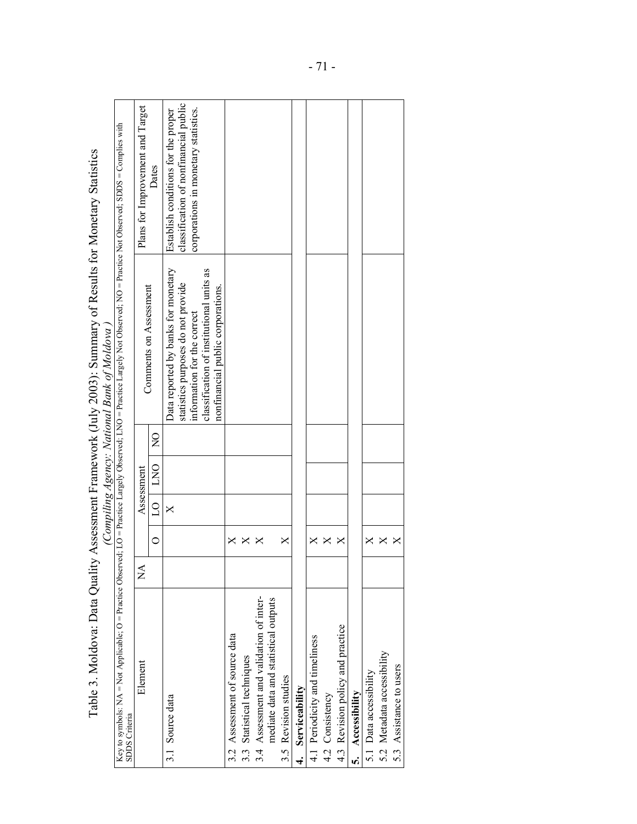|                                                                                                                                                                                                           |   |                         |          |            |                | Table 3. Moldova: Data Quality Assessment Framework (July 2003): Summary of Results for Monetary Statistics<br>(Compiling Agency: National Bank of Moldova)                               |                                                                                                                      |
|-----------------------------------------------------------------------------------------------------------------------------------------------------------------------------------------------------------|---|-------------------------|----------|------------|----------------|-------------------------------------------------------------------------------------------------------------------------------------------------------------------------------------------|----------------------------------------------------------------------------------------------------------------------|
| Key to symbols: NA = Not Applicable; O = Practice Observed; LO = Practice Largely Observed; LNO = Practice Largely Not Observed; NO = Practice Not Observed; SDDS = Complies with<br><b>SDDS</b> Criteria |   |                         |          |            |                |                                                                                                                                                                                           |                                                                                                                      |
| Element                                                                                                                                                                                                   | Ź |                         |          | Assessment |                |                                                                                                                                                                                           | Plans for Improvement and Target                                                                                     |
|                                                                                                                                                                                                           |   | $\circ$                 | $\Omega$ | <b>DND</b> | $\overline{Q}$ | Comments on Assessment                                                                                                                                                                    | Dates                                                                                                                |
| 3.1 Source data                                                                                                                                                                                           |   |                         | X        |            |                | Data reported by banks for monetary<br>classification of institutional units as<br>statistics purposes do not provide<br>nonfinancial public corporations.<br>information for the correct | classification of nonfinancial public<br>corporations in monetary statistics.<br>Establish conditions for the proper |
| 3.2 Assessment of source data                                                                                                                                                                             |   | ×                       |          |            |                |                                                                                                                                                                                           |                                                                                                                      |
| 3.3 Statistical techniques                                                                                                                                                                                |   | $\bm{\times}$           |          |            |                |                                                                                                                                                                                           |                                                                                                                      |
|                                                                                                                                                                                                           |   |                         |          |            |                |                                                                                                                                                                                           |                                                                                                                      |
| 3.4 Assessment and validation of inter-<br>mediate data and statistical outputs                                                                                                                           |   | ×                       |          |            |                |                                                                                                                                                                                           |                                                                                                                      |
| 3.5 Revision studies                                                                                                                                                                                      |   | ×                       |          |            |                |                                                                                                                                                                                           |                                                                                                                      |
| Serviceability<br>.<br>चं                                                                                                                                                                                 |   |                         |          |            |                |                                                                                                                                                                                           |                                                                                                                      |
| 4.1 Periodicity and timeliness                                                                                                                                                                            |   | ×                       |          |            |                |                                                                                                                                                                                           |                                                                                                                      |
| 4.2 Consistency                                                                                                                                                                                           |   | $\overline{\mathsf{X}}$ |          |            |                |                                                                                                                                                                                           |                                                                                                                      |
| 4.3 Revision policy and practice                                                                                                                                                                          |   | ×                       |          |            |                |                                                                                                                                                                                           |                                                                                                                      |
| 5. Accessibility                                                                                                                                                                                          |   |                         |          |            |                |                                                                                                                                                                                           |                                                                                                                      |
| 5.1 Data accessibility                                                                                                                                                                                    |   |                         |          |            |                |                                                                                                                                                                                           |                                                                                                                      |
| 5.2 Metadata accessibility                                                                                                                                                                                |   | $\times$                |          |            |                |                                                                                                                                                                                           |                                                                                                                      |
| 5.3 Assistance to users                                                                                                                                                                                   |   | $\times$                |          |            |                |                                                                                                                                                                                           |                                                                                                                      |
|                                                                                                                                                                                                           |   |                         |          |            |                |                                                                                                                                                                                           |                                                                                                                      |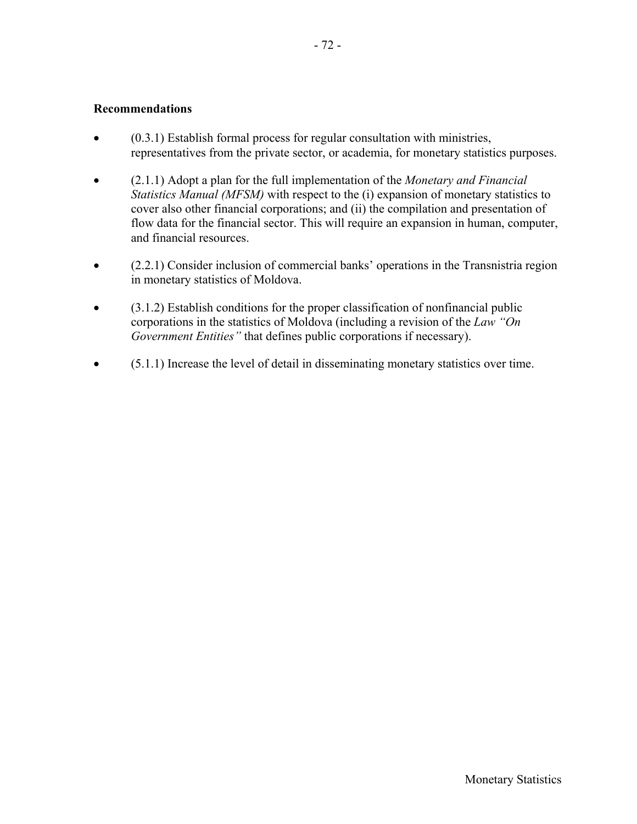- (0.3.1) Establish formal process for regular consultation with ministries, representatives from the private sector, or academia, for monetary statistics purposes.
- (2.1.1) Adopt a plan for the full implementation of the *Monetary and Financial Statistics Manual (MFSM)* with respect to the (i) expansion of monetary statistics to cover also other financial corporations; and (ii) the compilation and presentation of flow data for the financial sector. This will require an expansion in human, computer, and financial resources.
- (2.2.1) Consider inclusion of commercial banks' operations in the Transnistria region in monetary statistics of Moldova.
- (3.1.2) Establish conditions for the proper classification of nonfinancial public corporations in the statistics of Moldova (including a revision of the *Law "On Government Entities"* that defines public corporations if necessary).
- (5.1.1) Increase the level of detail in disseminating monetary statistics over time.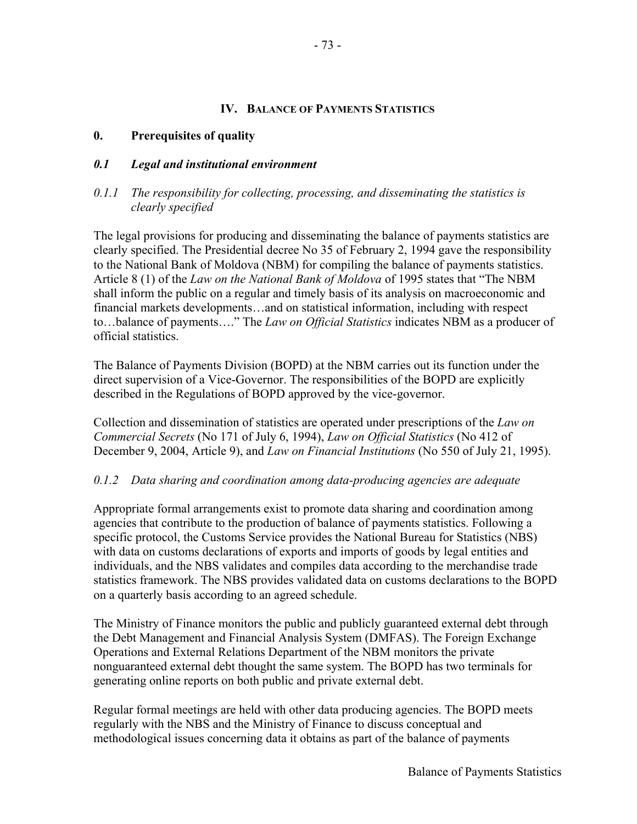#### **IV. BALANCE OF PAYMENTS STATISTICS**

### **0. Prerequisites of quality**

### *0.1 Legal and institutional environment*

## *0.1.1 The responsibility for collecting, processing, and disseminating the statistics is clearly specified*

The legal provisions for producing and disseminating the balance of payments statistics are clearly specified. The Presidential decree No 35 of February 2, 1994 gave the responsibility to the National Bank of Moldova (NBM) for compiling the balance of payments statistics. Article 8 (1) of the *Law on the National Bank of Moldova* of 1995 states that "The NBM shall inform the public on a regular and timely basis of its analysis on macroeconomic and financial markets developments…and on statistical information, including with respect to…balance of payments…." The *Law on Official Statistics* indicates NBM as a producer of official statistics.

The Balance of Payments Division (BOPD) at the NBM carries out its function under the direct supervision of a Vice-Governor. The responsibilities of the BOPD are explicitly described in the Regulations of BOPD approved by the vice-governor.

Collection and dissemination of statistics are operated under prescriptions of the *Law on Commercial Secrets* (No 171 of July 6, 1994), *Law on Official Statistics* (No 412 of December 9, 2004, Article 9), and *Law on Financial Institutions* (No 550 of July 21, 1995).

#### *0.1.2 Data sharing and coordination among data-producing agencies are adequate*

Appropriate formal arrangements exist to promote data sharing and coordination among agencies that contribute to the production of balance of payments statistics. Following a specific protocol, the Customs Service provides the National Bureau for Statistics (NBS) with data on customs declarations of exports and imports of goods by legal entities and individuals, and the NBS validates and compiles data according to the merchandise trade statistics framework. The NBS provides validated data on customs declarations to the BOPD on a quarterly basis according to an agreed schedule.

The Ministry of Finance monitors the public and publicly guaranteed external debt through the Debt Management and Financial Analysis System (DMFAS). The Foreign Exchange Operations and External Relations Department of the NBM monitors the private nonguaranteed external debt thought the same system. The BOPD has two terminals for generating online reports on both public and private external debt.

Regular formal meetings are held with other data producing agencies. The BOPD meets regularly with the NBS and the Ministry of Finance to discuss conceptual and methodological issues concerning data it obtains as part of the balance of payments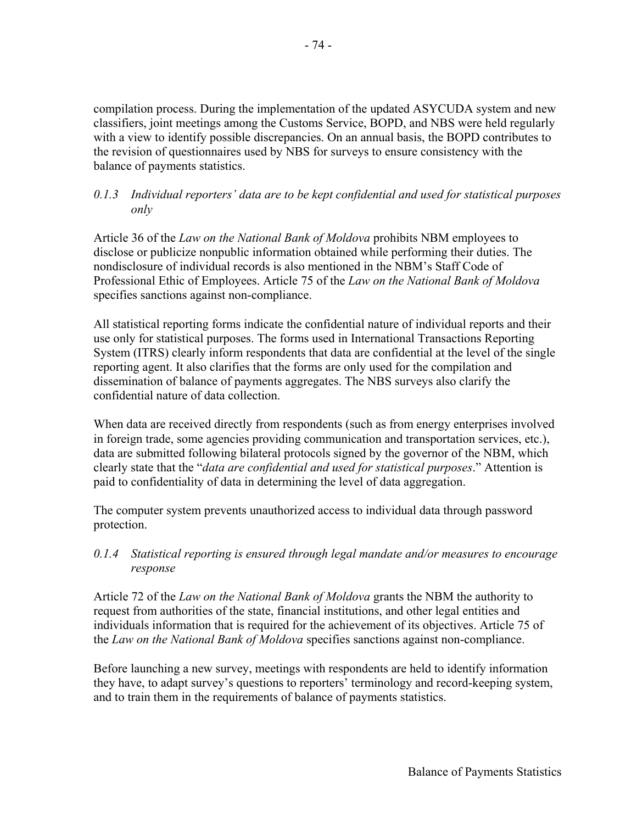- 74 -

compilation process. During the implementation of the updated ASYCUDA system and new classifiers, joint meetings among the Customs Service, BOPD, and NBS were held regularly with a view to identify possible discrepancies. On an annual basis, the BOPD contributes to the revision of questionnaires used by NBS for surveys to ensure consistency with the balance of payments statistics.

## *0.1.3 Individual reporters' data are to be kept confidential and used for statistical purposes only*

Article 36 of the *Law on the National Bank of Moldova* prohibits NBM employees to disclose or publicize nonpublic information obtained while performing their duties. The nondisclosure of individual records is also mentioned in the NBM's Staff Code of Professional Ethic of Employees. Article 75 of the *Law on the National Bank of Moldova* specifies sanctions against non-compliance.

All statistical reporting forms indicate the confidential nature of individual reports and their use only for statistical purposes. The forms used in International Transactions Reporting System (ITRS) clearly inform respondents that data are confidential at the level of the single reporting agent. It also clarifies that the forms are only used for the compilation and dissemination of balance of payments aggregates. The NBS surveys also clarify the confidential nature of data collection.

When data are received directly from respondents (such as from energy enterprises involved in foreign trade, some agencies providing communication and transportation services, etc.), data are submitted following bilateral protocols signed by the governor of the NBM, which clearly state that the "*data are confidential and used for statistical purposes*." Attention is paid to confidentiality of data in determining the level of data aggregation.

The computer system prevents unauthorized access to individual data through password protection.

*0.1.4 Statistical reporting is ensured through legal mandate and/or measures to encourage response* 

Article 72 of the *Law on the National Bank of Moldova* grants the NBM the authority to request from authorities of the state, financial institutions, and other legal entities and individuals information that is required for the achievement of its objectives. Article 75 of the *Law on the National Bank of Moldova* specifies sanctions against non-compliance.

Before launching a new survey, meetings with respondents are held to identify information they have, to adapt survey's questions to reporters' terminology and record-keeping system, and to train them in the requirements of balance of payments statistics.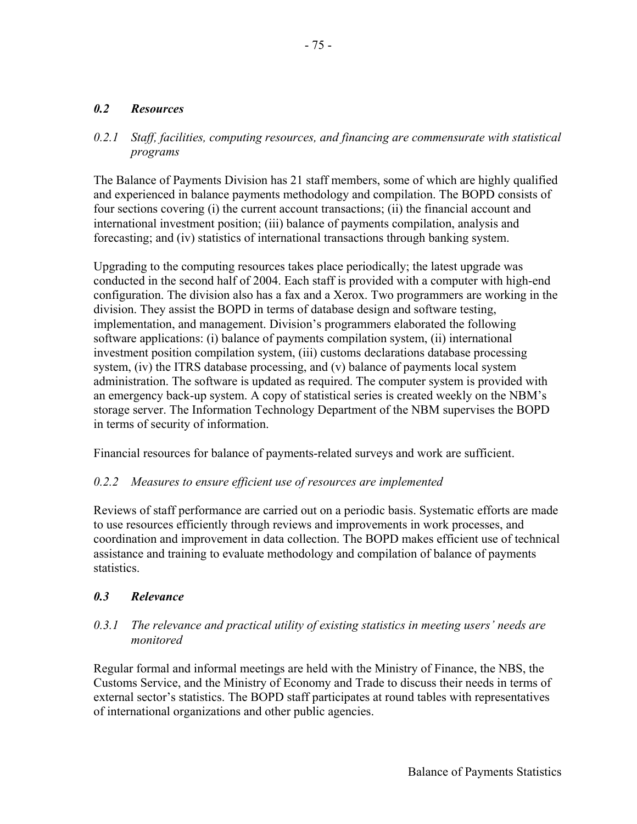## *0.2 Resources*

### *0.2.1 Staff, facilities, computing resources, and financing are commensurate with statistical programs*

The Balance of Payments Division has 21 staff members, some of which are highly qualified and experienced in balance payments methodology and compilation. The BOPD consists of four sections covering (i) the current account transactions; (ii) the financial account and international investment position; (iii) balance of payments compilation, analysis and forecasting; and (iv) statistics of international transactions through banking system.

Upgrading to the computing resources takes place periodically; the latest upgrade was conducted in the second half of 2004. Each staff is provided with a computer with high-end configuration. The division also has a fax and a Xerox. Two programmers are working in the division. They assist the BOPD in terms of database design and software testing, implementation, and management. Division's programmers elaborated the following software applications: (i) balance of payments compilation system, (ii) international investment position compilation system, (iii) customs declarations database processing system, (iv) the ITRS database processing, and (v) balance of payments local system administration. The software is updated as required. The computer system is provided with an emergency back-up system. A copy of statistical series is created weekly on the NBM's storage server. The Information Technology Department of the NBM supervises the BOPD in terms of security of information.

Financial resources for balance of payments-related surveys and work are sufficient.

## *0.2.2 Measures to ensure efficient use of resources are implemented*

Reviews of staff performance are carried out on a periodic basis. Systematic efforts are made to use resources efficiently through reviews and improvements in work processes, and coordination and improvement in data collection. The BOPD makes efficient use of technical assistance and training to evaluate methodology and compilation of balance of payments statistics.

#### *0.3 Relevance*

### *0.3.1 The relevance and practical utility of existing statistics in meeting users' needs are monitored*

Regular formal and informal meetings are held with the Ministry of Finance, the NBS, the Customs Service, and the Ministry of Economy and Trade to discuss their needs in terms of external sector's statistics. The BOPD staff participates at round tables with representatives of international organizations and other public agencies.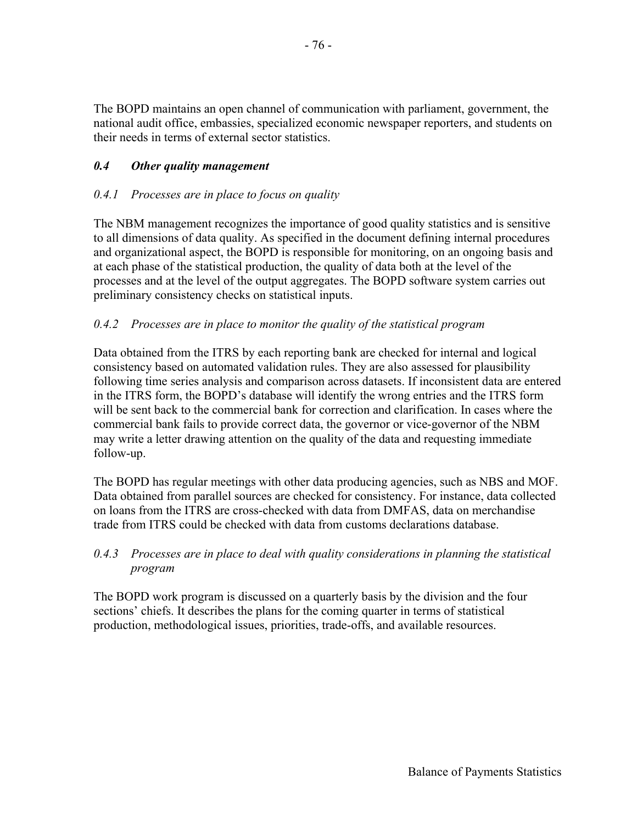The BOPD maintains an open channel of communication with parliament, government, the national audit office, embassies, specialized economic newspaper reporters, and students on their needs in terms of external sector statistics.

# *0.4 Other quality management*

## *0.4.1 Processes are in place to focus on quality*

The NBM management recognizes the importance of good quality statistics and is sensitive to all dimensions of data quality. As specified in the document defining internal procedures and organizational aspect, the BOPD is responsible for monitoring, on an ongoing basis and at each phase of the statistical production, the quality of data both at the level of the processes and at the level of the output aggregates. The BOPD software system carries out preliminary consistency checks on statistical inputs.

## *0.4.2 Processes are in place to monitor the quality of the statistical program*

Data obtained from the ITRS by each reporting bank are checked for internal and logical consistency based on automated validation rules. They are also assessed for plausibility following time series analysis and comparison across datasets. If inconsistent data are entered in the ITRS form, the BOPD's database will identify the wrong entries and the ITRS form will be sent back to the commercial bank for correction and clarification. In cases where the commercial bank fails to provide correct data, the governor or vice-governor of the NBM may write a letter drawing attention on the quality of the data and requesting immediate follow-up.

The BOPD has regular meetings with other data producing agencies, such as NBS and MOF. Data obtained from parallel sources are checked for consistency. For instance, data collected on loans from the ITRS are cross-checked with data from DMFAS, data on merchandise trade from ITRS could be checked with data from customs declarations database.

## *0.4.3 Processes are in place to deal with quality considerations in planning the statistical program*

The BOPD work program is discussed on a quarterly basis by the division and the four sections' chiefs. It describes the plans for the coming quarter in terms of statistical production, methodological issues, priorities, trade-offs, and available resources.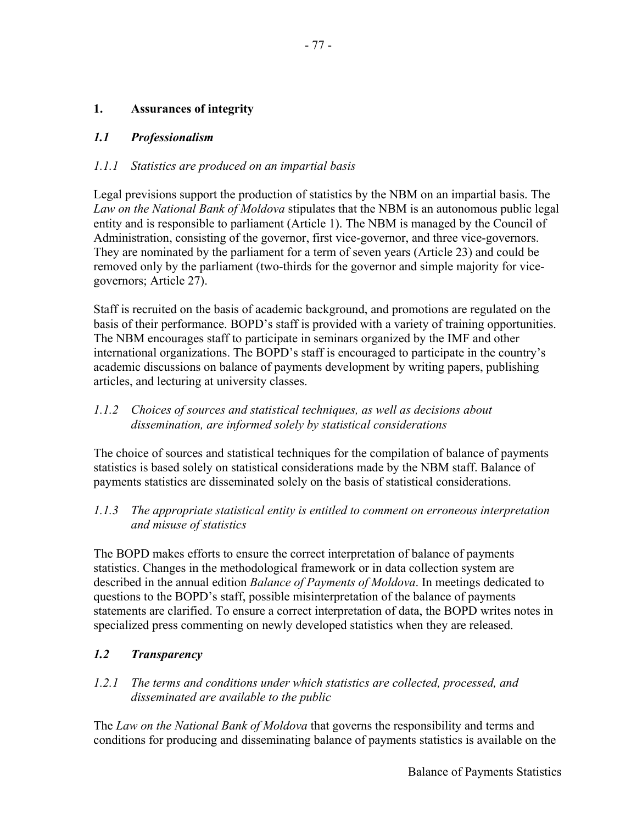# **1. Assurances of integrity**

# *1.1 Professionalism*

# *1.1.1 Statistics are produced on an impartial basis*

Legal previsions support the production of statistics by the NBM on an impartial basis. The *Law on the National Bank of Moldova* stipulates that the NBM is an autonomous public legal entity and is responsible to parliament (Article 1). The NBM is managed by the Council of Administration, consisting of the governor, first vice-governor, and three vice-governors. They are nominated by the parliament for a term of seven years (Article 23) and could be removed only by the parliament (two-thirds for the governor and simple majority for vicegovernors; Article 27).

Staff is recruited on the basis of academic background, and promotions are regulated on the basis of their performance. BOPD's staff is provided with a variety of training opportunities. The NBM encourages staff to participate in seminars organized by the IMF and other international organizations. The BOPD's staff is encouraged to participate in the country's academic discussions on balance of payments development by writing papers, publishing articles, and lecturing at university classes.

## *1.1.2 Choices of sources and statistical techniques, as well as decisions about dissemination, are informed solely by statistical considerations*

The choice of sources and statistical techniques for the compilation of balance of payments statistics is based solely on statistical considerations made by the NBM staff. Balance of payments statistics are disseminated solely on the basis of statistical considerations.

# *1.1.3 The appropriate statistical entity is entitled to comment on erroneous interpretation and misuse of statistics*

The BOPD makes efforts to ensure the correct interpretation of balance of payments statistics. Changes in the methodological framework or in data collection system are described in the annual edition *Balance of Payments of Moldova*. In meetings dedicated to questions to the BOPD's staff, possible misinterpretation of the balance of payments statements are clarified. To ensure a correct interpretation of data, the BOPD writes notes in specialized press commenting on newly developed statistics when they are released.

# *1.2 Transparency*

# *1.2.1 The terms and conditions under which statistics are collected, processed, and disseminated are available to the public*

The *Law on the National Bank of Moldova* that governs the responsibility and terms and conditions for producing and disseminating balance of payments statistics is available on the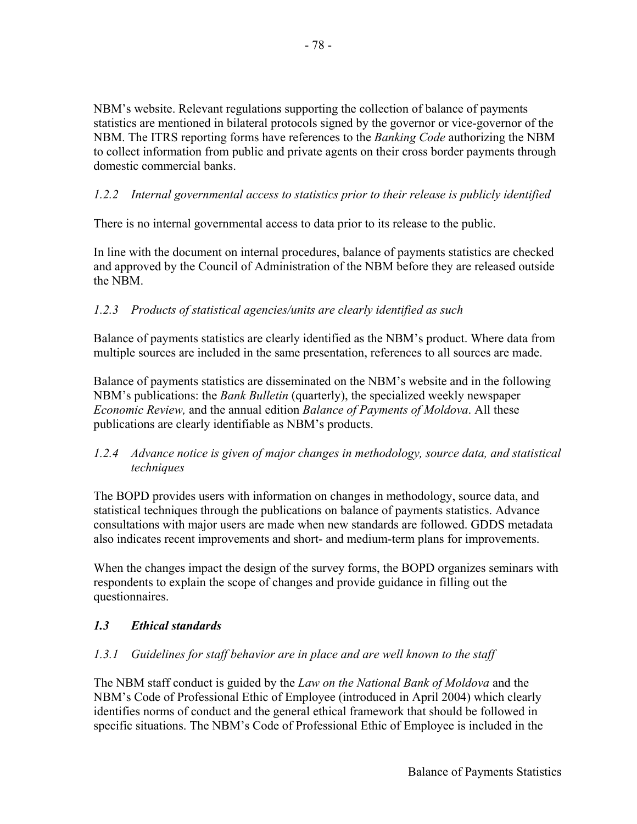NBM's website. Relevant regulations supporting the collection of balance of payments statistics are mentioned in bilateral protocols signed by the governor or vice-governor of the NBM. The ITRS reporting forms have references to the *Banking Code* authorizing the NBM to collect information from public and private agents on their cross border payments through domestic commercial banks.

# *1.2.2 Internal governmental access to statistics prior to their release is publicly identified*

There is no internal governmental access to data prior to its release to the public.

In line with the document on internal procedures, balance of payments statistics are checked and approved by the Council of Administration of the NBM before they are released outside the NBM.

# *1.2.3 Products of statistical agencies/units are clearly identified as such*

Balance of payments statistics are clearly identified as the NBM's product. Where data from multiple sources are included in the same presentation, references to all sources are made.

Balance of payments statistics are disseminated on the NBM's website and in the following NBM's publications: the *Bank Bulletin* (quarterly), the specialized weekly newspaper *Economic Review,* and the annual edition *Balance of Payments of Moldova*. All these publications are clearly identifiable as NBM's products.

## *1.2.4 Advance notice is given of major changes in methodology, source data, and statistical techniques*

The BOPD provides users with information on changes in methodology, source data, and statistical techniques through the publications on balance of payments statistics. Advance consultations with major users are made when new standards are followed. GDDS metadata also indicates recent improvements and short- and medium-term plans for improvements.

When the changes impact the design of the survey forms, the BOPD organizes seminars with respondents to explain the scope of changes and provide guidance in filling out the questionnaires.

## *1.3 Ethical standards*

## *1.3.1 Guidelines for staff behavior are in place and are well known to the staff*

The NBM staff conduct is guided by the *Law on the National Bank of Moldova* and the NBM's Code of Professional Ethic of Employee (introduced in April 2004) which clearly identifies norms of conduct and the general ethical framework that should be followed in specific situations. The NBM's Code of Professional Ethic of Employee is included in the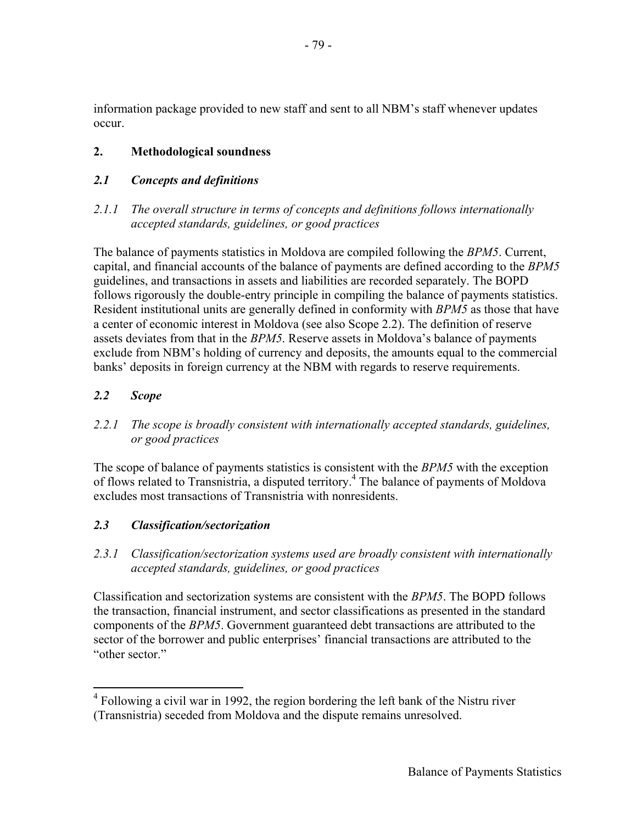information package provided to new staff and sent to all NBM's staff whenever updates occur.

# **2. Methodological soundness**

## *2.1 Concepts and definitions*

# *2.1.1 The overall structure in terms of concepts and definitions follows internationally accepted standards, guidelines, or good practices*

The balance of payments statistics in Moldova are compiled following the *BPM5*. Current, capital, and financial accounts of the balance of payments are defined according to the *BPM5* guidelines, and transactions in assets and liabilities are recorded separately. The BOPD follows rigorously the double-entry principle in compiling the balance of payments statistics. Resident institutional units are generally defined in conformity with *BPM5* as those that have a center of economic interest in Moldova (see also Scope 2.2). The definition of reserve assets deviates from that in the *BPM5*. Reserve assets in Moldova's balance of payments exclude from NBM's holding of currency and deposits, the amounts equal to the commercial banks' deposits in foreign currency at the NBM with regards to reserve requirements.

# *2.2 Scope*

1

# 2.2.1 The scope is broadly consistent with internationally accepted standards, guidelines, *or good practices*

The scope of balance of payments statistics is consistent with the *BPM5* with the exception of flows related to Transnistria, a disputed territory.<sup>4</sup> The balance of payments of Moldova excludes most transactions of Transnistria with nonresidents.

## *2.3 Classification/sectorization*

*2.3.1 Classification/sectorization systems used are broadly consistent with internationally accepted standards, guidelines, or good practices* 

Classification and sectorization systems are consistent with the *BPM5*. The BOPD follows the transaction, financial instrument, and sector classifications as presented in the standard components of the *BPM5*. Government guaranteed debt transactions are attributed to the sector of the borrower and public enterprises' financial transactions are attributed to the "other sector."

<sup>&</sup>lt;sup>4</sup> Following a civil war in 1992, the region bordering the left bank of the Nistru river (Transnistria) seceded from Moldova and the dispute remains unresolved.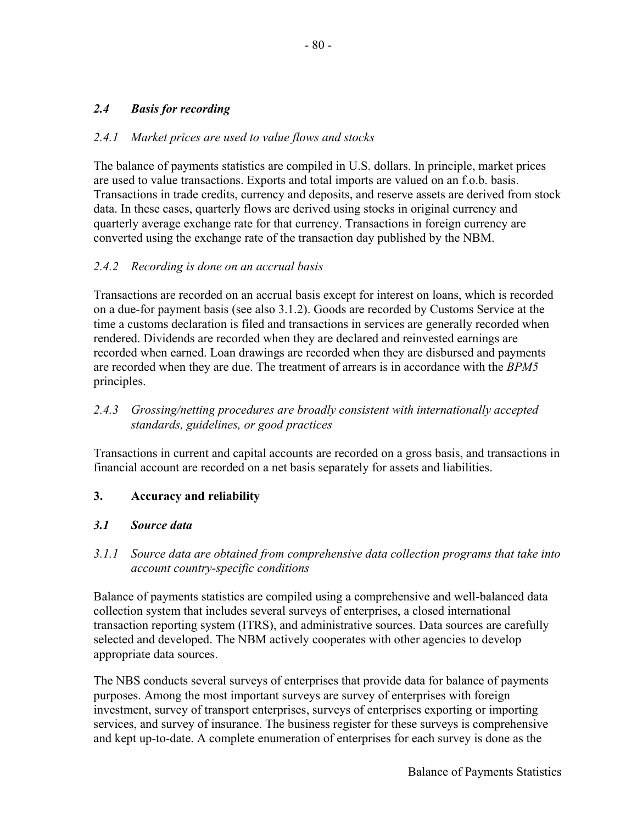# *2.4 Basis for recording*

#### *2.4.1 Market prices are used to value flows and stocks*

The balance of payments statistics are compiled in U.S. dollars. In principle, market prices are used to value transactions. Exports and total imports are valued on an f.o.b. basis. Transactions in trade credits, currency and deposits, and reserve assets are derived from stock data. In these cases, quarterly flows are derived using stocks in original currency and quarterly average exchange rate for that currency. Transactions in foreign currency are converted using the exchange rate of the transaction day published by the NBM.

#### *2.4.2 Recording is done on an accrual basis*

Transactions are recorded on an accrual basis except for interest on loans, which is recorded on a due-for payment basis (see also 3.1.2). Goods are recorded by Customs Service at the time a customs declaration is filed and transactions in services are generally recorded when rendered. Dividends are recorded when they are declared and reinvested earnings are recorded when earned. Loan drawings are recorded when they are disbursed and payments are recorded when they are due. The treatment of arrears is in accordance with the *BPM5* principles.

## *2.4.3 Grossing/netting procedures are broadly consistent with internationally accepted standards, guidelines, or good practices*

Transactions in current and capital accounts are recorded on a gross basis, and transactions in financial account are recorded on a net basis separately for assets and liabilities.

## **3. Accuracy and reliability**

#### *3.1 Source data*

#### *3.1.1 Source data are obtained from comprehensive data collection programs that take into account country-specific conditions*

Balance of payments statistics are compiled using a comprehensive and well-balanced data collection system that includes several surveys of enterprises, a closed international transaction reporting system (ITRS), and administrative sources. Data sources are carefully selected and developed. The NBM actively cooperates with other agencies to develop appropriate data sources.

The NBS conducts several surveys of enterprises that provide data for balance of payments purposes. Among the most important surveys are survey of enterprises with foreign investment, survey of transport enterprises, surveys of enterprises exporting or importing services, and survey of insurance. The business register for these surveys is comprehensive and kept up-to-date. A complete enumeration of enterprises for each survey is done as the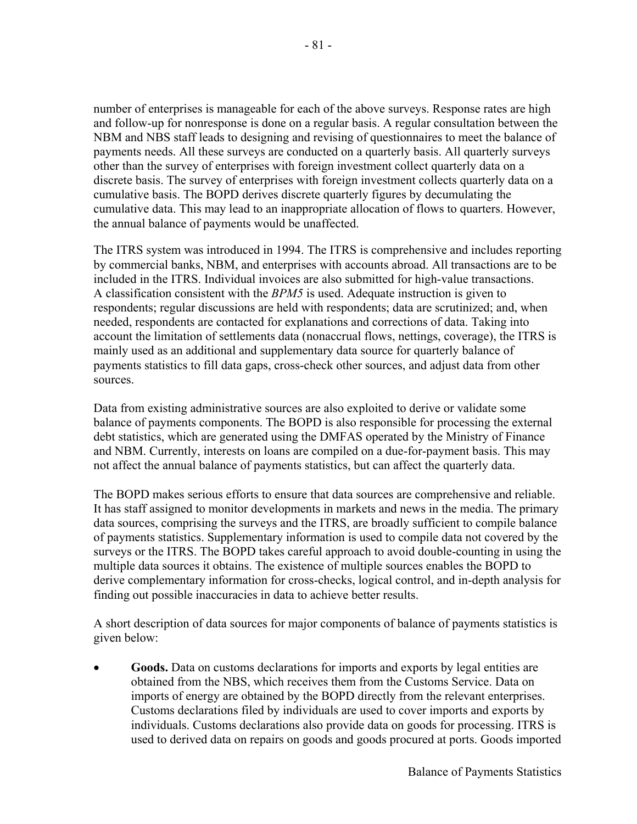number of enterprises is manageable for each of the above surveys. Response rates are high and follow-up for nonresponse is done on a regular basis. A regular consultation between the NBM and NBS staff leads to designing and revising of questionnaires to meet the balance of payments needs. All these surveys are conducted on a quarterly basis. All quarterly surveys other than the survey of enterprises with foreign investment collect quarterly data on a discrete basis. The survey of enterprises with foreign investment collects quarterly data on a cumulative basis. The BOPD derives discrete quarterly figures by decumulating the cumulative data. This may lead to an inappropriate allocation of flows to quarters. However, the annual balance of payments would be unaffected.

The ITRS system was introduced in 1994. The ITRS is comprehensive and includes reporting by commercial banks, NBM, and enterprises with accounts abroad. All transactions are to be included in the ITRS. Individual invoices are also submitted for high-value transactions. A classification consistent with the *BPM5* is used. Adequate instruction is given to respondents; regular discussions are held with respondents; data are scrutinized; and, when needed, respondents are contacted for explanations and corrections of data. Taking into account the limitation of settlements data (nonaccrual flows, nettings, coverage), the ITRS is mainly used as an additional and supplementary data source for quarterly balance of payments statistics to fill data gaps, cross-check other sources, and adjust data from other sources.

Data from existing administrative sources are also exploited to derive or validate some balance of payments components. The BOPD is also responsible for processing the external debt statistics, which are generated using the DMFAS operated by the Ministry of Finance and NBM. Currently, interests on loans are compiled on a due-for-payment basis. This may not affect the annual balance of payments statistics, but can affect the quarterly data.

The BOPD makes serious efforts to ensure that data sources are comprehensive and reliable. It has staff assigned to monitor developments in markets and news in the media. The primary data sources, comprising the surveys and the ITRS, are broadly sufficient to compile balance of payments statistics. Supplementary information is used to compile data not covered by the surveys or the ITRS. The BOPD takes careful approach to avoid double-counting in using the multiple data sources it obtains. The existence of multiple sources enables the BOPD to derive complementary information for cross-checks, logical control, and in-depth analysis for finding out possible inaccuracies in data to achieve better results.

A short description of data sources for major components of balance of payments statistics is given below:

• **Goods.** Data on customs declarations for imports and exports by legal entities are obtained from the NBS, which receives them from the Customs Service. Data on imports of energy are obtained by the BOPD directly from the relevant enterprises. Customs declarations filed by individuals are used to cover imports and exports by individuals. Customs declarations also provide data on goods for processing. ITRS is used to derived data on repairs on goods and goods procured at ports. Goods imported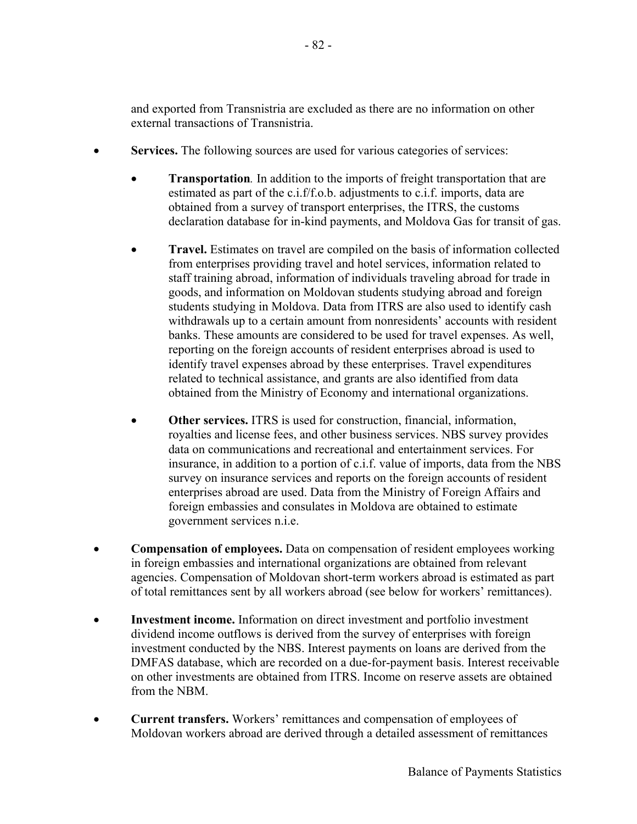and exported from Transnistria are excluded as there are no information on other external transactions of Transnistria.

- **Services.** The following sources are used for various categories of services:
	- **Transportation**. In addition to the imports of freight transportation that are estimated as part of the c.i.f/f.o.b. adjustments to c.i.f. imports, data are obtained from a survey of transport enterprises, the ITRS, the customs declaration database for in-kind payments, and Moldova Gas for transit of gas.
	- **Travel.** Estimates on travel are compiled on the basis of information collected from enterprises providing travel and hotel services, information related to staff training abroad, information of individuals traveling abroad for trade in goods, and information on Moldovan students studying abroad and foreign students studying in Moldova. Data from ITRS are also used to identify cash withdrawals up to a certain amount from nonresidents' accounts with resident banks. These amounts are considered to be used for travel expenses. As well, reporting on the foreign accounts of resident enterprises abroad is used to identify travel expenses abroad by these enterprises. Travel expenditures related to technical assistance, and grants are also identified from data obtained from the Ministry of Economy and international organizations.
	- **Other services.** ITRS is used for construction, financial, information, royalties and license fees, and other business services. NBS survey provides data on communications and recreational and entertainment services. For insurance, in addition to a portion of c.i.f. value of imports, data from the NBS survey on insurance services and reports on the foreign accounts of resident enterprises abroad are used. Data from the Ministry of Foreign Affairs and foreign embassies and consulates in Moldova are obtained to estimate government services n.i.e.
- **Compensation of employees.** Data on compensation of resident employees working in foreign embassies and international organizations are obtained from relevant agencies. Compensation of Moldovan short-term workers abroad is estimated as part of total remittances sent by all workers abroad (see below for workers' remittances).
- **Investment income.** Information on direct investment and portfolio investment dividend income outflows is derived from the survey of enterprises with foreign investment conducted by the NBS. Interest payments on loans are derived from the DMFAS database, which are recorded on a due-for-payment basis. Interest receivable on other investments are obtained from ITRS. Income on reserve assets are obtained from the NBM.
- **Current transfers.** Workers' remittances and compensation of employees of Moldovan workers abroad are derived through a detailed assessment of remittances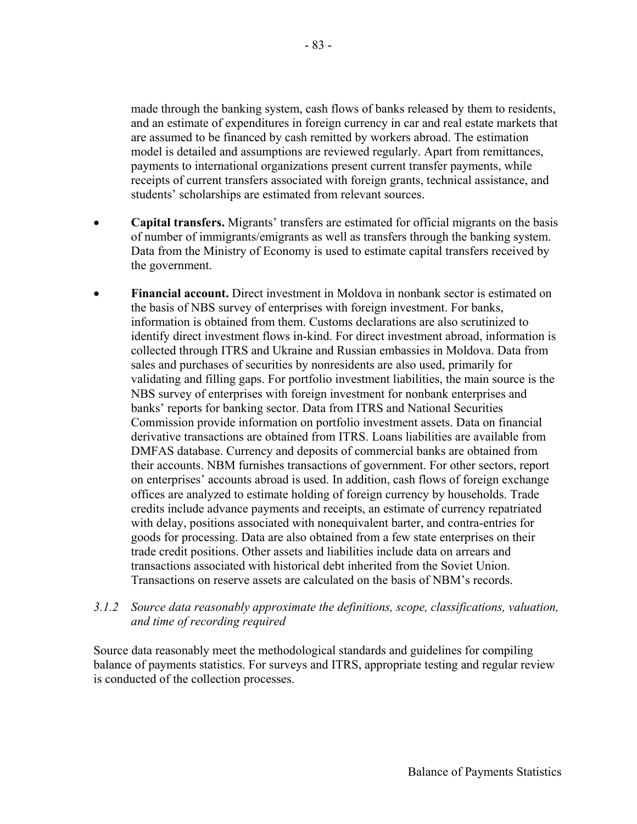made through the banking system, cash flows of banks released by them to residents, and an estimate of expenditures in foreign currency in car and real estate markets that are assumed to be financed by cash remitted by workers abroad. The estimation model is detailed and assumptions are reviewed regularly. Apart from remittances, payments to international organizations present current transfer payments, while receipts of current transfers associated with foreign grants, technical assistance, and students' scholarships are estimated from relevant sources.

- **Capital transfers.** Migrants' transfers are estimated for official migrants on the basis of number of immigrants/emigrants as well as transfers through the banking system. Data from the Ministry of Economy is used to estimate capital transfers received by the government.
- **Financial account.** Direct investment in Moldova in nonbank sector is estimated on the basis of NBS survey of enterprises with foreign investment. For banks, information is obtained from them. Customs declarations are also scrutinized to identify direct investment flows in-kind. For direct investment abroad, information is collected through ITRS and Ukraine and Russian embassies in Moldova. Data from sales and purchases of securities by nonresidents are also used, primarily for validating and filling gaps. For portfolio investment liabilities, the main source is the NBS survey of enterprises with foreign investment for nonbank enterprises and banks' reports for banking sector. Data from ITRS and National Securities Commission provide information on portfolio investment assets. Data on financial derivative transactions are obtained from ITRS. Loans liabilities are available from DMFAS database. Currency and deposits of commercial banks are obtained from their accounts. NBM furnishes transactions of government. For other sectors, report on enterprises' accounts abroad is used. In addition, cash flows of foreign exchange offices are analyzed to estimate holding of foreign currency by households. Trade credits include advance payments and receipts, an estimate of currency repatriated with delay, positions associated with nonequivalent barter, and contra-entries for goods for processing. Data are also obtained from a few state enterprises on their trade credit positions. Other assets and liabilities include data on arrears and transactions associated with historical debt inherited from the Soviet Union. Transactions on reserve assets are calculated on the basis of NBM's records.

#### *3.1.2 Source data reasonably approximate the definitions, scope, classifications, valuation, and time of recording required*

Source data reasonably meet the methodological standards and guidelines for compiling balance of payments statistics. For surveys and ITRS, appropriate testing and regular review is conducted of the collection processes.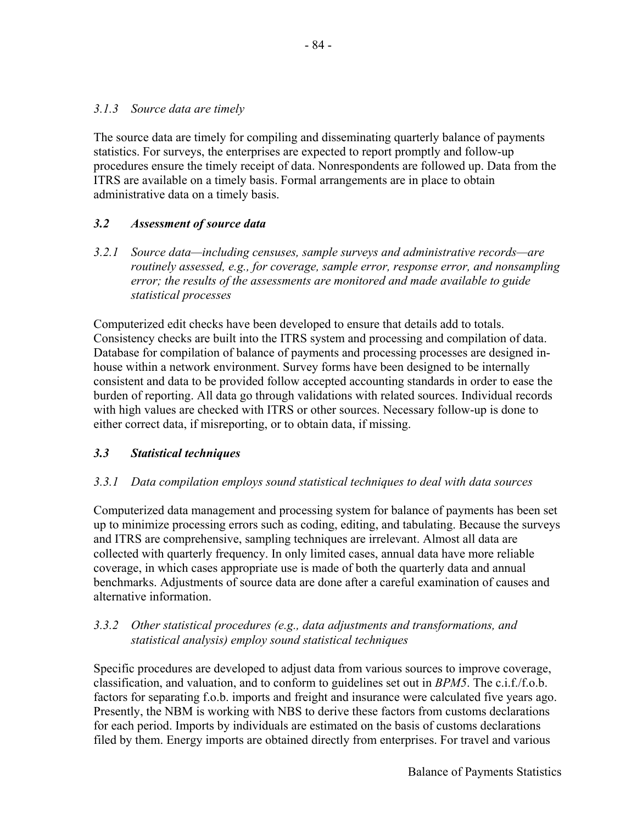#### *3.1.3 Source data are timely*

The source data are timely for compiling and disseminating quarterly balance of payments statistics. For surveys, the enterprises are expected to report promptly and follow-up procedures ensure the timely receipt of data. Nonrespondents are followed up. Data from the ITRS are available on a timely basis. Formal arrangements are in place to obtain administrative data on a timely basis.

## *3.2 Assessment of source data*

*3.2.1 Source data—including censuses, sample surveys and administrative records—are routinely assessed, e.g., for coverage, sample error, response error, and nonsampling error; the results of the assessments are monitored and made available to guide statistical processes*

Computerized edit checks have been developed to ensure that details add to totals. Consistency checks are built into the ITRS system and processing and compilation of data. Database for compilation of balance of payments and processing processes are designed inhouse within a network environment. Survey forms have been designed to be internally consistent and data to be provided follow accepted accounting standards in order to ease the burden of reporting. All data go through validations with related sources. Individual records with high values are checked with ITRS or other sources. Necessary follow-up is done to either correct data, if misreporting, or to obtain data, if missing.

#### *3.3 Statistical techniques*

#### *3.3.1 Data compilation employs sound statistical techniques to deal with data sources*

Computerized data management and processing system for balance of payments has been set up to minimize processing errors such as coding, editing, and tabulating. Because the surveys and ITRS are comprehensive, sampling techniques are irrelevant. Almost all data are collected with quarterly frequency. In only limited cases, annual data have more reliable coverage, in which cases appropriate use is made of both the quarterly data and annual benchmarks. Adjustments of source data are done after a careful examination of causes and alternative information.

#### *3.3.2 Other statistical procedures (e.g., data adjustments and transformations, and statistical analysis) employ sound statistical techniques*

Specific procedures are developed to adjust data from various sources to improve coverage, classification, and valuation, and to conform to guidelines set out in *BPM5*. The c.i.f./f.o.b. factors for separating f.o.b. imports and freight and insurance were calculated five years ago. Presently, the NBM is working with NBS to derive these factors from customs declarations for each period. Imports by individuals are estimated on the basis of customs declarations filed by them. Energy imports are obtained directly from enterprises. For travel and various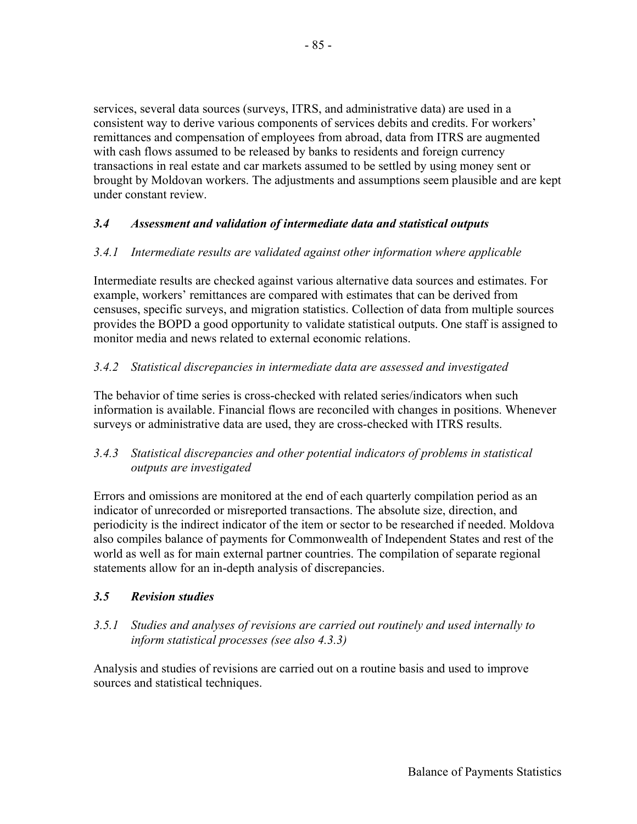services, several data sources (surveys, ITRS, and administrative data) are used in a consistent way to derive various components of services debits and credits. For workers' remittances and compensation of employees from abroad, data from ITRS are augmented with cash flows assumed to be released by banks to residents and foreign currency transactions in real estate and car markets assumed to be settled by using money sent or brought by Moldovan workers. The adjustments and assumptions seem plausible and are kept under constant review.

# *3.4 Assessment and validation of intermediate data and statistical outputs*

## *3.4.1 Intermediate results are validated against other information where applicable*

Intermediate results are checked against various alternative data sources and estimates. For example, workers' remittances are compared with estimates that can be derived from censuses, specific surveys, and migration statistics. Collection of data from multiple sources provides the BOPD a good opportunity to validate statistical outputs. One staff is assigned to monitor media and news related to external economic relations.

# *3.4.2 Statistical discrepancies in intermediate data are assessed and investigated*

The behavior of time series is cross-checked with related series/indicators when such information is available. Financial flows are reconciled with changes in positions. Whenever surveys or administrative data are used, they are cross-checked with ITRS results.

# *3.4.3 Statistical discrepancies and other potential indicators of problems in statistical outputs are investigated*

Errors and omissions are monitored at the end of each quarterly compilation period as an indicator of unrecorded or misreported transactions. The absolute size, direction, and periodicity is the indirect indicator of the item or sector to be researched if needed. Moldova also compiles balance of payments for Commonwealth of Independent States and rest of the world as well as for main external partner countries. The compilation of separate regional statements allow for an in-depth analysis of discrepancies.

## *3.5 Revision studies*

## *3.5.1 Studies and analyses of revisions are carried out routinely and used internally to inform statistical processes (see also 4.3.3)*

Analysis and studies of revisions are carried out on a routine basis and used to improve sources and statistical techniques.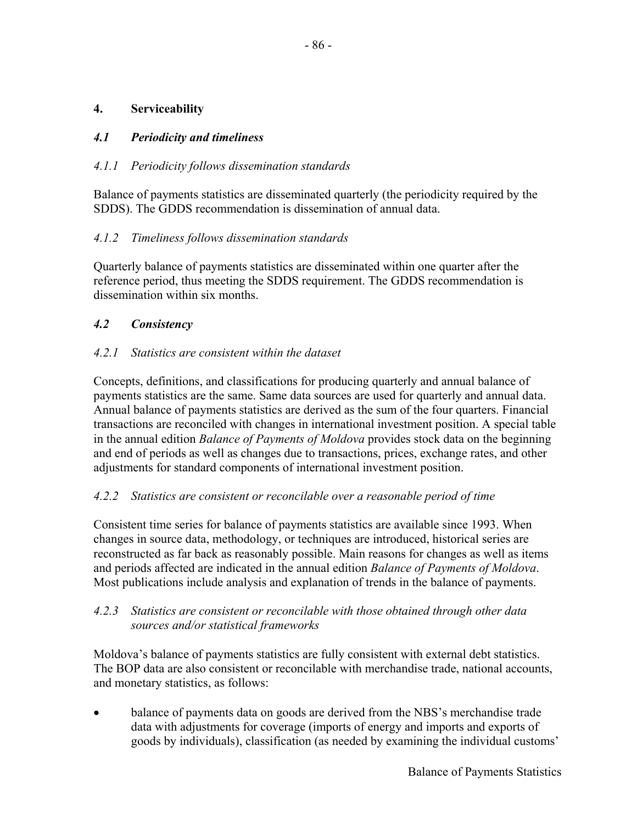# **4. Serviceability**

# *4.1 Periodicity and timeliness*

# *4.1.1 Periodicity follows dissemination standards*

Balance of payments statistics are disseminated quarterly (the periodicity required by the SDDS). The GDDS recommendation is dissemination of annual data.

## *4.1.2 Timeliness follows dissemination standards*

Quarterly balance of payments statistics are disseminated within one quarter after the reference period, thus meeting the SDDS requirement. The GDDS recommendation is dissemination within six months.

# *4.2 Consistency*

# *4.2.1 Statistics are consistent within the dataset*

Concepts, definitions, and classifications for producing quarterly and annual balance of payments statistics are the same. Same data sources are used for quarterly and annual data. Annual balance of payments statistics are derived as the sum of the four quarters. Financial transactions are reconciled with changes in international investment position. A special table in the annual edition *Balance of Payments of Moldova* provides stock data on the beginning and end of periods as well as changes due to transactions, prices, exchange rates, and other adjustments for standard components of international investment position.

## *4.2.2 Statistics are consistent or reconcilable over a reasonable period of time*

Consistent time series for balance of payments statistics are available since 1993. When changes in source data, methodology, or techniques are introduced, historical series are reconstructed as far back as reasonably possible. Main reasons for changes as well as items and periods affected are indicated in the annual edition *Balance of Payments of Moldova*. Most publications include analysis and explanation of trends in the balance of payments.

## *4.2.3 Statistics are consistent or reconcilable with those obtained through other data sources and/or statistical frameworks*

Moldova's balance of payments statistics are fully consistent with external debt statistics. The BOP data are also consistent or reconcilable with merchandise trade, national accounts, and monetary statistics, as follows:

• balance of payments data on goods are derived from the NBS's merchandise trade data with adjustments for coverage (imports of energy and imports and exports of goods by individuals), classification (as needed by examining the individual customs'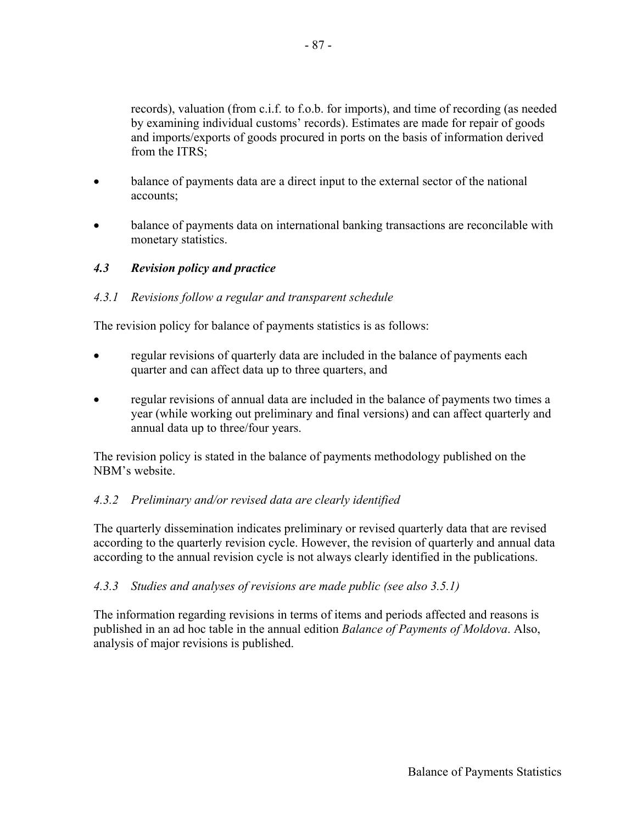records), valuation (from c.i.f. to f.o.b. for imports), and time of recording (as needed by examining individual customs' records). Estimates are made for repair of goods and imports/exports of goods procured in ports on the basis of information derived from the ITRS;

- balance of payments data are a direct input to the external sector of the national accounts;
- balance of payments data on international banking transactions are reconcilable with monetary statistics.

# *4.3 Revision policy and practice*

## *4.3.1 Revisions follow a regular and transparent schedule*

The revision policy for balance of payments statistics is as follows:

- regular revisions of quarterly data are included in the balance of payments each quarter and can affect data up to three quarters, and
- regular revisions of annual data are included in the balance of payments two times a year (while working out preliminary and final versions) and can affect quarterly and annual data up to three/four years.

The revision policy is stated in the balance of payments methodology published on the NBM's website.

## *4.3.2 Preliminary and/or revised data are clearly identified*

The quarterly dissemination indicates preliminary or revised quarterly data that are revised according to the quarterly revision cycle. However, the revision of quarterly and annual data according to the annual revision cycle is not always clearly identified in the publications.

## *4.3.3 Studies and analyses of revisions are made public (see also 3.5.1)*

The information regarding revisions in terms of items and periods affected and reasons is published in an ad hoc table in the annual edition *Balance of Payments of Moldova*. Also, analysis of major revisions is published.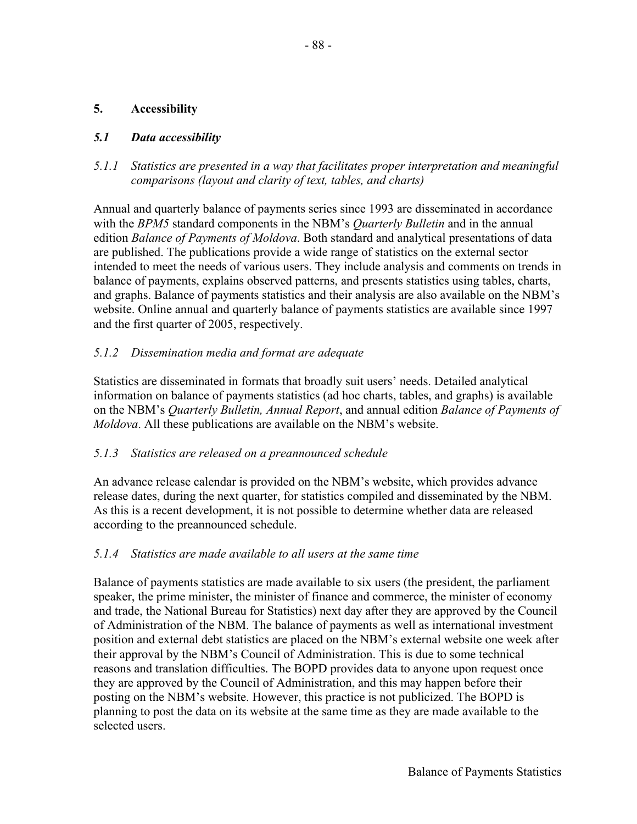## **5. Accessibility**

# *5.1 Data accessibility*

*5.1.1 Statistics are presented in a way that facilitates proper interpretation and meaningful comparisons (layout and clarity of text, tables, and charts)* 

Annual and quarterly balance of payments series since 1993 are disseminated in accordance with the *BPM5* standard components in the NBM's *Quarterly Bulletin* and in the annual edition *Balance of Payments of Moldova*. Both standard and analytical presentations of data are published. The publications provide a wide range of statistics on the external sector intended to meet the needs of various users. They include analysis and comments on trends in balance of payments, explains observed patterns, and presents statistics using tables, charts, and graphs. Balance of payments statistics and their analysis are also available on the NBM's website. Online annual and quarterly balance of payments statistics are available since 1997 and the first quarter of 2005, respectively.

## *5.1.2 Dissemination media and format are adequate*

Statistics are disseminated in formats that broadly suit users' needs. Detailed analytical information on balance of payments statistics (ad hoc charts, tables, and graphs) is available on the NBM's *Quarterly Bulletin, Annual Report*, and annual edition *Balance of Payments of Moldova*. All these publications are available on the NBM's website.

## *5.1.3 Statistics are released on a preannounced schedule*

An advance release calendar is provided on the NBM's website, which provides advance release dates, during the next quarter, for statistics compiled and disseminated by the NBM. As this is a recent development, it is not possible to determine whether data are released according to the preannounced schedule.

## *5.1.4 Statistics are made available to all users at the same time*

Balance of payments statistics are made available to six users (the president, the parliament speaker, the prime minister, the minister of finance and commerce, the minister of economy and trade, the National Bureau for Statistics) next day after they are approved by the Council of Administration of the NBM. The balance of payments as well as international investment position and external debt statistics are placed on the NBM's external website one week after their approval by the NBM's Council of Administration. This is due to some technical reasons and translation difficulties. The BOPD provides data to anyone upon request once they are approved by the Council of Administration, and this may happen before their posting on the NBM's website. However, this practice is not publicized. The BOPD is planning to post the data on its website at the same time as they are made available to the selected users.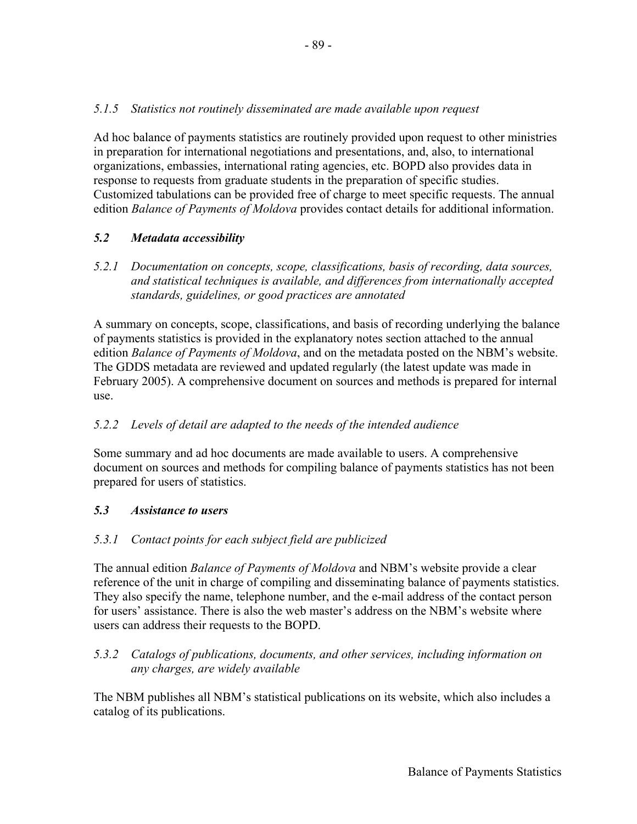# *5.1.5 Statistics not routinely disseminated are made available upon request*

Ad hoc balance of payments statistics are routinely provided upon request to other ministries in preparation for international negotiations and presentations, and, also, to international organizations, embassies, international rating agencies, etc. BOPD also provides data in response to requests from graduate students in the preparation of specific studies. Customized tabulations can be provided free of charge to meet specific requests. The annual edition *Balance of Payments of Moldova* provides contact details for additional information.

## *5.2 Metadata accessibility*

*5.2.1 Documentation on concepts, scope, classifications, basis of recording, data sources, and statistical techniques is available, and differences from internationally accepted standards, guidelines, or good practices are annotated* 

A summary on concepts, scope, classifications, and basis of recording underlying the balance of payments statistics is provided in the explanatory notes section attached to the annual edition *Balance of Payments of Moldova*, and on the metadata posted on the NBM's website. The GDDS metadata are reviewed and updated regularly (the latest update was made in February 2005). A comprehensive document on sources and methods is prepared for internal use.

## *5.2.2 Levels of detail are adapted to the needs of the intended audience*

Some summary and ad hoc documents are made available to users. A comprehensive document on sources and methods for compiling balance of payments statistics has not been prepared for users of statistics.

## *5.3 Assistance to users*

## *5.3.1 Contact points for each subject field are publicized*

The annual edition *Balance of Payments of Moldova* and NBM's website provide a clear reference of the unit in charge of compiling and disseminating balance of payments statistics. They also specify the name, telephone number, and the e-mail address of the contact person for users' assistance. There is also the web master's address on the NBM's website where users can address their requests to the BOPD.

#### *5.3.2 Catalogs of publications, documents, and other services, including information on any charges, are widely available*

The NBM publishes all NBM's statistical publications on its website, which also includes a catalog of its publications.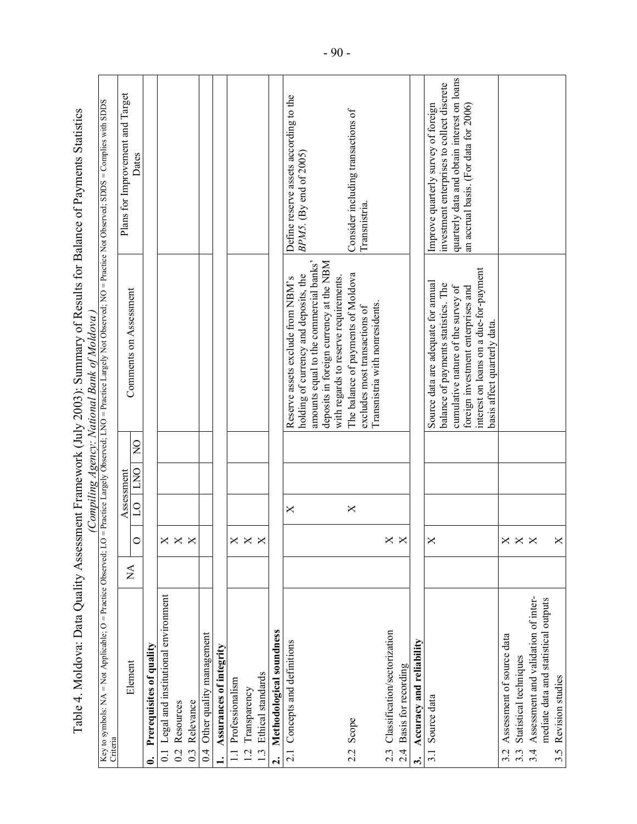|                                            |                    |                |                                     | Table 4. Moldova: Data Quality Assessment Framework (July 2003): Summary of Results for Balance of Payments Statistics<br>(Compiling Agency: National Bank of Moldova) |                                                                                      |
|--------------------------------------------|--------------------|----------------|-------------------------------------|------------------------------------------------------------------------------------------------------------------------------------------------------------------------|--------------------------------------------------------------------------------------|
| Criteria                                   |                    |                |                                     | Key to symbols: NA = Not Applicable; O = Practice Observed; LO = Practice Largely Observed; DA of Deserved; NO = Practice Not Observed; SDDS = Complies with SDDS      |                                                                                      |
| Element                                    | $\sum_{i=1}^{n}$   | $\overline{C}$ | $\overline{R}$<br>DNO<br>Assessment | Comments on Assessment                                                                                                                                                 | Plans for Improvement and Target<br>Dates                                            |
| Prerequisites of quality                   |                    |                |                                     |                                                                                                                                                                        |                                                                                      |
| 0.1 Legal and institutional environment    |                    |                |                                     |                                                                                                                                                                        |                                                                                      |
| Resources<br>$\overline{0}$                | $\times \times$    |                |                                     |                                                                                                                                                                        |                                                                                      |
| Relevance<br>$\overline{0}$                | $\mathord{\times}$ |                |                                     |                                                                                                                                                                        |                                                                                      |
| 0.4 Other quality management               |                    |                |                                     |                                                                                                                                                                        |                                                                                      |
| Assurances of integrity                    |                    |                |                                     |                                                                                                                                                                        |                                                                                      |
| 1.1 Professionalism                        | "                  |                |                                     |                                                                                                                                                                        |                                                                                      |
| 1.2 Transparency                           | $\mathsf{X}$       |                |                                     |                                                                                                                                                                        |                                                                                      |
| Ethical standards<br>$\overline{a}$        | Х                  |                |                                     |                                                                                                                                                                        |                                                                                      |
| Methodological soundness<br>તં             |                    |                |                                     |                                                                                                                                                                        |                                                                                      |
| 2.1 Concepts and definitions               |                    | ×              |                                     | Reserve assets exclude from NBM's                                                                                                                                      | Define reserve assets according to the                                               |
|                                            |                    |                |                                     | holding of currency and deposits, the                                                                                                                                  | BPM5. (By end of 2005)                                                               |
|                                            |                    |                |                                     | amounts equal to the commercial banks'                                                                                                                                 |                                                                                      |
|                                            |                    |                |                                     | deposits in foreign currency at the NBM<br>with regards to reserve requirements.                                                                                       |                                                                                      |
| 2.2 Scope                                  |                    | X              |                                     | The balance of payments of Moldova                                                                                                                                     | Consider including transactions of                                                   |
|                                            |                    |                |                                     | Transnistria with nonresidents.<br>excludes most transactions of                                                                                                       | Transnistria                                                                         |
| 2.3 Classification/sectorization           | Х                  |                |                                     |                                                                                                                                                                        |                                                                                      |
| 2.4 Basis for recording                    | $\mathsf{X}$       |                |                                     |                                                                                                                                                                        |                                                                                      |
| Accuracy and reliability<br>$\ddot{ }$     |                    |                |                                     |                                                                                                                                                                        |                                                                                      |
| 3.1 Source data                            | $\mathord{\times}$ |                |                                     | Source data are adequate for annual                                                                                                                                    | Improve quarterly survey of foreign                                                  |
|                                            |                    |                |                                     | balance of payments statistics. The                                                                                                                                    | investment enterprises to collect discrete                                           |
|                                            |                    |                |                                     | cumulative nature of the survey of<br>foreign investment enterprises and                                                                                               | quarterly data and obtain interest on loans<br>an accrual basis. (For data for 2006) |
|                                            |                    |                |                                     | interest on loans on a due-for-payment                                                                                                                                 |                                                                                      |
|                                            |                    |                |                                     | basis affect quarterly data                                                                                                                                            |                                                                                      |
| Assessment of source data<br>3.2           |                    |                |                                     |                                                                                                                                                                        |                                                                                      |
| Statistical techniques<br>$3.\overline{3}$ | $\times \times$    |                |                                     |                                                                                                                                                                        |                                                                                      |
| Assessment and validation of inter-<br>3.4 | $\mathsf{X}$       |                |                                     |                                                                                                                                                                        |                                                                                      |
| mediate data and statistical outputs       |                    |                |                                     |                                                                                                                                                                        |                                                                                      |
| 3.5 Revision studies                       |                    |                |                                     |                                                                                                                                                                        |                                                                                      |

- 90 -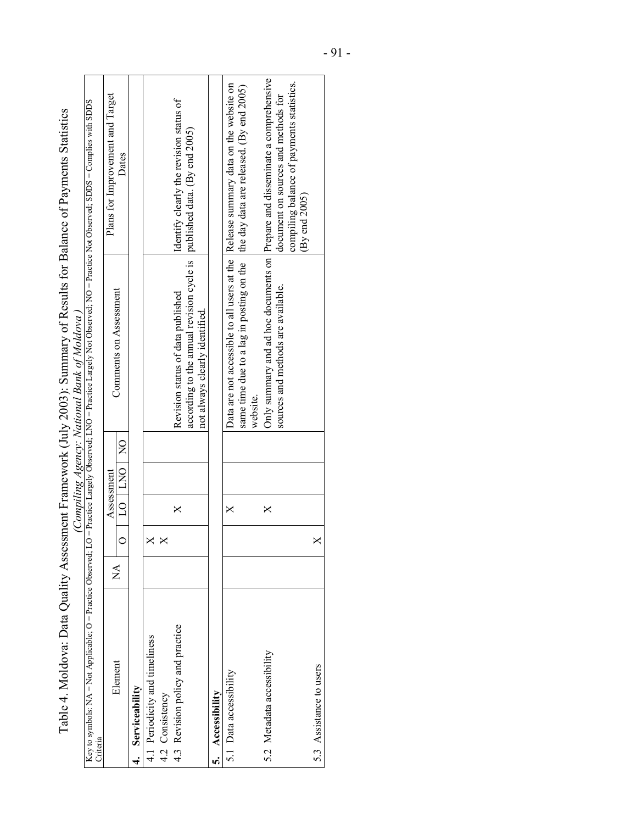| ramework (July 2003): Summary of Results for Balance of Payments Statistics<br>Li Accessoment Hramation<br>www.comedia.com | mant In unner minimum in the service of the Stranding<br>mmin |
|----------------------------------------------------------------------------------------------------------------------------|---------------------------------------------------------------|
|                                                                                                                            |                                                               |
|                                                                                                                            |                                                               |
|                                                                                                                            |                                                               |

|                                                                                                                                                                                                    |               |   |            |               | (Compiling Agency: National Bank of Moldova)                                                                  |                                                                                                                      |
|----------------------------------------------------------------------------------------------------------------------------------------------------------------------------------------------------|---------------|---|------------|---------------|---------------------------------------------------------------------------------------------------------------|----------------------------------------------------------------------------------------------------------------------|
| Key to symbols: NA = Not Applicable; O = Practice Observed; LO = Practice Largely Observed; LNO = Practice Largely Not Observed; NO = Practice Not Observed; SDDS = Complies with SDDS<br>Criteria |               |   |            |               |                                                                                                               |                                                                                                                      |
| Element                                                                                                                                                                                            | $\breve{\Xi}$ |   | Assessment |               |                                                                                                               | Plans for Improvement and larget                                                                                     |
|                                                                                                                                                                                                    |               |   | DO INO     | $\frac{1}{2}$ | Comments on Assessment                                                                                        | Dates                                                                                                                |
| Serviceability<br>$\ddot{ }$                                                                                                                                                                       |               |   |            |               |                                                                                                               |                                                                                                                      |
| 4.1 Periodicity and timeliness                                                                                                                                                                     |               | × |            |               |                                                                                                               |                                                                                                                      |
| 4.2 Consistency                                                                                                                                                                                    |               |   |            |               |                                                                                                               |                                                                                                                      |
| 4.3 Revision policy and practice                                                                                                                                                                   |               |   | ×          |               | Revision status of data published                                                                             | Identify clearly the revision status of                                                                              |
|                                                                                                                                                                                                    |               |   |            |               | according to the annual revision cycle is $ $ published data. (By end 2005)<br>not always clearly identified. |                                                                                                                      |
| Accessibility<br>้                                                                                                                                                                                 |               |   |            |               |                                                                                                               |                                                                                                                      |
| 5.1 Data accessibility                                                                                                                                                                             |               |   | ×          |               |                                                                                                               | Data are not accessible to all users at the  Release summary data on the website on                                  |
|                                                                                                                                                                                                    |               |   |            |               | same time due to a lag in posting on the line day data are released. (By end 2005)<br>website.                |                                                                                                                      |
| 5.2 Metadata accessibility                                                                                                                                                                         |               |   | ×          |               | sources and methods are available.                                                                            | Only summary and ad hoc documents on  Prepare and disseminate a comprehensive<br>document on sources and methods for |
|                                                                                                                                                                                                    |               |   |            |               |                                                                                                               | compiling balance of payments statistics.<br>By end 2005                                                             |
| 5.3 Assistance to users                                                                                                                                                                            |               | × |            |               |                                                                                                               |                                                                                                                      |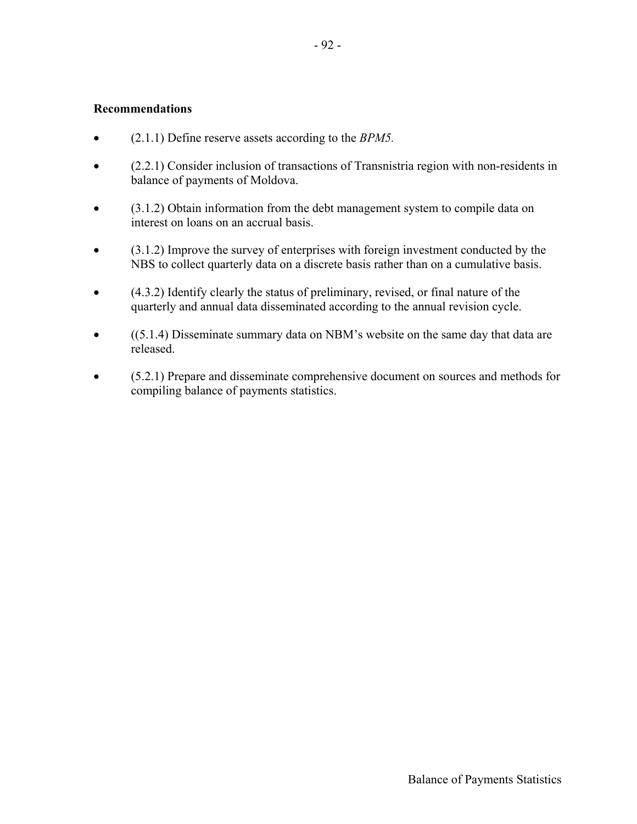#### **Recommendations**

- (2.1.1) Define reserve assets according to the *BPM5.*
- (2.2.1) Consider inclusion of transactions of Transnistria region with non-residents in balance of payments of Moldova.
- (3.1.2) Obtain information from the debt management system to compile data on interest on loans on an accrual basis.
- (3.1.2) Improve the survey of enterprises with foreign investment conducted by the NBS to collect quarterly data on a discrete basis rather than on a cumulative basis.
- (4.3.2) Identify clearly the status of preliminary, revised, or final nature of the quarterly and annual data disseminated according to the annual revision cycle.
- ((5.1.4) Disseminate summary data on NBM's website on the same day that data are released.
- (5.2.1) Prepare and disseminate comprehensive document on sources and methods for compiling balance of payments statistics.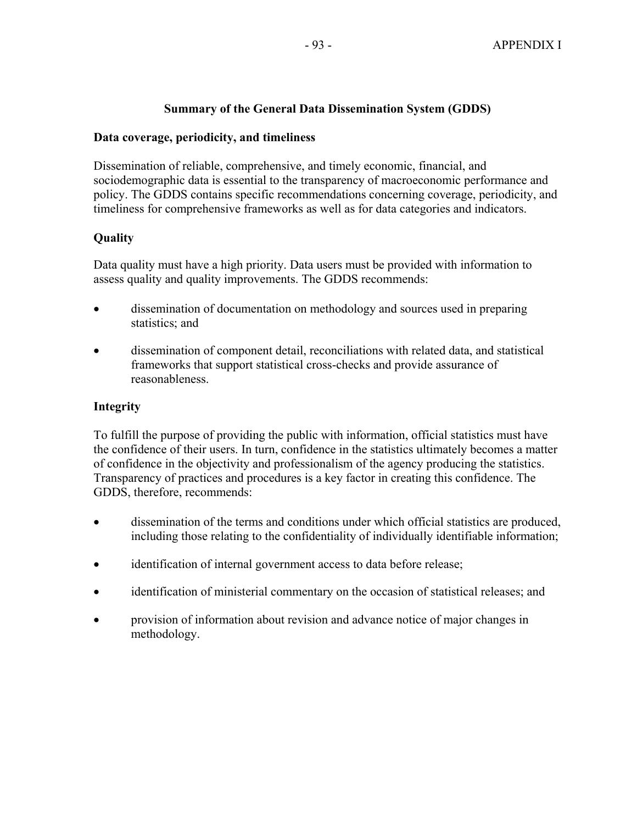# **Summary of the General Data Dissemination System (GDDS)**

#### **Data coverage, periodicity, and timeliness**

Dissemination of reliable, comprehensive, and timely economic, financial, and sociodemographic data is essential to the transparency of macroeconomic performance and policy. The GDDS contains specific recommendations concerning coverage, periodicity, and timeliness for comprehensive frameworks as well as for data categories and indicators.

# **Quality**

Data quality must have a high priority. Data users must be provided with information to assess quality and quality improvements. The GDDS recommends:

- dissemination of documentation on methodology and sources used in preparing statistics; and
- dissemination of component detail, reconciliations with related data, and statistical frameworks that support statistical cross-checks and provide assurance of reasonableness.

#### **Integrity**

To fulfill the purpose of providing the public with information, official statistics must have the confidence of their users. In turn, confidence in the statistics ultimately becomes a matter of confidence in the objectivity and professionalism of the agency producing the statistics. Transparency of practices and procedures is a key factor in creating this confidence. The GDDS, therefore, recommends:

- dissemination of the terms and conditions under which official statistics are produced, including those relating to the confidentiality of individually identifiable information;
- identification of internal government access to data before release;
- identification of ministerial commentary on the occasion of statistical releases; and
- provision of information about revision and advance notice of major changes in methodology.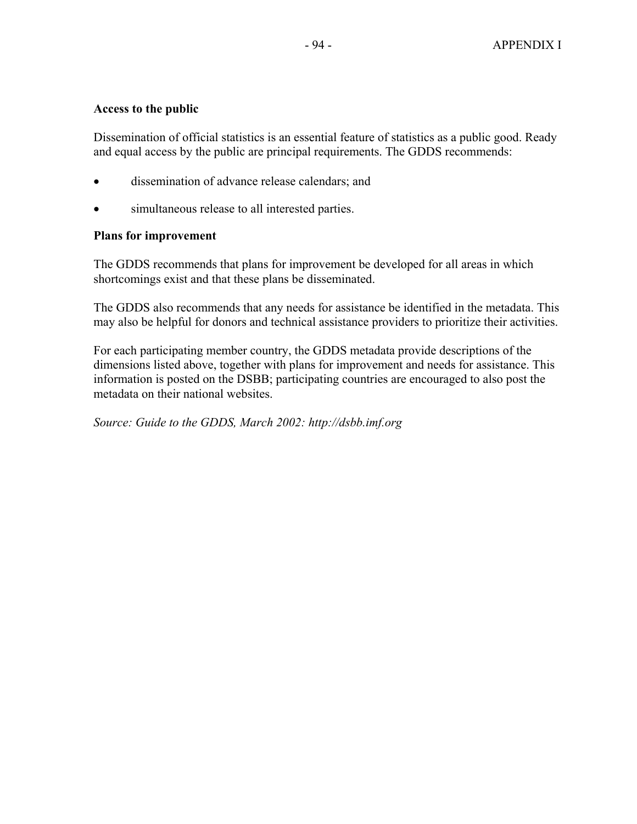#### **Access to the public**

Dissemination of official statistics is an essential feature of statistics as a public good. Ready and equal access by the public are principal requirements. The GDDS recommends:

- dissemination of advance release calendars; and
- simultaneous release to all interested parties.

#### **Plans for improvement**

The GDDS recommends that plans for improvement be developed for all areas in which shortcomings exist and that these plans be disseminated.

The GDDS also recommends that any needs for assistance be identified in the metadata. This may also be helpful for donors and technical assistance providers to prioritize their activities.

For each participating member country, the GDDS metadata provide descriptions of the dimensions listed above, together with plans for improvement and needs for assistance. This information is posted on the DSBB; participating countries are encouraged to also post the metadata on their national websites.

*Source: Guide to the GDDS, March 2002: http://dsbb.imf.org*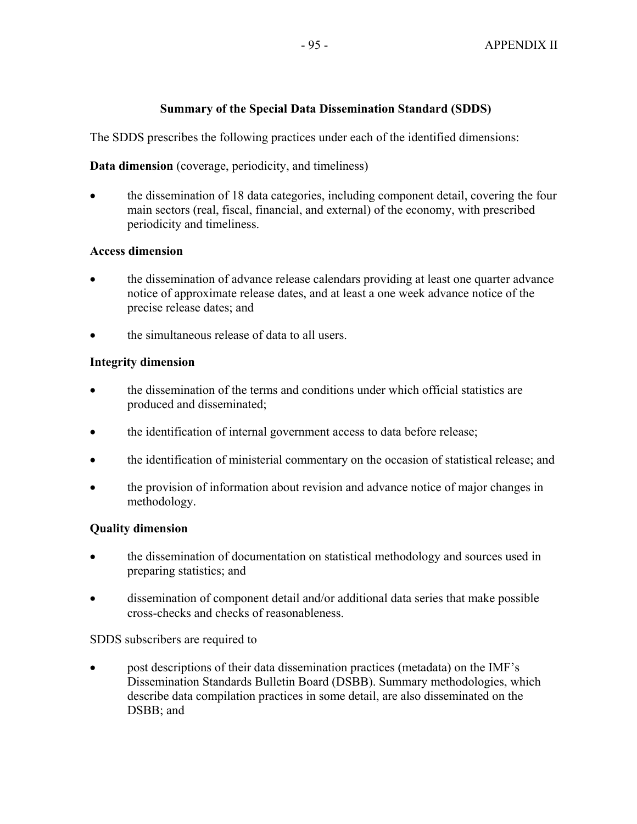# **Summary of the Special Data Dissemination Standard (SDDS)**

The SDDS prescribes the following practices under each of the identified dimensions:

# **Data dimension** (coverage, periodicity, and timeliness)

• the dissemination of 18 data categories, including component detail, covering the four main sectors (real, fiscal, financial, and external) of the economy, with prescribed periodicity and timeliness.

## **Access dimension**

- the dissemination of advance release calendars providing at least one quarter advance notice of approximate release dates, and at least a one week advance notice of the precise release dates; and
- the simultaneous release of data to all users.

# **Integrity dimension**

- the dissemination of the terms and conditions under which official statistics are produced and disseminated;
- the identification of internal government access to data before release;
- the identification of ministerial commentary on the occasion of statistical release; and
- the provision of information about revision and advance notice of major changes in methodology.

## **Quality dimension**

- the dissemination of documentation on statistical methodology and sources used in preparing statistics; and
- dissemination of component detail and/or additional data series that make possible cross-checks and checks of reasonableness.

SDDS subscribers are required to

• post descriptions of their data dissemination practices (metadata) on the IMF's Dissemination Standards Bulletin Board (DSBB). Summary methodologies, which describe data compilation practices in some detail, are also disseminated on the DSBB; and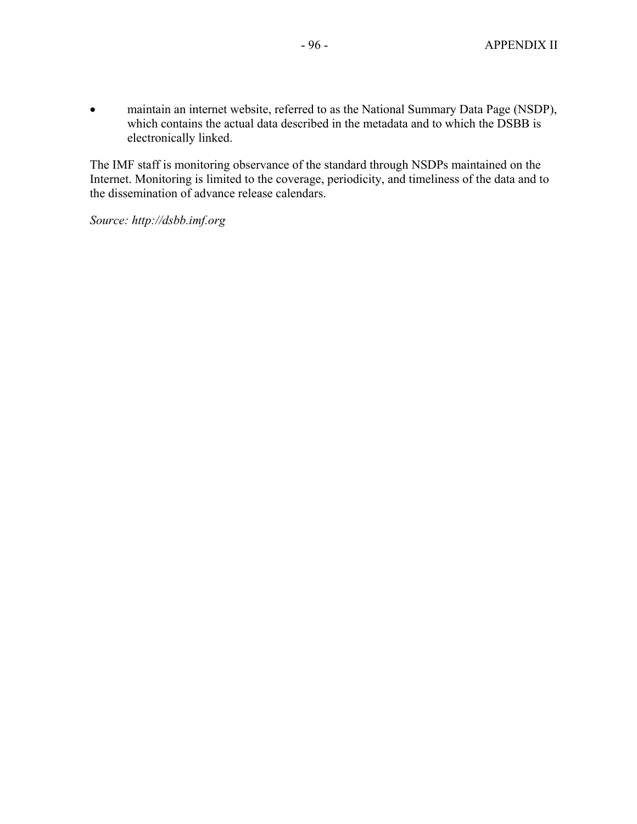• maintain an internet website, referred to as the National Summary Data Page (NSDP), which contains the actual data described in the metadata and to which the DSBB is electronically linked.

The IMF staff is monitoring observance of the standard through NSDPs maintained on the Internet. Monitoring is limited to the coverage, periodicity, and timeliness of the data and to the dissemination of advance release calendars.

*Source: http://dsbb.imf.org*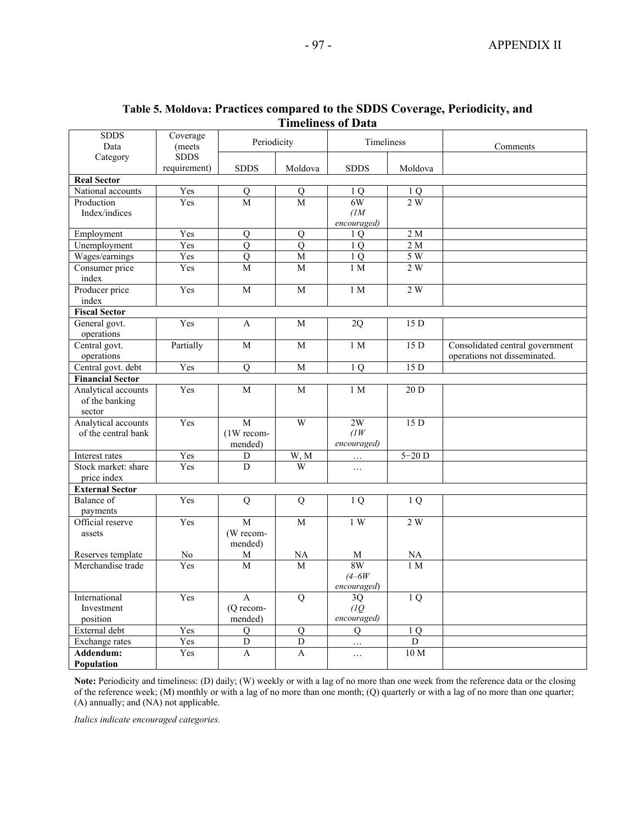#### **Table 5. Moldova: Practices compared to the SDDS Coverage, Periodicity, and Timeliness of Data**

| <b>SDDS</b><br>Data                   | Coverage<br>(meets) | Periodicity         |                                  | Timeliness        |                   | Comments                        |
|---------------------------------------|---------------------|---------------------|----------------------------------|-------------------|-------------------|---------------------------------|
| Category                              | <b>SDDS</b>         |                     |                                  |                   |                   |                                 |
|                                       | requirement)        | <b>SDDS</b>         | Moldova                          | <b>SDDS</b>       | Moldova           |                                 |
| <b>Real Sector</b>                    |                     |                     |                                  |                   |                   |                                 |
| National accounts                     | Yes                 | $\overline{Q}$      | Q                                | 1 O               | 1 Q               |                                 |
| Production                            | Yes                 | M                   | M                                | 6W                | 2W                |                                 |
| Index/indices                         |                     |                     |                                  | (1)               |                   |                                 |
|                                       | Yes                 |                     |                                  | encouraged)       | 2 <sub>M</sub>    |                                 |
| Employment<br>Unemployment            | Yes                 | Q<br>$\overline{Q}$ | $\overline{O}$<br>$\overline{Q}$ | 1Q                | 2 <sub>M</sub>    |                                 |
| Wages/earnings                        | Yes                 | $\overline{Q}$      | $\overline{\text{M}}$            | 1Q<br>1Q          | 5W                |                                 |
| Consumer price                        | Yes                 | M                   | M                                | 1 M               | 2W                |                                 |
| index                                 |                     |                     |                                  |                   |                   |                                 |
| Producer price                        | Yes                 | M                   | M                                | 1 M               | 2W                |                                 |
| index                                 |                     |                     |                                  |                   |                   |                                 |
| <b>Fiscal Sector</b>                  |                     |                     |                                  |                   |                   |                                 |
| General govt.                         | Yes                 | A                   | M                                | 2Q                | 15 D              |                                 |
| operations                            |                     |                     |                                  |                   |                   |                                 |
| Central govt.                         | Partially           | M                   | M                                | 1 <sub>M</sub>    | 15D               | Consolidated central government |
| operations                            |                     |                     |                                  |                   |                   | operations not disseminated.    |
| Central govt. debt                    | Yes                 | $\mathbf Q$         | $\mathbf M$                      | 1 <sub>Q</sub>    | 15D               |                                 |
| <b>Financial Sector</b>               |                     |                     |                                  |                   |                   |                                 |
| Analytical accounts<br>of the banking | Yes                 | M                   | $\mathbf M$                      | 1 M               | $\overline{20 D}$ |                                 |
| sector                                |                     |                     |                                  |                   |                   |                                 |
| Analytical accounts                   | Yes                 | $\overline{M}$      | $\overline{W}$                   | 2W                | 15 D              |                                 |
| of the central bank                   |                     | (1W recom-          |                                  | (1W)              |                   |                                 |
|                                       |                     | mended)             |                                  | encouraged)       |                   |                                 |
| Interest rates                        | Yes                 | D                   | W, M                             | .                 | $5-20$ D          |                                 |
| Stock market: share                   | Yes                 | $\overline{D}$      | $\overline{W}$                   | $\ldots$          |                   |                                 |
| price index<br><b>External Sector</b> |                     |                     |                                  |                   |                   |                                 |
| Balance of                            | Yes                 | $\overline{Q}$      | $\overline{Q}$                   | 1Q                | 1Q                |                                 |
| payments                              |                     |                     |                                  |                   |                   |                                 |
| Official reserve                      | Yes                 | $\overline{M}$      | M                                | 1W                | 2 W               |                                 |
| assets                                |                     | (W recom-           |                                  |                   |                   |                                 |
|                                       |                     | mended)             |                                  |                   |                   |                                 |
| Reserves template                     | No                  | M                   | NA                               | M                 | <b>NA</b>         |                                 |
| Merchandise trade                     | Yes                 | M                   | M                                | 8W                | 1 <sub>M</sub>    |                                 |
|                                       |                     |                     |                                  | $(4 - 6W)$        |                   |                                 |
| International                         | Yes                 | $\mathbf{A}$        | Q                                | encouraged)<br>3Q | 1Q                |                                 |
| Investment                            |                     | (Q recom-           |                                  | (1Q)              |                   |                                 |
| position                              |                     | mended)             |                                  | encouraged)       |                   |                                 |
| External debt                         | Yes                 | Q                   | Q                                | Q                 | 1Q                |                                 |
| Exchange rates                        | Yes                 | $\overline{D}$      | $\mathbf D$                      | .                 | D                 |                                 |
| Addendum:                             | Yes                 | A                   | A                                | $\ldots$          | 10 <sub>M</sub>   |                                 |
| Population                            |                     |                     |                                  |                   |                   |                                 |

**Note:** Periodicity and timeliness: (D) daily; (W) weekly or with a lag of no more than one week from the reference data or the closing of the reference week; (M) monthly or with a lag of no more than one month; (Q) quarterly or with a lag of no more than one quarter; (A) annually; and (NA) not applicable.

*Italics indicate encouraged categories.*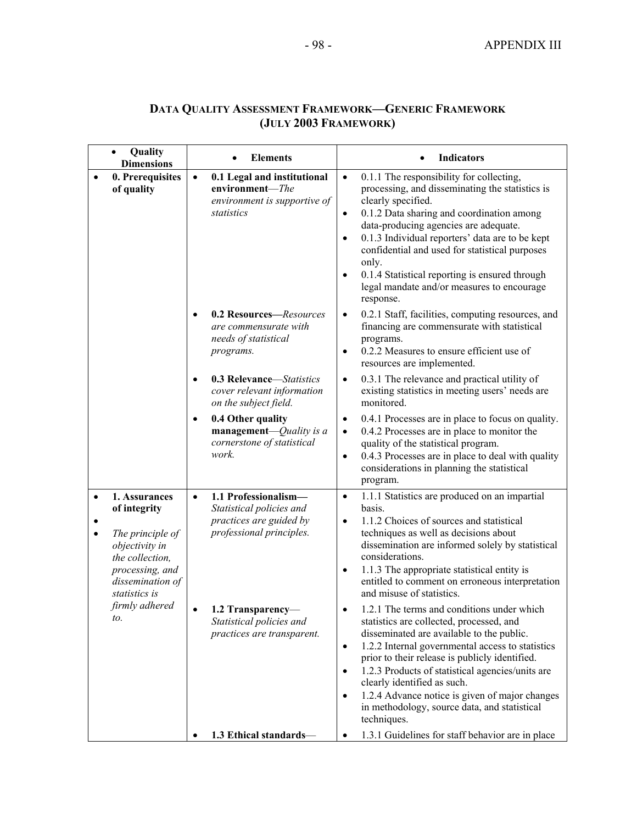| <b>DATA QUALITY ASSESSMENT FRAMEWORK-GENERIC FRAMEWORK</b> |
|------------------------------------------------------------|
| (JULY 2003 FRAMEWORK)                                      |

|                                                                                                                                                     | Quality<br><b>Dimensions</b>   | <b>Elements</b>                                                                                                      | <b>Indicators</b>                                                                                                                                                                                                                                                                                                                                                                                                                                                                      |
|-----------------------------------------------------------------------------------------------------------------------------------------------------|--------------------------------|----------------------------------------------------------------------------------------------------------------------|----------------------------------------------------------------------------------------------------------------------------------------------------------------------------------------------------------------------------------------------------------------------------------------------------------------------------------------------------------------------------------------------------------------------------------------------------------------------------------------|
|                                                                                                                                                     | 0. Prerequisites<br>of quality | 0.1 Legal and institutional<br>$\bullet$<br>environment-The<br>environment is supportive of<br>statistics            | 0.1.1 The responsibility for collecting,<br>$\bullet$<br>processing, and disseminating the statistics is<br>clearly specified.<br>0.1.2 Data sharing and coordination among<br>$\bullet$<br>data-producing agencies are adequate.<br>0.1.3 Individual reporters' data are to be kept<br>$\bullet$<br>confidential and used for statistical purposes<br>only.<br>0.1.4 Statistical reporting is ensured through<br>$\bullet$<br>legal mandate and/or measures to encourage<br>response. |
|                                                                                                                                                     |                                | 0.2 Resources-Resources<br>are commensurate with<br>needs of statistical<br>programs.                                | 0.2.1 Staff, facilities, computing resources, and<br>$\bullet$<br>financing are commensurate with statistical<br>programs.<br>0.2.2 Measures to ensure efficient use of<br>$\bullet$<br>resources are implemented.                                                                                                                                                                                                                                                                     |
|                                                                                                                                                     |                                | 0.3 Relevance-Statistics<br>$\bullet$<br>cover relevant information<br>on the subject field.                         | 0.3.1 The relevance and practical utility of<br>$\bullet$<br>existing statistics in meeting users' needs are<br>monitored.                                                                                                                                                                                                                                                                                                                                                             |
|                                                                                                                                                     |                                | 0.4 Other quality<br>$\bullet$<br>management- $Quality$ is a<br>cornerstone of statistical<br>work.                  | 0.4.1 Processes are in place to focus on quality.<br>$\bullet$<br>0.4.2 Processes are in place to monitor the<br>$\bullet$<br>quality of the statistical program.<br>0.4.3 Processes are in place to deal with quality<br>$\bullet$<br>considerations in planning the statistical<br>program.                                                                                                                                                                                          |
| 1. Assurances<br>٠<br>of integrity<br>The principle of<br>objectivity in<br>the collection,<br>processing, and<br>dissemination of<br>statistics is |                                | 1.1 Professionalism-<br>$\bullet$<br>Statistical policies and<br>practices are guided by<br>professional principles. | 1.1.1 Statistics are produced on an impartial<br>$\bullet$<br>basis.<br>1.1.2 Choices of sources and statistical<br>$\bullet$<br>techniques as well as decisions about<br>dissemination are informed solely by statistical<br>considerations.<br>1.1.3 The appropriate statistical entity is<br>entitled to comment on erroneous interpretation<br>and misuse of statistics.                                                                                                           |
|                                                                                                                                                     | firmly adhered<br>to.          | 1.2 Transparency<br>Statistical policies and<br>practices are transparent.                                           | 1.2.1 The terms and conditions under which<br>statistics are collected, processed, and<br>disseminated are available to the public.<br>1.2.2 Internal governmental access to statistics<br>$\bullet$<br>prior to their release is publicly identified.<br>1.2.3 Products of statistical agencies/units are<br>clearly identified as such.<br>1.2.4 Advance notice is given of major changes<br>in methodology, source data, and statistical<br>techniques.                             |
|                                                                                                                                                     |                                | 1.3 Ethical standards-                                                                                               | 1.3.1 Guidelines for staff behavior are in place<br>٠                                                                                                                                                                                                                                                                                                                                                                                                                                  |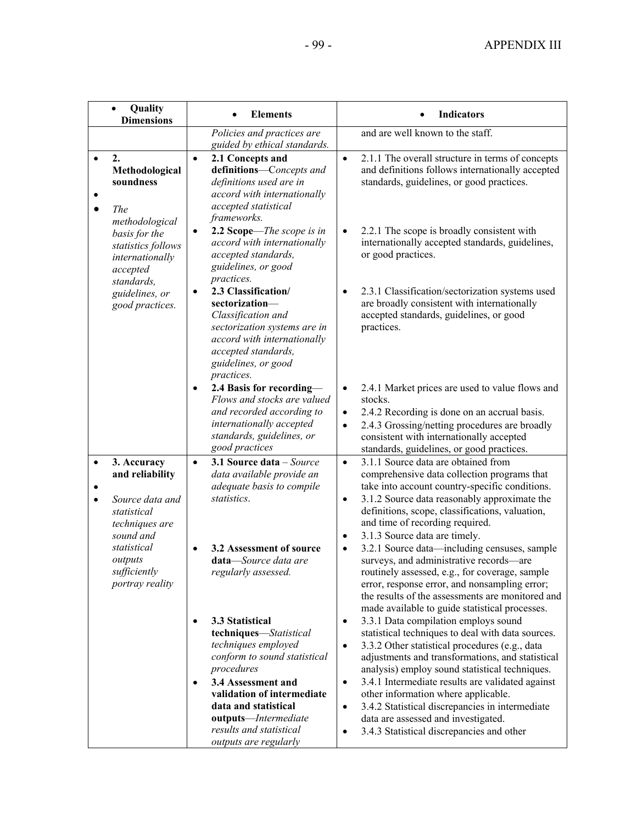| $\bullet$                     | Quality<br><b>Dimensions</b>                                                                                                                                 | <b>Elements</b>                                                                                                                                                                                                                                                                                  | <b>Indicators</b>                                                                                                                                                                                                                                                                                                                                                                                                                                                                                                                                                                                                                                                   |
|-------------------------------|--------------------------------------------------------------------------------------------------------------------------------------------------------------|--------------------------------------------------------------------------------------------------------------------------------------------------------------------------------------------------------------------------------------------------------------------------------------------------|---------------------------------------------------------------------------------------------------------------------------------------------------------------------------------------------------------------------------------------------------------------------------------------------------------------------------------------------------------------------------------------------------------------------------------------------------------------------------------------------------------------------------------------------------------------------------------------------------------------------------------------------------------------------|
|                               |                                                                                                                                                              | Policies and practices are<br>guided by ethical standards.                                                                                                                                                                                                                                       | and are well known to the staff.                                                                                                                                                                                                                                                                                                                                                                                                                                                                                                                                                                                                                                    |
| 2.<br>$\bullet$<br><b>The</b> | Methodological<br>soundness<br>methodological                                                                                                                | 2.1 Concepts and<br>$\bullet$<br>definitions-Concepts and<br>definitions used are in<br>accord with internationally<br>accepted statistical<br>frameworks.                                                                                                                                       | 2.1.1 The overall structure in terms of concepts<br>$\bullet$<br>and definitions follows internationally accepted<br>standards, guidelines, or good practices.                                                                                                                                                                                                                                                                                                                                                                                                                                                                                                      |
|                               | basis for the<br>statistics follows<br>internationally<br>accepted<br>standards,                                                                             | 2.2 Scope-The scope is in<br>$\bullet$<br>accord with internationally<br>accepted standards,<br>guidelines, or good<br>practices.                                                                                                                                                                | 2.2.1 The scope is broadly consistent with<br>$\bullet$<br>internationally accepted standards, guidelines,<br>or good practices.                                                                                                                                                                                                                                                                                                                                                                                                                                                                                                                                    |
|                               | guidelines, or<br>good practices.                                                                                                                            | 2.3 Classification/<br>$\bullet$<br>sectorization-<br>Classification and<br>sectorization systems are in<br>accord with internationally<br>accepted standards,<br>guidelines, or good<br>practices.                                                                                              | 2.3.1 Classification/sectorization systems used<br>$\bullet$<br>are broadly consistent with internationally<br>accepted standards, guidelines, or good<br>practices.                                                                                                                                                                                                                                                                                                                                                                                                                                                                                                |
|                               |                                                                                                                                                              | 2.4 Basis for recording-<br>$\bullet$<br>Flows and stocks are valued<br>and recorded according to<br>internationally accepted<br>standards, guidelines, or<br>good practices                                                                                                                     | 2.4.1 Market prices are used to value flows and<br>$\bullet$<br>stocks.<br>2.4.2 Recording is done on an accrual basis.<br>$\bullet$<br>2.4.3 Grossing/netting procedures are broadly<br>$\bullet$<br>consistent with internationally accepted<br>standards, guidelines, or good practices.                                                                                                                                                                                                                                                                                                                                                                         |
| $\bullet$<br>$\bullet$        | 3. Accuracy<br>and reliability<br>Source data and<br>statistical<br>techniques are<br>sound and<br>statistical<br>outputs<br>sufficiently<br>portray reality | 3.1 Source data – Source<br>$\bullet$<br>data available provide an<br>adequate basis to compile<br>statistics.<br>3.2 Assessment of source<br>$\bullet$<br>data-Source data are<br>regularly assessed.                                                                                           | 3.1.1 Source data are obtained from<br>$\bullet$<br>comprehensive data collection programs that<br>take into account country-specific conditions.<br>3.1.2 Source data reasonably approximate the<br>$\bullet$<br>definitions, scope, classifications, valuation,<br>and time of recording required.<br>3.1.3 Source data are timely.<br>$\bullet$<br>3.2.1 Source data-including censuses, sample<br>$\bullet$<br>surveys, and administrative records-are<br>routinely assessed, e.g., for coverage, sample<br>error, response error, and nonsampling error;<br>the results of the assessments are monitored and<br>made available to guide statistical processes. |
|                               |                                                                                                                                                              | 3.3 Statistical<br>$\bullet$<br>techniques-Statistical<br>techniques employed<br>conform to sound statistical<br>procedures<br>3.4 Assessment and<br>$\bullet$<br>validation of intermediate<br>data and statistical<br>outputs-Intermediate<br>results and statistical<br>outputs are regularly | 3.3.1 Data compilation employs sound<br>$\bullet$<br>statistical techniques to deal with data sources.<br>3.3.2 Other statistical procedures (e.g., data<br>$\bullet$<br>adjustments and transformations, and statistical<br>analysis) employ sound statistical techniques.<br>3.4.1 Intermediate results are validated against<br>$\bullet$<br>other information where applicable.<br>3.4.2 Statistical discrepancies in intermediate<br>$\bullet$<br>data are assessed and investigated.<br>3.4.3 Statistical discrepancies and other<br>$\bullet$                                                                                                                |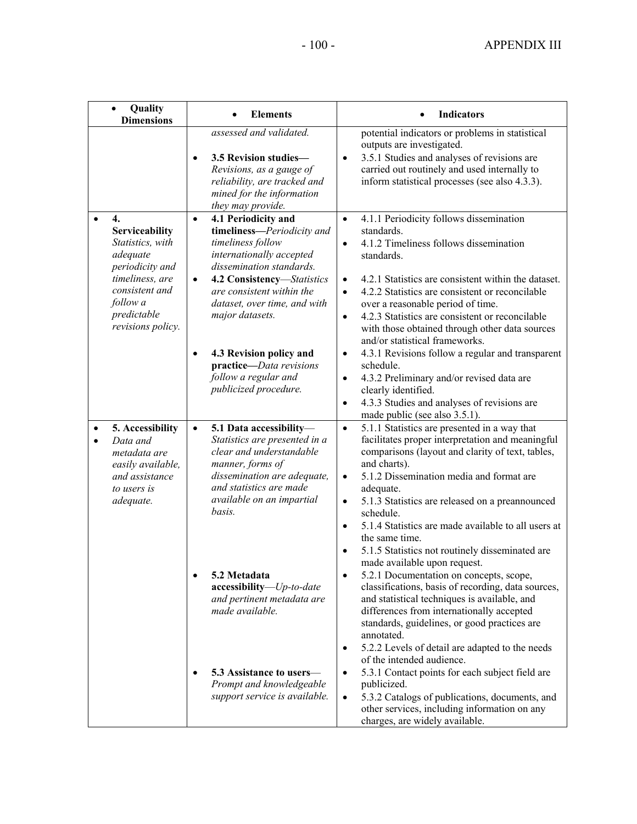| Quality<br>$\bullet$<br><b>Dimensions</b>                                                                       | <b>Elements</b>                                                                                                                                                                                                                                                                                                                  | <b>Indicators</b>                                                                                                                                                                                                                                                                                                                                                                                                                                                                                                                                                                                                                                                                                                                                                                                                                      |
|-----------------------------------------------------------------------------------------------------------------|----------------------------------------------------------------------------------------------------------------------------------------------------------------------------------------------------------------------------------------------------------------------------------------------------------------------------------|----------------------------------------------------------------------------------------------------------------------------------------------------------------------------------------------------------------------------------------------------------------------------------------------------------------------------------------------------------------------------------------------------------------------------------------------------------------------------------------------------------------------------------------------------------------------------------------------------------------------------------------------------------------------------------------------------------------------------------------------------------------------------------------------------------------------------------------|
|                                                                                                                 | assessed and validated.<br>3.5 Revision studies-<br>$\bullet$<br>Revisions, as a gauge of<br>reliability, are tracked and<br>mined for the information<br>they may provide.                                                                                                                                                      | potential indicators or problems in statistical<br>outputs are investigated.<br>3.5.1 Studies and analyses of revisions are<br>$\bullet$<br>carried out routinely and used internally to<br>inform statistical processes (see also 4.3.3).                                                                                                                                                                                                                                                                                                                                                                                                                                                                                                                                                                                             |
| $\overline{4}$ .<br>$\bullet$<br>Serviceability<br>Statistics, with<br>adequate<br>periodicity and              | 4.1 Periodicity and<br>$\bullet$<br>timeliness-Periodicity and<br>timeliness follow<br>internationally accepted<br>dissemination standards.                                                                                                                                                                                      | 4.1.1 Periodicity follows dissemination<br>$\bullet$<br>standards.<br>4.1.2 Timeliness follows dissemination<br>$\bullet$<br>standards.                                                                                                                                                                                                                                                                                                                                                                                                                                                                                                                                                                                                                                                                                                |
| timeliness, are<br>consistent and<br>follow a<br>predictable<br>revisions policy.                               | 4.2 Consistency-Statistics<br>$\bullet$<br>are consistent within the<br>dataset, over time, and with<br>major datasets.                                                                                                                                                                                                          | 4.2.1 Statistics are consistent within the dataset.<br>$\bullet$<br>4.2.2 Statistics are consistent or reconcilable<br>$\bullet$<br>over a reasonable period of time.<br>4.2.3 Statistics are consistent or reconcilable<br>$\bullet$<br>with those obtained through other data sources<br>and/or statistical frameworks.                                                                                                                                                                                                                                                                                                                                                                                                                                                                                                              |
|                                                                                                                 | 4.3 Revision policy and<br>$\bullet$<br>practice-Data revisions<br>follow a regular and<br>publicized procedure.                                                                                                                                                                                                                 | 4.3.1 Revisions follow a regular and transparent<br>$\bullet$<br>schedule.<br>4.3.2 Preliminary and/or revised data are<br>$\bullet$<br>clearly identified.<br>4.3.3 Studies and analyses of revisions are<br>$\bullet$<br>made public (see also 3.5.1).                                                                                                                                                                                                                                                                                                                                                                                                                                                                                                                                                                               |
| 5. Accessibility<br>Data and<br>metadata are<br>easily available,<br>and assistance<br>to users is<br>adequate. | 5.1 Data accessibility-<br>$\bullet$<br>Statistics are presented in a<br>clear and understandable<br>manner, forms of<br>dissemination are adequate,<br>and statistics are made<br>available on an impartial<br>basis.<br>5.2 Metadata<br>$\bullet$<br>accessibility-Up-to-date<br>and pertinent metadata are<br>made available. | 5.1.1 Statistics are presented in a way that<br>$\bullet$<br>facilitates proper interpretation and meaningful<br>comparisons (layout and clarity of text, tables,<br>and charts).<br>5.1.2 Dissemination media and format are<br>$\bullet$<br>adequate.<br>5.1.3 Statistics are released on a preannounced<br>$\bullet$<br>schedule.<br>5.1.4 Statistics are made available to all users at<br>$\bullet$<br>the same time.<br>5.1.5 Statistics not routinely disseminated are<br>made available upon request.<br>5.2.1 Documentation on concepts, scope,<br>٠<br>classifications, basis of recording, data sources,<br>and statistical techniques is available, and<br>differences from internationally accepted<br>standards, guidelines, or good practices are<br>annotated.<br>5.2.2 Levels of detail are adapted to the needs<br>٠ |
|                                                                                                                 | 5.3 Assistance to users—<br>Prompt and knowledgeable<br>support service is available.                                                                                                                                                                                                                                            | of the intended audience.<br>5.3.1 Contact points for each subject field are<br>$\bullet$<br>publicized.<br>5.3.2 Catalogs of publications, documents, and<br>$\bullet$<br>other services, including information on any<br>charges, are widely available.                                                                                                                                                                                                                                                                                                                                                                                                                                                                                                                                                                              |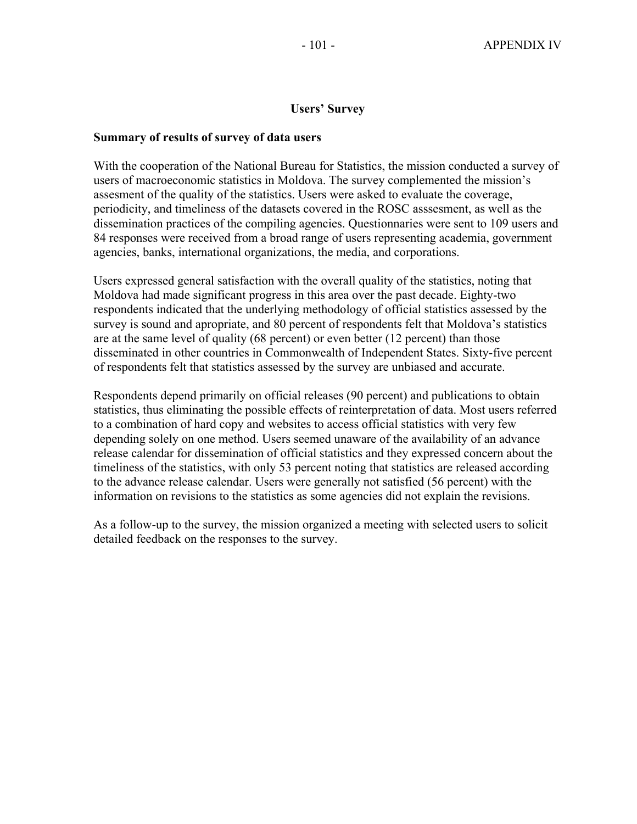#### **Users' Survey**

#### **Summary of results of survey of data users**

With the cooperation of the National Bureau for Statistics, the mission conducted a survey of users of macroeconomic statistics in Moldova. The survey complemented the mission's assesment of the quality of the statistics. Users were asked to evaluate the coverage, periodicity, and timeliness of the datasets covered in the ROSC asssesment, as well as the dissemination practices of the compiling agencies. Questionnaries were sent to 109 users and 84 responses were received from a broad range of users representing academia, government agencies, banks, international organizations, the media, and corporations.

Users expressed general satisfaction with the overall quality of the statistics, noting that Moldova had made significant progress in this area over the past decade. Eighty-two respondents indicated that the underlying methodology of official statistics assessed by the survey is sound and apropriate, and 80 percent of respondents felt that Moldova's statistics are at the same level of quality (68 percent) or even better (12 percent) than those disseminated in other countries in Commonwealth of Independent States. Sixty-five percent of respondents felt that statistics assessed by the survey are unbiased and accurate.

Respondents depend primarily on official releases (90 percent) and publications to obtain statistics, thus eliminating the possible effects of reinterpretation of data. Most users referred to a combination of hard copy and websites to access official statistics with very few depending solely on one method. Users seemed unaware of the availability of an advance release calendar for dissemination of official statistics and they expressed concern about the timeliness of the statistics, with only 53 percent noting that statistics are released according to the advance release calendar. Users were generally not satisfied (56 percent) with the information on revisions to the statistics as some agencies did not explain the revisions.

As a follow-up to the survey, the mission organized a meeting with selected users to solicit detailed feedback on the responses to the survey.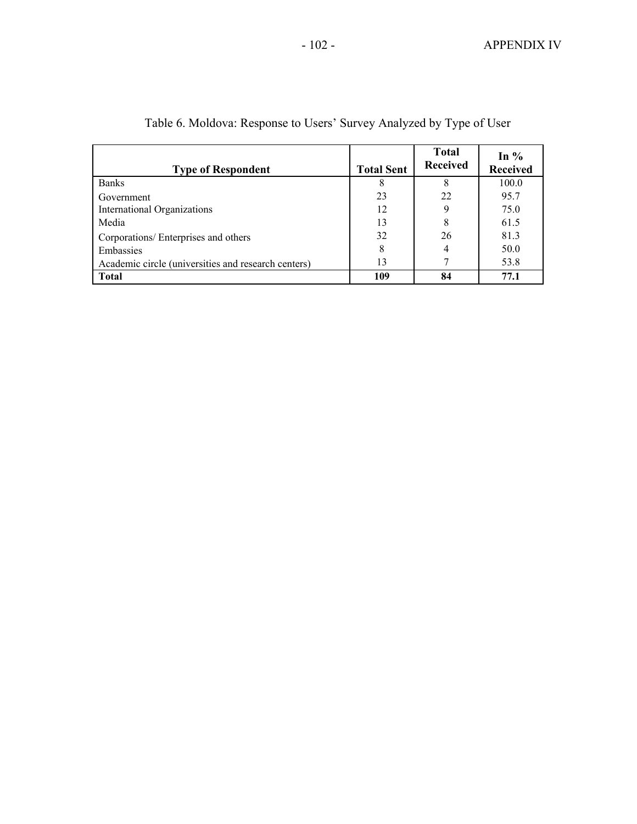| <b>Type of Respondent</b>                           | <b>Total Sent</b> | <b>Total</b><br><b>Received</b> | In $%$<br><b>Received</b> |
|-----------------------------------------------------|-------------------|---------------------------------|---------------------------|
| <b>Banks</b>                                        | 8                 |                                 | 100.0                     |
| Government                                          | 23                | 22                              | 95.7                      |
| International Organizations                         | 12                |                                 | 75.0                      |
| Media                                               | 13                | 8                               | 61.5                      |
| Corporations/ Enterprises and others                | 32                | 26                              | 81.3                      |
| Embassies                                           | 8                 | 4                               | 50.0                      |
| Academic circle (universities and research centers) | 13                |                                 | 53.8                      |
| <b>Total</b>                                        | 109               | 84                              | 77.1                      |

Table 6. Moldova: Response to Users' Survey Analyzed by Type of User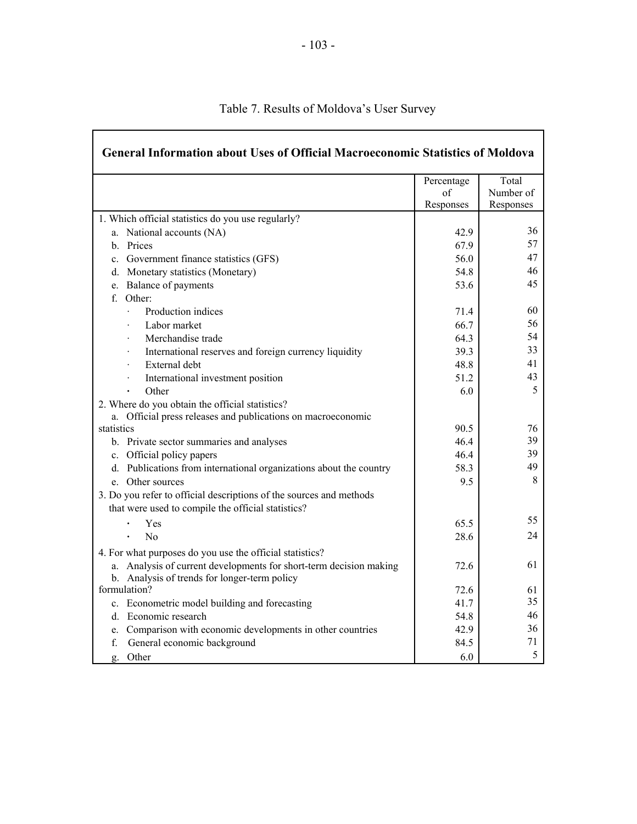| <b>General Information about Uses of Official Macroeconomic Statistics of Moldova</b>                                     |            |           |
|---------------------------------------------------------------------------------------------------------------------------|------------|-----------|
|                                                                                                                           | Percentage | Total     |
|                                                                                                                           | of         | Number of |
|                                                                                                                           | Responses  | Responses |
| 1. Which official statistics do you use regularly?                                                                        |            |           |
| a. National accounts (NA)                                                                                                 | 42.9       | 36        |
| b. Prices                                                                                                                 | 67.9       | 57        |
| c. Government finance statistics (GFS)                                                                                    | 56.0       | 47        |
| d. Monetary statistics (Monetary)                                                                                         | 54.8       | 46        |
| e. Balance of payments                                                                                                    | 53.6       | 45        |
| f. Other:                                                                                                                 |            |           |
| Production indices<br>$\ddot{\phantom{0}}$                                                                                | 71.4       | 60        |
| Labor market                                                                                                              | 66.7       | 56        |
| Merchandise trade                                                                                                         | 64.3       | 54        |
| International reserves and foreign currency liquidity                                                                     | 39.3       | 33        |
| External debt                                                                                                             | 48.8       | 41        |
| International investment position                                                                                         | 51.2       | 43        |
| Other                                                                                                                     | 6.0        | 5         |
| 2. Where do you obtain the official statistics?                                                                           |            |           |
| a. Official press releases and publications on macroeconomic                                                              |            |           |
| statistics                                                                                                                | 90.5       | 76        |
| b. Private sector summaries and analyses                                                                                  | 46.4       | 39        |
| c. Official policy papers                                                                                                 | 46.4       | 39        |
| d. Publications from international organizations about the country                                                        | 58.3       | 49        |
| e. Other sources                                                                                                          | 9.5        | 8         |
| 3. Do you refer to official descriptions of the sources and methods<br>that were used to compile the official statistics? |            |           |
| Yes                                                                                                                       | 65.5       | 55.       |
| No                                                                                                                        | 28.6       | 24        |
| 4. For what purposes do you use the official statistics?                                                                  |            |           |
| a. Analysis of current developments for short-term decision making                                                        | 72.6       | 61        |
| b. Analysis of trends for longer-term policy                                                                              |            |           |
| formulation?                                                                                                              | 72.6       | 61        |
| c. Econometric model building and forecasting                                                                             | 41.7       | 35        |
| d. Economic research                                                                                                      | 54.8       | 46        |
| e. Comparison with economic developments in other countries                                                               | 42.9       | 36        |
| f.<br>General economic background                                                                                         | 84.5       | 71        |
| Other<br>g.                                                                                                               | 6.0        | 5         |

# Table 7. Results of Moldova's User Survey

 $\mathbf{r}$ 

٦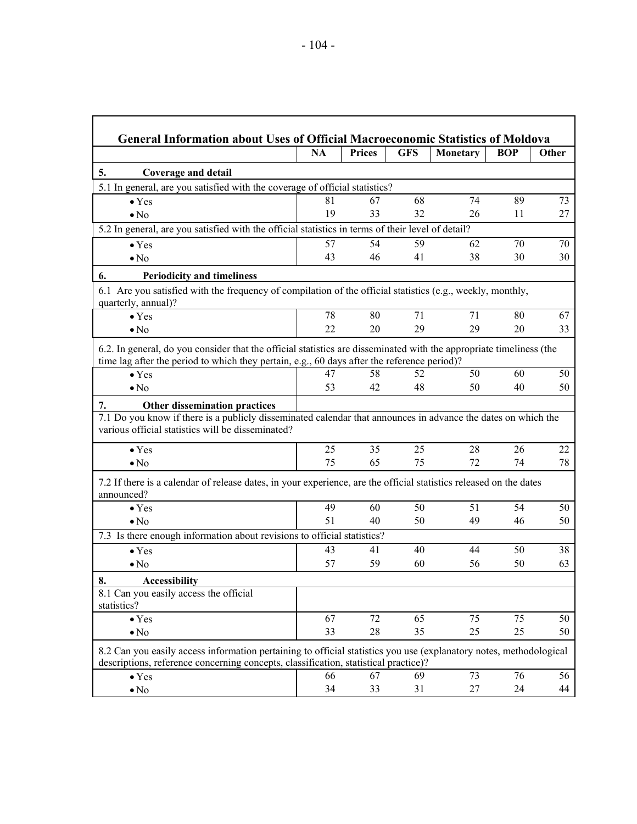| <b>General Information about Uses of Official Macroeconomic Statistics of Moldova</b>                                                                                                                              |           |               |            |          |            |       |  |
|--------------------------------------------------------------------------------------------------------------------------------------------------------------------------------------------------------------------|-----------|---------------|------------|----------|------------|-------|--|
|                                                                                                                                                                                                                    | <b>NA</b> | <b>Prices</b> | <b>GFS</b> | Monetary | <b>BOP</b> | Other |  |
| 5.<br><b>Coverage and detail</b>                                                                                                                                                                                   |           |               |            |          |            |       |  |
| 5.1 In general, are you satisfied with the coverage of official statistics?                                                                                                                                        |           |               |            |          |            |       |  |
| $\bullet$ Yes                                                                                                                                                                                                      | 81        | 67            | 68         | 74       | 89         | 73    |  |
| $\bullet$ No                                                                                                                                                                                                       | 19        | 33            | 32         | 26       | 11         | 27    |  |
| 5.2 In general, are you satisfied with the official statistics in terms of their level of detail?                                                                                                                  |           |               |            |          |            |       |  |
| $\bullet$ Yes                                                                                                                                                                                                      | 57        | 54            | 59         | 62       | 70         | 70    |  |
| $\bullet$ No                                                                                                                                                                                                       | 43        | 46            | 41         | 38       | 30         | 30    |  |
| <b>Periodicity and timeliness</b><br>6.                                                                                                                                                                            |           |               |            |          |            |       |  |
| 6.1 Are you satisfied with the frequency of compilation of the official statistics (e.g., weekly, monthly,<br>quarterly, annual)?                                                                                  |           |               |            |          |            |       |  |
| $\bullet$ Yes                                                                                                                                                                                                      | 78        | 80            | 71         | 71       | 80         | 67    |  |
| $\bullet$ No                                                                                                                                                                                                       | 22        | 20            | 29         | 29       | 20         | 33    |  |
| 6.2. In general, do you consider that the official statistics are disseminated with the appropriate timeliness (the<br>time lag after the period to which they pertain, e.g., 60 days after the reference period)? |           |               |            |          |            |       |  |
| $\bullet$ Yes                                                                                                                                                                                                      | 47        | 58            | 52         | 50       | 60         | 50    |  |
| $\bullet$ No                                                                                                                                                                                                       | 53        | 42            | 48         | 50       | 40         | 50    |  |
| <b>Other dissemination practices</b><br>7.                                                                                                                                                                         |           |               |            |          |            |       |  |
| 7.1 Do you know if there is a publicly disseminated calendar that announces in advance the dates on which the<br>various official statistics will be disseminated?                                                 |           |               |            |          |            |       |  |
| $\bullet$ Yes                                                                                                                                                                                                      | 25        | 35            | 25         | 28       | 26         | 22    |  |
| $\bullet$ No                                                                                                                                                                                                       | 75        | 65            | 75         | 72       | 74         | 78    |  |
| 7.2 If there is a calendar of release dates, in your experience, are the official statistics released on the dates<br>announced?                                                                                   |           |               |            |          |            |       |  |
| $\bullet$ Yes                                                                                                                                                                                                      | 49        | 60            | 50         | 51       | 54         | 50    |  |
| $\bullet$ No                                                                                                                                                                                                       | 51        | 40            | 50         | 49       | 46         | 50    |  |
| 7.3 Is there enough information about revisions to official statistics?                                                                                                                                            |           |               |            |          |            |       |  |
| $\bullet$ Yes                                                                                                                                                                                                      | 43        | 41            | 40         | 44       | 50         | 38    |  |
| $\bullet$ No                                                                                                                                                                                                       | 57        | 59            | 60         | 56       | 50         | 63    |  |
| 8.<br><b>Accessibility</b>                                                                                                                                                                                         |           |               |            |          |            |       |  |
| 8.1 Can you easily access the official<br>statistics?                                                                                                                                                              |           |               |            |          |            |       |  |
| $\bullet$ Yes                                                                                                                                                                                                      | 67        | 72            | 65         | 75       | 75         | 50    |  |
| $\bullet$ No                                                                                                                                                                                                       | 33        | 28            | 35         | 25       | 25         | 50    |  |
| 8.2 Can you easily access information pertaining to official statistics you use (explanatory notes, methodological<br>descriptions, reference concerning concepts, classification, statistical practice)?          |           |               |            |          |            |       |  |
| $\bullet$ Yes                                                                                                                                                                                                      | 66        | 67            | 69         | 73       | 76         | 56    |  |
| $\bullet$ No                                                                                                                                                                                                       | 34        | 33            | 31         | 27       | 24         | 44    |  |